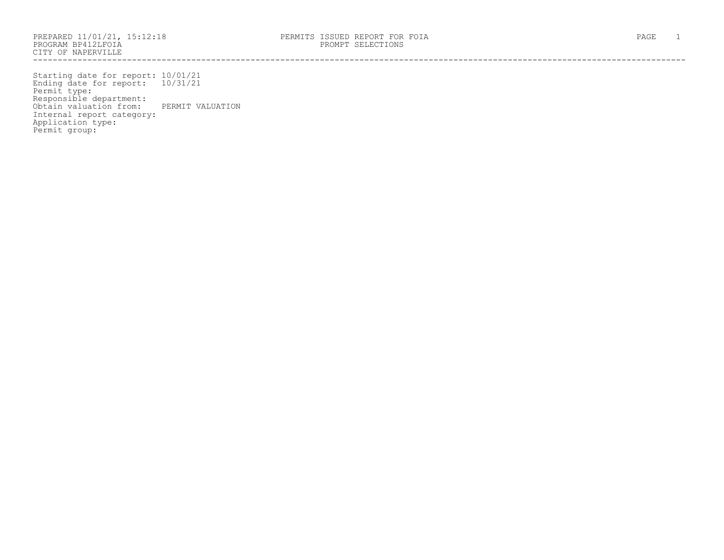PROGRAM BP412LFOIA PROMPT SELECTIONS CITY OF NAPERVILLE ------------------------------------------------------------------------------------------------------------------------------------

Starting date for report: 10/01/21 Ending date for report: 10/31/21 Permit type: Responsible department: Obtain valuation from: PERMIT VALUATION Internal report category: Application type: Permit group: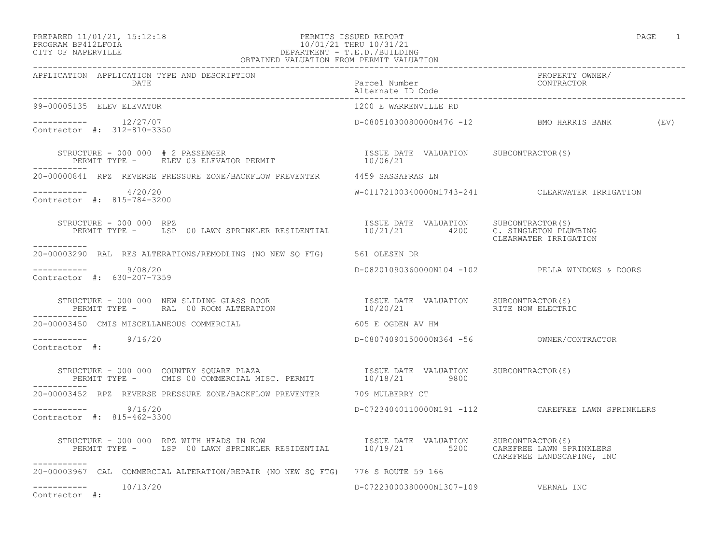### PREPARED 11/01/21, 15:12:18 PERMITS ISSUED REPORT PAGE 1 PROGRAM BP412LFOIA 10/01/21 THRU 10/31/21 CITY OF NAPERVILLE DEPARTMENT - T.E.D./BUILDING OBTAINED VALUATION FROM PERMIT VALUATION

| 99-00005135 ELEV ELEVATOR                                                                                                                                                                       | 1200 E WARRENVILLE RD                |                                                    |
|-------------------------------------------------------------------------------------------------------------------------------------------------------------------------------------------------|--------------------------------------|----------------------------------------------------|
| $--------- 12/27/07$<br>Contractor #: 312-810-3350                                                                                                                                              |                                      | D-08051030080000N476 -12 BMO HARRIS BANK (EV)      |
|                                                                                                                                                                                                 |                                      |                                                    |
| 20-00000841 RPZ REVERSE PRESSURE ZONE/BACKFLOW PREVENTER 4459 SASSAFRAS LN                                                                                                                      |                                      |                                                    |
| -----------     4/20/20<br>Contractor #: 815-784-3200                                                                                                                                           |                                      | W-01172100340000N1743-241 CLEARWATER IRRIGATION    |
| TRUCTURE – 000 000 RPZ<br>PERMIT TYPE – USP 00 LAWN SPRINKLER RESIDENTIAL 10/21/21 4200 C. SINGLETON PLUMBING<br>STRUCTURE - 000 000 RPZ<br>-----------                                         |                                      | CLEARWATER IRRIGATION                              |
| 20-00003290 RAL RES ALTERATIONS/REMODLING (NO NEW SQ FTG) 561 OLESEN DR                                                                                                                         |                                      |                                                    |
| $--------- 9/08/20$<br>Contractor #: 630-207-7359                                                                                                                                               |                                      | D-08201090360000N104 -102 PELLA WINDOWS & DOORS    |
|                                                                                                                                                                                                 |                                      |                                                    |
| 20-00003450 CMIS MISCELLANEOUS COMMERCIAL COMPONERY 605 E OGDEN AV HM                                                                                                                           |                                      |                                                    |
| $--------- 9/16/20$<br>Contractor #:                                                                                                                                                            |                                      |                                                    |
| STRUCTURE - 000 000 COUNTRY SQUARE PLAZA                         ISSUE DATE VALUATION     SUBCONTRACTOR(S)<br>PERMIT TYPE -     CMIS 00 COMMERCIAL MISC. PERMIT           10/18/21         9800 |                                      |                                                    |
| 20-00003452 RPZ REVERSE PRESSURE ZONE/BACKFLOW PREVENTER 709 MULBERRY CT                                                                                                                        |                                      |                                                    |
| $--------$ 9/16/20<br>Contractor #: 815-462-3300                                                                                                                                                |                                      | D-07234040110000N191 -112 CAREFREE LAWN SPRINKLERS |
| STRUCTURE - 000 000 RPZ WITH HEADS IN ROW<br>PERMIT TYPE - LSP 00 LAWN SPRINKLER RESIDENTIAL 10/19/21 5200 CAREFREE LAWN SPRINKLERS<br>-----------                                              |                                      | CAREFREE LANDSCAPING, INC                          |
| 20-00003967 CAL COMMERCIAL ALTERATION/REPAIR (NO NEW SO FTG) 776 S ROUTE 59 166                                                                                                                 |                                      |                                                    |
| $--------- 10/13/20$<br>Contractor #:                                                                                                                                                           | D-07223000380000N1307-109 VERNAL INC |                                                    |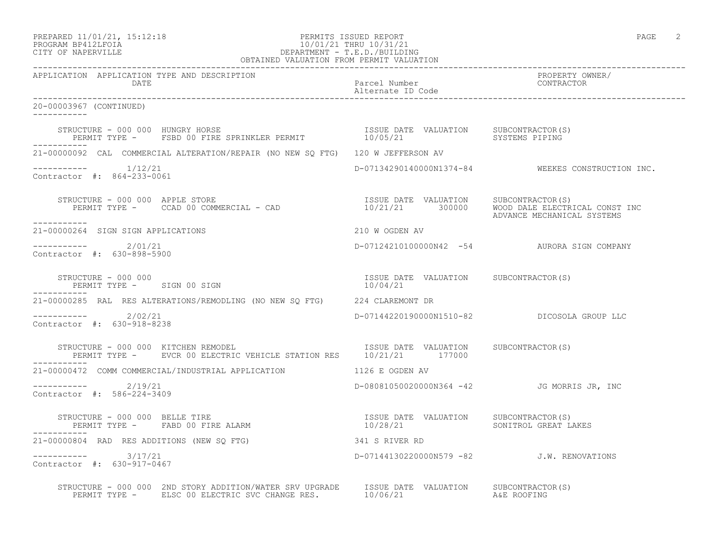### PREPARED 11/01/21, 15:12:18 PERMITS ISSUED REPORT PAGE 2 PROGRAM BP412LFOIA 10/01/21 THRU 10/31/21 CITY OF NAPERVILLE DEPARTMENT - T.E.D./BUILDING OBTAINED VALUATION FROM PERMIT VALUATION

------------------------------------------------------------------------------------------------------------------------------------ APPLICATION APPLICATION TYPE AND DESCRIPTION PROPERTY OWNER/ DATE Parcel Number CONTRACTOR Alternate ID Code ------------------------------------------------------------------------------------------------------------------------------------ 20-00003967 (CONTINUED) ----------- STRUCTURE - 000 000 HUNGRY HORSE ISSUE DATE VALUATION SUBCONTRACTOR(S) PERMIT TYPE - FSBD 00 FIRE SPRINKLER PERMIT  $10/05/21$  SYSTEMS PIPING ----------- 21-00000092 CAL COMMERCIAL ALTERATION/REPAIR (NO NEW SQ FTG) 120 W JEFFERSON AV ----------- 1/12/21 D-07134290140000N1374-84 WEEKES CONSTRUCTION INC. Contractor #: 864-233-0061 STRUCTURE - 000 000 APPLE STORE ISSUE DATE VALUATION SUBCONTRACTOR(S) PERMIT TYPE - CCAD 00 COMMERCIAL - CAD 10/21/21 300000 WOOD DALE ELECTRICAL CONST INC ADVANCE MECHANICAL SYSTEMS ----------- 21-00000264 SIGN SIGN APPLICATIONS 210 W OGDEN AV \_\_\_\_\_\_\_\_\_\_\_ ----------- 2/01/21 D-07124210100000N42 -54 AURORA SIGN COMPANY Contractor #: 630-898-5900 STRUCTURE - 000 000 ISSUE DATE VALUATION SUBCONTRACTOR(S) PERMIT TYPE - SIGN 00 SIGN ----------- 21-00000285 RAL RES ALTERATIONS/REMODLING (NO NEW SQ FTG) 224 CLAREMONT DR ----------- 2/02/21 D-07144220190000N1510-82 DICOSOLA GROUP LLC Contractor #: 630-918-8238 STRUCTURE - 000 000 KITCHEN REMODEL **ISSUE DATE** VALUATION SUBCONTRACTOR(S) PERMIT TYPE - EVCR 00 ELECTRIC VEHICLE STATION RES 10/21/21 177000 ----------- 21-00000472 COMM COMMERCIAL/INDUSTRIAL APPLICATION 1126 E OGDEN AV ----------- 2/19/21 D-08081050020000N364 -42 JG MORRIS JR, INC Contractor #: 586-224-3409 STRUCTURE – 000 000 BELLE TIRE<br>PERMIT TYPE – FABD 00 FIRE ALARM – 10/28/21 – 10/28/21 – SONITROL GREAT LAKES PERMIT TYPE - FABD 00 FIRE ALARM ----------- 21-00000804 RAD RES ADDITIONS (NEW SQ FTG) 341 S RIVER RD ----------- 3/17/21 D-07144130220000N579 -82 J.W. RENOVATIONS Contractor #: 630-917-0467 STRUCTURE - 000 000 2ND STORY ADDITION/WATER SRV UPGRADE ISSUE DATE VALUATION SUBCONTRACTOR(S) PERMIT TYPE - ELSC 00 ELECTRIC SVC CHANGE RES.  $10/06/21$  A&E ROOFING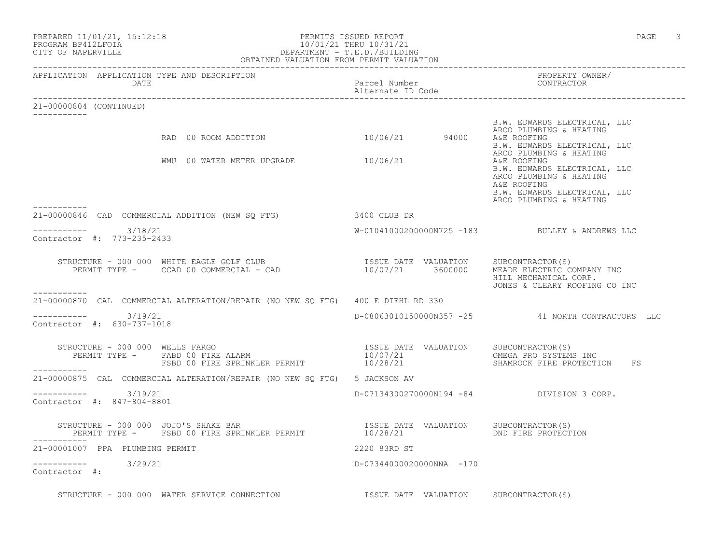| PREPARED 11/01/21, 15:12:18<br>PERMITS ISSUED REPORT<br>PROGRAM BP412LFOIA<br>CITY OF NAPERVILLE<br>CITY OF NAPERVILLE<br>CITY OF NAPERVILLE<br>CETTY OF NAPERVILLE<br>CETTY OF NAPERVILLE<br>OBTAINED VALUATION FROM PERMIT VALUATION |                                           | 3<br>PAGE                                                                                                                                        |
|----------------------------------------------------------------------------------------------------------------------------------------------------------------------------------------------------------------------------------------|-------------------------------------------|--------------------------------------------------------------------------------------------------------------------------------------------------|
| APPLICATION APPLICATION TYPE AND DESCRIPTION<br>DATE                                                                                                                                                                                   | Parcel Number<br>Alternate ID Code        | PROPERTY OWNER/<br>CONTRACTOR                                                                                                                    |
| 21-00000804 (CONTINUED)<br>-----------                                                                                                                                                                                                 |                                           |                                                                                                                                                  |
| RAD 00 ROOM ADDITION                                                                                                                                                                                                                   | 10/06/21 94000                            | B.W. EDWARDS ELECTRICAL, LLC<br>ARCO PLUMBING & HEATING<br>A&E ROOFING<br>B.W. EDWARDS ELECTRICAL, LLC<br>ARCO PLUMBING & HEATING                |
| WMU 00 WATER METER UPGRADE 10/06/21<br>------------                                                                                                                                                                                    |                                           | A&E ROOFING<br>B.W. EDWARDS ELECTRICAL, LLC<br>ARCO PLUMBING & HEATING<br>A&E ROOFING<br>B.W. EDWARDS ELECTRICAL, LLC<br>ARCO PLUMBING & HEATING |
| 21-00000846 CAD COMMERCIAL ADDITION (NEW SQ FTG)                                                                                                                                                                                       | 3400 CLUB DR                              |                                                                                                                                                  |
| $--------- 3/18/21$<br>Contractor #: 773-235-2433                                                                                                                                                                                      |                                           | W-01041000200000N725 -183 BULLEY & ANDREWS LLC                                                                                                   |
|                                                                                                                                                                                                                                        |                                           | MEADE ELECTRIC COMPANY INC<br>HILL MECHANICAL CORP.<br>JONES & CLEARY ROOFING CO INC                                                             |
| -----------<br>21-00000870 CAL COMMERCIAL ALTERATION/REPAIR (NO NEW SO FTG) 400 E DIEHL RD 330                                                                                                                                         |                                           |                                                                                                                                                  |
| $--------$ 3/19/21<br>Contractor #: 630-737-1018                                                                                                                                                                                       |                                           | D-08063010150000N357 -25 41 NORTH CONTRACTORS LLC                                                                                                |
|                                                                                                                                                                                                                                        |                                           | OMEGA PRO SYSTEMS INC<br>SHAMROCK FIRE PROTECTION<br>FS                                                                                          |
| 21-00000875 CAL COMMERCIAL ALTERATION/REPAIR (NO NEW SQ FTG) 5 JACKSON AV                                                                                                                                                              |                                           |                                                                                                                                                  |
| $--------- 3/19/21$<br>Contractor #: 847-804-8801                                                                                                                                                                                      | D-07134300270000N194 -84 DIVISION 3 CORP. |                                                                                                                                                  |
| STRUCTURE - 000 000 JOJO'S SHAKE BAR<br>PERMIT TYPE -    FSBD 00 FIRE SPRINKLER PERMIT                           10/28/21               DND FIRE PROTECT                                                                               |                                           | DND FIRE PROTECTION                                                                                                                              |
| 21-00001007 PPA PLUMBING PERMIT                                                                                                                                                                                                        | 2220 83RD ST                              |                                                                                                                                                  |
| ----------- 3/29/21<br>Contractor #:                                                                                                                                                                                                   | D-07344000020000NNA -170                  |                                                                                                                                                  |
| STRUCTURE - 000 000 WATER SERVICE CONNECTION TSSUE DATE VALUATION SUBCONTRACTOR(S)                                                                                                                                                     |                                           |                                                                                                                                                  |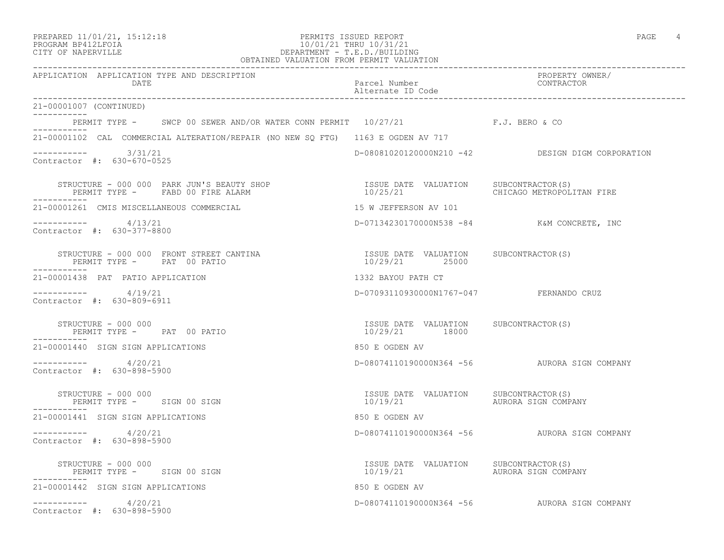### PROGRAM BP412LFOIA 10/01/21 THRU 10/31/21<br>CITY OF NAPERVILLE CITY OF NAPERVILLE DEPARTMENT - T.E.D./BUILDING OBTAINED VALUATION FROM PERMIT VALUATION

APPLICATION APPLICATION TYPE AND DESCRIPTION<br>DATE DATE DATE DATE DATE DATE

------------------------------------------------------------------------------------------------------------------------------------

Parcel Number Alternate ID Code

| 21-00001007 (CONTINUED)                                                                       |                                                                                               |                                                  |
|-----------------------------------------------------------------------------------------------|-----------------------------------------------------------------------------------------------|--------------------------------------------------|
| PERMIT TYPE - SWCP 00 SEWER AND/OR WATER CONN PERMIT 10/27/21 F.J. BERO & CO                  |                                                                                               |                                                  |
| 21-00001102 CAL COMMERCIAL ALTERATION/REPAIR (NO NEW SO FTG) 1163 E OGDEN AV 717              |                                                                                               |                                                  |
| $--------- 3/31/21$<br>Contractor #: 630-670-0525                                             |                                                                                               | D-08081020120000N210 -42 DESIGN DIGM CORPORATION |
| STRUCTURE - 000 000 PARK JUN'S BEAUTY SHOP<br>PERMIT TYPE - FABD 00 FIRE ALARM<br>----------- | ISSUE DATE VALUATION SUBCONTRACTOR(S)<br>$\frac{15552}{10/25/21}$                             | CHICAGO METROPOLITAN FIRE                        |
| 21-00001261 CMIS MISCELLANEOUS COMMERCIAL                                                     | 15 W JEFFERSON AV 101                                                                         |                                                  |
| $--------- 4/13/21$<br>Contractor #: 630-377-8800                                             | D-07134230170000N538 -84 K&M CONCRETE, INC                                                    |                                                  |
| STRUCTURE - 000 000 FRONT STREET CANTINA<br>PERMIT TYPE - PAT 00 PATIO                        | ISSUE DATE VALUATION SUBCONTRACTOR(S)<br>10/29/21 25000                                       |                                                  |
| 21-00001438 PAT PATIO APPLICATION                                                             | 1332 BAYOU PATH CT                                                                            |                                                  |
| $--------- 4/19/21$<br>Contractor #: 630-809-6911                                             | D-07093110930000N1767-047 FERNANDO CRUZ                                                       |                                                  |
| STRUCTURE - 000 000<br>PERMIT TYPE - PAT 00 PATIO                                             | ISSUE DATE VALUATION SUBCONTRACTOR(S)<br>10/29/21 18000                                       |                                                  |
| 21-00001440 SIGN SIGN APPLICATIONS                                                            | 850 E OGDEN AV                                                                                |                                                  |
| $--------- 4/20/21$<br>Contractor #: 630-898-5900                                             |                                                                                               | D-08074110190000N364 -56 AURORA SIGN COMPANY     |
| STRUCTURE - 000 000<br>PERMIT TYPE - SIGN 00 SIGN                                             | ISSUE DATE VALUATION SUBCONTRACTOR(S)<br>10/19/21                                             | AURORA SIGN COMPANY                              |
| 21-00001441 SIGN SIGN APPLICATIONS                                                            | 850 E OGDEN AV                                                                                |                                                  |
| $--------- 4/20/21$<br>Contractor #: 630-898-5900                                             |                                                                                               | D-08074110190000N364 -56 AURORA SIGN COMPANY     |
| STRUCTURE - 000 000<br>PERMIT TYPE - SIGN 00 SIGN<br>-----------                              | ISSUE DATE VALUATION SUBCONTRACTOR(S)<br>10/19/21                         AURORA SIGN COMPANY |                                                  |
| 21-00001442 SIGN SIGN APPLICATIONS                                                            | 850 E OGDEN AV                                                                                |                                                  |
| $--------- 4/20/21$<br>Contractor $\#: 630 - 898 - 5900$                                      |                                                                                               | D-08074110190000N364 -56 AURORA SIGN COMPANY     |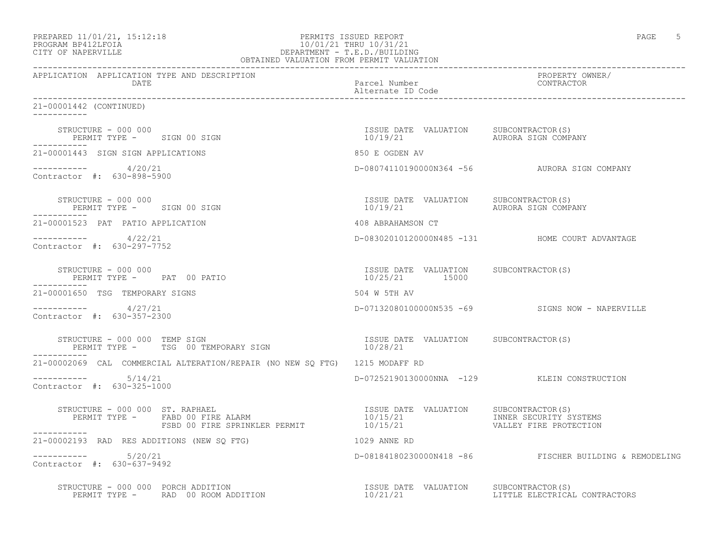| PREPARED 11/01/21, 15:12:18 |  |
|-----------------------------|--|
| PROCRAM RP412LFOIA          |  |

# PREPARED 11/01/21, 15:12:18 PERMITS ISSUED REPORT PAGE 5 PROGRAM BP412LFOIA 10/01/21 THRU 10/31/21 CITY OF NAPERVILLE DEPARTMENT - T.E.D./BUILDING

| OBTAINED VALUATION FROM PERMIT VALUATION                                               |                                                         |                                                        |
|----------------------------------------------------------------------------------------|---------------------------------------------------------|--------------------------------------------------------|
| APPLICATION APPLICATION TYPE AND DESCRIPTION<br>DATE                                   | Parcel Number<br>Alternate ID Code                      | PROPERTY OWNER/<br>CONTRACTOR                          |
| 21-00001442 (CONTINUED)                                                                |                                                         |                                                        |
| STRUCTURE – 000 000<br>PERMIT TYPE – SIGN 00 SIGN 10/19/21 UALUATION AURORA SIGN COMP. |                                                         | AURORA SIGN COMPANY                                    |
| 21-00001443 SIGN SIGN APPLICATIONS                                                     | 850 E OGDEN AV                                          |                                                        |
| $--------- 4/20/21$<br>Contractor #: 630-898-5900                                      |                                                         | D-08074110190000N364 -56 AURORA SIGN COMPANY           |
| STRUCTURE - 000 000<br>PERMIT TYPE - SIGN 00 SIGN<br>------------                      |                                                         |                                                        |
| 21-00001523 PAT PATIO APPLICATION                                                      | 408 ABRAHAMSON CT                                       |                                                        |
| $--------- 4/22/21$<br>Contractor #: 630-297-7752                                      |                                                         | D-08302010120000N485 -131 HOME COURT ADVANTAGE         |
| STRUCTURE - 000 000<br>PERMIT TYPE - PAT 00 PATIO                                      | ISSUE DATE VALUATION SUBCONTRACTOR(S)<br>10/25/21 15000 |                                                        |
| 21-00001650 TSG TEMPORARY SIGNS                                                        | 504 W 5TH AV                                            |                                                        |
| $--------- 4/27/21$<br>Contractor #: 630-357-2300                                      |                                                         | D-07132080100000N535 -69 SIGNS NOW - NAPERVILLE        |
| ___________                                                                            |                                                         |                                                        |
| 21-00002069 CAL COMMERCIAL ALTERATION/REPAIR (NO NEW SO FTG) 1215 MODAFF RD            |                                                         |                                                        |
| $--------- 5/14/21$<br>Contractor #: 630-325-1000                                      |                                                         | D-07252190130000NNA -129 KLEIN CONSTRUCTION            |
| ___________                                                                            |                                                         |                                                        |
| 21-00002193 RAD RES ADDITIONS (NEW SQ FTG)                                             | 1029 ANNE RD                                            |                                                        |
| $--------- 5/20/21$<br>Contractor #: 630-637-9492                                      |                                                         | D-08184180230000N418 -86 FISCHER BUILDING & REMODELING |
| STRUCTURE - 000 000 PORCH ADDITION                                                     |                                                         |                                                        |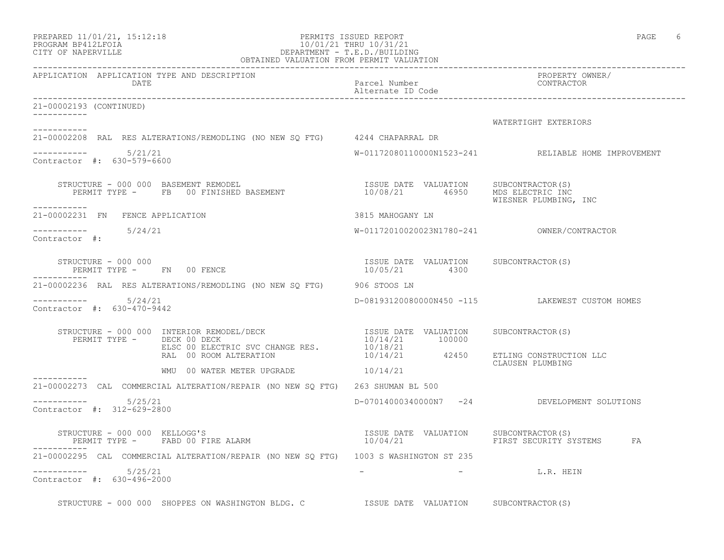| PREPARED 11/01/21, 15:12:18 |  |
|-----------------------------|--|
| PROGRAM BP412LFOIA          |  |

# PERMITS ISSUED REPORT **PAGE** 6 PROGRAM BP412LFOIA 10/01/21 THRU 10/31/21<br>CITY OF NAPERVILLE CITY OF NAPERVILLE DEPARTMENT - T.E.D./BUILDING

|                                                                 | OBTAINED VALUATION FROM PERMIT VALUATION                                                                                                                                                                                                                                                                                                                                                                                                             |                                                        |                                                     |
|-----------------------------------------------------------------|------------------------------------------------------------------------------------------------------------------------------------------------------------------------------------------------------------------------------------------------------------------------------------------------------------------------------------------------------------------------------------------------------------------------------------------------------|--------------------------------------------------------|-----------------------------------------------------|
| APPLICATION APPLICATION TYPE AND DESCRIPTION<br>DATE            |                                                                                                                                                                                                                                                                                                                                                                                                                                                      | Parcel Number<br>Alternate ID Code                     | PROPERTY OWNER/<br>CONTRACTOR                       |
| 21-00002193 (CONTINUED)                                         |                                                                                                                                                                                                                                                                                                                                                                                                                                                      |                                                        |                                                     |
| -----------                                                     |                                                                                                                                                                                                                                                                                                                                                                                                                                                      |                                                        | WATERTIGHT EXTERIORS                                |
| ----------                                                      | 21-00002208 RAL RES ALTERATIONS/REMODLING (NO NEW SQ FTG) 4244 CHAPARRAL DR                                                                                                                                                                                                                                                                                                                                                                          |                                                        |                                                     |
| $--------$ 5/21/21<br>Contractor #: 630-579-6600                |                                                                                                                                                                                                                                                                                                                                                                                                                                                      |                                                        | W-01172080110000N1523-241 RELIABLE HOME IMPROVEMENT |
| -----------                                                     | $\begin{tabular}{lcccccc} \texttt{STRUCTURE} & - & 000 & 000 & BASEMENT & REMODEL & & & & & & & & & & \\ \texttt{FEMIT TYPE} & - & & FB & 00 & FINISHED BASEMENT & & & & & & & & & & \\ \end{tabular}$                                                                                                                                                                                                                                               |                                                        | WIESNER PLUMBING, INC                               |
| 21-00002231 FN FENCE APPLICATION                                |                                                                                                                                                                                                                                                                                                                                                                                                                                                      | 3815 MAHOGANY LN                                       |                                                     |
| $--------$ 5/24/21<br>Contractor #:                             |                                                                                                                                                                                                                                                                                                                                                                                                                                                      |                                                        |                                                     |
| STRUCTURE - 000 000<br>PERMIT TYPE - FN 00 FENCE<br>----------- |                                                                                                                                                                                                                                                                                                                                                                                                                                                      | ISSUE DATE VALUATION SUBCONTRACTOR(S)<br>10/05/21 4300 |                                                     |
|                                                                 | 21-00002236 RAL RES ALTERATIONS/REMODLING (NO NEW SO FTG) 906 STOOS LN                                                                                                                                                                                                                                                                                                                                                                               |                                                        |                                                     |
| $--------- 5/24/21$<br>Contractor #: 630-470-9442               |                                                                                                                                                                                                                                                                                                                                                                                                                                                      |                                                        | D-08193120080000N450 -115 LAKEWEST CUSTOM HOMES     |
|                                                                 | $\begin{array}{cccccc} \texttt{STRUCTURE} & - & 000 & 000 & \texttt{INTERIOR} & \texttt{REMODEL/DECK} & & & & & \\ \texttt{PERMIT TYPE} & - & - & - & - & - & - & \\ \texttt{PERMIT TYPE} & - & - & - & - & - & - \\ \texttt{ELSC} & 00 & \texttt{ELECTRIC SVC} & \texttt{CHANGE RES} & & & & 10/14/21 & & 100000 \\ & & & & & & 10/14/21 & & 42450 & & \texttt{ETLING CONTRUCTION LLC} \\ \texttt{RAL} & 00 & \texttt{ROM ALTERATION} & & & & & 10$ |                                                        |                                                     |
|                                                                 |                                                                                                                                                                                                                                                                                                                                                                                                                                                      |                                                        | CLAUSEN PLUMBING                                    |
|                                                                 | WMU 00 WATER METER UPGRADE $10/14/21$                                                                                                                                                                                                                                                                                                                                                                                                                |                                                        |                                                     |
|                                                                 | 21-00002273 CAL COMMERCIAL ALTERATION/REPAIR (NO NEW SQ FTG) 263 SHUMAN BL 500                                                                                                                                                                                                                                                                                                                                                                       |                                                        |                                                     |
| $--------- 5/25/21$<br>Contractor #: 312-629-2800               |                                                                                                                                                                                                                                                                                                                                                                                                                                                      |                                                        | D-07014000340000N7 -24 DEVELOPMENT SOLUTIONS        |
|                                                                 | STRUCTURE - 000 000 KELLOGG'S                                                                                                                                                                                                                                                                                                                                                                                                                        |                                                        | FIRST SECURITY SYSTEMS FA                           |
|                                                                 | 21-00002295 CAL COMMERCIAL ALTERATION/REPAIR (NO NEW SQ FTG) 1003 S WASHINGTON ST 235                                                                                                                                                                                                                                                                                                                                                                |                                                        |                                                     |
| $--------$ 5/25/21<br>Contractor #: 630-496-2000                |                                                                                                                                                                                                                                                                                                                                                                                                                                                      |                                                        | - L.R. HEIN                                         |
|                                                                 | STRUCTURE - 000 000 SHOPPES ON WASHINGTON BLDG. C STRUCT ISSUE DATE VALUATION SUBCONTRACTOR(S)                                                                                                                                                                                                                                                                                                                                                       |                                                        |                                                     |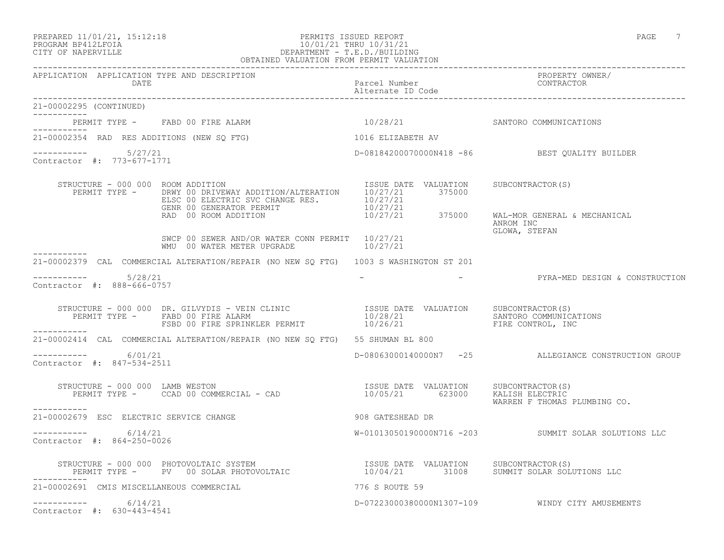### PREPARED 11/01/21, 15:12:18 PERMITS ISSUED REPORT PAGE 7 PROGRAM BP412LFOIA 10/01/21 THRU 10/31/21 CITY OF NAPERVILLE DEPARTMENT - T.E.D./BUILDING OBTAINED VALUATION FROM PERMIT VALUATION

|                                                           | APPLICATION APPLICATION TYPE AND DESCRIPTION PACKER PACKER PACK PACK PACKER PROPERTY OWNER (DATE<br>DATE Parcel Number Packer D Code Palternate ID Code Palternate ID Code Palternate ID Code Palternate ID Code Palternate ID Co                                                                                                                                                                                   |                                 |                                                                    |
|-----------------------------------------------------------|---------------------------------------------------------------------------------------------------------------------------------------------------------------------------------------------------------------------------------------------------------------------------------------------------------------------------------------------------------------------------------------------------------------------|---------------------------------|--------------------------------------------------------------------|
| 21-00002295 (CONTINUED)                                   |                                                                                                                                                                                                                                                                                                                                                                                                                     |                                 |                                                                    |
|                                                           | PERMIT TYPE - FABD 00 FIRE ALARM                                                                                                                                                                                                                                                                                                                                                                                    | 10/28/21 SANTORO COMMUNICATIONS |                                                                    |
| ___________<br>21-00002354 RAD RES ADDITIONS (NEW SO FTG) |                                                                                                                                                                                                                                                                                                                                                                                                                     | 1016 ELIZABETH AV               |                                                                    |
| $--------- 5/27/21$<br>Contractor #: 773-677-1771         |                                                                                                                                                                                                                                                                                                                                                                                                                     |                                 | D-08184200070000N418 -86 BEST QUALITY BUILDER                      |
| STRUCTURE - 000 000 ROOM ADDITION                         | $\begin{array}{cccc} \texttt{RUCTURE} & - & 000 & 000 & \texttt{ROM ADDITION} \\ \texttt{PERMIT TYPE} & - & \texttt{DRWY 00 DRIVEWAY ADDITION/ALTERATION} & 10/27/21 & 375000 \\ \texttt{ELSC 00 ELECTRIC SVC CHANGE RES.} & 10/27/21 & 375000 \\ \texttt{GENR 00 GENERATOR PERMIT} & 10/27/21 & 375000 \\ \texttt{RAD 00 ROM ADDITION} & 10/27/21 & 375000 & \texttt{WAL-MOR GENERAL & MECHANICAL} \\ \end{array}$ |                                 | ANROM INC                                                          |
|                                                           | SWCP 00 SEWER AND/OR WATER CONN PERMIT $10/27/21$<br>WMU 00 WATER METER UPGRADE $10/27/21$                                                                                                                                                                                                                                                                                                                          |                                 | GLOWA, STEFAN                                                      |
|                                                           | 21-00002379 CAL COMMERCIAL ALTERATION/REPAIR (NO NEW SQ FTG) 1003 S WASHINGTON ST 201                                                                                                                                                                                                                                                                                                                               |                                 |                                                                    |
| $--------- 5/28/21$<br>Contractor #: 888-666-0757         |                                                                                                                                                                                                                                                                                                                                                                                                                     |                                 | -                                   PYRA-MED DESIGN & CONSTRUCTION |
|                                                           |                                                                                                                                                                                                                                                                                                                                                                                                                     |                                 |                                                                    |
|                                                           | 21-00002414 CAL COMMERCIAL ALTERATION/REPAIR (NO NEW SQ FTG) 55 SHUMAN BL 800                                                                                                                                                                                                                                                                                                                                       |                                 |                                                                    |
| $--------- 6/01/21$<br>Contractor #: 847-534-2511         |                                                                                                                                                                                                                                                                                                                                                                                                                     |                                 | D-08063000140000N7 -25 ALLEGIANCE CONSTRUCTION GROUP               |
| STRUCTURE - 000 000 LAMB WESTON<br>-----------            |                                                                                                                                                                                                                                                                                                                                                                                                                     |                                 | WARREN F THOMAS PLUMBING CO.                                       |
| 21-00002679 ESC ELECTRIC SERVICE CHANGE                   | 908 GATESHEAD DR                                                                                                                                                                                                                                                                                                                                                                                                    |                                 |                                                                    |
| $--------- 6/14/21$<br>Contractor #: 864-250-0026         |                                                                                                                                                                                                                                                                                                                                                                                                                     |                                 | W-01013050190000N716 -203 SUMMIT SOLAR SOLUTIONS LLC               |
|                                                           | STRUCTURE - 000 000 PHOTOVOLTAIC SYSTEM                            ISSUE DATE VALUATION    SUBCONTRACTOR(S)<br>PERMIT TYPE -     PV  00 SOLAR PHOTOVOLTAIC                    10/04/21       31008    SUMMIT SOLAR SOLUTIONS LLC                                                                                                                                                                                    |                                 |                                                                    |
|                                                           | 21-00002691 CMIS MISCELLANEOUS COMMERCIAL                                                                                                                                                                                                                                                                                                                                                                           | 776 S ROUTE 59                  |                                                                    |
| $--------- 6/14/21$<br>Contractor #: 630-443-4541         |                                                                                                                                                                                                                                                                                                                                                                                                                     |                                 | D-07223000380000N1307-109 WINDY CITY AMUSEMENTS                    |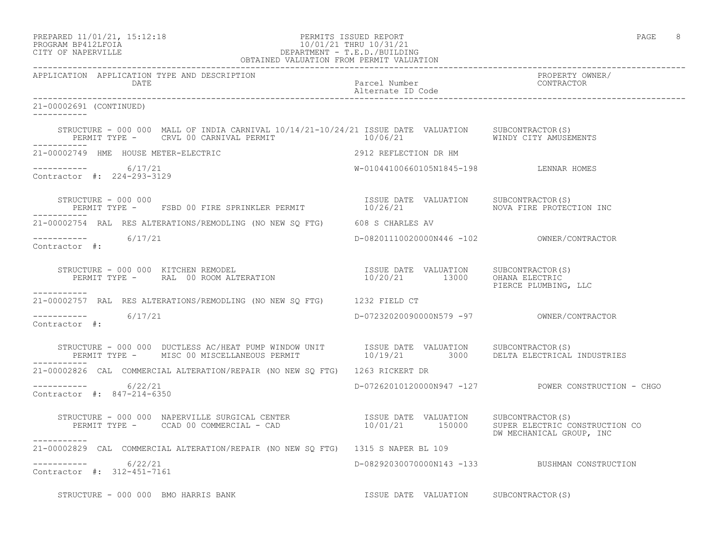| PREPARED 11/01/21, 15:12:18 |  |
|-----------------------------|--|
| PROGRAM BP412LFOIA          |  |

# PERMITS ISSUED REPORT **PAGE** 8 PROGRAM BP412LFOIA 10/01/21 THRU 10/31/21<br>CITY OF NAPERVILLE DEPARTMENT - T.E.D./BUILDIN CITY OF NAPERVILLE DEPARTMENT - T.E.D./BUILDING

| OBTAINED VALUATION FROM PERMIT VALUATION                                                                                                                                            |                                           |                                                     |
|-------------------------------------------------------------------------------------------------------------------------------------------------------------------------------------|-------------------------------------------|-----------------------------------------------------|
| APPLICATION APPLICATION TYPE AND DESCRIPTION<br>DATE                                                                                                                                | Parcel Number<br>Alternate ID Code        | PROPERTY OWNER/<br>CONTRACTOR                       |
| 21-00002691 (CONTINUED)                                                                                                                                                             |                                           |                                                     |
| STRUCTURE - 000 000 MALL OF INDIA CARNIVAL 10/14/21-10/24/21 ISSUE DATE VALUATION SUBCONTRACTOR(S)<br>PERMIT TYPE - CRVL 00 CARNIVAL PERMIT 10/06/21 10/06/21 WINDY CITY AMUSEMENTS |                                           |                                                     |
| 21-00002749 HME HOUSE METER-ELECTRIC CONTROL CONTROL 2912 REFLECTION DR HM                                                                                                          |                                           |                                                     |
| ----------- 6/17/21<br>Contractor #: 224-293-3129                                                                                                                                   | W-01044100660105N1845-198 LENNAR HOMES    |                                                     |
| STRUCTURE - 000 000<br>PERMIT TYPE - FSBD 00 FIRE SPRINKLER PERMIT                  10/26/21                NOVA FIRE PROTECTION INC<br>------------                                |                                           |                                                     |
| 21-00002754 RAL RES ALTERATIONS/REMODLING (NO NEW SQ FTG) 608 S CHARLES AV                                                                                                          |                                           |                                                     |
| $--------- 6/17/21$<br>Contractor #:                                                                                                                                                |                                           |                                                     |
| STRUCTURE - 000 000 KITCHEN REMODEL (S)<br>PERMIT TYPE - RAL 00 ROOM ALTERATION (S) THE SUBSON TO THE VALUATION (S) OHANA ELECTRIC<br>PIERCE PLUMBING, LLC<br>___________           |                                           |                                                     |
| 21-00002757 RAL RES ALTERATIONS/REMODLING (NO NEW SQ FTG) 1232 FIELD CT                                                                                                             |                                           |                                                     |
| Contractor #:                                                                                                                                                                       | D-07232020090000N579 -97 OWNER/CONTRACTOR |                                                     |
| STRUCTURE - 000 000 DUCTLESS AC/HEAT PUMP WINDOW UNIT TSSUE DATE VALUATION SUBCONTRACTOR(S)<br>PERMIT TYPE - MISC 00 MISCELLANEOUS PERMIT 10/19/21 3000 DELTA ELECTRICAL INDUSTRIES |                                           |                                                     |
| 21-00002826 CAL COMMERCIAL ALTERATION/REPAIR (NO NEW SQ FTG) 1263 RICKERT DR                                                                                                        |                                           |                                                     |
| $--------- 6/22/21$<br>Contractor #: 847-214-6350                                                                                                                                   |                                           | D-07262010120000N947 -127 POWER CONSTRUCTION - CHGO |
| STRUCTURE - 000 000 NAPERVILLE SURGICAL CENTER<br>PERMIT TYPE - CCAD 00 COMMERCIAL - CAD - 20 10/01/21 150000 SUPER ELECTRIC CONSTRUCTION CO                                        |                                           | DW MECHANICAL GROUP, INC                            |
| 21-00002829 CAL COMMERCIAL ALTERATION/REPAIR (NO NEW SO FTG) 1315 S NAPER BL 109                                                                                                    |                                           |                                                     |
| ----------- 6/22/21<br>Contractor #: 312-451-7161                                                                                                                                   |                                           | D-08292030070000N143 -133 BUSHMAN CONSTRUCTION      |
| STRUCTURE - 000 000 BMO HARRIS BANK                                                                                                                                                 | ISSUE DATE VALUATION SUBCONTRACTOR(S)     |                                                     |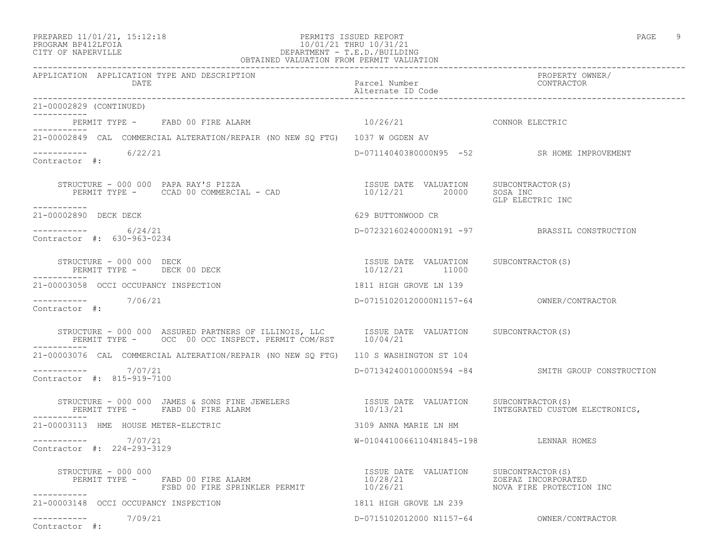### PREPARED 11/01/21, 15:12:18 PERMITS ISSUED REPORT PAGE 9 PROGRAM BP412LFOIA 10/01/21 THRU 10/31/21 CITY OF NAPERVILLE DEPARTMENT - T.E.D./BUILDING OBTAINED VALUATION FROM PERMIT VALUATION

| APPLICATION APPLICATION TYPE AND DESCRIPTION<br>DATE                                                                                                                                         | Parcel Number<br>Alternate ID Code                                                      | PROPERTY OWNER/<br>CONTRACTOR                     |
|----------------------------------------------------------------------------------------------------------------------------------------------------------------------------------------------|-----------------------------------------------------------------------------------------|---------------------------------------------------|
| 21-00002829 (CONTINUED)                                                                                                                                                                      |                                                                                         |                                                   |
| PERMIT TYPE - FABD 00 FIRE ALARM<br>----------                                                                                                                                               | $10/26/21$ CONNOR ELECTRIC                                                              |                                                   |
| 21-00002849 CAL COMMERCIAL ALTERATION/REPAIR (NO NEW SO FTG) 1037 W OGDEN AV                                                                                                                 |                                                                                         |                                                   |
| $--------$ 6/22/21<br>Contractor #:                                                                                                                                                          |                                                                                         | D-07114040380000N95 -52 SR HOME IMPROVEMENT       |
|                                                                                                                                                                                              |                                                                                         | GLP ELECTRIC INC                                  |
| -----------<br>21-00002890 DECK DECK                                                                                                                                                         | 629 BUTTONWOOD CR                                                                       |                                                   |
| $-$ ---------- 6/24/21<br>Contractor #: 630-963-0234                                                                                                                                         |                                                                                         | D-07232160240000N191 -97 BRASSIL CONSTRUCTION     |
| STRUCTURE - 000 000 DECK<br>PERMIT TYPE - DECK 00 DECK<br>___________                                                                                                                        | ISSUE DATE VALUATION SUBCONTRACTOR(S)<br>$\frac{1550E}{10/12/21}$ $\frac{11000}{11000}$ |                                                   |
| 21-00003058 OCCI OCCUPANCY INSPECTION                                                                                                                                                        | 1811 HIGH GROVE LN 139                                                                  |                                                   |
| -----------    7/06/21<br>Contractor #:                                                                                                                                                      |                                                                                         |                                                   |
| STRUCTURE - 000 000 ASSURED PARTNERS OF ILLINOIS, LLC       ISSUE DATE VALUATION     SUBCONTRACTOR(S)     PERMIT TYPE -     OCC 00 OCC INSPECT. PERMIT COM/RST     10/04/21                  |                                                                                         |                                                   |
| 21-00003076 CAL COMMERCIAL ALTERATION/REPAIR (NO NEW SO FTG) 110 S WASHINGTON ST 104                                                                                                         |                                                                                         |                                                   |
| $--------- 7/07/21$<br>Contractor #: 815-919-7100                                                                                                                                            |                                                                                         | D-07134240010000N594 -84 SMITH GROUP CONSTRUCTION |
| STRUCTURE - 000 000 JAMES & SONS FINE JEWELERS THE STRUE DATE VALUATION SUBCONTRACTOR(S)<br>PERMIT TYPE - FABD 00 FIRE ALARM 10/13/21 10/13/21 1NTEGRATED CUSTOM ELECTRONICS,<br>___________ |                                                                                         |                                                   |
| 21-00003113 HME HOUSE METER-ELECTRIC                                                                                                                                                         | 3109 ANNA MARIE LN HM                                                                   |                                                   |
| $--------- 7/07/21$<br>Contractor #: 224-293-3129                                                                                                                                            | W-01044100661104N1845-198 LENNAR HOMES                                                  |                                                   |
| STRUCTURE - 000 000                                                                                                                                                                          |                                                                                         |                                                   |
| 21-00003148 OCCI OCCUPANCY INSPECTION                                                                                                                                                        | 1811 HIGH GROVE LN 239                                                                  |                                                   |
| $--------- 7/09/21$<br>Contractor #:                                                                                                                                                         |                                                                                         | D-0715102012000 N1157-64 0WNER/CONTRACTOR         |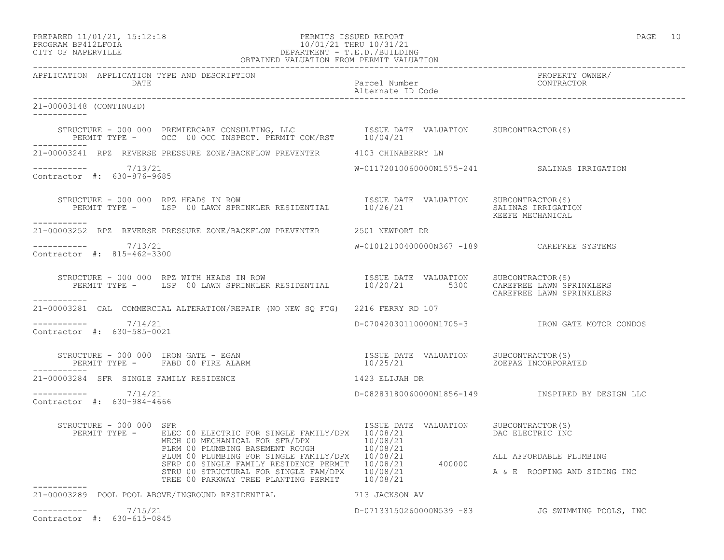# PROGRAM BP412LFOIA 10/01/21 THRU 10/31/21 CITY OF NAPERVILLE DEPARTMENT - T.E.D./BUILDING

|                                                      | OBTAINED VALUATION FROM PERMIT VALUATION                                                                                                                                                                                                 |                                            |                                                    |
|------------------------------------------------------|------------------------------------------------------------------------------------------------------------------------------------------------------------------------------------------------------------------------------------------|--------------------------------------------|----------------------------------------------------|
| APPLICATION APPLICATION TYPE AND DESCRIPTION<br>DATE |                                                                                                                                                                                                                                          | Parcel Number<br>Alternate ID Code         | PROPERTY OWNER/<br>CONTRACTOR                      |
| 21-00003148 (CONTINUED)<br>___________               |                                                                                                                                                                                                                                          |                                            |                                                    |
|                                                      |                                                                                                                                                                                                                                          |                                            |                                                    |
|                                                      | 21-00003241 RPZ REVERSE PRESSURE ZONE/BACKFLOW PREVENTER 4103 CHINABERRY LN                                                                                                                                                              |                                            |                                                    |
| $--------- 7/13/21$<br>Contractor #: 630-876-9685    |                                                                                                                                                                                                                                          |                                            | W-01172010060000N1575-241 SALINAS IRRIGATION       |
| STRUCTURE - 000 000 RPZ HEADS IN ROW<br>-----------  | EXAMPLE - 000 000 RPZ HEADS IN ROW TRIENTIAL TRIE DATE VALUATION SUBCONTRACTOR(S)<br>PERMIT TYPE - LSP 00 LAWN SPRINKLER RESIDENTIAL 10/26/21 SALUATION SALINAS IRRIGATION                                                               |                                            | KEEFE MECHANICAL                                   |
|                                                      | 21-00003252 RPZ REVERSE PRESSURE ZONE/BACKFLOW PREVENTER 2501 NEWPORT DR                                                                                                                                                                 |                                            |                                                    |
| -----------    7/13/21<br>Contractor #: 815-462-3300 |                                                                                                                                                                                                                                          | W-01012100400000N367 -189 CAREFREE SYSTEMS |                                                    |
| ___________                                          | STRUCTURE - 000 000 RPZ WITH HEADS IN ROW                          ISSUE DATE VALUATION     SUBCONTRACTOR(S)<br>PERMIT TYPE -      LSP 00 LAWN SPRINKLER RESIDENTIAL        10/20/21        5300    CAREFREE LAWN SPRINKLERS             |                                            | CAREFREE LAWN SPRINKLERS                           |
|                                                      | 21-00003281 CAL COMMERCIAL ALTERATION/REPAIR (NO NEW SO FTG) 2216 FERRY RD 107                                                                                                                                                           |                                            |                                                    |
| $--------- 7/14/21$<br>Contractor #: 630-585-0021    |                                                                                                                                                                                                                                          |                                            | D-07042030110000N1705-3 IRON GATE MOTOR CONDOS     |
|                                                      |                                                                                                                                                                                                                                          |                                            | ZOEPAZ INCORPORATED                                |
| 21-00003284 SFR SINGLE FAMILY RESIDENCE              | 1423 ELIJAH DR                                                                                                                                                                                                                           |                                            |                                                    |
| ----------- 7/14/21<br>Contractor #: 630-984-4666    |                                                                                                                                                                                                                                          |                                            | D-08283180060000N1856-149   INSPIRED BY DESIGN LLC |
| STRUCTURE - 000 000 SFR                              | RUCTURE - 000 000 SFR<br>PERMIT TYPE - ELEC 00 ELECTRIC FOR SINGLE FAMILY/DPX 10/08/21<br>MECH 00 MECHANICAL FOR SFR/DPX 10/08/21<br>PLRM 00 PLUMBING BASEMENT ROUGH 10/08/21<br>PLUM 00 PLUMBING FOR SINGLE FAMILY/DPX 10/08/21<br>SFRP | ISSUE DATE VALUATION SUBCONTRACTOR(S)      | DAC ELECTRIC INC                                   |
|                                                      |                                                                                                                                                                                                                                          |                                            | ALL AFFORDABLE PLUMBING                            |
|                                                      | TREE 00 PARKWAY TREE PLANTING PERMIT 10/08/21                                                                                                                                                                                            |                                            | A & E ROOFING AND SIDING INC                       |
| -----------                                          | 21-00003289 POOL POOL ABOVE/INGROUND RESIDENTIAL 713 JACKSON AV                                                                                                                                                                          |                                            |                                                    |
| 7/15/21<br>-----------                               |                                                                                                                                                                                                                                          |                                            | D-07133150260000N539 -83 JG SWIMMING POOLS, INC    |

Contractor #: 630-615-0845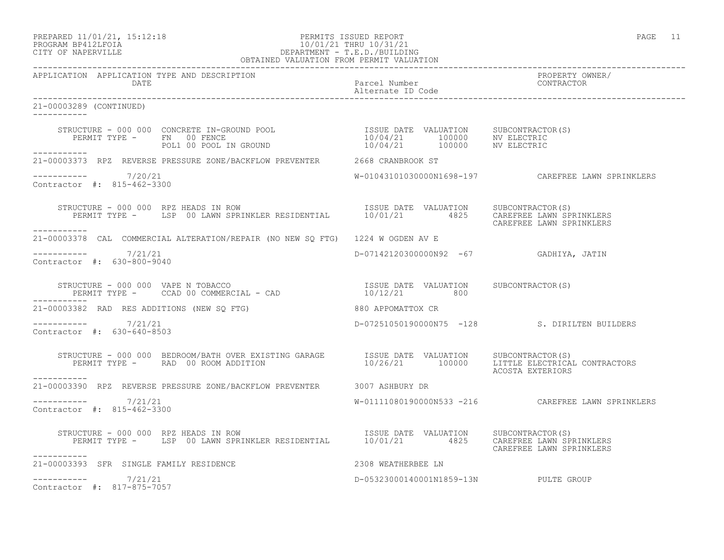# PROGRAM BP412LFOIA 10/01/21 THRU 10/31/21 CITY OF NAPERVILLE DEPARTMENT - T.E.D./BUILDING

| OBTAINED VALUATION FROM PERMIT VALUATION                                                                                                                                                                                                                                                                                                                                                                                                                      |                                        |                                                     |
|---------------------------------------------------------------------------------------------------------------------------------------------------------------------------------------------------------------------------------------------------------------------------------------------------------------------------------------------------------------------------------------------------------------------------------------------------------------|----------------------------------------|-----------------------------------------------------|
| APPLICATION APPLICATION TYPE AND DESCRIPTION<br><b>DATE</b>                                                                                                                                                                                                                                                                                                                                                                                                   | Parcel Number<br>Alternate ID Code     | PROPERTY OWNER/<br>CONTRACTOR                       |
| 21-00003289 (CONTINUED)<br>___________                                                                                                                                                                                                                                                                                                                                                                                                                        |                                        |                                                     |
| $\begin{array}{cccccccc} \texttt{STRUCTURE} & - & 000 & 000 & \texttt{CONCRETE} & \texttt{IN-GROUND POOL} & & & & & & & & & \texttt{ISSUE} & \texttt{DATE} & \texttt{VALUATION} & & & & & & \texttt{SUBCONTRACTOR(S)} \\ & & & & & & & & & & & & & \texttt{ID} & 0000 & & & & \texttt{NV} & \texttt{ELECTRIC} \\ & & & & & & & & & & & & \texttt{ID} & 0000 & & & \texttt{NV} & \texttt{ELECTRIC} \\ & & & & & & & & & & & & \texttt{ID} & 00000 & & & \text$ |                                        |                                                     |
| 21-00003373 RPZ REVERSE PRESSURE ZONE/BACKFLOW PREVENTER 2668 CRANBROOK ST                                                                                                                                                                                                                                                                                                                                                                                    |                                        |                                                     |
| $--------- 7/20/21$<br>Contractor #: 815-462-3300                                                                                                                                                                                                                                                                                                                                                                                                             |                                        |                                                     |
| STRUCTURE - 000 000 RPZ HEADS IN ROW<br>PERMIT TYPE - LSP 00 LAWN SPRINKLER RESIDENTIAL 10/01/21 4825 CAREFREE LAWN SPRINKLERS                                                                                                                                                                                                                                                                                                                                |                                        | CAREFREE LAWN SPRINKLERS                            |
| 21-00003378 CAL COMMERCIAL ALTERATION/REPAIR (NO NEW SO FTG) 1224 W OGDEN AV E                                                                                                                                                                                                                                                                                                                                                                                |                                        |                                                     |
| -----------     7/21/21<br>Contractor #: 630-800-9040                                                                                                                                                                                                                                                                                                                                                                                                         | D-07142120300000N92 -67 GADHIYA, JATIN |                                                     |
|                                                                                                                                                                                                                                                                                                                                                                                                                                                               |                                        |                                                     |
| 21-00003382 RAD RES ADDITIONS (NEW SQ FTG) 880 APPOMATTOX CR                                                                                                                                                                                                                                                                                                                                                                                                  |                                        |                                                     |
| ----------- 7/21/21<br>Contractor $\#: 630 - 640 - 8503$                                                                                                                                                                                                                                                                                                                                                                                                      |                                        | D-07251050190000N75 -128 S. DIRILTEN BUILDERS       |
|                                                                                                                                                                                                                                                                                                                                                                                                                                                               |                                        | ACOSTA EXTERIORS                                    |
| -----------<br>21-00003390 RPZ REVERSE PRESSURE ZONE/BACKFLOW PREVENTER 3007 ASHBURY DR                                                                                                                                                                                                                                                                                                                                                                       |                                        |                                                     |
| $--------- 7/21/21$<br>Contractor #: 815-462-3300                                                                                                                                                                                                                                                                                                                                                                                                             |                                        | W-01111080190000N533 -216  CAREFREE LAWN SPRINKLERS |
| STRUCTURE - 000 000 RPZ HEADS IN ROW<br>PERMIT TYPE - LSP 00 LAWN SPRINKLER RESIDENTIAL 10/01/21 4825 CAREFREE LAWN SPRINKLERS<br>----------                                                                                                                                                                                                                                                                                                                  |                                        | CAREFREE LAWN SPRINKLERS                            |
| 21-00003393 SFR SINGLE FAMILY RESIDENCE                                                                                                                                                                                                                                                                                                                                                                                                                       | 2308 WEATHERBEE LN                     |                                                     |
| $--------- 7/21/21$<br>Contractor #: 817-875-7057                                                                                                                                                                                                                                                                                                                                                                                                             | D-05323000140001N1859-13N PULTE GROUP  |                                                     |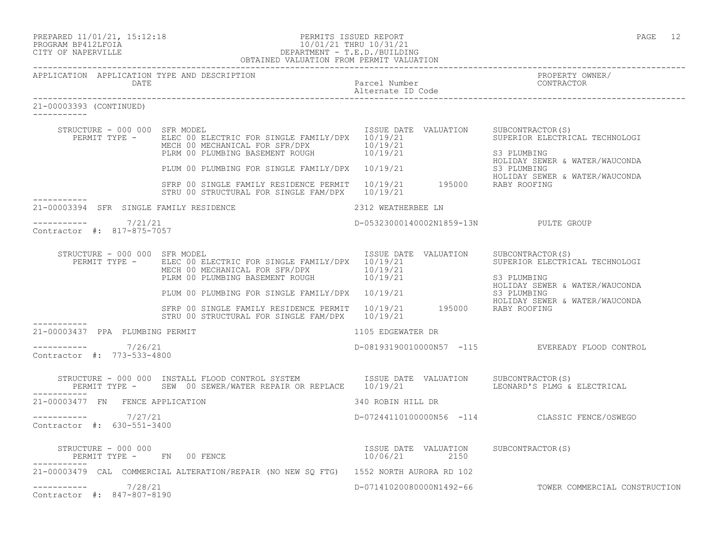|                      | PREPARED 11/01/21, 15:12:18 |
|----------------------|-----------------------------|
| גדמת זרונתם וגנסמספם |                             |

# PREPARED 11/01/21, 15:12:18 PERMITS ISSUED REPORT PROGRAM BP412LFOIA PAGE 12<br>PROGRAM BP412LFOIA PROGRAM PROGRAM PAGE 12 PROGRAM BP412LFOIA 10/01/21 THRU 10/31/21 CITY OF NAPERVILLE CITY OF NAPERVILLE DEPARTMENT - T.E.D./BUILDING

|                         |                                                       | OBTAINED VALUATION FROM PERMIT VALUATION                                                                                                                                                                                                                                                                                                     |                                       |                                                                                 |
|-------------------------|-------------------------------------------------------|----------------------------------------------------------------------------------------------------------------------------------------------------------------------------------------------------------------------------------------------------------------------------------------------------------------------------------------------|---------------------------------------|---------------------------------------------------------------------------------|
|                         | DATE                                                  | APPLICATION APPLICATION TYPE AND DESCRIPTION                                                                                                                                                                                                                                                                                                 | Parcel Number<br>Alternate ID Code    | PROPERTY OWNER/<br>CONTRACTOR                                                   |
| 21-00003393 (CONTINUED) |                                                       |                                                                                                                                                                                                                                                                                                                                              |                                       |                                                                                 |
|                         |                                                       | STRUCTURE - 000 000 SFR MODEL CONTRACTOR (S)<br>PERMIT TYPE - ELEC 00 ELECTRIC FOR SINGLE FAMILY/DPX 10/19/21<br>MECH 00 MECHANICAL FOR SFR/DPX 10/19/21<br>PLRM 00 PLUMBING BASEMENT ROUGH 10/19/21                                                                                                                                         |                                       | SUPERIOR ELECTRICAL TECHNOLOGI<br>S3 PLUMBING<br>HOLIDAY SEWER & WATER/WAUCONDA |
|                         |                                                       | PLUM 00 PLUMBING FOR SINGLE FAMILY/DPX 10/19/21 FOR SINGLE FAMILY AND THOLD AT SEWER<br>STRP 00 SINGLE FAMILY RESIDENCE PERMIT 10/19/21 FOR HOLIDAY SEWER<br>STRP 00 SINGLE FAMILY RESIDENCE PERMIT 10/19/21 195000 RABY ROOFING<br>STRU 00 STRUCTURAL FOR SINGLE FAM/DPX 10/19/21                                                           |                                       | HOLIDAY SEWER & WATER/WAUCONDA                                                  |
|                         |                                                       | 21-00003394 SFR SINGLE FAMILY RESIDENCE                                                                                                                                                                                                                                                                                                      | 2312 WEATHERBEE LN                    |                                                                                 |
|                         | -----------     7/21/21<br>Contractor #: 817-875-7057 |                                                                                                                                                                                                                                                                                                                                              | D-05323000140002N1859-13N PULTE GROUP |                                                                                 |
|                         | STRUCTURE - 000 000 SFR MODEL                         | PERMIT TYPE - ELEC 00 ELECTRIC FOR SINGLE FAMILY/DPX 10/19/21<br>MECH 00 MECHANICAL FOR SFR/DPX 10/19/21<br>MECH 00 MECHANICAL FOR SFR/DPX 10/19/21<br>PLRM 00 PLUMBING BASEMENT ROUGH 10/19/21                                                                                                                                              | ISSUE DATE VALUATION SUBCONTRACTOR(S) | SUPERIOR ELECTRICAL TECHNOLOGI<br>S3 PLUMBING<br>HOLIDAY SEWER & WATER/WAUCONDA |
|                         |                                                       | PLKM OO PLUMBING FOR SINGLE FAMILY/DPX 10/19/21<br>SFRP 00 SINGLE FAMILY RESIDENCE PERMIT 10/19/21 195000 RABY ROOFING<br>STRU 00 STRUCTURAL FOR SINGLE FAM/DPX 10/19/21                                                                                                                                                                     |                                       | S3 PLUMBING<br>HOLIDAY SEWER & WATER/WAUCONDA                                   |
|                         | 21-00003437 PPA PLUMBING PERMIT                       |                                                                                                                                                                                                                                                                                                                                              | 1105 EDGEWATER DR                     |                                                                                 |
|                         | $--------- 7/26/21$<br>Contractor #: 773-533-4800     |                                                                                                                                                                                                                                                                                                                                              |                                       | D-08193190010000N57 -115 EVEREADY FLOOD CONTROL                                 |
|                         |                                                       | STRUCTURE - 000 000 INSTALL FLOOD CONTROL SYSTEM ISSUE DATE VALUATION SUBCONTRACTOR(S)<br>PERMIT TYPE - SEW 00 SEWER/WATER REPAIR OR REPLACE 10/19/21 LEONARD'S PLMG &                                                                                                                                                                       |                                       | LEONARD'S PLMG & ELECTRICAL                                                     |
|                         | 21-00003477 FN FENCE APPLICATION                      |                                                                                                                                                                                                                                                                                                                                              | 340 ROBIN HILL DR                     |                                                                                 |
|                         | $--------- 7/27/21$<br>Contractor #: 630-551-3400     |                                                                                                                                                                                                                                                                                                                                              |                                       | D-07244110100000N56 -114 CLASSIC FENCE/OSWEGO                                   |
| ------------            |                                                       | $\begin{array}{cccc} \texttt{STRUCTURE} & - & 000 & 000 \\ \texttt{PERMIT} & \texttt{TPE} & - & \texttt{FN} & 00 \\ \texttt{FENCE} & \texttt{SUTE} & \texttt{SUTE} & 00 \\ \end{array} \qquad \begin{array}{cccc} \texttt{TSUE} & \texttt{DATE} & \texttt{VALUATION} & \texttt{SUBCONTRACTOR(S)} \\ \texttt{10/06/21} & 2150 \\ \end{array}$ |                                       |                                                                                 |
|                         |                                                       | 21-00003479 CAL COMMERCIAL ALTERATION/REPAIR (NO NEW SQ FTG) 1552 NORTH AURORA RD 102                                                                                                                                                                                                                                                        |                                       |                                                                                 |
|                         | $--------- 7/28/21$<br>Contractor #: 847-807-8190     |                                                                                                                                                                                                                                                                                                                                              |                                       | D-07141020080000N1492-66 TOWER COMMERCIAL CONSTRUCTION                          |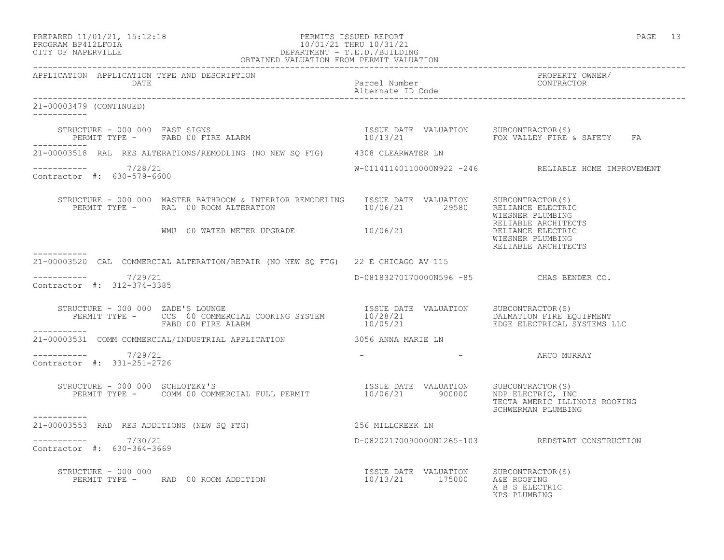# PREPARED 11/01/21, 15:12:18 PERMITS ISSUED REPORT PAGE 13 PROGRAM BP412LFOIA 10/01/21 THRU 10/31/21 CITY OF NAPERVILLE DEPARTMENT - T.E.D./BUILDING

| OBTAINED VALUATION FROM PERMIT VALUATION             |                                                                                                                                                                                                                                                                                                                                                                                                                                                                 |                                          |                                                              |
|------------------------------------------------------|-----------------------------------------------------------------------------------------------------------------------------------------------------------------------------------------------------------------------------------------------------------------------------------------------------------------------------------------------------------------------------------------------------------------------------------------------------------------|------------------------------------------|--------------------------------------------------------------|
| APPLICATION APPLICATION TYPE AND DESCRIPTION<br>DATE |                                                                                                                                                                                                                                                                                                                                                                                                                                                                 | Parcel Number<br>Alternate ID Code       | PROPERTY OWNER/<br>CONTRACTOR                                |
| 21-00003479 (CONTINUED)                              |                                                                                                                                                                                                                                                                                                                                                                                                                                                                 |                                          |                                                              |
| ___________                                          |                                                                                                                                                                                                                                                                                                                                                                                                                                                                 |                                          |                                                              |
|                                                      | 21-00003518 RAL RES ALTERATIONS/REMODLING (NO NEW SQ FTG) 4308 CLEARWATER LN                                                                                                                                                                                                                                                                                                                                                                                    |                                          |                                                              |
| $--------- 7/28/21$<br>Contractor #: 630-579-6600    |                                                                                                                                                                                                                                                                                                                                                                                                                                                                 |                                          | W-01141140110000N922 -246 RELIABLE HOME IMPROVEMENT          |
|                                                      | ${\small\texttt{STRUCTURE} \texttt{ - 000 000}} \begin{minipage}{0.03\textwidth} \begin{tabular}{l} \bf STRUCP & \tt MASTER BATHROOM & \tt INTERIOR & \tt REMODELING & \tt ISSUE & \tt DATE & \tt VALUATION & \tt SUBCONTRACTOR(S) \\ \bf PERMIT \texttt{TYPE \texttt{-} \texttt{ -} \texttt{RAL 00 ROM ALTERATION} & \tt ALTERATION & \tt 10/06/21 & \tt 29580 & \tt RELIANCE ELECTRIC \\ \end{tabular} \end{minipage}$<br>WMU 00 WATER METER UPGRADE 10/06/21 |                                          | WIESNER PLUMBING<br>RELIABLE ARCHITECTS                      |
|                                                      |                                                                                                                                                                                                                                                                                                                                                                                                                                                                 |                                          | RELIANCE ELECTRIC<br>WIESNER PLUMBING<br>RELIABLE ARCHITECTS |
|                                                      | 21-00003520 CAL COMMERCIAL ALTERATION/REPAIR (NO NEW SQ FTG) 22 E CHICAGO AV 115                                                                                                                                                                                                                                                                                                                                                                                |                                          |                                                              |
| -----------    7/29/21<br>Contractor #: 312-374-3385 |                                                                                                                                                                                                                                                                                                                                                                                                                                                                 | D-08183270170000N596 -85 CHAS BENDER CO. |                                                              |
|                                                      | STRUCTURE - 000 000 ZADE'S LOUNGE<br>PERMIT TYPE - CCS 00 COMMERCIAL COOKING SYSTEM 10/28/21 DALMATION DALMATION FIRE EQUIPMENT<br>FABD 00 FIRE ALARM 10/05/21 BDGE ELECTRICAL SYSTEMS LLC<br>FABD 00 FIRE ALARM                                                                                                                                                                                                                                                |                                          |                                                              |
| -----------                                          | 21-00003531 COMM COMMERCIAL/INDUSTRIAL APPLICATION 3056 ANNA MARIE LN                                                                                                                                                                                                                                                                                                                                                                                           |                                          |                                                              |
| $--------- 7/29/21$<br>Contractor #: 331-251-2726    |                                                                                                                                                                                                                                                                                                                                                                                                                                                                 |                                          | – The Company ARCO MURRAY                                    |
| STRUCTURE - 000 000 SCHLOTZKY'S<br>-----------       | TRUCTURE - 000 000 SCHLOTZKY'S<br>PERMIT TYPE - COMM 00 COMMERCIAL FULL PERMIT 10/06/21 900000 NDP ELECTRIC, INC                                                                                                                                                                                                                                                                                                                                                |                                          | TECTA AMERIC ILLINOIS ROOFING<br>SCHWERMAN PLUMBING          |
|                                                      | 21-00003553 RAD RES ADDITIONS (NEW SQ FTG) 50 256 MILLCREEK LN                                                                                                                                                                                                                                                                                                                                                                                                  |                                          |                                                              |
| $--------- 7/30/21$<br>Contractor #: 630-364-3669    |                                                                                                                                                                                                                                                                                                                                                                                                                                                                 |                                          | D-08202170090000N1265-103 REDSTART CONSTRUCTION              |
| STRUCTURE - 000 000                                  | RUCTURE – 000 000<br>PERMIT TYPE –     RAD 00 ROOM ADDITION                               10/13/21      175000    A&E ROOFING                                                                                                                                                                                                                                                                                                                                   |                                          | A B S ELECTRIC<br>KPS PLUMBING                               |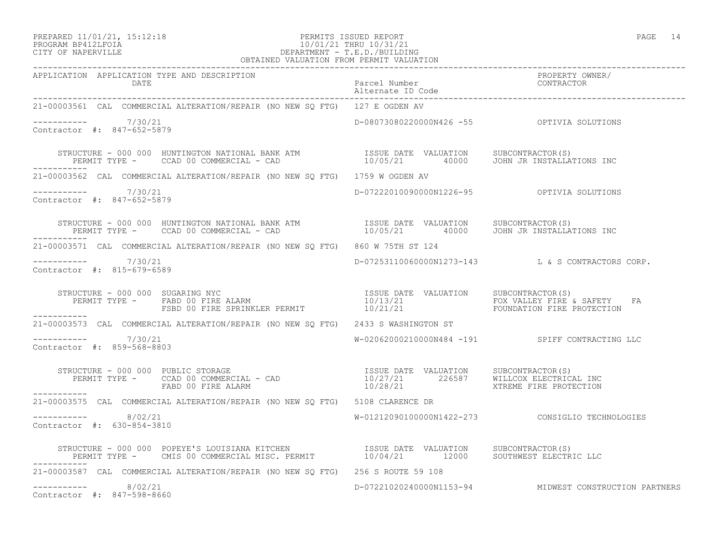### PREPARED 11/01/21, 15:12:18 PERMITS ISSUED REPORT<br>PROGRAM BP412LFOIA PAGE 14 10/01/21 THRU 10/31/21 PROGRAM BP412LFOIA 10/01/21 THRU 10/31/21<br>CITY OF NAPERVILLE CITY OF NAPERVILLE DEPARTMENT - T.E.D./BUILDING OBTAINED VALUATION FROM PERMIT VALUATION

| 21-00003561 CAL COMMERCIAL ALTERATION/REPAIR (NO NEW SQ FTG) 127 E OGDEN AV                                                                                                                                                       |                                            |                                                        |
|-----------------------------------------------------------------------------------------------------------------------------------------------------------------------------------------------------------------------------------|--------------------------------------------|--------------------------------------------------------|
| $--------- 7/30/21$<br>Contractor #: 847-652-5879                                                                                                                                                                                 | D-08073080220000N426 -55 OPTIVIA SOLUTIONS |                                                        |
| STRUCTURE - 000 000 HUNTINGTON NATIONAL BANK ATM               ISSUE DATE VALUATION    SUBCONTRACTOR(S)<br>PERMIT TYPE -     CCAD 00 COMMERCIAL - CAD                    10/05/21      40000    JOHN JR INSTALLATIONS INC         |                                            |                                                        |
| 21-00003562 CAL COMMERCIAL ALTERATION/REPAIR (NO NEW SQ FTG) 1759 W OGDEN AV                                                                                                                                                      |                                            |                                                        |
| $--------- 7/30/21$<br>Contractor #: 847-652-5879                                                                                                                                                                                 |                                            |                                                        |
| STRUCTURE – 000 000 HUNTINGTON NATIONAL BANK ATM                ISSUE DATE VALUATION     SUBCONTRACTOR(S)<br>PERMIT TYPE –     CCAD 00 COMMERCIAL – CAD                            10/05/21        40000     JOHN JR INSTALLATION |                                            |                                                        |
| 21-00003571 CAL COMMERCIAL ALTERATION/REPAIR (NO NEW SO FTG) 860 W 75TH ST 124                                                                                                                                                    |                                            |                                                        |
| $--------- 7/30/21$<br>Contractor #: 815-679-6589                                                                                                                                                                                 |                                            | D-07253110060000N1273-143 L & S CONTRACTORS CORP.      |
| ------------                                                                                                                                                                                                                      |                                            |                                                        |
| 21-00003573 CAL COMMERCIAL ALTERATION/REPAIR (NO NEW SQ FTG) 2433 S WASHINGTON ST                                                                                                                                                 |                                            |                                                        |
| $--------- 7/30/21$<br>Contractor #: 859-568-8803                                                                                                                                                                                 |                                            | W-02062000210000N484 -191 SPIFF CONTRACTING LLC        |
|                                                                                                                                                                                                                                   |                                            |                                                        |
| 21-00003575 CAL COMMERCIAL ALTERATION/REPAIR (NO NEW SQ FTG) 5108 CLARENCE DR                                                                                                                                                     |                                            |                                                        |
| $--------- 8/02/21$<br>Contractor #: 630-854-3810                                                                                                                                                                                 |                                            | W-01212090100000N1422-273 CONSIGLIO TECHNOLOGIES       |
| STRUCTURE - 000 000 POPEYE'S LOUISIANA KITCHEN                ISSUE DATE VALUATION     SUBCONTRACTOR(S)<br>PERMIT TYPE -     CMIS 00 COMMERCIAL MISC. PERMIT            10/04/21       12000    SOUTHWEST ELECTRIC LLC            |                                            |                                                        |
| 21-00003587 CAL COMMERCIAL ALTERATION/REPAIR (NO NEW SQ FTG) 256 S ROUTE 59 108                                                                                                                                                   |                                            |                                                        |
| $--------- 8/02/21$<br>Contractor #: 847-598-8660                                                                                                                                                                                 |                                            | D-07221020240000N1153-94 MIDWEST CONSTRUCTION PARTNERS |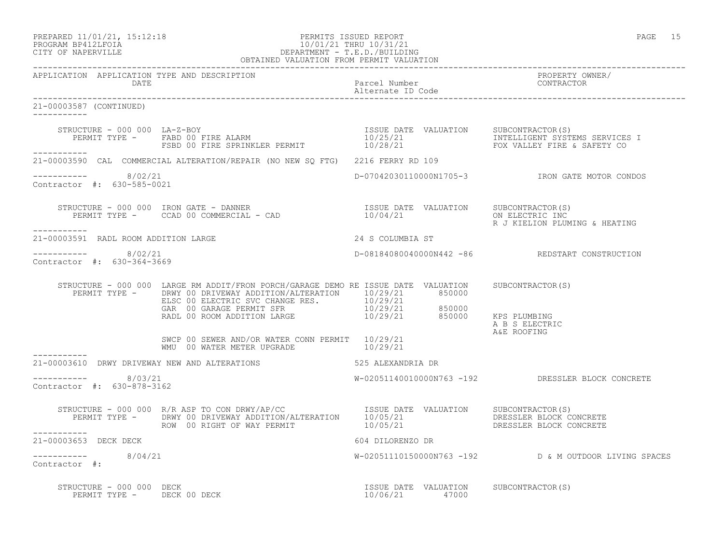## PROGRAM BP412LFOIA 10/01/21 THRU 10/31/21 CITY OF NAPERVILLE DEPARTMENT - T.E.D./BUILDING OBTAINED VALUATION FROM PERMIT VALUATION

------------------------------------------------------------------------------------------------------------------------------------ APPLICATION APPLICATION TYPE AND DESCRIPTION<br>DATE Parcel Number<br>Alternate ID Code Alternate ID Code ------------------------------------------------------------------------------------------------------------------------------------ 21-00003587 (CONTINUED) ----------- STRUCTURE - 000 000 LA-Z-BOY ISSUE DATE VALUATION SUBCONTRACTOR(S) PERMIT TYPE - FABD 00 FIRE ALARM 10/25/21 100 100 100 INTELLIGENT SYSTEMS SERVICES I FSBD 00 FIRE SPRINKLER PERMIT  $10/28/21$  FOX VALLEY FIRE & SAFETY CO ----------- 21-00003590 CAL COMMERCIAL ALTERATION/REPAIR (NO NEW SQ FTG) 2216 FERRY RD 109  $--------- 8/02/21$ ----------- 8/02/21 D-07042030110000N1705-3 IRON GATE MOTOR CONDOS Contractor #: 630-585-0021 STRUCTURE - 000 000 IRON GATE - DANNER ISSUE DATE VALUATION SUBCONTRACTOR(S) PERMIT TYPE - CCAD 00 COMMERCIAL - CAD 10/04/21 ON ELECTRIC INC R J KIELION PLUMING & HEATING ----------- 21-00003591 RADL ROOM ADDITION LARGE 24 S COLUMBIA ST \_\_\_\_\_\_\_\_\_\_\_ ----------- 8/02/21 D-08184080040000N442 -86 REDSTART CONSTRUCTION Contractor #: 630-364-3669 STRUCTURE - 000 000 LARGE RM ADDIT/FRON PORCH/GARAGE DEMO RE ISSUE DATE VALUATION SUBCONTRACTOR(S) PERMIT TYPE - DRWY 00 DRIVEWAY ADDITION/ALTERATION 10/29/21 850000 ELSC 00 ELECTRIC SVC CHANGE RES. 10/29/21 GAR 00 GARAGE PERMIT SFR 10/29/21 850000 RADL 00 ROOM ADDITION LARGE 10/29/21 850000 KPS PLUMBING A B S ELECTRIC A&E ROOFING SWCP 00 SEWER AND/OR WATER CONN PERMIT 10/29/21 WMU 00 WATER METER UPGRADE  $10/29/21$ ----------- 21-00003610 DRWY DRIVEWAY NEW AND ALTERATIONS 625 ALEXANDRIA DR  $--------- 8/03/21$ W-02051140010000N763 -192 DRESSLER BLOCK CONCRETE Contractor #: 630-878-3162 STRUCTURE - 000 000 R/R ASP TO CON DRWY/AP/CC ISSUE DATE VALUATION SUBCONTRACTOR(S) PERMIT TYPE - DRWY 00 DRIVEWAY ADDITION/ALTERATION 10/05/21 DRESSLER BLOCK CONCRETE ROW 00 RIGHT OF WAY PERMIT  $10/05/21$  DRESSLER BLOCK CONCRETE 21-00003653 DECK DECK 604 DILORENZO DR ----------- 8/04/21 W-02051110150000N763 -192 D & M OUTDOOR LIVING SPACES Contractor #: STRUCTURE - 000 000 DECK ISSUE DATE VALUATION SUBCONTRACTOR(S) PERMIT TYPE - DECK 00 DECK 10/06/21 47000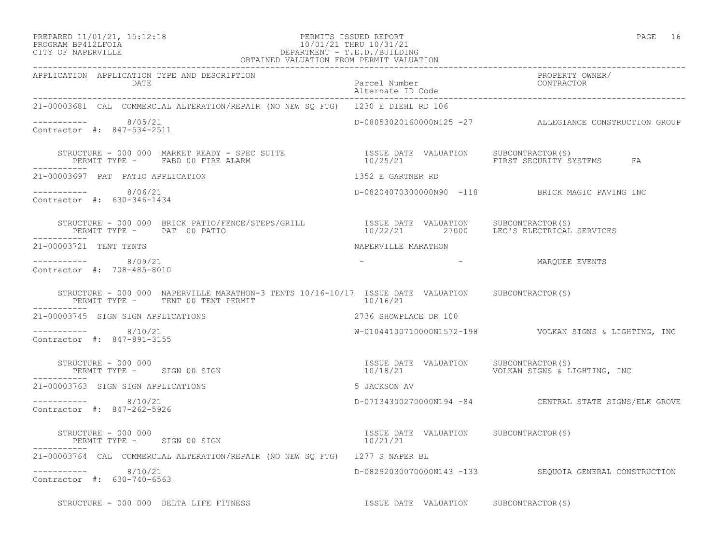## PREPARED 11/01/21, 15:12:18 PERMITS ISSUED REPORT PAGE 16 PROGRAM BP412LFOIA 10/01/21 THRU 10/31/21<br>CITY OF NAPERVILLE DEPARTMENT - T.E.D./BUILDI CITY OF NAPERVILLE DEPARTMENT - T.E.D./BUILDING

| OBTAINED VALUATION FROM PERMIT VALUATION                                                                                                                                                                                                         |                                                   |                                                         |
|--------------------------------------------------------------------------------------------------------------------------------------------------------------------------------------------------------------------------------------------------|---------------------------------------------------|---------------------------------------------------------|
| APPLICATION APPLICATION TYPE AND DESCRIPTION                                                                                                                                                                                                     |                                                   | PROPERTY OWNER/                                         |
| 21-00003681 CAL COMMERCIAL ALTERATION/REPAIR (NO NEW SQ FTG) 1230 E DIEHL RD 106                                                                                                                                                                 |                                                   |                                                         |
| ----------- 8/05/21<br>Contractor #: 847-534-2511                                                                                                                                                                                                |                                                   | D-08053020160000N125 -27 ALLEGIANCE CONSTRUCTION GROUP  |
| STRUCTURE – 000 000 MARKET READY – SPEC SUITE                    ISSUE DATE VALUATION     SUBCONTRACTOR(S)<br>PERMIT TYPE –     FABD 00 FIRE ALARM                                  10/25/21                        FIRST SECURIT<br>----------- |                                                   |                                                         |
| 21-00003697 PAT PATIO APPLICATION                                                                                                                                                                                                                | 1352 E GARTNER RD                                 |                                                         |
| $--------- 8/06/21$<br>Contractor #: 630-346-1434                                                                                                                                                                                                |                                                   | D-08204070300000N90 -118 BRICK MAGIC PAVING INC         |
| STRUCTURE - 000 000 BRICK PATIO/FENCE/STEPS/GRILL SISSUE DATE VALUATION SUBCONTRACTOR(S)<br>PERMIT TYPE - PAT 00 PATIO<br>___________                                                                                                            |                                                   | 10/22/21 27000 LEO'S ELECTRICAL SERVICES                |
| 21-00003721 TENT TENTS                                                                                                                                                                                                                           | NAPERVILLE MARATHON                               |                                                         |
| $--------- 8/09/21$<br>Contractor #: 708-485-8010                                                                                                                                                                                                |                                                   | - MAROUEE EVENTS                                        |
| STRUCTURE - 000 000 NAPERVILLE MARATHON-3 TENTS 10/16-10/17 ISSUE DATE VALUATION SUBCONTRACTOR(S)<br>PERMIT TYPE - TENT 00 TENT PERMIT                                                                                                           | 10/16/21                                          |                                                         |
| 21-00003745 SIGN SIGN APPLICATIONS                                                                                                                                                                                                               | 2736 SHOWPLACE DR 100                             |                                                         |
| -----------    8/10/21<br>Contractor #: 847-891-3155                                                                                                                                                                                             |                                                   | W-01044100710000N1572-198  VOLKAN SIGNS & LIGHTING, INC |
| STRUCTURE - 000 000<br>PERMIT TYPE - SIGN 00 SIGN                                                                                                                                                                                                | ISSUE DATE VALUATION SUBCONTRACTOR(S)             | 10/18/21 VOLKAN SIGNS & LIGHTING, INC                   |
| 21-00003763 SIGN SIGN APPLICATIONS                                                                                                                                                                                                               | 5 JACKSON AV                                      |                                                         |
| $--------$ 8/10/21<br>Contractor #: 847-262-5926                                                                                                                                                                                                 |                                                   | D-07134300270000N194 -84 CENTRAL STATE SIGNS/ELK GROVE  |
| STRUCTURE - 000 000<br>PERMIT TYPE - SIGN 00 SIGN                                                                                                                                                                                                | ISSUE DATE VALUATION SUBCONTRACTOR(S)<br>10/21/21 |                                                         |
| 21-00003764 CAL COMMERCIAL ALTERATION/REPAIR (NO NEW SQ FTG) 1277 S NAPER BL                                                                                                                                                                     |                                                   |                                                         |
| $--------- 8/10/21$<br>Contractor #: 630-740-6563                                                                                                                                                                                                |                                                   | D-08292030070000N143 -133 SEQUOIA GENERAL CONSTRUCTION  |
| STRUCTURE - 000 000 DELTA LIFE FITNESS AND SUSSUE DATE VALUATION SUBCONTRACTOR(S)                                                                                                                                                                |                                                   |                                                         |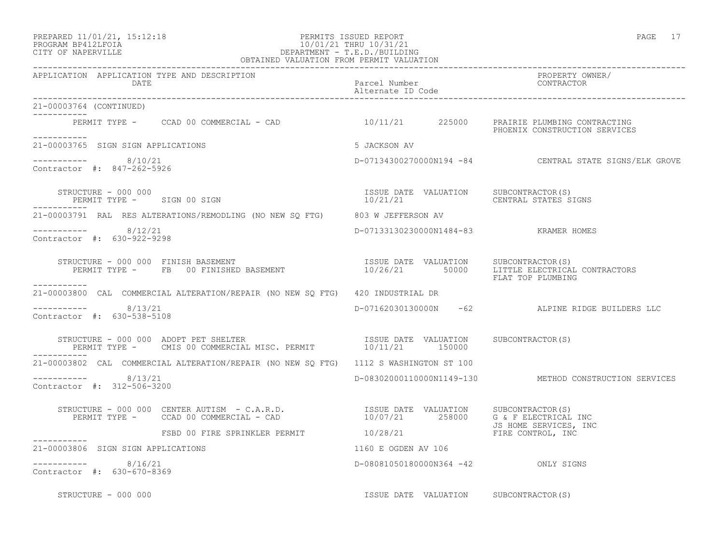## PREPARED 11/01/21, 15:12:18 PERMITS ISSUED REPORT PAGE 17 PROGRAM BP412LFOIA 10/01/21 THRU 10/31/21 CITY OF NAPERVILLE DEPARTMENT - T.E.D./BUILDING

| OBTAINED VALUATION FROM PERMIT VALUATION                                                                                                                                                                                                                                                                                                                                                                                        |                                       |                                                        |
|---------------------------------------------------------------------------------------------------------------------------------------------------------------------------------------------------------------------------------------------------------------------------------------------------------------------------------------------------------------------------------------------------------------------------------|---------------------------------------|--------------------------------------------------------|
| APPLICATION APPLICATION TYPE AND DESCRIPTION<br>DATE                                                                                                                                                                                                                                                                                                                                                                            | Parcel Number<br>Alternate ID Code    | PROPERTY OWNER/<br>CONTRACTOR                          |
| 21-00003764 (CONTINUED)                                                                                                                                                                                                                                                                                                                                                                                                         |                                       |                                                        |
| PERMIT TYPE - CCAD 00 COMMERCIAL - CAD 10/11/21 225000 PRAIRIE PLUMBING CONTRACTING<br>___________                                                                                                                                                                                                                                                                                                                              |                                       | PHOENIX CONSTRUCTION SERVICES                          |
| 21-00003765 SIGN SIGN APPLICATIONS                                                                                                                                                                                                                                                                                                                                                                                              | 5 JACKSON AV                          |                                                        |
| $--------- 8/10/21$<br>Contractor #: 847-262-5926                                                                                                                                                                                                                                                                                                                                                                               |                                       | D-07134300270000N194 -84 CENTRAL STATE SIGNS/ELK GROVE |
| STRUCTURE - 000 000<br>PERMIT TYPE - SIGN 00 SIGN                                                                                                                                                                                                                                                                                                                                                                               |                                       |                                                        |
| 21-00003791 RAL RES ALTERATIONS/REMODLING (NO NEW SQ FTG) 803 W JEFFERSON AV                                                                                                                                                                                                                                                                                                                                                    |                                       |                                                        |
| $--------- 8/12/21$<br>Contractor #: 630-922-9298                                                                                                                                                                                                                                                                                                                                                                               | D-07133130230000N1484-83 KRAMER HOMES |                                                        |
|                                                                                                                                                                                                                                                                                                                                                                                                                                 |                                       | FLAT TOP PLUMBING                                      |
| -----------<br>21-00003800 CAL COMMERCIAL ALTERATION/REPAIR (NO NEW SO FTG) 420 INDUSTRIAL DR                                                                                                                                                                                                                                                                                                                                   |                                       |                                                        |
| $-$ ---------- 8/13/21<br>Contractor #: 630-538-5108                                                                                                                                                                                                                                                                                                                                                                            |                                       | D-07162030130000N -62 ALPINE RIDGE BUILDERS LLC        |
| $\begin{tabular}{llllll} \texttt{STRUCTURE} & 000 000 & \texttt{ADOPT PET SHELTE} & \texttt{MISC. PERMIT} & \texttt{ISSUE DATE} & \texttt{VALUATION} & \texttt{SUBCONTRACTOR(S)} \\ \texttt{PERMIT TYPE} & - & \texttt{CMS 00 COMMERCIAL MIS} & \texttt{MISC. PERMIT} & 10/11/21 & 150000 & \texttt{SUBCONTRACTOR(S)} \\ \end{tabular}$<br>------------                                                                         |                                       |                                                        |
| 21-00003802 CAL COMMERCIAL ALTERATION/REPAIR (NO NEW SQ FTG) 1112 S WASHINGTON ST 100                                                                                                                                                                                                                                                                                                                                           |                                       |                                                        |
| $--------- 8/13/21$<br>Contractor #: 312-506-3200                                                                                                                                                                                                                                                                                                                                                                               |                                       | D-08302000110000N1149-130 METHOD CONSTRUCTION SERVICES |
| $\begin{array}{cccccc} \texttt{STRUCTURE} & - & 000 & 000 & \texttt{CENTER AUTISM} & - & C.A.R.D. & & & & & & & \\ \texttt{PERMIT TYPE} & - & & \texttt{CCAD} & 00 & \texttt{COMMERCIAL} & - & \texttt{CAD} & & & & & & \\ \end{array} \hspace{-.2cm} \begin{array}{cccccc} \texttt{TSSUE} & \texttt{DATE} & \texttt{VALUATION} & & \texttt{SUBCONTRACTOR(S)}\\ & 10/07/21 & & 258000 & & G & F & ELECTRICAL INC\\ \end{array}$ |                                       |                                                        |
| JS HOME SERVICES,<br>FSBD 00 FIRE SPRINKLER PERMIT 10/28/21 TIRE CONTROL, INC                                                                                                                                                                                                                                                                                                                                                   |                                       | JS HOME SERVICES, INC                                  |
| ------------<br>21-00003806 SIGN SIGN APPLICATIONS                                                                                                                                                                                                                                                                                                                                                                              | 1160 E OGDEN AV 106                   |                                                        |
| $--------- 8/16/21$<br>Contractor #: 630-670-8369                                                                                                                                                                                                                                                                                                                                                                               | D-08081050180000N364 -42 ONLY SIGNS   |                                                        |
| STRUCTURE - 000 000                                                                                                                                                                                                                                                                                                                                                                                                             | ISSUE DATE VALUATION SUBCONTRACTOR(S) |                                                        |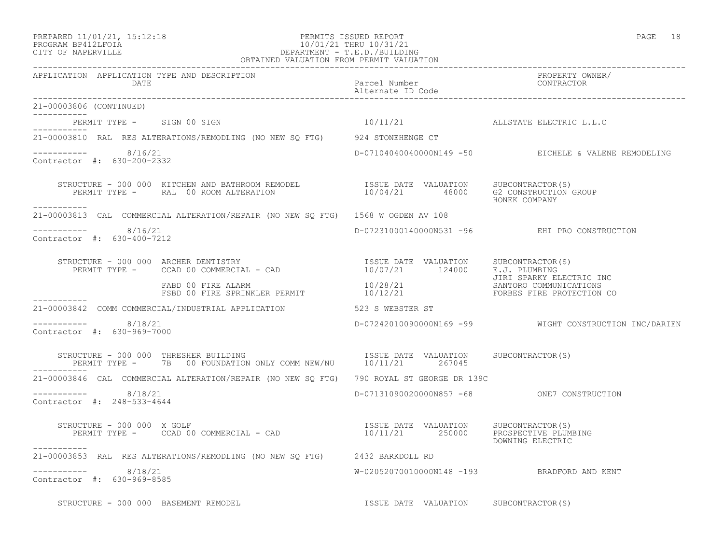21-00003806 (CONTINUED)

 $--------- 8/16/21$ 

Contractor #: 630-200-2332

Contractor #: 630-400-7212

 $--------- 8/18/21$ 

Contractor #: 630-969-7000

-----------

-----------

-----------

<u> Liste Liste Lis</u>ter

-----------

### PREPARED 11/01/21, 15:12:18 PERMITS ISSUED REPORT PAGE 18 PROGRAM BP412LFOIA 10/01/21 THRU 10/31/21 CITY OF NAPERVILLE DEPARTMENT - T.E.D./BUILDING OBTAINED VALUATION FROM PERMIT VALUATION

------------------------------------------------------------------------------------------------------------------------------------ APPLICATION APPLICATION TYPE AND DESCRIPTION PROPERTY OWNER/ DATE PARTICLE IN THE PARTICLE OF THE PARTICLE NUMber CONTRACTOR OF THE PARTICLE IN THE PARTICLE OF THE PARTICLE Alternate ID Code ------------------------------------------------------------------------------------------------------------------------------------ PERMIT TYPE - SIGN 00 SIGN 10/11/21 ALLSTATE ELECTRIC L.L.C 21-00003810 RAL RES ALTERATIONS/REMODLING (NO NEW SQ FTG) 924 STONEHENGE CT D-07104040040000N149 -50 EICHELE & VALENE REMODELING STRUCTURE - 000 000 KITCHEN AND BATHROOM REMODEL ISSUE DATE VALUATION SUBCONTRACTOR(S) PERMIT TYPE - RAL 00 ROOM ALTERATION 10/04/21 48000 G2 CONSTRUCTION GROUP HONEK COMPANY 21-00003813 CAL COMMERCIAL ALTERATION/REPAIR (NO NEW SQ FTG) 1568 W OGDEN AV 108 ----------- 8/16/21 D-07231000140000N531 -96 EHI PRO CONSTRUCTION STRUCTURE - 000 000 ARCHER DENTISTRY ISSUE DATE VALUATION SUBCONTRACTOR(S) PERMIT TYPE - CCAD 00 COMMERCIAL - CAD 10/07/21 124000 E.J. PLUMBING JIRI SPARKY ELECTRIC INC FABD 00 FIRE ALARM  $10/28/21$  SANTORO COMMUNICATIONS FSBD 00 FIRE SPRINKLER PERMIT 10/12/21 TORBES FIRE PROTECTION CO 21-00003842 COMM COMMERCIAL/INDUSTRIAL APPLICATION 523 S WEBSTER ST D-07242010090000N169 -99 WIGHT CONSTRUCTION INC/DARIEN

STRUCTURE - 000 000 THRESHER BUILDING **ISSUE DATE VALUATION** SUBCONTRACTOR(S) PERMIT TYPE - 7B 00 FOUNDATION ONLY COMM NEW/NU 10/11/21 267045 ----------- 21-00003846 CAL COMMERCIAL ALTERATION/REPAIR (NO NEW SQ FTG) 790 ROYAL ST GEORGE DR 139C ----------- 8/18/21 D-07131090020000N857 -68 ONE7 CONSTRUCTION Contractor #: 248-533-4644

 STRUCTURE - 000 000 X GOLF ISSUE DATE VALUATION SUBCONTRACTOR(S) PERMIT TYPE - CCAD 00 COMMERCIAL - CAD 10/11/21 250000 PROSPECTIVE PLUMBING DOWNING ELECTRIC ----------- 21-00003853 RAL RES ALTERATIONS/REMODLING (NO NEW SQ FTG) 2432 BARKDOLL RD ----------- 8/18/21 W-02052070010000N148 -193 BRADFORD AND KENT Contractor #: 630-969-8585

STRUCTURE - 000 000 BASEMENT REMODEL **ISSUE DATE VALUATION** SUBCONTRACTOR(S)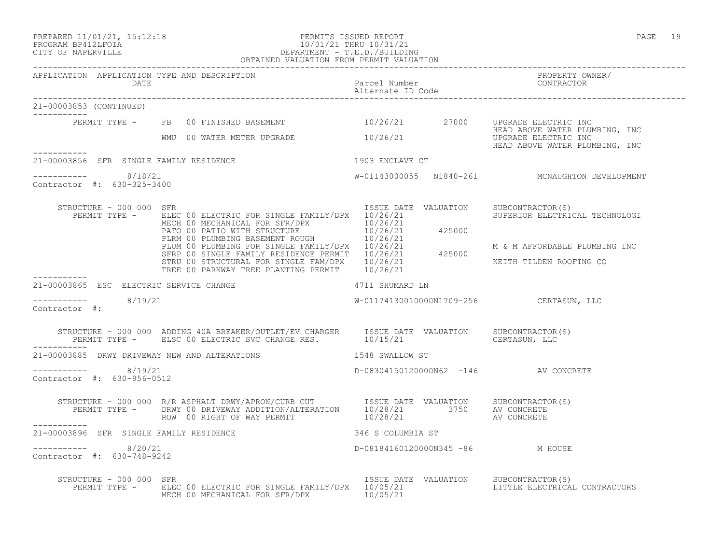### PREPARED 11/01/21, 15:12:18 PERMITS ISSUED REPORT PAGE 19 PROGRAM BP412LFOIA 10/01/21 THRU 10/31/21 CITY OF NAPERVILLE DEPARTMENT - T.E.D./BUILDING OBTAINED VALUATION FROM PERMIT VALUATION

------------------------------------------------------------------------------------------------------------------------------------

| APPLICATION APPLICATION TYPE AND DESCRIPTION<br>DATE |                                                                                                                                                                                                                                                                                           | Parcel Number<br>Alternations<br>Alternate ID Code | PROPERTY OWNER/<br>CONTRACTOR                                                            |
|------------------------------------------------------|-------------------------------------------------------------------------------------------------------------------------------------------------------------------------------------------------------------------------------------------------------------------------------------------|----------------------------------------------------|------------------------------------------------------------------------------------------|
| 21-00003853 (CONTINUED)<br>-----------               |                                                                                                                                                                                                                                                                                           |                                                    |                                                                                          |
|                                                      | PERMIT TYPE - FB 00 FINISHED BASEMENT 10/26/21 27000 UPGRADE ELECTRIC INC                                                                                                                                                                                                                 |                                                    |                                                                                          |
| -----------                                          | WMU 00 WATER METER UPGRADE 10/26/21                                                                                                                                                                                                                                                       |                                                    | HEAD ABOVE WATER PLUMBING, INC<br>UPGRADE ELECTRIC INC<br>HEAD ABOVE WATER PLUMBING, INC |
| 21-00003856 SFR SINGLE FAMILY RESIDENCE              | 1903 ENCLAVE CT                                                                                                                                                                                                                                                                           |                                                    |                                                                                          |
| -----------    8/18/21<br>Contractor #: 630-325-3400 |                                                                                                                                                                                                                                                                                           |                                                    | W-01143000055 N1840-261 MCNAUGHTON DEVELOPMENT                                           |
| STRUCTURE - 000 000 SFR<br>PERMIT TYPE -             | ELEC 00 ELECTRIC FOR SINGLE FAMILY/DPX 10/26/21<br>ELEC 00 ELECTRIC FOR SINGLE FAMILIZINE AND 10/26/21<br>MECH 00 MECHANICAL FOR SFR/DPX 10/26/21<br>PATO 00 PATIO WITH STRUCTURE 10/26/21<br>PLEM 00 PLUMBING BASEMENT ROUGH 10/26/21<br>PLUM 00 PLUMBING FOR SINGLE FAMILY/DPX 10/26/21 | ISSUE DATE VALUATION                               | SUBCONTRACTOR(S)<br>SUPERIOR ELECTRICAL TECHNOLOGI                                       |
|                                                      |                                                                                                                                                                                                                                                                                           |                                                    | M & M AFFORDABLE PLUMBING INC                                                            |
|                                                      | TREE 00 PARKWAY TREE PLANTING PERMIT 10/26/21                                                                                                                                                                                                                                             |                                                    | KEITH TILDEN ROOFING CO                                                                  |
| 21-00003865 ESC ELECTRIC SERVICE CHANGE              | 4711 SHUMARD LN                                                                                                                                                                                                                                                                           |                                                    |                                                                                          |
| $--------$ 8/19/21<br>Contractor #:                  |                                                                                                                                                                                                                                                                                           | W-01174130010000N1709-256 CERTASUN, LLC            |                                                                                          |
|                                                      |                                                                                                                                                                                                                                                                                           |                                                    |                                                                                          |
|                                                      | 21-00003885 DRWY DRIVEWAY NEW AND ALTERATIONS 1548 SWALLOW ST                                                                                                                                                                                                                             |                                                    |                                                                                          |
| $--------- 8/19/21$<br>Contractor #: 630-956-0512    |                                                                                                                                                                                                                                                                                           | D-08304150120000N62 -146 AV CONCRETE               |                                                                                          |
| -----------                                          |                                                                                                                                                                                                                                                                                           |                                                    |                                                                                          |
| 21-00003896 SFR SINGLE FAMILY RESIDENCE              | 346 S COLUMBIA ST                                                                                                                                                                                                                                                                         |                                                    |                                                                                          |
| -----------    8/20/21<br>Contractor #: 630-748-9242 |                                                                                                                                                                                                                                                                                           | D-08184160120000N345 -86 M HOUSE                   |                                                                                          |
| STRUCTURE - 000 000 SFR                              | PERMIT TYPE - ELEC 00 ELECTRIC FOR SINGLE FAMILY/DPX 10/05/21<br>MECH 00 MECHANICAL FOR SFR/DPX 10/05/21                                                                                                                                                                                  | ISSUE DATE VALUATION                               | SUBCONTRACTOR(S)<br>LITTLE ELECTRICAL CONTRACTORS                                        |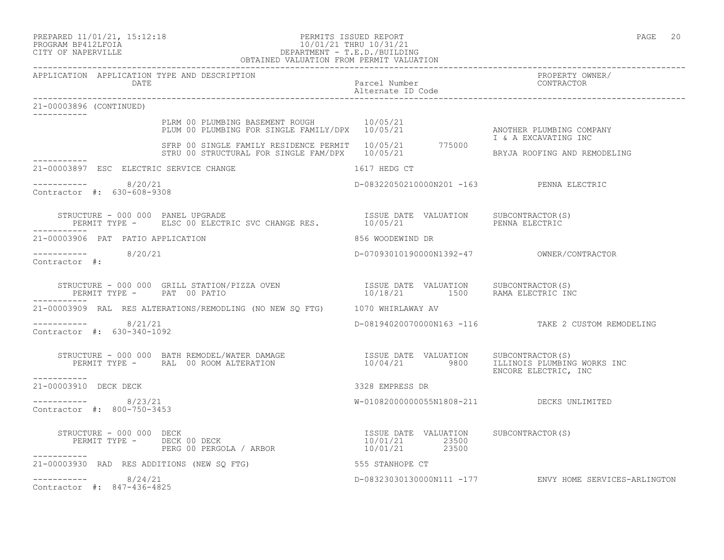# PROGRAM BP412LFOIA 10/01/21 THRU 10/31/21 CITY OF NAPERVILLE DEPARTMENT - T.E.D./BUILDING

|                                                      | OBTAINED VALUATION FROM PERMIT VALUATION                                                                                                                                                                                          |                                                                          |                                                        |
|------------------------------------------------------|-----------------------------------------------------------------------------------------------------------------------------------------------------------------------------------------------------------------------------------|--------------------------------------------------------------------------|--------------------------------------------------------|
|                                                      | APPLICATION APPLICATION TYPE AND DESCRIPTION<br>DATE<br>Parcel Number<br>Riternate ID Code<br>2906 (CONTINUED)                                                                                                                    |                                                                          | PROPERTY OWNER/<br>CONTRACTOR                          |
| 21-00003896 (CONTINUED)                              |                                                                                                                                                                                                                                   |                                                                          |                                                        |
|                                                      | PLRM 00 PLUMBING BASEMENT ROUGH 10/05/21<br>PLUM 00 PLUMBING FOR SINGLE FAMILY/DPX 10/05/21<br>SFRP 00 SINGLE FAMILY RESIDENCE PERMIT 10/05/21 775000<br>STRU 00 STRUCTURAL FOR SINGLE FAM/DPX 10/05/21 775000                    |                                                                          | ANOTHER PLUMBING COMPANY<br>I & A EXCAVATING INC       |
|                                                      |                                                                                                                                                                                                                                   |                                                                          | BRYJA ROOFING AND REMODELING                           |
|                                                      | 21-00003897 ESC ELECTRIC SERVICE CHANGE<br>1617 HEDG CT                                                                                                                                                                           |                                                                          |                                                        |
| Contractor #: 630-608-9308                           | 8/20/21                                                                                                                                                                                                                           | D-08322050210000N201 -163 PENNA ELECTRIC                                 |                                                        |
|                                                      | RUCTURE – 000 000 PANEL UPGRADE<br>PERMIT TYPE – ELSC 00 ELECTRIC SVC CHANGE RES.            10/05/21                       PENNA ELECTRIC<br>STRUCTURE - 000 000 PANEL UPGRADE                                                   |                                                                          |                                                        |
|                                                      | 21-00003906 PAT PATIO APPLICATION                                                                                                                                                                                                 | 856 WOODEWIND DR                                                         |                                                        |
| $--------- 8/20/21$<br>Contractor $\#$ :             |                                                                                                                                                                                                                                   |                                                                          |                                                        |
|                                                      | STRUCTURE - 000 000 GRILL STATION/PIZZA OVEN<br>PERMIT TYPE - PAT 00 PATIO                                                                                                                                                        | ISSUE DATE VALUATION SUBCONTRACTOR(S)<br>10/18/21 1500 RAMA ELECTRIC INC |                                                        |
|                                                      | 21-00003909 RAL RES ALTERATIONS/REMODLING (NO NEW SQ FTG) 1070 WHIRLAWAY AV                                                                                                                                                       |                                                                          |                                                        |
| -----------    8/21/21<br>Contractor #: 630-340-1092 |                                                                                                                                                                                                                                   |                                                                          | D-08194020070000N163 -116 TAKE 2 CUSTOM REMODELING     |
|                                                      | STRUCTURE - 000 000 BATH REMODEL/WATER DAMAGE                    ISSUE DATE VALUATION    SUBCONTRACTOR(S)<br>PERMIT TYPE -     RAL 00 ROOM ALTERATION                       10/04/21                         ILLINOIS PLUMBING WO |                                                                          | ENCORE ELECTRIC, INC                                   |
| -----------<br>21-00003910 DECK DECK                 |                                                                                                                                                                                                                                   | 3328 EMPRESS DR                                                          |                                                        |
| $--------$ 8/23/21<br>Contractor #: 800-750-3453     |                                                                                                                                                                                                                                   | W-01082000000055N1808-211 DECKS UNLIMITED                                |                                                        |
| STRUCTURE - 000 000 DECK<br>-----------              | STRUCTURE - 000 000 DECK<br>PERMIT TYPE - DECK 00 DECK<br>PERG 00 PERGOLA / ARBOR 10/01/21 23500<br>PERG 00 PERGOLA / ARBOR 10/01/21 23500                                                                                        |                                                                          |                                                        |
|                                                      | 21-00003930 RAD RES ADDITIONS (NEW SQ FTG) 555 STANHOPE CT                                                                                                                                                                        |                                                                          |                                                        |
| $--------- 8/24/21$<br>Contractor #: 847-436-4825    |                                                                                                                                                                                                                                   |                                                                          | D-08323030130000N111 -177 ENVY HOME SERVICES-ARLINGTON |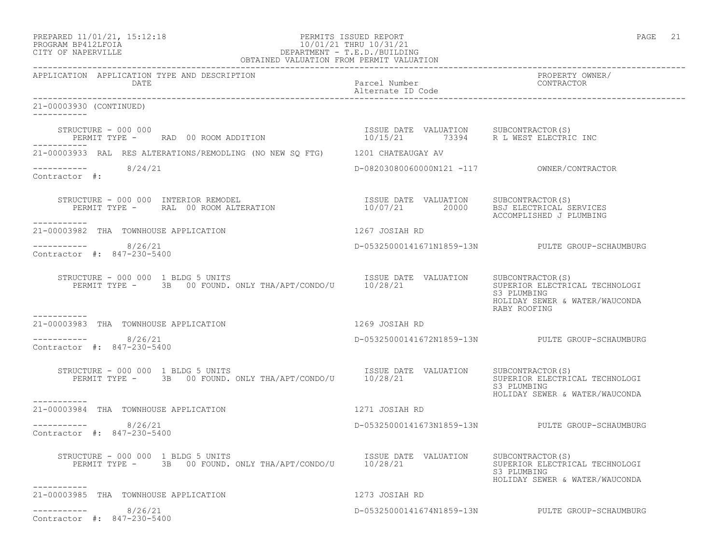# PREPARED 11/01/21, 15:12:18 PERMITS ISSUED REPORT PAGE 21 PROGRAM BP412LFOIA 10/01/21 THRU 10/31/21 CITY OF NAPERVILLE **DEPARTMENT - T.E.D./BUILDING**

| OBTAINED VALUATION FROM PERMIT VALUATION                                                                                                                                        |                                    |                                                                                                 |  |
|---------------------------------------------------------------------------------------------------------------------------------------------------------------------------------|------------------------------------|-------------------------------------------------------------------------------------------------|--|
| APPLICATION APPLICATION TYPE AND DESCRIPTION<br>DATE                                                                                                                            | Parcel Number<br>Alternate ID Code | PROPERTY OWNER/<br>CONTRACTOR                                                                   |  |
| 21-00003930 (CONTINUED)<br>___________                                                                                                                                          |                                    |                                                                                                 |  |
| STRUCTURE - 000 000<br>PERMIT TYPE -     RAD 00 ROOM ADDITION                                  10/15/21       73394     R L WEST ELECTRIC INC                                   |                                    |                                                                                                 |  |
| 21-00003933 RAL RES ALTERATIONS/REMODLING (NO NEW SQ FTG) 1201 CHATEAUGAY AV                                                                                                    |                                    |                                                                                                 |  |
| ----------- 8/24/21<br>Contractor #:                                                                                                                                            |                                    |                                                                                                 |  |
| -----------                                                                                                                                                                     |                                    | ACCOMPLISHED J PLUMBING                                                                         |  |
| 21-00003982 THA TOWNHOUSE APPLICATION                                                                                                                                           | 1267 JOSIAH RD                     |                                                                                                 |  |
| $--------- 8/26/21$<br>Contractor #: 847-230-5400                                                                                                                               |                                    | D-05325000141671N1859-13N PULTE GROUP-SCHAUMBURG                                                |  |
| STRUCTURE - 000 000 1 BLDG 5 UNITS                                                                                                                                              |                                    | SUPERIOR ELECTRICAL TECHNOLOGI<br>S3 PLUMBING<br>HOLIDAY SEWER & WATER/WAUCONDA<br>RABY ROOFING |  |
| -----------<br>21-00003983 THA TOWNHOUSE APPLICATION                                                                                                                            | 1269 JOSIAH RD                     |                                                                                                 |  |
| $--------- 8/26/21$<br>Contractor #: 847-230-5400                                                                                                                               |                                    | D-05325000141672N1859-13N PULTE GROUP-SCHAUMBURG                                                |  |
| TRUCTURE - 000 000 1 BLDG 5 UNITS<br>PERMIT TYPE - 3B 00 FOUND, ONLY THA/APT/CONDO/U 10/28/21 SUBLOATION SUBCONTRACTOR(S)<br>STRUCTURE - 000 000 1 BLDG 5 UNITS<br>------------ |                                    | SUPERIOR ELECTRICAL TECHNOLOGI<br>S3 PLUMBING<br>HOLIDAY SEWER & WATER/WAUCONDA                 |  |
| 21-00003984 THA TOWNHOUSE APPLICATION                                                                                                                                           | 1271 JOSIAH RD                     |                                                                                                 |  |
| $--------- 8/26/21$<br>Contractor #: 847-230-5400                                                                                                                               |                                    | D-05325000141673N1859-13N PULTE GROUP-SCHAUMBURG                                                |  |
| STRUCTURE - 000 000 1 BLDG 5 UNITS<br>PERMIT TYPE - 3B 00 FOUND. ONLY THA/APT/CONDO/U 10/28/21 10/28/21 SUPERIOR ELECTRIC<br>STRUCTURE - 000 000 1 BLDG 5 UNITS<br>-----------  |                                    | SUPERIOR ELECTRICAL TECHNOLOGI<br>S3 PLUMBING<br>HOLIDAY SEWER & WATER/WAUCONDA                 |  |
| 21-00003985 THA TOWNHOUSE APPLICATION                                                                                                                                           | 1273 JOSIAH RD                     |                                                                                                 |  |
| 8/26/21<br>Contractor #: 847-230-5400                                                                                                                                           |                                    | D-05325000141674N1859-13N PULTE GROUP-SCHAUMBURG                                                |  |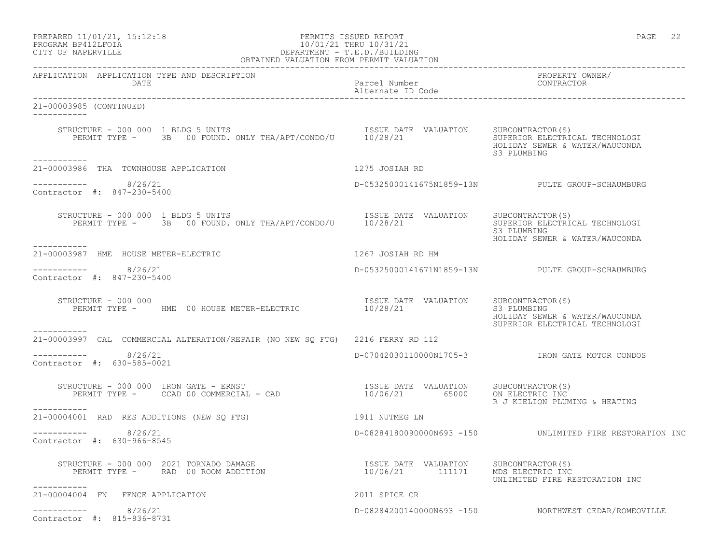| PREPARED 11/01/21, 15:12:18 | PERMITS ISSUED REPORT  | PAGE | ے ت |
|-----------------------------|------------------------|------|-----|
| PROGRAM BP412LFOIA          | 10/01/21 THRU 10/31/21 |      |     |

# PROGRAM BP412LFOIA 10/01/21 THRU 10/31/21 CITY OF NAPERVILLE DEPARTMENT - T.E.D./BUILDING

|                                                                                                                                            | OBTAINED VALUATION FROM PERMIT VALUATION                 |                                                                                                     |  |  |
|--------------------------------------------------------------------------------------------------------------------------------------------|----------------------------------------------------------|-----------------------------------------------------------------------------------------------------|--|--|
| APPLICATION APPLICATION TYPE AND DESCRIPTION<br>DATE                                                                                       | Parcel Number<br>Alternate ID Code                       | PROPERTY OWNER/<br>CONTRACTOR                                                                       |  |  |
| 21-00003985 (CONTINUED)<br>------------                                                                                                    |                                                          |                                                                                                     |  |  |
| STRUCTURE - 000 000 1 BLDG 5 UNITS<br>PERMIT TYPE - 3B 00 FOUND. ONLY THA/APT/CONDO/U 10/28/21                                             | ISSUE DATE VALUATION SUBCONTRACTOR(S)                    | SUPERIOR ELECTRICAL TECHNOLOGI<br>HOLIDAY SEWER & WATER/WAUCONDA<br>S3 PLUMBING                     |  |  |
| -----------<br>21-00003986 THA TOWNHOUSE APPLICATION                                                                                       | 1275 JOSIAH RD                                           |                                                                                                     |  |  |
|                                                                                                                                            |                                                          |                                                                                                     |  |  |
| 8/26/21<br>Contractor #: 847-230-5400                                                                                                      |                                                          | D-05325000141675N1859-13N PULTE GROUP-SCHAUMBURG                                                    |  |  |
| STRUCTURE - 000 000 1 BLDG 5 UNITS<br>PERMIT TYPE - 3B 00 FOUND. ONLY THA/APT/CONDO/U 10/28/21<br>-----------                              | ISSUE DATE VALUATION                                     | SUBCONTRACTOR(S)<br>SUPERIOR ELECTRICAL TECHNOLOGI<br>S3 PLUMBING<br>HOLIDAY SEWER & WATER/WAUCONDA |  |  |
| 21-00003987 HME HOUSE METER-ELECTRIC                                                                                                       | 1267 JOSIAH RD HM                                        |                                                                                                     |  |  |
| -----------    8/26/21<br>Contractor #: 847-230-5400                                                                                       |                                                          | D-05325000141671N1859-13N PULTE GROUP-SCHAUMBURG                                                    |  |  |
| STRUCTURE - 000 000<br>PERMIT TYPE - HME 00 HOUSE METER-ELECTRIC 10/28/21                                                                  | ISSUE DATE VALUATION                                     | SUBCONTRACTOR(S)<br>S3 PLUMBING<br>HOLIDAY SEWER & WATER/WAUCONDA<br>SUPERIOR ELECTRICAL TECHNOLOGI |  |  |
| -----------<br>21-00003997 CAL COMMERCIAL ALTERATION/REPAIR (NO NEW SQ FTG) 2216 FERRY RD 112                                              |                                                          |                                                                                                     |  |  |
| 8/26/21<br>Contractor #: 630-585-0021                                                                                                      |                                                          | D-07042030110000N1705-3 IRON GATE MOTOR CONDOS                                                      |  |  |
| RUCTURE - 000 000 IRON GATE - ERNST<br>PERMIT TYPE -      CCAD 00 COMMERCIAL - CAD<br>STRUCTURE - 000 000 IRON GATE - ERNST<br>----------- | ISSUE DATE VALUATION SUBCONTRACTOR(S)<br>10/06/21 65000  | ON ELECTRIC INC<br>R J KIELION PLUMING & HEATING                                                    |  |  |
| 21-00004001 RAD RES ADDITIONS (NEW SQ FTG)                                                                                                 | 1911 NUTMEG LN                                           |                                                                                                     |  |  |
| 8/26/21<br>Contractor #: 630-966-8545                                                                                                      |                                                          | D-08284180090000N693 -150 UNLIMITED FIRE RESTORATION INC                                            |  |  |
| STRUCTURE - 000 000 2021 TORNADO DAMAGE<br>PERMIT TYPE - RAD 00 ROOM ADDITION<br>-----------                                               | ISSUE DATE VALUATION SUBCONTRACTOR(S)<br>10/06/21 111171 | MDS ELECTRIC INC<br>UNLIMITED FIRE RESTORATION INC                                                  |  |  |
| 21-00004004 FN FENCE APPLICATION                                                                                                           | 2011 SPICE CR                                            |                                                                                                     |  |  |
| 8/26/21<br>Contractor #: 815-836-8731                                                                                                      |                                                          | D-08284200140000N693 -150 NORTHWEST CEDAR/ROMEOVILLE                                                |  |  |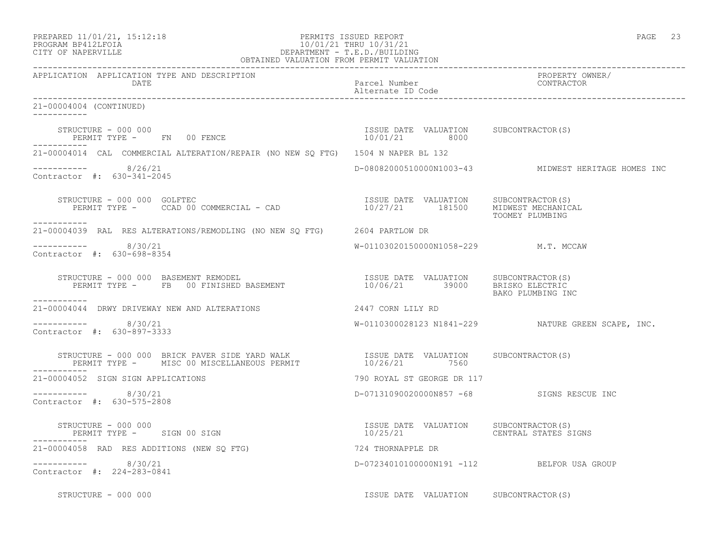| PREPARED 11/01/21, 15:12:18 |  |
|-----------------------------|--|
| DDACDAM BDA12T FATA         |  |

# ed a control of the PERMITS ISSUED REPORT the control of the control of the control of the page 23 of the control of the control of the control of the control of the control of the control of the control of the control of PROGRAM BP412LFOIA 10/01/21 THRU 10/31/21 CITY OF NAPERVILLE (1999) 2008 2012 2013 CITY OF NAPERVILLE DEPARTMENT - T.E.D./BUILDING

| OBTAINED VALUATION FROM PERMIT VALUATION                                                                                                                                                                                                                                                                                                           |                                            |                                                     |
|----------------------------------------------------------------------------------------------------------------------------------------------------------------------------------------------------------------------------------------------------------------------------------------------------------------------------------------------------|--------------------------------------------|-----------------------------------------------------|
| APPLICATION APPLICATION TYPE AND DESCRIPTION<br>DATE                                                                                                                                                                                                                                                                                               | Parcel Number<br>Alternate ID Code         | PROPERTY OWNER/<br>CONTRACTOR                       |
| 21-00004004 (CONTINUED)                                                                                                                                                                                                                                                                                                                            |                                            |                                                     |
| $\begin{array}{cccccccccc} \texttt{STRUCTURE} & - & 000 & 000 & & & & & & & \\ \texttt{PERMIT TYPE} & - & & \texttt{FN} & 00 & \texttt{FENCE} & & & & & & \\ \end{array} \hspace{2.5cm} \begin{array}{cccccccccc} \texttt{TSSUE} & \texttt{DATE} & \texttt{VALUATION} & & \texttt{SUBCONTRACTOR(S)} \\ & & 10/01/21 & & 8000 & & & \\ \end{array}$ |                                            |                                                     |
| 21-00004014 CAL COMMERCIAL ALTERATION/REPAIR (NO NEW SQ FTG) 1504 N NAPER BL 132                                                                                                                                                                                                                                                                   |                                            |                                                     |
| $--------- 8/26/21$<br>Contractor #: 630-341-2045                                                                                                                                                                                                                                                                                                  |                                            | D-08082000510000N1003-43 MIDWEST HERITAGE HOMES INC |
| STRUCTURE - 000 000 GOLFTEC COMMERCIAL - CAD 10/27/21 USSUE DATE VALUATION SUBCONTRACTOR(S)<br>STRUCTURE - 000 000 GOLFTEC<br>------------                                                                                                                                                                                                         |                                            | TOOMEY PLUMBING                                     |
| 21-00004039 RAL RES ALTERATIONS/REMODLING (NO NEW SQ FTG) 2604 PARTLOW DR                                                                                                                                                                                                                                                                          |                                            |                                                     |
| $--------$ 8/30/21<br>Contractor #: 630-698-8354                                                                                                                                                                                                                                                                                                   | W-01103020150000N1058-229 M.T. MCCAW       |                                                     |
| STRUCTURE - 000 000 BASEMENT REMODEL                                    ISSUE DATE VALUATION     SUBCONTRACTOR(S)<br>PERMIT TYPE -      FB   00 FINISHED BASEMENT                        10/06/21          39000        BRISKO EL<br>-----------                                                                                                   |                                            | BAKO PLUMBING INC                                   |
| 21-00004044 DRWY DRIVEWAY NEW AND ALTERATIONS 2447 CORN LILY RD                                                                                                                                                                                                                                                                                    |                                            |                                                     |
| -----------    8/30/21<br>Contractor #: 630-897-3333                                                                                                                                                                                                                                                                                               |                                            | W-0110300028123 N1841-229 NATURE GREEN SCAPE, INC.  |
| STRUCTURE – 000 000 BRICK PAVER SIDE YARD WALK                   ISSUE DATE VALUATION     SUBCONTRACTOR(S)<br>PERMIT TYPE –     MISC 00 MISCELLANEOUS PERMIT                  10/26/21       7560                                                                                                                                                  |                                            |                                                     |
| 21-00004052 SIGN SIGN APPLICATIONS                                                                                                                                                                                                                                                                                                                 | 790 ROYAL ST GEORGE DR 117                 |                                                     |
| ----------- 8/30/21<br>Contractor #: 630-575-2808                                                                                                                                                                                                                                                                                                  | D-07131090020000N857 -68 SIGNS RESCUE INC  |                                                     |
|                                                                                                                                                                                                                                                                                                                                                    |                                            |                                                     |
| 21-00004058 RAD RES ADDITIONS (NEW SQ FTG)                                                                                                                                                                                                                                                                                                         | 724 THORNAPPLE DR                          |                                                     |
| $--------- 8/30/21$<br>Contractor #: 224-283-0841                                                                                                                                                                                                                                                                                                  | D-07234010100000N191 -112 BELFOR USA GROUP |                                                     |
| STRUCTURE - 000 000                                                                                                                                                                                                                                                                                                                                | ISSUE DATE VALUATION SUBCONTRACTOR(S)      |                                                     |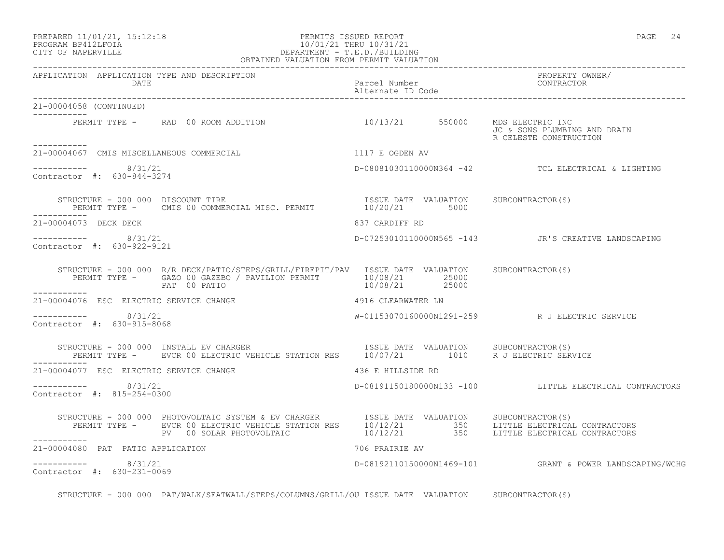## PROGRAM BP412LFOIA 10/01/21 THRU 10/31/21 CITY OF NAPERVILLE DEPARTMENT - T.E.D./BUILDING OBTAINED VALUATION FROM PERMIT VALUATION

| APPLICATION APPLICATION TYPE AND DESCRIPTION<br>DATE                                                                                                                                                                                                               | Parcel Number<br>Alternate ID Code | PROPERTY OWNER/<br>CONTRACTOR                            |
|--------------------------------------------------------------------------------------------------------------------------------------------------------------------------------------------------------------------------------------------------------------------|------------------------------------|----------------------------------------------------------|
| 21-00004058 (CONTINUED)<br>___________                                                                                                                                                                                                                             |                                    |                                                          |
| PERMIT TYPE - RAD 00 ROOM ADDITION 10/13/21 550000 MDS ELECTRIC INC                                                                                                                                                                                                |                                    | JC & SONS PLUMBING AND DRAIN<br>R CELESTE CONSTRUCTION   |
| 1117 E OGDEN AV<br>21-00004067 CMIS MISCELLANEOUS COMMERCIAL                                                                                                                                                                                                       |                                    |                                                          |
| $--------- 8/31/21$<br>Contractor #: 630-844-3274                                                                                                                                                                                                                  |                                    | D-08081030110000N364 -42 TCL ELECTRICAL & LIGHTING       |
|                                                                                                                                                                                                                                                                    |                                    |                                                          |
| 21-00004073 DECK DECK                                                                                                                                                                                                                                              | 837 CARDIFF RD                     |                                                          |
| $--------- 8/31/21$<br>Contractor #: 630-922-9121                                                                                                                                                                                                                  |                                    | D-07253010110000N565 -143 JR'S CREATIVE LANDSCAPING      |
| STRUCTURE - 000 000 R/R DECK/PATIO/STEPS/GRILL/FIREPIT/PAV ISSUE DATE VALUATION SUBCONTRACTOR(S)<br>PERMIT TYPE - GAZO 00 GAZEBO / PAVILION PERMIT 10/08/21 25000<br>PERMIT TYPE - GAZO 00 GAZEBO / PAVILION PERMIT 10/08/21 25000<br>PAT 00 PATIO<br>------------ |                                    |                                                          |
| 4916 CLEARWATER LN<br>21-00004076 ESC ELECTRIC SERVICE CHANGE                                                                                                                                                                                                      |                                    |                                                          |
| $--------- 8/31/21$<br>Contractor #: 630-915-8068                                                                                                                                                                                                                  |                                    | W-01153070160000N1291-259 R J ELECTRIC SERVICE           |
| STRUCTURE - 000 000 INSTALL EV CHARGER<br>PERMIT TYPE -     EVCR 00 ELECTRIC VEHICLE STATION RES     10/07/21        1010     R J ELECTRIC SERVICE<br>STRUCTURE - 000 000 INSTALL EV CHARGER                                                                       |                                    |                                                          |
| 21-00004077 ESC ELECTRIC SERVICE CHANGE                                                                                                                                                                                                                            | 436 E HILLSIDE RD                  |                                                          |
| $--------- 8/31/21$<br>Contractor #: 815-254-0300                                                                                                                                                                                                                  |                                    | D-08191150180000N133 -100 LITTLE ELECTRICAL CONTRACTORS  |
| STRUCTURE - 000 000 PHOTOVOLTAIC SYSTEM & EV CHARGER ISSUE DATE VALUATION SUBCONTRACTOR(S)<br>PERMIT TYPE - EVCR 00 ELECTRIC VEHICLE STATION RES 10/12/21 350 LITTLE ELECTRICAL CONTRACTORS<br>PV 00 SOLAR PHOTOVOLTAIC 10/12/21 350<br>------------               |                                    |                                                          |
| 21-00004080 PAT PATIO APPLICATION                                                                                                                                                                                                                                  | 706 PRAIRIE AV                     |                                                          |
| $--------- 8/31/21$<br>Contractor #: 630-231-0069                                                                                                                                                                                                                  |                                    | D-08192110150000N1469-101 GRANT & POWER LANDSCAPING/WCHG |

STRUCTURE - 000 000 PAT/WALK/SEATWALL/STEPS/COLUMNS/GRILL/OU ISSUE DATE VALUATION SUBCONTRACTOR(S)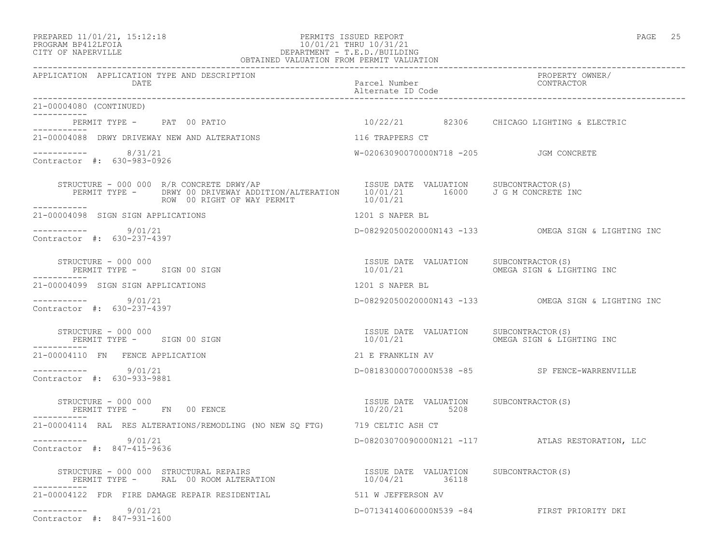# PREPARED 11/01/21, 15:12:18 PERMITS ISSUED REPORT PAGE 25 PROGRAM BP412LFOIA 10/01/21 THRU 10/31/21 CITY OF NAPERVILLE DEPARTMENT - T.E.D./BUILDING

| OBTAINED VALUATION FROM PERMIT VALUATION                                                                                                                                                                                                                                                                                                                                                                                                          |                                                        |                                                                                 |
|---------------------------------------------------------------------------------------------------------------------------------------------------------------------------------------------------------------------------------------------------------------------------------------------------------------------------------------------------------------------------------------------------------------------------------------------------|--------------------------------------------------------|---------------------------------------------------------------------------------|
| APPLICATION APPLICATION TYPE AND DESCRIPTION<br>DATE                                                                                                                                                                                                                                                                                                                                                                                              | Parcel Number<br>Alternate ID Code                     | PROPERTY OWNER/<br>CONTRACTOR                                                   |
| 21-00004080 (CONTINUED)                                                                                                                                                                                                                                                                                                                                                                                                                           |                                                        |                                                                                 |
| PERMIT TYPE - PAT 00 PATIO 10/22/21 82306 CHICAGO LIGHTING & ELECTRIC                                                                                                                                                                                                                                                                                                                                                                             |                                                        |                                                                                 |
| 21-00004088 DRWY DRIVEWAY NEW AND ALTERATIONS                                                                                                                                                                                                                                                                                                                                                                                                     | 116 TRAPPERS CT                                        |                                                                                 |
| $--------- 8/31/21$<br>Contractor #: 630-983-0926                                                                                                                                                                                                                                                                                                                                                                                                 | W-02063090070000N718 -205 JGM CONCRETE                 |                                                                                 |
|                                                                                                                                                                                                                                                                                                                                                                                                                                                   |                                                        |                                                                                 |
| 21-00004098 SIGN SIGN APPLICATIONS                                                                                                                                                                                                                                                                                                                                                                                                                | 1201 S NAPER BL                                        |                                                                                 |
| -----------     9/01/21<br>Contractor #: 630-237-4397                                                                                                                                                                                                                                                                                                                                                                                             |                                                        | D-08292050020000N143 -133 OMEGA SIGN & LIGHTING INC                             |
| STRUCTURE - 000 000<br>PERMIT TYPE - SIGN 00 SIGN                                                                                                                                                                                                                                                                                                                                                                                                 | ISSUE DATE VALUATION SUBCONTRACTOR(S)                  |                                                                                 |
| 21-00004099 SIGN SIGN APPLICATIONS                                                                                                                                                                                                                                                                                                                                                                                                                | 1201 S NAPER BL                                        |                                                                                 |
| -----------    9/01/21<br>Contractor #: 630-237-4397                                                                                                                                                                                                                                                                                                                                                                                              |                                                        | D-08292050020000N143 -133 OMEGA SIGN & LIGHTING INC                             |
| $\begin{tabular}{lllllll} \multicolumn{2}{c}{\textbf{STRUCTURE}}&-&000&000\\ \multicolumn{2}{c}{\textbf{PERMIT TYPE}}&-&\textbf{SIGN}&00&\textbf{SIGN} & &\\ & & & & & \\ \multicolumn{2}{c}{\textbf{PERMIT TYPE}}&-&\textbf{SIGN}&00&\textbf{SIGN} & &\\ \multicolumn{2}{c}{\textbf{SIGN}}&\textbf{SIGN}&\textbf{SIGN}&\textbf{SIGN}&\textbf{SIGN}&\textbf{SIGN}&\textbf{SIGN}&\textbf{SIGN}&\textbf{SIGN}&\textbf{SIGN}&\textbf{SIGN}&\textbf{$ |                                                        | ISSUE DATE VALUATION SUBCONTRACTOR(S)<br>10/01/21     OMEGA SIGN & LIGHTING INC |
| 21-00004110 FN FENCE APPLICATION                                                                                                                                                                                                                                                                                                                                                                                                                  | 21 E FRANKLIN AV                                       |                                                                                 |
| $--------- 9/01/21$<br>Contractor #: 630-933-9881                                                                                                                                                                                                                                                                                                                                                                                                 |                                                        | D-08183000070000N538 -85 SP FENCE-WARRENVILLE                                   |
| STRUCTURE - 000 000<br>PERMIT TYPE - FN 00 FENCE                                                                                                                                                                                                                                                                                                                                                                                                  | ISSUE DATE VALUATION SUBCONTRACTOR(S)<br>10/20/21 5208 |                                                                                 |
| 21-00004114 RAL RES ALTERATIONS/REMODLING (NO NEW SQ FTG) 719 CELTIC ASH CT                                                                                                                                                                                                                                                                                                                                                                       |                                                        |                                                                                 |
| $--------- 9/01/21$<br>Contractor #: 847-415-9636                                                                                                                                                                                                                                                                                                                                                                                                 |                                                        | D-08203070090000N121 -117 ATLAS RESTORATION, LLC                                |
| STRUCTURE - 000 000 STRUCTURAL REPAIRS<br>PERMIT TYPE -       RAL   00 ROOM ALTERATION                               10/04/21           36118                                                                                                                                                                                                                                                                                                     |                                                        |                                                                                 |
| 21-00004122 FDR FIRE DAMAGE REPAIR RESIDENTIAL 511 W JEFFERSON AV                                                                                                                                                                                                                                                                                                                                                                                 |                                                        |                                                                                 |
| ----------- 9/01/21<br>Contractor #: 847-931-1600                                                                                                                                                                                                                                                                                                                                                                                                 |                                                        | D-07134140060000N539 -84 FIRST PRIORITY DKI                                     |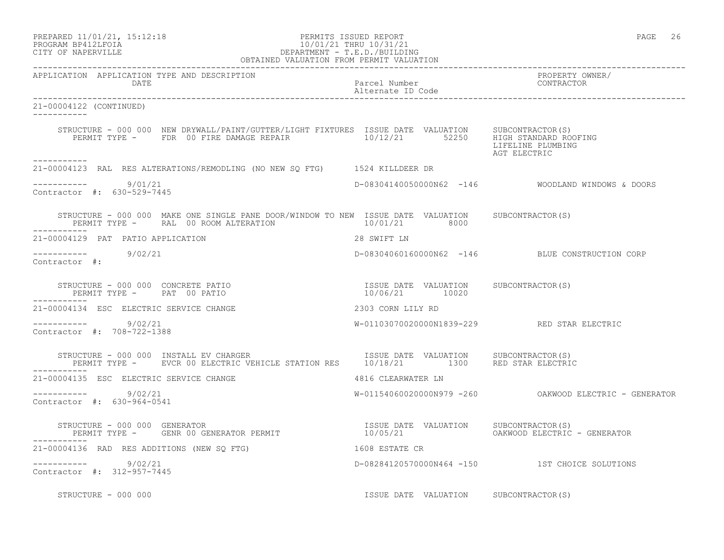| PREPARED 11/01/21, 15:12:18<br>10/01/21 THRU 10/31/21<br>DEPARTMENT - T.E.D./BUILDING<br>OBTAINED VALUATION FROM PERMIT VALUATION<br>PROGRAM BP412LFOIA<br>CITY OF NAPERVILLE                      | PERMITS ISSUED REPORT                                   | PAGE 26                                                  |
|----------------------------------------------------------------------------------------------------------------------------------------------------------------------------------------------------|---------------------------------------------------------|----------------------------------------------------------|
| APPLICATION APPLICATION TYPE AND DESCRIPTION<br>DATE                                                                                                                                               | Parcel Number<br>Alternate ID Code                      | PROPERTY OWNER/<br>CONTRACTOR                            |
| 21-00004122 (CONTINUED)                                                                                                                                                                            |                                                         |                                                          |
| STRUCTURE - 000 000 NEW DRYWALL/PAINT/GUTTER/LIGHT FIXTURES ISSUE DATE VALUATION SUBCONTRACTOR(S)<br>PERMIT TYPE - FDR 00 FIRE DAMAGE REPAIR $10/12/21$ 52250 HIGH STANDARD ROOFING<br>----------- |                                                         | LIFELINE PLUMBING<br>AGT ELECTRIC                        |
| 21-00004123 RAL RES ALTERATIONS/REMODLING (NO NEW SQ FTG) 1524 KILLDEER DR                                                                                                                         |                                                         |                                                          |
| -----------     9/01/21<br>Contractor #: 630-529-7445                                                                                                                                              |                                                         |                                                          |
| STRUCTURE - 000 000 MAKE ONE SINGLE PANE DOOR/WINDOW TO NEW ISSUE DATE VALUATION SUBCONTRACTOR(S)<br>PERMIT TYPE - RAL 00 ROOM ALTERATION                                                          | 10/01/21 8000                                           |                                                          |
| 21-00004129 PAT PATIO APPLICATION                                                                                                                                                                  | 28 SWIFT LN                                             |                                                          |
| -----------     9/02/21<br>Contractor #:                                                                                                                                                           |                                                         | D-08304060160000N62 -146 BLUE CONSTRUCTION CORP          |
| STRUCTURE - 000 000 CONCRETE PATIO<br>PERMIT TYPE - PAT 00 PATIO                                                                                                                                   | ISSUE DATE VALUATION SUBCONTRACTOR(S)<br>10/06/21 10020 |                                                          |
| 21-00004134 ESC ELECTRIC SERVICE CHANGE                                                                                                                                                            | 2303 CORN LILY RD                                       |                                                          |
| $--------$ 9/02/21<br>Contractor #: 708-722-1388                                                                                                                                                   |                                                         | W-01103070020000N1839-229 RED STAR ELECTRIC              |
| STRUCTURE - 000 000 INSTALL EV CHARGER<br>RUCTURE – 000 000 INSTALL EV CHARGER<br>PERMIT TYPE – EVCR 00 ELECTRIC VEHICLE STATION RES 10/18/21 1300 RED STAR ELECTRIC                               |                                                         |                                                          |
| 21-00004135 ESC ELECTRIC SERVICE CHANGE                                                                                                                                                            | 4816 CLEARWATER LN                                      |                                                          |
| $--------$ 9/02/21<br>Contractor #: 630-964-0541                                                                                                                                                   |                                                         | $W-01154060020000N979 -260$ OAKWOOD ELECTRIC - GENERATOR |
| STRUCTURE – 000 000 GENERATOR (S)<br>PERMIT TYPE – GENR 00 GENERATOR PERMIT (10/05/21 CAKWOOD ELECTRIC – GENERATOR<br>-----------                                                                  |                                                         |                                                          |
| 21-00004136 RAD RES ADDITIONS (NEW SQ FTG)                                                                                                                                                         | 1608 ESTATE CR                                          |                                                          |
| $--------- 9/02/21$<br>Contractor #: 312-957-7445                                                                                                                                                  |                                                         | D-08284120570000N464 -150 1ST CHOICE SOLUTIONS           |
| STRUCTURE - 000 000                                                                                                                                                                                | ISSUE DATE VALUATION SUBCONTRACTOR(S)                   |                                                          |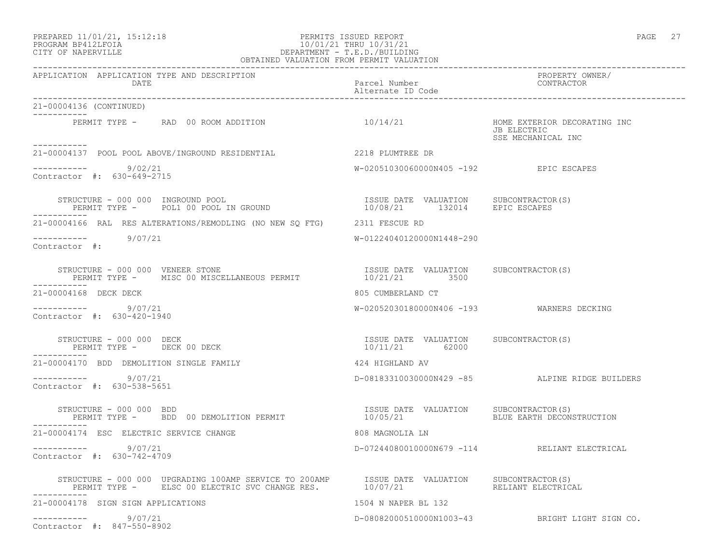### PREPARED 11/01/21, 15:12:18 PERMITS ISSUED REPORT PAGE 27 PROGRAM BP412LFOIA 10/01/21 THRU 10/31/21 CITY OF NAPERVILLE DEPARTMENT - T.E.D./BUILDING OBTAINED VALUATION FROM PERMIT VALUATION

| APPLICATION APPLICATION TYPE AND DESCRIPTION<br>DATE                                                                                                                                                                                                                                                                                                                                       | Parcel Number<br>Alternate ID Code                      | PROPERTY OWNER/<br>CONTRACTOR                                     |
|--------------------------------------------------------------------------------------------------------------------------------------------------------------------------------------------------------------------------------------------------------------------------------------------------------------------------------------------------------------------------------------------|---------------------------------------------------------|-------------------------------------------------------------------|
| 21-00004136 (CONTINUED)                                                                                                                                                                                                                                                                                                                                                                    |                                                         |                                                                   |
| PERMIT TYPE - RAD 00 ROOM ADDITION                                                                                                                                                                                                                                                                                                                                                         | 10/14/21                                                | HOME EXTERIOR DECORATING INC<br>JB ELECTRIC<br>SSE MECHANICAL INC |
| -----------<br>21-00004137 POOL POOL ABOVE/INGROUND RESIDENTIAL                                                                                                                                                                                                                                                                                                                            | 2218 PLUMTREE DR                                        |                                                                   |
| ---------- 9/02/21<br>Contractor #: 630-649-2715                                                                                                                                                                                                                                                                                                                                           | W-02051030060000N405 -192 EPIC ESCAPES                  |                                                                   |
| $\begin{array}{cccccccccc} \texttt{STRUCTURE} & - & 000 & 000 & \texttt{INGROUND} & \texttt{POOL} & & & & & & \\ \texttt{PERMIT TYPE} & - & \texttt{POLI} & 00 & \texttt{POOL} & \texttt{IN GROUND} & & & & & & 10/08/21 & & & 132014 & & & & \texttt{EPIC ESCAPES} \end{array}$                                                                                                           |                                                         |                                                                   |
| 21-00004166 RAL RES ALTERATIONS/REMODLING (NO NEW SO FTG) 2311 FESCUE RD                                                                                                                                                                                                                                                                                                                   |                                                         |                                                                   |
| ---------- 9/07/21<br>Contractor #:                                                                                                                                                                                                                                                                                                                                                        | W-01224040120000N1448-290                               |                                                                   |
| $\begin{tabular}{llllll} \texttt{STRUCTURE} & - & 000 & 000 & VEREER & \texttt{STONE} \\ \texttt{PERMIT} & TYPE & - & \texttt{MISC} & 00 & MISCELLANEOUS & PERMIT \\ \end{tabular} \begin{tabular}{llll} \texttt{PERMIT} & & & \texttt{SUBCONTRACTOR(S)} \\ \texttt{PERMIT} & TYPE & - & \texttt{MISC} & 00 & MISCELLANEOUS & PERMIT \\ \end{tabular}$<br>STRUCTURE - 000 000 VENEER STONE |                                                         |                                                                   |
| 21-00004168 DECK DECK                                                                                                                                                                                                                                                                                                                                                                      | 805 CUMBERLAND CT                                       |                                                                   |
| $--------- 9/07/21$<br>Contractor #: 630-420-1940                                                                                                                                                                                                                                                                                                                                          | W-02052030180000N406 -193 WARNERS DECKING               |                                                                   |
| STRUCTURE - 000 000 DECK<br>PERMIT TYPE - DECK 00 DECK<br>------------                                                                                                                                                                                                                                                                                                                     | ISSUE DATE VALUATION SUBCONTRACTOR(S)<br>10/11/21 62000 |                                                                   |
| 21-00004170 BDD DEMOLITION SINGLE FAMILY                                                                                                                                                                                                                                                                                                                                                   | 424 HIGHLAND AV                                         |                                                                   |
| $--------- 9/07/21$<br>Contractor #: 630-538-5651                                                                                                                                                                                                                                                                                                                                          |                                                         | D-08183310030000N429 -85 ALPINE RIDGE BUILDERS                    |
| STRUCTURE - 000 000 BDD<br>PERMIT TYPE - BDD 00 DEMOLITION PERMIT                                                                                                                                                                                                                                                                                                                          |                                                         | BLUE EARTH DECONSTRUCTION                                         |
| 21-00004174 ESC ELECTRIC SERVICE CHANGE                                                                                                                                                                                                                                                                                                                                                    | 808 MAGNOLIA LN                                         |                                                                   |
| $--------- 9/07/21$<br>Contractor #: 630-742-4709                                                                                                                                                                                                                                                                                                                                          |                                                         | D-07244080010000N679 -114 RELIANT ELECTRICAL                      |
| STRUCTURE - 000 000 UPGRADING 100AMP SERVICE TO 200AMP ISSUE DATE VALUATION SUBCONTRACTOR(S)<br>PERMIT TYPE - ELSC 00 ELECTRIC SVC CHANGE RES. 10/07/21 RELIANT ELECTRICAL                                                                                                                                                                                                                 |                                                         |                                                                   |
| 21-00004178 SIGN SIGN APPLICATIONS                                                                                                                                                                                                                                                                                                                                                         | 1504 N NAPER BL 132                                     |                                                                   |
| $--------- 9/07/21$<br>Contractor #: 847-550-8902                                                                                                                                                                                                                                                                                                                                          |                                                         | D-08082000510000N1003-43 BRIGHT LIGHT SIGN CO.                    |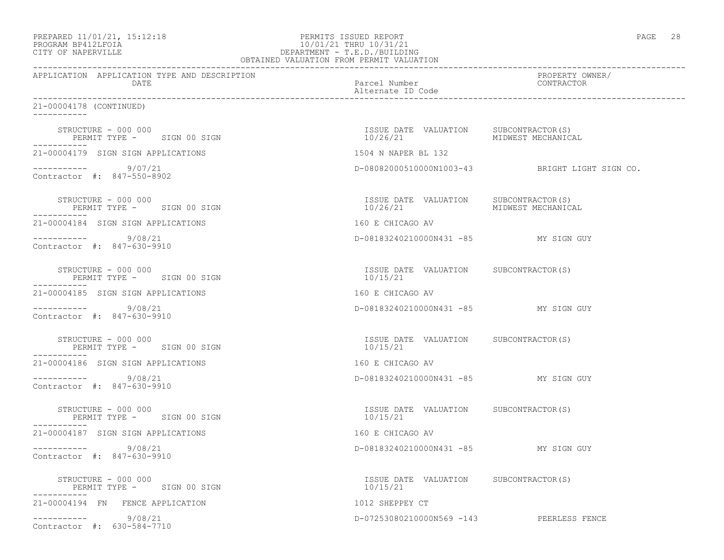| PREPARED 11/01/21, 15:12:18 |  |
|-----------------------------|--|
| PROGRAM RP412LFOIA          |  |

### er and the PERMITS ISSUED REPORT And the end of the page of the page of the page of the page of the page of the page of the page of the page of the page of the page of the page of the page of the page of the page of the pa PROGRAM BP412LFOIA 10/01/21 THRU 10/31/21 CITY OF NAPERVILLE CITY OF NAPERVILLE DEPARTMENT - T.E.D./BUILDING OBTAINED VALUATION FROM PERMIT VALUATION

| APPLICATION APPLICATION TYPE AND DESCRIPTION<br>DATE             | Parcel Number<br>Alternate ID Code                                   | PROPERTY OWNER/<br>CONTRACTOR                  |
|------------------------------------------------------------------|----------------------------------------------------------------------|------------------------------------------------|
| 21-00004178 (CONTINUED)                                          |                                                                      |                                                |
| STRUCTURE - 000 000<br>PERMIT TYPE - SIGN 00 SIGN                | ISSUE DATE VALUATION SUBCONTRACTOR(S)<br>10/26/21 MIDWEST MECHANICAL |                                                |
| 21-00004179 SIGN SIGN APPLICATIONS                               | 1504 N NAPER BL 132                                                  |                                                |
| ----------     9/07/21<br>Contractor #: 847-550-8902             |                                                                      | D-08082000510000N1003-43 BRIGHT LIGHT SIGN CO. |
| STRUCTURE - 000 000<br>PERMIT TYPE - SIGN 00 SIGN<br>----------- | 10/26/21                                                             |                                                |
| 21-00004184 SIGN SIGN APPLICATIONS                               | 160 E CHICAGO AV                                                     |                                                |
| $--------- 9/08/21$<br>Contractor #: 847-630-9910                | D-08183240210000N431 -85 MY SIGN GUY                                 |                                                |
| STRUCTURE - 000 000<br>PERMIT TYPE - SIGN 00 SIGN<br>----------- | ISSUE DATE VALUATION SUBCONTRACTOR(S)<br>10/15/21                    |                                                |
| 21-00004185 SIGN SIGN APPLICATIONS                               | 160 E CHICAGO AV                                                     |                                                |
| $--------- 9/08/21$<br>Contractor #: 847-630-9910                | D-08183240210000N431 -85 MY SIGN GUY                                 |                                                |
| STRUCTURE - 000 000<br>PERMIT TYPE - SIGN 00 SIGN                | ISSUE DATE VALUATION SUBCONTRACTOR(S)<br>10/15/21                    |                                                |
| 21-00004186 SIGN SIGN APPLICATIONS                               | 160 E CHICAGO AV                                                     |                                                |
| $--------- 9/08/21$<br>Contractor #: 847-630-9910                | D-08183240210000N431 -85 MY SIGN GUY                                 |                                                |
| STRUCTURE - 000 000<br>PERMIT TYPE - SIGN 00 SIGN                | ISSUE DATE VALUATION SUBCONTRACTOR(S)<br>10/15/21                    |                                                |
| 21-00004187 SIGN SIGN APPLICATIONS                               | 160 E CHICAGO AV                                                     |                                                |
| $--------- 9/08/21$<br>Contractor #: 847-630-9910                | D-08183240210000N431 -85 MY SIGN GUY                                 |                                                |
| STRUCTURE - 000 000<br>PERMIT TYPE - SIGN 00 SIGN                | ISSUE DATE VALUATION SUBCONTRACTOR(S)<br>10/15/21                    |                                                |
| 21-00004194 FN FENCE APPLICATION                                 | 1012 SHEPPEY CT                                                      |                                                |
| ----------- 9/08/21<br>Contractor #: 630-584-7710                | D-07253080210000N569 -143 PEERLESS FENCE                             |                                                |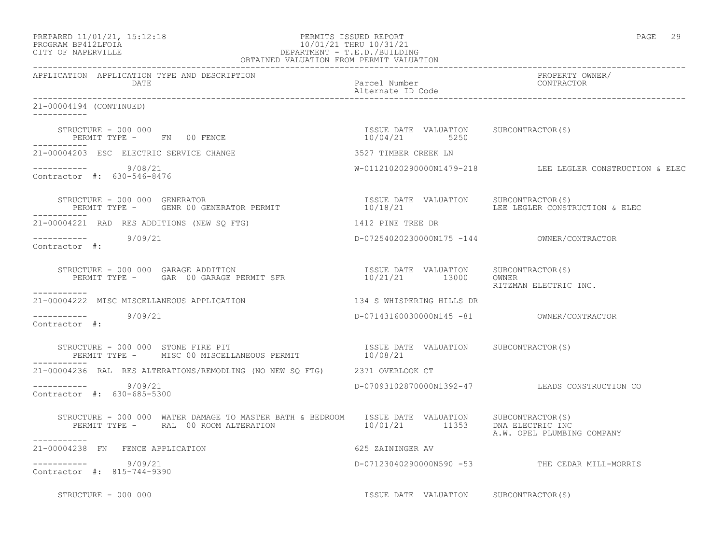| PREPARED 11/01/21, 15:12:18 |  |
|-----------------------------|--|
| PROGRAM RP412LFOIA          |  |

# PREPARED 11/01/21, 15:12:18 PERMITS ISSUED REPORT<br>PROGRAM BP412LFOIA PAGE 29 10/01/21 THRU 10/31/21 PROGRAM BP412LFOIA 10/01/21 THRU 10/31/21<br>CITY OF NAPERVILLE DEPARTMENT - T.E.D./BUILDI DEPARTMENT - T.E.D./BUILDING

| OBTAINED VALUATION FROM PERMIT VALUATION                                                                                                                                                                                                                                                                                                                                                           |                                            |                                                            |
|----------------------------------------------------------------------------------------------------------------------------------------------------------------------------------------------------------------------------------------------------------------------------------------------------------------------------------------------------------------------------------------------------|--------------------------------------------|------------------------------------------------------------|
| APPLICATION APPLICATION TYPE AND DESCRIPTION<br>DATE                                                                                                                                                                                                                                                                                                                                               | Parcel Number<br>Alternate ID Code         | PROPERTY OWNER/<br>CONTRACTOR                              |
| 21-00004194 (CONTINUED)<br>___________                                                                                                                                                                                                                                                                                                                                                             |                                            |                                                            |
| $\begin{array}{cccc} \texttt{STRUCTURE} & - & 000 & 000 \\ \texttt{PERMIT TYPE} & - & - & \texttt{FN} & 00 \\ \texttt{FENCE} & - & \texttt{ENCE} & - & - \\ \end{array} \qquad \begin{array}{cccc} \texttt{TSUE} & \texttt{DATE} & \texttt{VALUATION} & \texttt{SUBCONTRACTOR(S)} \\ \texttt{10/04/21} & \texttt{5250} & \end{array}$                                                              |                                            |                                                            |
| 21-00004203 ESC ELECTRIC SERVICE CHANGE                                                                                                                                                                                                                                                                                                                                                            | 3527 TIMBER CREEK LN                       |                                                            |
| $--------- 9/08/21$<br>Contractor #: 630-546-8476                                                                                                                                                                                                                                                                                                                                                  |                                            | $W-01121020290000N1479-218$ LEE LEGLER CONSTRUCTION & ELEC |
| -----------                                                                                                                                                                                                                                                                                                                                                                                        |                                            |                                                            |
| 21-00004221 RAD RES ADDITIONS (NEW SQ FTG) 1412 PINE TREE DR                                                                                                                                                                                                                                                                                                                                       |                                            |                                                            |
| $--------- 9/09/21$<br>Contractor #:                                                                                                                                                                                                                                                                                                                                                               | D-07254020230000N175 -144 OWNER/CONTRACTOR |                                                            |
| $\begin{array}{cccccc} \texttt{STRUCTURE} & - & 000 & 000 & \texttt{GARAGE} & \texttt{ADDITION} & \texttt{ISUE} & \texttt{DATE} & \texttt{VALUATION} & \texttt{SUBCONTRACTOR(S)} \\ \texttt{PERMIT TYPE} & - & \texttt{GAR} & 00 & \texttt{GARAGE} & \texttt{PERMIT} & \texttt{SFR} & & & & 10/21/21 & & 13000 & & \texttt{OWNER} \end{array}$                                                     |                                            | RITZMAN ELECTRIC INC.                                      |
| 21-00004222 MISC MISCELLANEOUS APPLICATION                                                                                                                                                                                                                                                                                                                                                         | 134 S WHISPERING HILLS DR                  |                                                            |
| -----------     9/09/21<br>Contractor #:                                                                                                                                                                                                                                                                                                                                                           |                                            |                                                            |
| STRUCTURE - 000 000 STONE FIRE PIT<br>PERMIT TYPE - MISC 00 MISCELLANEOUS PERMIT 10/08/21 10/08/21                                                                                                                                                                                                                                                                                                 |                                            |                                                            |
| 21-00004236 RAL RES ALTERATIONS/REMODLING (NO NEW SQ FTG) 2371 OVERLOOK CT                                                                                                                                                                                                                                                                                                                         |                                            |                                                            |
| ----------- 9/09/21<br>Contractor #: 630-685-5300                                                                                                                                                                                                                                                                                                                                                  |                                            | D-07093102870000N1392-47 LEADS CONSTRUCTION CO             |
| $\begin{tabular}{lllllllll} \multicolumn{2}{c}{STRUCTURE} & - & 000 & 000 & \texttt{WATER} \texttt{ DAMAGE} & \texttt{TO} \texttt{MASTE} \texttt{BATH} & \texttt{BEDROM} & & SUE \texttt{DATE} & \texttt{VALUATION} & & SUBCONTRACTOR(S) \\ & PERMIT \texttt{TYPE} & - & \texttt{RAL} & 00 \texttt{ Room} \texttt{ALTERATION} & & 10/01/21 & & 11353 & \texttt{DNA ELECTRIC INC} \\ \end{tabular}$ |                                            | A.W. OPEL PLUMBING COMPANY                                 |
| -----------<br>21-00004238 FN FENCE APPLICATION                                                                                                                                                                                                                                                                                                                                                    | 625 ZAININGER AV                           |                                                            |
| $--------- 9/09/21$<br>Contractor #: 815-744-9390                                                                                                                                                                                                                                                                                                                                                  |                                            | D-07123040290000N590 -53 THE CEDAR MILL-MORRIS             |
| STRUCTURE - 000 000                                                                                                                                                                                                                                                                                                                                                                                | ISSUE DATE VALUATION SUBCONTRACTOR(S)      |                                                            |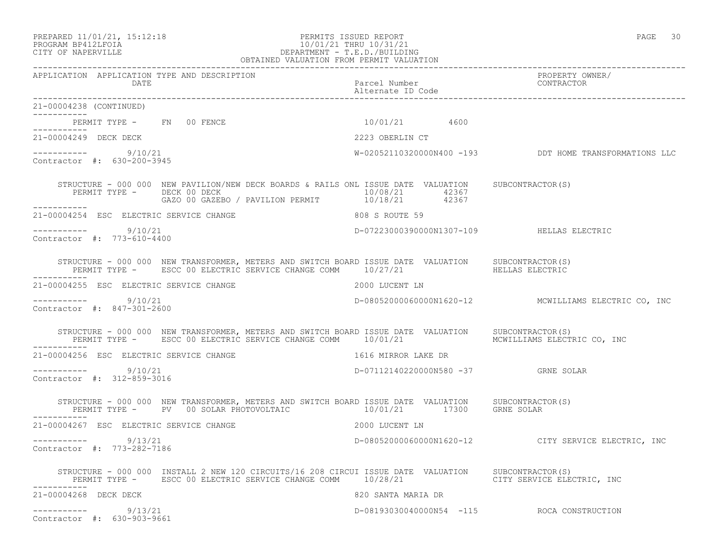Contractor #: 630-903-9661

# PROGRAM BP412LFOIA 10/01/21 THRU 10/31/21 CITY OF NAPERVILLE DEPARTMENT - T.E.D./BUILDING OBTAINED VALUATION FROM PERMIT VALUATION

APPLICATION APPLICATION TYPE AND DESCRIPTION<br>DATE bated parcel Number property contractor DATE Parcel Number CONTRACTOR

Alternate ID Code

------------------------------------------------------------------------------------------------------------------------------------

------------------------------------------------------------------------------------------------------------------------------------ 21-00004238 (CONTINUED) ----------- PERMIT TYPE - FN 00 FENCE 10/01/21 4600 ----------- 21-00004249 DECK DECK 2223 OBERLIN CT  $--------- 9/10/21$ W-02052110320000N400 -193 DDT HOME TRANSFORMATIONS LLC Contractor #: 630-200-3945 STRUCTURE - 000 000 NEW PAVILION/NEW DECK BOARDS & RAILS ONL ISSUE DATE VALUATION SUBCONTRACTOR(S)<br>PERMIT TYPE - DECK 00 DECK PERMIT TYPE - DECK 00 DECK (2008) PERMIT 10/08/21 42367<br>GAZO 00 GAZEBO / PAVILION PERMIT 10/18/21 42367 GAZO 00 GAZEBO / PAVILION PERMIT 10/18/21 42367 ----------- 21-00004254 ESC ELECTRIC SERVICE CHANGE 808 S ROUTE 59 \_\_\_\_\_\_\_\_\_\_\_ ----------- 9/10/21 D-07223000390000N1307-109 HELLAS ELECTRIC Contractor #: 773-610-4400 STRUCTURE - 000 000 NEW TRANSFORMER, METERS AND SWITCH BOARD ISSUE DATE VALUATION SUBCONTRACTOR(S) PERMIT TYPE - ESCC 00 ELECTRIC SERVICE CHANGE COMM 10/27/21 HELLAS ELECTRIC ----------- 21-00004255 ESC ELECTRIC SERVICE CHANGE 2000 LUCENT LN ----------- 9/10/21 D-08052000060000N1620-12 MCWILLIAMS ELECTRIC CO, INC Contractor #: 847-301-2600 STRUCTURE - 000 000 NEW TRANSFORMER, METERS AND SWITCH BOARD ISSUE DATE VALUATION SUBCONTRACTOR(S) PERMIT TYPE - ESCC 00 ELECTRIC SERVICE CHANGE COMM 10/01/21 MOWILLIAMS ELECTRIC CO, INC ----------- 21-00004256 ESC ELECTRIC SERVICE CHANGE 1616 MIRROR LAKE DR ----------- 9/10/21 D-07112140220000N580 -37 GRNE SOLAR Contractor #: 312-859-3016 STRUCTURE - 000 000 NEW TRANSFORMER, METERS AND SWITCH BOARD ISSUE DATE VALUATION SUBCONTRACTOR(S) PERMIT TYPE - PV 00 SOLAR PHOTOVOLTAIC 10/01/21 17300 GRNE SOLAR ----------- 21-00004267 ESC ELECTRIC SERVICE CHANGE 2000 LUCENT LN ----------- 9/13/21 D-08052000060000N1620-12 CITY SERVICE ELECTRIC, INC Contractor #: 773-282-7186 STRUCTURE - 000 000 INSTALL 2 NEW 120 CIRCUITS/16 208 CIRCUI ISSUE DATE VALUATION SUBCONTRACTOR(S) PERMIT TYPE - ESCC 00 ELECTRIC SERVICE CHANGE COMM  $10/28/21$  CITY SERVICE ELECTRIC, INC -----------<br>21-00004268 DECK DECK 820 SANTA MARIA DR

----------- 9/13/21 D-08193030040000N54 -115 ROCA CONSTRUCTION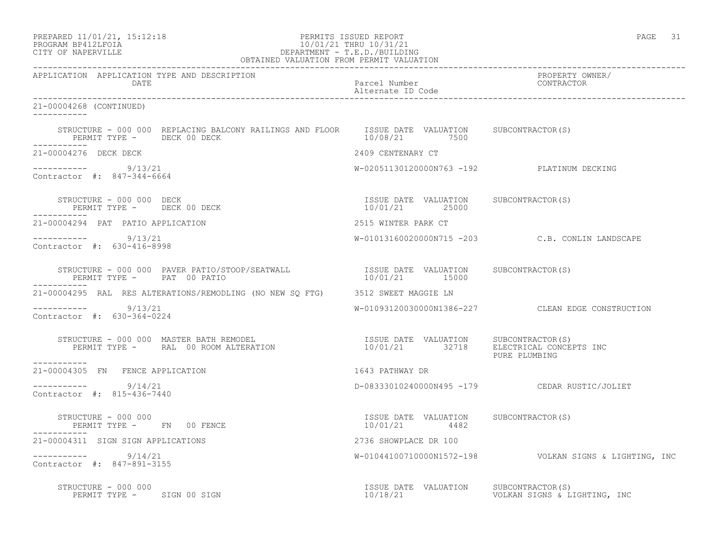| PREPARED 11/01/21, 15:12:18 |  |
|-----------------------------|--|
| DDACDAM BDA12T FATA         |  |

# PERMITS ISSUED REPORT **PAGE 31** PROGRAM BP412LFOIA 10/01/21 THRU 10/31/21 CITY OF NAPERVILLE (1999) 2008 2012 2013 CITY OF NAPERVILLE DEPARTMENT - T.E.D./BUILDING

| OBTAINED VALUATION FROM PERMIT VALUATION                                                                                                                                                                                                                                                                                                                                                                                                                                                                           |                                                        |                                                         |
|--------------------------------------------------------------------------------------------------------------------------------------------------------------------------------------------------------------------------------------------------------------------------------------------------------------------------------------------------------------------------------------------------------------------------------------------------------------------------------------------------------------------|--------------------------------------------------------|---------------------------------------------------------|
| APPLICATION APPLICATION TYPE AND DESCRIPTION<br>DATE                                                                                                                                                                                                                                                                                                                                                                                                                                                               | Parcel Number<br>Alternate ID Code                     | PROPERTY OWNER/<br>CONTRACTOR                           |
| 21-00004268 (CONTINUED)<br>------------                                                                                                                                                                                                                                                                                                                                                                                                                                                                            |                                                        |                                                         |
| STRUCTURE - 000 000 REPLACING BALCONY RAILINGS AND FLOOR ISSUE DATE VALUATION SUBCONTRACTOR(S)<br>PERMIT TYPE - DECK 00 DECK                                                                                                                                                                                                                                                                                                                                                                                       | 10/08/21 7500                                          |                                                         |
| ___________<br>21-00004276 DECK DECK                                                                                                                                                                                                                                                                                                                                                                                                                                                                               | 2409 CENTENARY CT                                      |                                                         |
| $--------- 9/13/21$<br>Contractor #: 847-344-6664                                                                                                                                                                                                                                                                                                                                                                                                                                                                  |                                                        | W-02051130120000N763 -192 PLATINUM DECKING              |
| $\begin{array}{cccccccccc} \texttt{STRUCTURE} & - & 000 & 000 & \texttt{DECK} & & & & & & & & & \\ \texttt{PERMIT TYPE} & - & & & & & & & & & & & \\ \texttt{PERMIT TYPE} & - & & & & & & & & & & \\ \end{array}$<br>------------                                                                                                                                                                                                                                                                                  |                                                        |                                                         |
| 21-00004294 PAT PATIO APPLICATION                                                                                                                                                                                                                                                                                                                                                                                                                                                                                  | 2515 WINTER PARK CT                                    |                                                         |
| $--------- 9/13/21$<br>Contractor #: 630-416-8998                                                                                                                                                                                                                                                                                                                                                                                                                                                                  |                                                        | W-01013160020000N715 -203 C.B. CONLIN LANDSCAPE         |
| -----------                                                                                                                                                                                                                                                                                                                                                                                                                                                                                                        |                                                        |                                                         |
| 21-00004295 RAL RES ALTERATIONS/REMODLING (NO NEW SO FTG) 3512 SWEET MAGGIE LN                                                                                                                                                                                                                                                                                                                                                                                                                                     |                                                        |                                                         |
| $--------- 9/13/21$<br>Contractor #: 630-364-0224                                                                                                                                                                                                                                                                                                                                                                                                                                                                  |                                                        | W-01093120030000N1386-227 CLEAN EDGE CONSTRUCTION       |
| $\begin{array}{cccc} \texttt{STRUCTURE} & - & 000 & 000 & \texttt{MASTER BATH REMODEL} \end{array} \hspace{25pt} \begin{array}{cccc} \texttt{ISSUE} & \texttt{DATE} & \texttt{VALUATION} & \texttt{SUBCONTRACTOR(S)} \end{array} \hspace{25pt} \begin{array}{cccc} \texttt{ISSUE} & \texttt{DATE} & \texttt{VALUATION} & \texttt{SUBCONTRACTOR(S)} \end{array} \hspace{25pt} \begin{array}{cccc} \texttt{NECFRICAL} & \texttt{ONCEPTS} & \texttt{INC} \end{array} \hspace{20pt} \begin{array}{cccc$<br>___________ |                                                        | PURE PLUMBING                                           |
| 21-00004305 FN FENCE APPLICATION                                                                                                                                                                                                                                                                                                                                                                                                                                                                                   | 1643 PATHWAY DR                                        |                                                         |
| $--------- 9/14/21$<br>Contractor #: 815-436-7440                                                                                                                                                                                                                                                                                                                                                                                                                                                                  |                                                        | D-08333010240000N495 -179 CEDAR RUSTIC/JOLIET           |
| STRUCTURE - 000 000<br>PERMIT TYPE - FN 00 FENCE                                                                                                                                                                                                                                                                                                                                                                                                                                                                   | ISSUE DATE VALUATION SUBCONTRACTOR(S)<br>10/01/21 4482 |                                                         |
| 21-00004311 SIGN SIGN APPLICATIONS                                                                                                                                                                                                                                                                                                                                                                                                                                                                                 | 2736 SHOWPLACE DR 100                                  |                                                         |
| $--------- 9/14/21$<br>Contractor #: 847-891-3155                                                                                                                                                                                                                                                                                                                                                                                                                                                                  |                                                        | W-01044100710000N1572-198  VOLKAN SIGNS & LIGHTING, INC |
| STRUCTURE - 000 000<br>RUCTURE - 000 000<br>PERMIT TYPE -     SIGN 00 SIGN                                                                                                                                                                                                                                                                                                                                                                                                                                         | ISSUE DATE VALUATION SUBCONTRACTOR(S)                  |                                                         |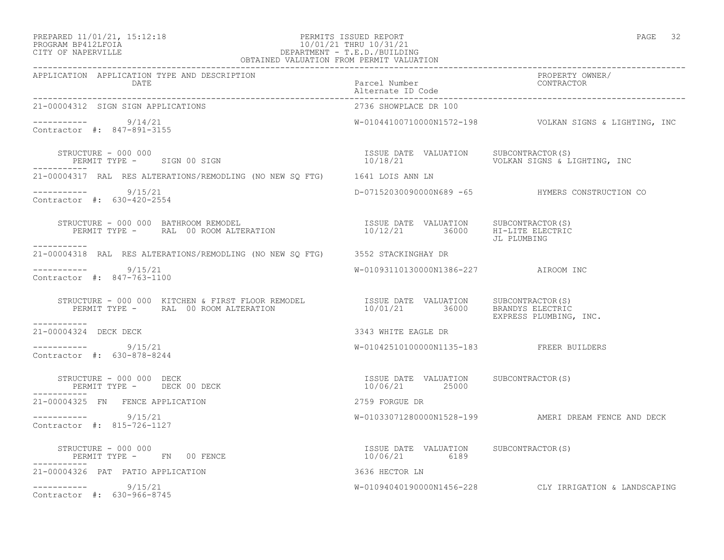# PREPARED 11/01/21, 15:12:18 PERMITS ISSUED REPORT PAGE 32 PROGRAM BP412LFOIA 10/01/21 THRU 10/31/21 PREPARED 11/01/21, 15:12:18<br>
PERMITS ISSUED REPORT<br>
CITY OF NAPERVILLE<br>
CITY OF NAPERVILLE

| OBTAINED VALUATION FROM PERMIT VALUATION                                                                                                                                                                                                                                                                              |                                          |                                                          |
|-----------------------------------------------------------------------------------------------------------------------------------------------------------------------------------------------------------------------------------------------------------------------------------------------------------------------|------------------------------------------|----------------------------------------------------------|
| APPLICATION APPLICATION TYPE AND DESCRIPTION<br>DATE                                                                                                                                                                                                                                                                  | Parcel Number<br>Alternate ID Code       | PROPERTY OWNER/<br>CONTRACTOR                            |
| 21-00004312 SIGN SIGN APPLICATIONS                                                                                                                                                                                                                                                                                    | 2736 SHOWPLACE DR 100                    |                                                          |
| ----------- 9/14/21<br>Contractor #: 847-891-3155                                                                                                                                                                                                                                                                     |                                          | $W-01044100710000N1572-198$ VOLKAN SIGNS & LIGHTING, INC |
| STRUCTURE - 000 000<br>PERMIT TYPE - SIGN 00 SIGN                                                                                                                                                                                                                                                                     |                                          |                                                          |
| 21-00004317 RAL RES ALTERATIONS/REMODLING (NO NEW SQ FTG) 1641 LOIS ANN LN                                                                                                                                                                                                                                            |                                          |                                                          |
| $--------- 9/15/21$<br>Contractor #: 630-420-2554                                                                                                                                                                                                                                                                     |                                          | D-07152030090000N689 -65 HYMERS CONSTRUCTION CO          |
| $\begin{array}{cccc} \texttt{STRUCTURE} - 000 000 & \texttt{BATHROOM REMOPEL} & \texttt{ISSUE} \texttt{DATE} & \texttt{VALUATION} & \texttt{SUBCONTRACTOR(S)} \\ \texttt{PERMIT TYPE} - \texttt{RAL} & 00 \texttt{ROM ALTERATION} & \texttt{10/12/21} & 36000 & \texttt{HI-LITE ELECTRIC} \end{array}$<br>----------- |                                          | JL PLUMBING                                              |
| 21-00004318 RAL RES ALTERATIONS/REMODLING (NO NEW SQ FTG) 3552 STACKINGHAY DR                                                                                                                                                                                                                                         |                                          |                                                          |
| $--------- 9/15/21$<br>Contractor #: 847-763-1100                                                                                                                                                                                                                                                                     | W-01093110130000N1386-227 AIROOM INC     |                                                          |
| STRUCTURE - 000 000 KITCHEN & FIRST FLOOR REMODEL                ISSUE DATE VALUATION     SUBCONTRACTOR(S)<br>PERMIT TYPE -      RAL  00 ROOM ALTERATION                          10/01/21         36000       BRANDYS ELECTRIC                                                                                       |                                          | EXPRESS PLUMBING, INC.                                   |
| 21-00004324 DECK DECK                                                                                                                                                                                                                                                                                                 | 3343 WHITE EAGLE DR                      |                                                          |
| $--------- 9/15/21$<br>Contractor #: 630-878-8244                                                                                                                                                                                                                                                                     | W-01042510100000N1135-183 FREER BUILDERS |                                                          |
| STRUCTURE – 000 000 DECK<br>PERMIT TYPE – DECK 00 DECK – 10/06/21 – 10/06/21 – 25000 SUBCONTRACTOR(S)                                                                                                                                                                                                                 |                                          |                                                          |
| 21-00004325 FN FENCE APPLICATION                                                                                                                                                                                                                                                                                      | 2759 FORGUE DR                           |                                                          |
| $--------- 9/15/21$<br>Contractor #: 815-726-1127                                                                                                                                                                                                                                                                     |                                          | W-01033071280000N1528-199 AMERI DREAM FENCE AND DECK     |
| -----------                                                                                                                                                                                                                                                                                                           |                                          |                                                          |
| 21-00004326 PAT PATIO APPLICATION                                                                                                                                                                                                                                                                                     | 3636 HECTOR LN                           |                                                          |
| $--------- 9/15/21$<br>Contractor #: 630-966-8745                                                                                                                                                                                                                                                                     |                                          | W-01094040190000N1456-228 CLY IRRIGATION & LANDSCAPING   |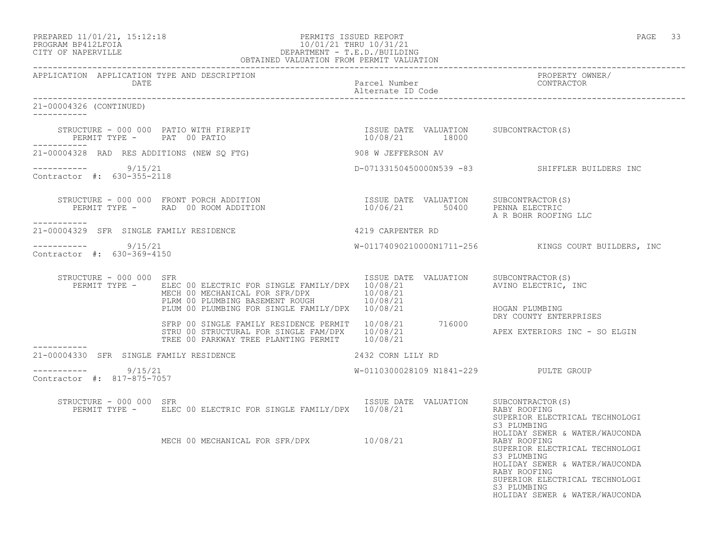### PREPARED 11/01/21, 15:12:18 PERMITS ISSUED REPORT PAGE 33 PROGRAM BP412LFOIA 10/01/21 THRU 10/31/21 CITY OF NAPERVILLE DEPARTMENT - T.E.D./BUILDING OBTAINED VALUATION FROM PERMIT VALUATION

------------------------------------------------------------------------------------------------------------------------------------ APPLICATION APPLICATION TYPE AND DESCRIPTION PROPERTY OWNER/ DATE PARTICLE IN PARTICLE IN THE PARTICLE IN THE PARTICLE IN THE PARTICLE IN THE PARTICLE IN THE PARTICLE IN THE PARTICLE IN THE PARTICLE IN THE PARTICLE IN THE PARTICLE IN THE PARTICLE IN THE PARTICLE IN THE PARTICLE IN T Alternate ID Code ------------------------------------------------------------------------------------------------------------------------------------ 21-00004326 (CONTINUED) ----------- STRUCTURE - 000 000 PATIO WITH FIREPIT **ISSUE DATE VALUATION SUBCONTRACTOR**(S) PERMIT TYPE - PAT 00 PATIO 10/08/21 18000 ----------- 21-00004328 RAD RES ADDITIONS (NEW SQ FTG) 908 W JEFFERSON AV ----------- 9/15/21 D-07133150450000N539 -83 SHIFFLER BUILDERS INC Contractor #: 630-355-2118 STRUCTURE - 000 000 FRONT PORCH ADDITION ISSUE DATE VALUATION SUBCONTRACTOR(S) PERMIT TYPE - RAD 00 ROOM ADDITION 10/06/21 50400 PENNA ELECTRIC A R BOHR ROOFING LLC ----------- 21-00004329 SFR SINGLE FAMILY RESIDENCE 4219 CARPENTER RD ----------- 9/15/21 W-01174090210000N1711-256 KINGS COURT BUILDERS, INC Contractor #: 630-369-4150 STRUCTURE - 000 000 SFR<br>PERMIT TYPE - ELEC 00 ELECTRIC FOR SINGLE FAMILY/DPX 10/08/21 21 AVINO ELECTRIC, INC PERMIT TYPE - ELEC 00 ELECTRIC FOR SINGLE FAMILY/DPX 10/08/21 MECH 00 MECHANICAL FOR SFR/DPX  $10/08/21$ <br>PLRM 00 PLUMBING BASEMENT ROUGH  $10/08/21$ PLRM 00 PLUMBING BASEMENT ROUGH  $10/08/21$ PLUM 00 PLUMBING FOR SINGLE FAMILY/DPX 10/08/21 HOGAN PLUMBING DRY COUNTY ENTERPRISES SFRP 00 SINGLE FAMILY RESIDENCE PERMIT 10/08/21 716000 STRU 00 STRUCTURAL FOR SINGLE FAM/DPX  $10/08/21$  APEX EXTERIORS INC - SO ELGIN TREE 00 PARKWAY TREE PLANTING PERMIT 10/08/21 ----------- 21-00004330 SFR SINGLE FAMILY RESIDENCE 2432 CORN LILY RD  $--------- 9/15/21$ W-0110300028109 N1841-229 PULTE GROUP Contractor #: 817-875-7057 STRUCTURE - 000 000 SFR<br>PERMIT TYPE - ELEC 00 ELECTRIC FOR SINGLE FAMILY/DPX 10/08/21 RALUATION RABY ROOFING PERMIT TYPE - BLEC 00 ELECTRIC FOR SINGLE FAMILY/DPX 10/08/21 SUPERIOR ELECTRICAL TECHNOLOGI<br>S3 PLUMBING S3 PLUMBING HOLIDAY SEWER & WATER/WAUCONDA<br>RABY ROOFING MECH 00 MECHANICAL FOR SFR/DPX 10/08/21 SUPERIOR ELECTRICAL TECHNOLOGI<br>S3 PLUMBING S3 PLUMBING HOLIDAY SEWER & WATER/WAUCONDA RABY ROOFING SUPERIOR ELECTRICAL TECHNOLOGI<br>S3 PLUMBING S3 PLUMBING HOLIDAY SEWER & WATER/WAUCONDA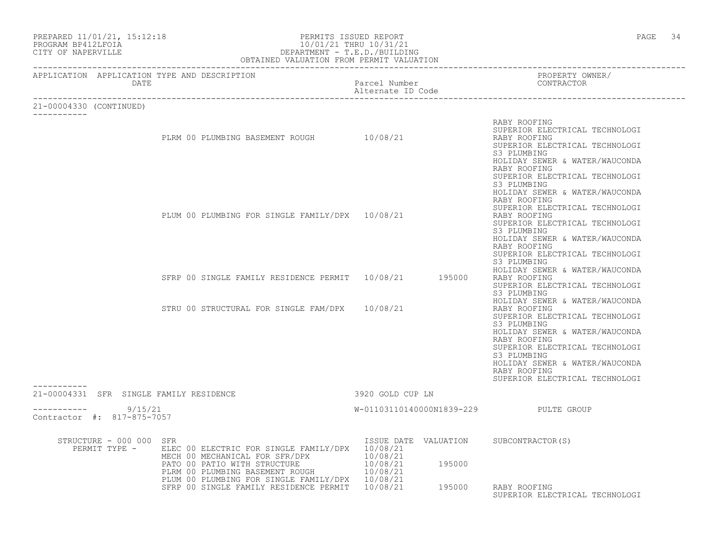| CITY OF NAPERVILLE      | PREPARED 11/01/21, 15:12:18<br>PROGRAM BP412LFOIA    | PERMITS ISSUED REPORT<br>10/01/21 THRU 10/31/21<br>DEPARTMENT - T.E.D./BUILDING<br>OBTAINED VALUATION FROM PERMIT VALUATION                                                                                                        |                                    |        | PAGE 34                                                                                                                                                                                                                                                                                |  |
|-------------------------|------------------------------------------------------|------------------------------------------------------------------------------------------------------------------------------------------------------------------------------------------------------------------------------------|------------------------------------|--------|----------------------------------------------------------------------------------------------------------------------------------------------------------------------------------------------------------------------------------------------------------------------------------------|--|
|                         | APPLICATION APPLICATION TYPE AND DESCRIPTION<br>DATE |                                                                                                                                                                                                                                    | Parcel Number<br>Alternate ID Code |        | PROPERTY OWNER/<br>CONTRACTOR                                                                                                                                                                                                                                                          |  |
| 21-00004330 (CONTINUED) |                                                      |                                                                                                                                                                                                                                    |                                    |        |                                                                                                                                                                                                                                                                                        |  |
|                         |                                                      | PLRM 00 PLUMBING BASEMENT ROUGH 10/08/21                                                                                                                                                                                           |                                    |        | RABY ROOFING<br>SUPERIOR ELECTRICAL TECHNOLOGI<br>RABY ROOFING<br>SUPERIOR ELECTRICAL TECHNOLOGI<br>S3 PLUMBING<br>HOLIDAY SEWER & WATER/WAUCONDA<br>RABY ROOFING                                                                                                                      |  |
|                         |                                                      | PLUM 00 PLUMBING FOR SINGLE FAMILY/DPX 10/08/21                                                                                                                                                                                    |                                    |        | SUPERIOR ELECTRICAL TECHNOLOGI<br>S3 PLUMBING<br>HOLIDAY SEWER & WATER/WAUCONDA<br>RABY ROOFING<br>SUPERIOR ELECTRICAL TECHNOLOGI<br>RABY ROOFING<br>SUPERIOR ELECTRICAL TECHNOLOGI<br>S3 PLUMBING<br>HOLIDAY SEWER & WATER/WAUCONDA<br>RABY ROOFING                                   |  |
|                         |                                                      | SFRP 00 SINGLE FAMILY RESIDENCE PERMIT 10/08/21 195000                                                                                                                                                                             |                                    |        | SUPERIOR ELECTRICAL TECHNOLOGI<br>S3 PLUMBING<br>HOLIDAY SEWER & WATER/WAUCONDA<br>RABY ROOFING<br>SUPERIOR ELECTRICAL TECHNOLOGI<br>S3 PLUMBING                                                                                                                                       |  |
|                         |                                                      | STRU 00 STRUCTURAL FOR SINGLE FAM/DPX 10/08/21                                                                                                                                                                                     |                                    |        | HOLIDAY SEWER & WATER/WAUCONDA<br>RABY ROOFING<br>SUPERIOR ELECTRICAL TECHNOLOGI<br>S3 PLUMBING<br>HOLIDAY SEWER & WATER/WAUCONDA<br>RABY ROOFING<br>SUPERIOR ELECTRICAL TECHNOLOGI<br>S3 PLUMBING<br>HOLIDAY SEWER & WATER/WAUCONDA<br>RABY ROOFING<br>SUPERIOR ELECTRICAL TECHNOLOGI |  |
| -----------             | 21-00004331 SFR SINGLE FAMILY RESIDENCE              |                                                                                                                                                                                                                                    | 3920 GOLD CUP LN                   |        |                                                                                                                                                                                                                                                                                        |  |
|                         | $--------- 9/15/21$<br>Contractor #: 817-875-7057    |                                                                                                                                                                                                                                    |                                    |        | W-01103110140000N1839-229 PULTE GROUP                                                                                                                                                                                                                                                  |  |
|                         | STRUCTURE - 000 000 SFR<br>PERMIT TYPE -             | ELEC 00 ELECTRIC FOR SINGLE FAMILY/DPX 10/08/21<br>MECH 00 MECHANICAL FOR SFR/DPX 10/08/21<br>PATO 00 PATIO WITH STRUCTURE 10/08/21<br>PLRM 00 PLUMBING BASEMENT ROUGH 10/08/21<br>PLUM 00 PLUMBING FOR SINGLE FAMILY/DPX 10/08/21 |                                    | 195000 | ISSUE DATE VALUATION SUBCONTRACTOR(S)                                                                                                                                                                                                                                                  |  |
|                         |                                                      | SFRP 00 SINGLE FAMILY RESIDENCE PERMIT 10/08/21                                                                                                                                                                                    |                                    | 195000 | RABY ROOFING<br>SUPERIOR ELECTRICAL TECHNOLOGI                                                                                                                                                                                                                                         |  |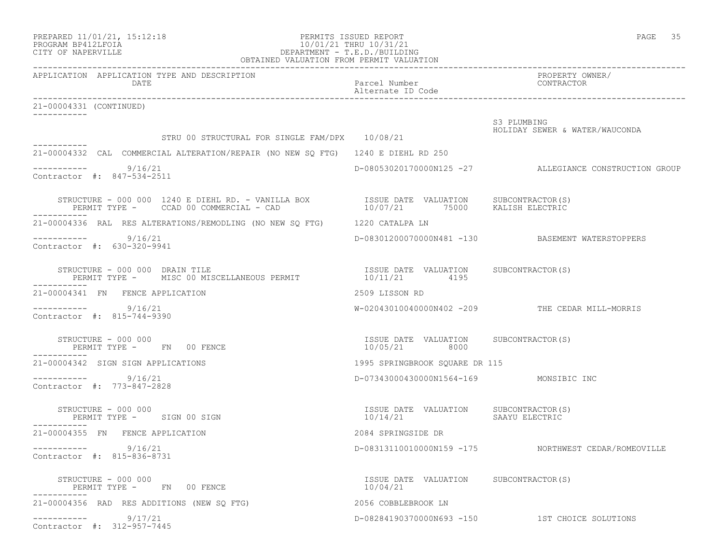| PREPARED 11/01/21, 15:12:18 | PERMITS ISSUED REPORT   | PAGE |  |
|-----------------------------|-------------------------|------|--|
| PROGRAM RP412LFOTA          | 10/01/21 THRII 10/31/21 |      |  |

# PROGRAM BP412LFOIA 10/01/21 THRU 10/31/21 CITY OF NAPERVILLE CONTROLLER CITY OF NAPERVILLE

|                                                                                                  | OBTAINED VALUATION FROM PERMIT VALUATION                                                                                                                                   |                                                        |
|--------------------------------------------------------------------------------------------------|----------------------------------------------------------------------------------------------------------------------------------------------------------------------------|--------------------------------------------------------|
| APPLICATION APPLICATION TYPE AND DESCRIPTION<br><b>DATE</b>                                      | Parcel Number<br>Alternate ID Code                                                                                                                                         | PROPERTY OWNER/<br>CONTRACTOR                          |
| 21-00004331 (CONTINUED)                                                                          |                                                                                                                                                                            |                                                        |
|                                                                                                  | STRU 00 STRUCTURAL FOR SINGLE FAM/DPX 10/08/21                                                                                                                             | S3 PLUMBING<br>HOLIDAY SEWER & WATER/WAUCONDA          |
| ------------<br>21-00004332 CAL COMMERCIAL ALTERATION/REPAIR (NO NEW SO FTG) 1240 E DIEHL RD 250 |                                                                                                                                                                            |                                                        |
| $--------$ 9/16/21<br>Contractor #: 847-534-2511                                                 |                                                                                                                                                                            | D-08053020170000N125 -27 ALLEGIANCE CONSTRUCTION GROUP |
|                                                                                                  |                                                                                                                                                                            |                                                        |
| 21-00004336 RAL RES ALTERATIONS/REMODLING (NO NEW SQ FTG) 1220 CATALPA LN                        |                                                                                                                                                                            |                                                        |
| 9/16/21<br>Contractor #: 630-320-9941                                                            |                                                                                                                                                                            | D-08301200070000N481 -130 BASEMENT WATERSTOPPERS       |
| STRUCTURE - 000 000 DRAIN TILE                                                                   | ISSUE DATE VALUATION SUBCONTRACTOR(S)<br>TRUCTURE - 000 000 DRAIN TILE<br>PERMIT TYPE - MISC 00 MISCELLANEOUS PERMIT                               10/11/21           4195 |                                                        |
| 21-00004341 FN FENCE APPLICATION                                                                 | 2509 LISSON RD                                                                                                                                                             |                                                        |
| 9/16/21<br>Contractor #: 815-744-9390                                                            |                                                                                                                                                                            | $W-02043010040000N402 -209$ THE CEDAR MILL-MORRIS      |
| STRUCTURE - 000 000<br>PERMIT TYPE - FN 00 FENCE                                                 | ISSUE DATE VALUATION SUBCONTRACTOR(S)<br>10/05/21 8000                                                                                                                     |                                                        |
| 21-00004342 SIGN SIGN APPLICATIONS                                                               | 1995 SPRINGBROOK SOUARE DR 115                                                                                                                                             |                                                        |
| $--------- 9/16/21$<br>Contractor #: 773-847-2828                                                | D-07343000430000N1564-169 MONSIBIC INC                                                                                                                                     |                                                        |
| STRUCTURE - 000 000<br>PERMIT TYPE - SIGN 00 SIGN                                                | ISSUE DATE VALUATION SUBCONTRACTOR(S)<br>10/14/21 SAAYU ELECTRIC                                                                                                           |                                                        |
| 21-00004355 FN FENCE APPLICATION                                                                 | 2084 SPRINGSIDE DR                                                                                                                                                         |                                                        |
| $--------- 9/16/21$<br>Contractor #: 815-836-8731                                                |                                                                                                                                                                            | D-08313110010000N159 -175 NORTHWEST CEDAR/ROMEOVILLE   |
| STRUCTURE - 000 000<br>PERMIT TYPE - FN 00 FENCE                                                 | ISSUE DATE VALUATION SUBCONTRACTOR(S)<br>10/04/21                                                                                                                          |                                                        |
| 21-00004356 RAD RES ADDITIONS (NEW SO FTG)                                                       | 2056 COBBLEBROOK LN                                                                                                                                                        |                                                        |
| 9/17/21<br>Contractor #: 312-957-7445                                                            |                                                                                                                                                                            | D-08284190370000N693 -150 1ST CHOICE SOLUTIONS         |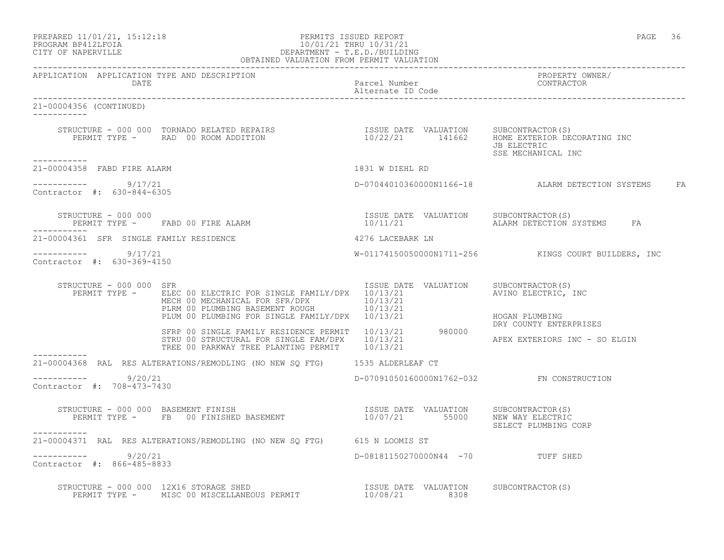| PREPARED 11/01/21, 15:12:18 |  |
|-----------------------------|--|
| PROGRAM BP412LFOIA          |  |

CITY OF NAPERVILLE

# PERMITS ISSUED REPORT AND REPORT THE REPORT OF PAGE 36 10/01/21 THRU 10/31/21<br>DEPARTMENT - T.E.D./BUILDING OBTAINED VALUATION FROM PERMIT VALUATION

------------------------------------------------------------------------------------------------------------------------------------ APPLICATION APPLICATION TYPE AND DESCRIPTION PROPERTY OWNER/ DATE Parcel Number Contractor of the Parcel Number Contractor of the Parcel Number Contractor of the Contractor of the Contractor of the Contractor of the Contractor of the Contractor of the Contractor of the Contractor of Alternate ID Code ------------------------------------------------------------------------------------------------------------------------------------ 21-00004356 (CONTINUED) ----------- STRUCTURE - 000 000 TORNADO RELATED REPAIRS ISSUE DATE VALUATION SUBCONTRACTOR(S) PERMIT TYPE - RAD 00 ROOM ADDITION 10/22/21 141662 HOME EXTERIOR DECORATING INC JB ELECTRIC SSE MECHANICAL INC ----------- 21-00004358 FABD FIRE ALARM 1831 W DIEHL RD  $--------- 9/17/21$ D-07044010360000N1166-18 ALARM DETECTION SYSTEMS FA Contractor #: 630-844-6305 STRUCTURE – 000 000<br>PERMIT TYPE – FABD 00 FIRE ALARM 10/11/21 ALARM DETECTION SYSTEMS FA PERMIT TYPE - FABD 00 FIRE ALARM ----------- 21-00004361 SFR SINGLE FAMILY RESIDENCE 4276 LACEBARK LN ----------- 9/17/21 W-01174150050000N1711-256 KINGS COURT BUILDERS, INC Contractor #: 630-369-4150 STRUCTURE - 000 000 SFR<br>PERMIT TYPE - ELEC 00 ELECTRIC FOR SINGLE FAMILY/DPX 10/13/21 21 AVINO ELECTRIC, INC PERMIT TYPE - ELEC 00 ELECTRIC FOR SINGLE FAMILY/DPX 10/13/21 MECH 00 MECHANICAL FOR SFR/DPX 10/13/21 PLRM 00 PLUMBING BASEMENT ROUGH 10/13/21 PLUM 00 PLUMBING FOR SINGLE FAMILY/DPX 10/13/21 HOGAN PLUMBING DRY COUNTY ENTERPRISES SFRP 00 SINGLE FAMILY RESIDENCE PERMIT 10/13/21 980000 STRU 00 STRUCTURAL FOR SINGLE FAM/DPX  $10/13/21$  APEX EXTERIORS INC - SO ELGIN TREE 00 PARKWAY TREE PLANTING PERMIT 10/13/21 ----------- 21-00004368 RAL RES ALTERATIONS/REMODLING (NO NEW SQ FTG) 1535 ALDERLEAF CT \_\_\_\_\_\_\_\_\_\_\_ ----------- 9/20/21 D-07091050160000N1762-032 FN CONSTRUCTION Contractor #: 708-473-7430 STRUCTURE - 000 000 BASEMENT FINISH ISSUE DATE VALUATION SUBCONTRACTOR(S) PERMIT TYPE - FB 00 FINISHED BASEMENT  $10/07/21$  55000 NEW WAY ELECTRIC SELECT PLUMBING CORP ----------- 21-00004371 RAL RES ALTERATIONS/REMODLING (NO NEW SQ FTG) 615 N LOOMIS ST \_\_\_\_\_\_\_\_\_\_\_ ----------- 9/20/21 D-08181150270000N44 -70 TUFF SHED Contractor #: 866-485-8833 STRUCTURE - 000 000 12X16 STORAGE SHED ISSUE DATE VALUATION SUBCONTRACTOR(S) PERMIT TYPE - MISC 00 MISCELLANEOUS PERMIT  $10/08/21$  8308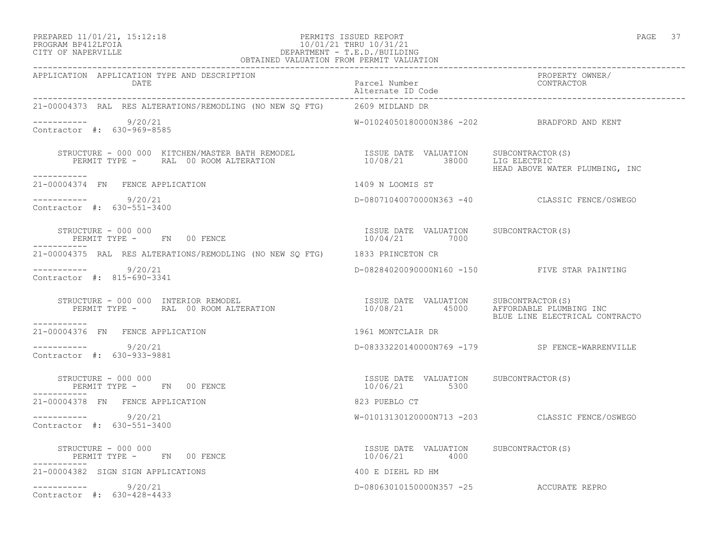## PREPARED 11/01/21, 15:12:18 PERMITS ISSUED REPORT PAGE 37 PROGRAM BP412LFOIA 10/01/21 THRU 10/31/21 CITY OF NAPERVILLE DEPARTMENT - T.E.D./BUILDING

| OBTAINED VALUATION FROM PERMIT VALUATION                                                                                                                                                                                                                                                             |                                                        |                                                |  |  |
|------------------------------------------------------------------------------------------------------------------------------------------------------------------------------------------------------------------------------------------------------------------------------------------------------|--------------------------------------------------------|------------------------------------------------|--|--|
| APPLICATION APPLICATION TYPE AND DESCRIPTION                                                                                                                                                                                                                                                         |                                                        | PROPERTY OWNER/<br>CONTRACTOR                  |  |  |
| 21-00004373 RAL RES ALTERATIONS/REMODLING (NO NEW SO FTG) 2609 MIDLAND DR                                                                                                                                                                                                                            |                                                        |                                                |  |  |
| $--------- 9/20/21$<br>Contractor #: 630-969-8585                                                                                                                                                                                                                                                    | W-01024050180000N386 -202 BRADFORD AND KENT            |                                                |  |  |
| $\begin{array}{cccc} \texttt{STRUCTURE} - 000 000 & \texttt{KITCHEN/MASTER BATH REMODEL} & \texttt{ISUE DATE} & \texttt{VALUATION} & \texttt{SUBCONTRACTOR(S)} \\ \texttt{PERMIT TYPE -} & \texttt{RAL} & 00 R OOM ALTERATION & 10/08/21 & 38000 & \texttt{LIG ELECTRIC} \end{array}$<br>___________ |                                                        | HEAD ABOVE WATER PLUMBING, INC                 |  |  |
| 21-00004374 FN FENCE APPLICATION                                                                                                                                                                                                                                                                     | 1409 N LOOMIS ST                                       |                                                |  |  |
| ----------- 9/20/21<br>Contractor #: 630-551-3400                                                                                                                                                                                                                                                    |                                                        | D-08071040070000N363 -40 CLASSIC FENCE/OSWEGO  |  |  |
| STRUCTURE - 000 000<br>PERMIT TYPE - FN 00 FENCE                                                                                                                                                                                                                                                     | ISSUE DATE VALUATION SUBCONTRACTOR(S)<br>10/04/21 7000 |                                                |  |  |
| 21-00004375 RAL RES ALTERATIONS/REMODLING (NO NEW SQ FTG) 1833 PRINCETON CR                                                                                                                                                                                                                          |                                                        |                                                |  |  |
| $--------- 9/20/21$<br>Contractor #: 815-690-3341                                                                                                                                                                                                                                                    |                                                        | D-08284020090000N160 -150 FIVE STAR PAINTING   |  |  |
| STRUCTURE - 000 000 INTERIOR REMODEL                                ISSUE DATE VALUATION     SUBCONTRACTOR(S)<br>PERMIT TYPE -      RAL 00 ROOM ALTERATION                        10/08/21       45000     AFFORDABLE PLUMBING IN<br>STRUCTURE - 000 000 INTERIOR REMODEL<br>-----------             |                                                        | BLUE LINE ELECTRICAL CONTRACTO                 |  |  |
| 21-00004376 FN FENCE APPLICATION                                                                                                                                                                                                                                                                     | 1961 MONTCLAIR DR                                      |                                                |  |  |
| $--------- 9/20/21$<br>Contractor #: 630-933-9881                                                                                                                                                                                                                                                    |                                                        | D-08333220140000N769 -179 SP FENCE-WARRENVILLE |  |  |
| STRUCTURE - 000 000<br>PERMIT TYPE - FN 00 FENCE                                                                                                                                                                                                                                                     | ISSUE DATE VALUATION SUBCONTRACTOR(S)<br>10/06/21 5300 |                                                |  |  |
| 21-00004378 FN FENCE APPLICATION                                                                                                                                                                                                                                                                     | 823 PUEBLO CT                                          |                                                |  |  |
| ----------- 9/20/21<br>Contractor #: 630-551-3400                                                                                                                                                                                                                                                    |                                                        | W-01013130120000N713 -203 CLASSIC FENCE/OSWEGO |  |  |
| N 00 FENCE<br>STRUCTURE - 000 000<br>PERMIT TYPE - FN 00 FENCE                                                                                                                                                                                                                                       | ISSUE DATE VALUATION SUBCONTRACTOR(S)<br>10/06/21 4000 |                                                |  |  |
| 21-00004382 SIGN SIGN APPLICATIONS                                                                                                                                                                                                                                                                   | 400 E DIEHL RD HM                                      |                                                |  |  |
| $--------- 9/20/21$<br>Contractor #: 630-428-4433                                                                                                                                                                                                                                                    | D-08063010150000N357 -25 ACCURATE REPRO                |                                                |  |  |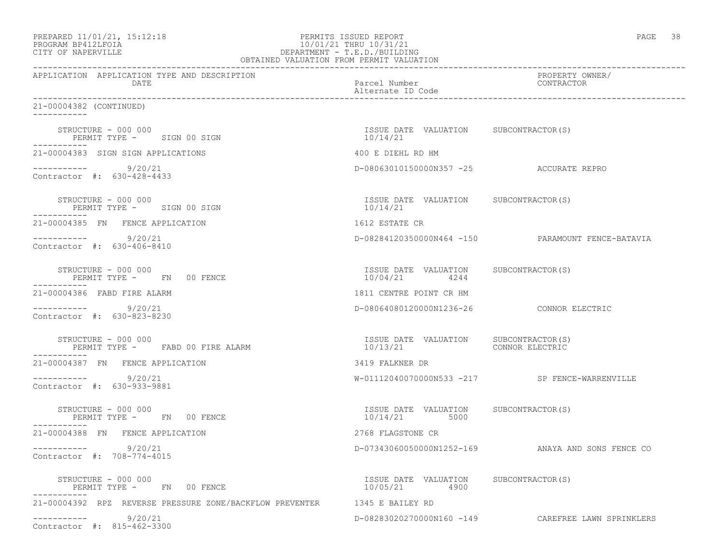| PREPARED 11/01/21, 15:12:18 |  |
|-----------------------------|--|
| DDACDAM BDA12T FATA         |  |

# PREPARED 11/01/21, 15:12:18 PERMITS ISSUED REPORT<br>PROGRAM BP412LFOIA PAGE 38 PERMITS ISSUED REPORT PAGE 38 PROGRAM BP412LFOIA 10/01/21 THRU 10/31/21 CITY OF NAPERVILLE (1999) 2012 10:00 DEPARTMENT - T.E.D./BUILDIN CITY OF NAPERVILLE DEPARTMENT - T.E.D./BUILDING

| OBTAINED VALUATION FROM PERMIT VALUATION                                  |                                                        |                                                    |  |  |
|---------------------------------------------------------------------------|--------------------------------------------------------|----------------------------------------------------|--|--|
| APPLICATION APPLICATION TYPE AND DESCRIPTION<br>DATE                      | Parcel Number<br>Alternate ID Code                     | PROPERTY OWNER/<br>CONTRACTOR                      |  |  |
| 21-00004382 (CONTINUED)<br>___________                                    |                                                        |                                                    |  |  |
| STRUCTURE - 000 000<br>PERMIT TYPE - SIGN 00 SIGN                         | ISSUE DATE VALUATION SUBCONTRACTOR(S)<br>10/14/21      |                                                    |  |  |
| 21-00004383 SIGN SIGN APPLICATIONS                                        | 400 E DIEHL RD HM                                      |                                                    |  |  |
| $--------- 9/20/21$<br>Contractor #: 630-428-4433                         | D-08063010150000N357 -25 ACCURATE REPRO                |                                                    |  |  |
| STRUCTURE – 000 000<br>PERMIT TYPE - SIGN 00 SIGN                         | ISSUE DATE VALUATION SUBCONTRACTOR(S)<br>10/14/21      |                                                    |  |  |
| 21-00004385 FN FENCE APPLICATION                                          | 1612 ESTATE CR                                         |                                                    |  |  |
| ___________<br>9/20/21<br>Contractor #: 630-406-8410                      |                                                        | D-08284120350000N464 -150 PARAMOUNT FENCE-BATAVIA  |  |  |
| STRUCTURE - 000 000<br>PERMIT TYPE - FN 00 FENCE                          | ISSUE DATE VALUATION SUBCONTRACTOR(S)<br>10/04/21 4244 |                                                    |  |  |
| 21-00004386 FABD FIRE ALARM                                               | 1811 CENTRE POINT CR HM                                |                                                    |  |  |
| 9/20/21<br>Contractor #: 630-823-8230                                     | D-08064080120000N1236-26 CONNOR ELECTRIC               |                                                    |  |  |
| STRUCTURE - 000 000<br>PERMIT TYPE - FABD 00 FIRE ALARM                   | ISSUE DATE VALUATION SUBCONTRACTOR(S)                  |                                                    |  |  |
| 21-00004387 FN FENCE APPLICATION                                          | 3419 FALKNER DR                                        |                                                    |  |  |
| ___________<br>9/20/21<br>Contractor #: 630-933-9881                      |                                                        | W-01112040070000N533 -217 SP FENCE-WARRENVILLE     |  |  |
| STRUCTURE - 000 000<br>PERMIT TYPE - FN 00 FENCE<br>-----------           | ISSUE DATE VALUATION SUBCONTRACTOR(S)<br>10/14/21 5000 |                                                    |  |  |
| 21-00004388 FN FENCE APPLICATION                                          | 2768 FLAGSTONE CR                                      |                                                    |  |  |
| $--------- 9/20/21$<br>Contractor #: 708-774-4015                         |                                                        | D-07343060050000N1252-169 ANAYA AND SONS FENCE CO  |  |  |
| STRUCTURE - 000 000<br>PERMIT TYPE - FN 00 FENCE                          | ISSUE DATE VALUATION SUBCONTRACTOR(S)<br>10/05/21 4900 |                                                    |  |  |
| 21-00004392 RPZ REVERSE PRESSURE ZONE/BACKFLOW PREVENTER 1345 E BAILEY RD |                                                        |                                                    |  |  |
| 9/20/21<br>Contractor #: 815-462-3300                                     |                                                        | D-08283020270000N160 -149 CAREFREE LAWN SPRINKLERS |  |  |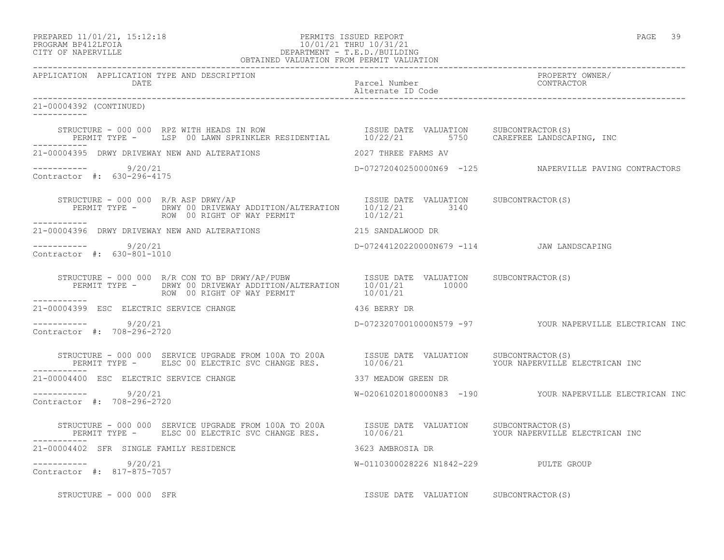## PREPARED 11/01/21, 15:12:18 PERMITS ISSUED REPORT PAGE 39 PROGRAM BP412LFOIA 10/01/21 THRU 10/31/21 CITY OF NAPERVILLE DEPARTMENT - T.E.D./BUILDING OBTAINED VALUATION FROM PERMIT VALUATION

------------------------------------------------------------------------------------------------------------------------------------

APPLICATION APPLICATION TYPE AND DESCRIPTION<br>DATE barel Number Parcel Number Parcel Solution CONTRACTOR DATE Parcel Number CONTRACTOR Alternate ID Code ------------------------------------------------------------------------------------------------------------------------------------ 21-00004392 (CONTINUED) ----------- STRUCTURE - 000 000 RPZ WITH HEADS IN ROW ISSUE DATE VALUATION SUBCONTRACTOR(S) PERMIT TYPE - LSP 00 LAWN SPRINKLER RESIDENTIAL 10/22/21 5750 CAREFREE LANDSCAPING, INC ----------- 21-00004395 DRWY DRIVEWAY NEW AND ALTERATIONS 2027 THREE FARMS AV ----------- 9/20/21 D-07272040250000N69 -125 NAPERVILLE PAVING CONTRACTORS Contractor #: 630-296-4175 STRUCTURE - 000 000 R/R ASP DRWY/AP **ISSUE DATE VALUATION** SUBCONTRACTOR(S) PERMIT TYPE - DRWY 00 DRIVEWAY ADDITION/ALTERATION 10/12/21 3140<br>ROW 00 RIGHT OF WAY PERMIT 10/12/21 ROW 00 RIGHT OF WAY PERMIT ----------- 21-00004396 DRWY DRIVEWAY NEW AND ALTERATIONS 215 SANDALWOOD DR ---------------------- 9/20/21 D-07244120220000N679 -114 JAW LANDSCAPING Contractor #: 630-801-1010 STRUCTURE - 000 000 R/R CON TO BP DRWY/AP/PUBW ISSUE DATE VALUATION SUBCONTRACTOR(S) PERMIT TYPE - DRWY 00 DRIVEWAY ADDITION/ALTERATION 10/01/21 10000<br>ROW 00 RIGHT OF WAY PERMIT 10/01/21 ROW 00 RIGHT OF WAY PERMIT ----------- 21-00004399 ESC ELECTRIC SERVICE CHANGE 436 BERRY DR  $--------- 9/20/21$ D-07232070010000N579 -97 YOUR NAPERVILLE ELECTRICAN INC Contractor #: 708-296-2720 STRUCTURE - 000 000 SERVICE UPGRADE FROM 100A TO 200A ISSUE DATE VALUATION SUBCONTRACTOR(S) PERMIT TYPE - ELSC 00 ELECTRIC SVC CHANGE RES.  $10/06/21$  YOUR NAPERVILLE ELECTRICAN INC ----------- 21-00004400 ESC ELECTRIC SERVICE CHANGE 337 MEADOW GREEN DR ----------- 9/20/21 W-02061020180000N83 -190 YOUR NAPERVILLE ELECTRICAN INC Contractor #: 708-296-2720 STRUCTURE - 000 000 SERVICE UPGRADE FROM 100A TO 200A ISSUE DATE VALUATION SUBCONTRACTOR(S) PERMIT TYPE - ELSC 00 ELECTRIC SVC CHANGE RES.  $10/06/21$  YOUR NAPERVILLE ELECTRICAN INC ----------- 21-00004402 SFR SINGLE FAMILY RESIDENCE 3623 AMBROSIA DR ----------- 9/20/21 W-0110300028226 N1842-229 PULTE GROUP Contractor #: 817-875-7057 STRUCTURE - 000 000 SFR ISSUE DATE VALUATION SUBCONTRACTOR(S)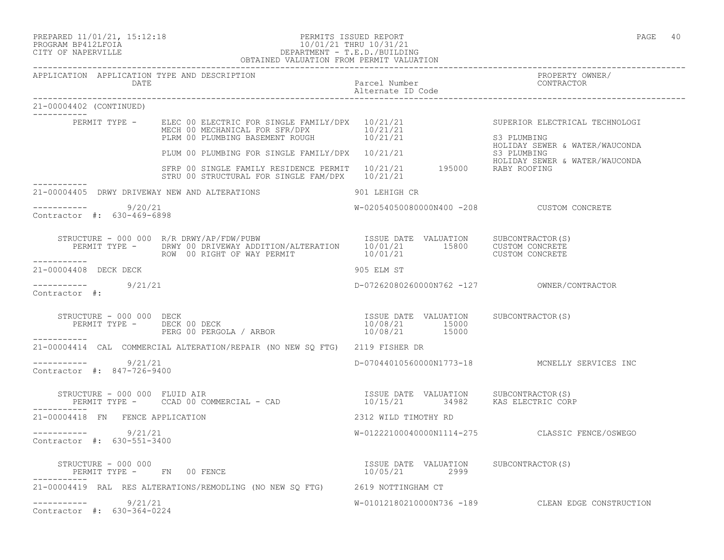PREPARED 11/01/21, 15:12:18 PERMITS ISSUED REPORT PAGE 40

## PROGRAM BP412LFOIA 10/01/21 THRU 10/31/21 CITY OF NAPERVILLE DEPARTMENT - T.E.D./BUILDING OBTAINED VALUATION FROM PERMIT VALUATION

| APPLICATION APPLICATION TYPE AND DESCRIPTION<br>DATE |                                                                                                                                                                                                                                                                                   |                                           |                                                   |
|------------------------------------------------------|-----------------------------------------------------------------------------------------------------------------------------------------------------------------------------------------------------------------------------------------------------------------------------------|-------------------------------------------|---------------------------------------------------|
| 21-00004402 (CONTINUED)                              |                                                                                                                                                                                                                                                                                   |                                           |                                                   |
|                                                      | PERMIT TYPE - ELEC 00 ELECTRIC FOR SINGLE FAMILY/DPX 10/21/21<br>MECH 00 MECHANICAL FOR SFR/DPX 10/21/21<br>PLRM 00 PLUMBING BASEMENT ROUGH 10/21/21                                                                                                                              |                                           | SUPERIOR ELECTRICAL TECHNOLOGI<br>S3 PLUMBING     |
|                                                      |                                                                                                                                                                                                                                                                                   |                                           | HOLIDAY SEWER & WATER/WAUCONDA                    |
|                                                      | PLUM 00 PLUMBING FOR SINGLE FAMILY/DPX 10/21/21 BLOW BOLIDAY SEWER & WATER/WAUCONDA<br>S3 PLUMBING BOLIDAY SEWER & WATER/WAUCONDA<br>SERP 00 SINGLE FAMILY RESIDENCE PERMIT 10/21/21 195000 RABY ROOFING<br>STRU 00 STRUCTURAL FOR SINGLE FAM/DPX 10/21/21                        |                                           |                                                   |
| 21-00004405 DRWY DRIVEWAY NEW AND ALTERATIONS        | 901 LEHIGH CR                                                                                                                                                                                                                                                                     |                                           |                                                   |
| $--------- 9/20/21$<br>Contractor #: 630-469-6898    |                                                                                                                                                                                                                                                                                   | W-02054050080000N400 -208 CUSTOM CONCRETE |                                                   |
|                                                      |                                                                                                                                                                                                                                                                                   |                                           |                                                   |
| ------------<br>21-00004408 DECK DECK                |                                                                                                                                                                                                                                                                                   | 905 ELM ST                                |                                                   |
| $--------$ 9/21/21<br>Contractor #:                  |                                                                                                                                                                                                                                                                                   |                                           |                                                   |
|                                                      | $\begin{array}{cccccccc} \texttt{STRUCTURE} & - & 000 & 000 & \texttt{DECK} & & & & & \\ \texttt{PERMIT TYPE} & - & & \texttt{DECK} & 00 & \texttt{DECK} & & & & \\ \texttt{PERMIT TYPE} & - & & \texttt{DECK} & 00 & \texttt{DERGOLA} & / \texttt{ARBOR} & & & & \\ \end{array}$ |                                           |                                                   |
|                                                      | 21-00004414 CAL COMMERCIAL ALTERATION/REPAIR (NO NEW SQ FTG) 2119 FISHER DR                                                                                                                                                                                                       |                                           |                                                   |
| $--------- 9/21/21$<br>Contractor #: 847-726-9400    |                                                                                                                                                                                                                                                                                   |                                           | D-07044010560000N1773-18 MCNELLY SERVICES INC     |
|                                                      | STRUCTURE - 000 000 FLUID AIR<br>PERMIT TYPE -    CCAD 00 COMMERCIAL - CAD                             10/15/21         34982    KAS ELECTRIC CORP                                                                                                                                |                                           |                                                   |
| 21-00004418 FN FENCE APPLICATION                     |                                                                                                                                                                                                                                                                                   | 2312 WILD TIMOTHY RD                      |                                                   |
| $--------$ 9/21/21<br>Contractor #: 630-551-3400     |                                                                                                                                                                                                                                                                                   |                                           | W-01222100040000N1114-275 CLASSIC FENCE/OSWEGO    |
| STRUCTURE - 000 000<br>PERMIT TYPE - FN 00 FENCE     |                                                                                                                                                                                                                                                                                   | ISSUE DATE VALUATION SUBCONTRACTOR(S)     |                                                   |
|                                                      | 21-00004419 RAL RES ALTERATIONS/REMODLING (NO NEW SQ FTG) 2619 NOTTINGHAM CT                                                                                                                                                                                                      |                                           |                                                   |
| $--------- 9/21/21$<br>Contractor #: 630-364-0224    |                                                                                                                                                                                                                                                                                   |                                           | W-01012180210000N736 -189 CLEAN EDGE CONSTRUCTION |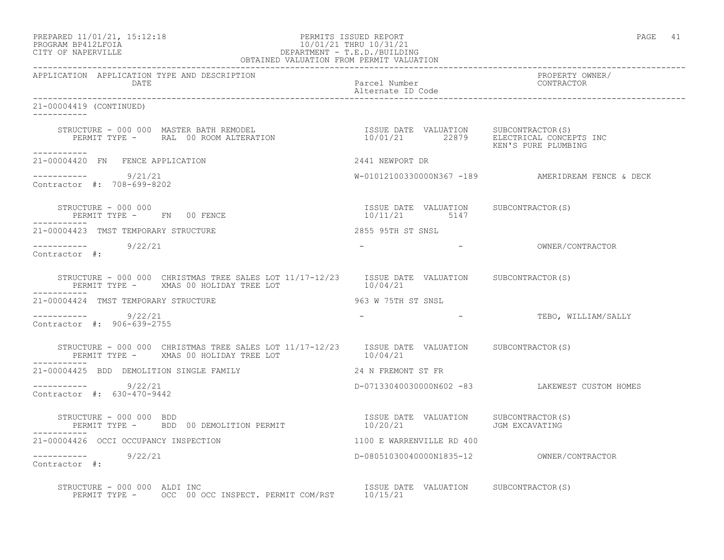PREPARED 11/01/21, 15:12:18 PERMITS ISSUED REPORT PAGE 41

# PROGRAM BP412LFOIA 10/01/21 THRU 10/31/21 CITY OF NAPERVILLE DEPARTMENT - T.E.D./BUILDING OBTAINED VALUATION FROM PERMIT VALUATION

------------------------------------------------------------------------------------------------------------------------------------ APPLICATION APPLICATION TYPE AND DESCRIPTION PROPERTY OWNER/ Parcel Number Alternate ID Code ------------------------------------------------------------------------------------------------------------------------------------ 21-00004419 (CONTINUED) ----------- STRUCTURE - 000 000 MASTER BATH REMODEL ISSUE DATE VALUATION SUBCONTRACTOR(S) PERMIT TYPE - RAL 00 ROOM ALTERATION 10/01/21 22879 ELECTRICAL CONCEPTS INC KEN'S PURE PLUMBING ----------- 21-00004420 FN FENCE APPLICATION 2441 NEWPORT DR  $--------- 9/21/21$ W-01012100330000N367 -189 AMERIDREAM FENCE & DECK Contractor #: 708-699-8202 STRUCTURE - 000 000 ISSUE DATE VALUATION SUBCONTRACTOR(S) PERMIT TYPE - FN 00 FENCE ----------- 21-00004423 TMST TEMPORARY STRUCTURE 2855 95TH ST SNSL ----------- 9/22/21 - - OWNER/CONTRACTOR Contractor #: STRUCTURE - 000 000 CHRISTMAS TREE SALES LOT 11/17-12/23 ISSUE DATE VALUATION SUBCONTRACTOR(S)<br>PERMIT TYPE - XMAS 00 HOLIDAY TREE LOT 10/04/21 PERMIT TYPE - XMAS 00 HOLIDAY TREE LOT ----------- 21-00004424 TMST TEMPORARY STRUCTURE 963 W 75TH ST SNSL ------------ 9/22/21 922/21 - - - - TEBO, WILLIAM/SALLY Contractor #: 906-639-2755 STRUCTURE - 000 000 CHRISTMAS TREE SALES LOT 11/17-12/23 ISSUE DATE VALUATION SUBCONTRACTOR(S)<br>PERMIT TYPE - XMAS 00 HOLIDAY TREE LOT 10/04/21 PERMIT TYPE - XMAS 00 HOLIDAY TREE LOT ----------- 21-00004425 BDD DEMOLITION SINGLE FAMILY 24 N FREMONT ST FR ----------- 9/22/21 D-07133040030000N602 -83 LAKEWEST CUSTOM HOMES Contractor #: 630-470-9442 STRUCTURE - 000 000 BDD<br>PERMIT TYPE - BDD 00 DEMOLITION PERMIT 10/20/21 JGM EXCAVATING PERMIT TYPE - BDD 00 DEMOLITION PERMIT 21-00004426 OCCI OCCUPANCY INSPECTION 1100 E WARRENVILLE RD 400 ----------- 9/22/21 D-08051030040000N1835-12 OWNER/CONTRACTOR Contractor #: STRUCTURE - 000 000 ALDI INC ISSUE DATE VALUATION SUBCONTRACTOR(S) PERMIT TYPE - OCC 00 OCC INSPECT. PERMIT COM/RST 10/15/21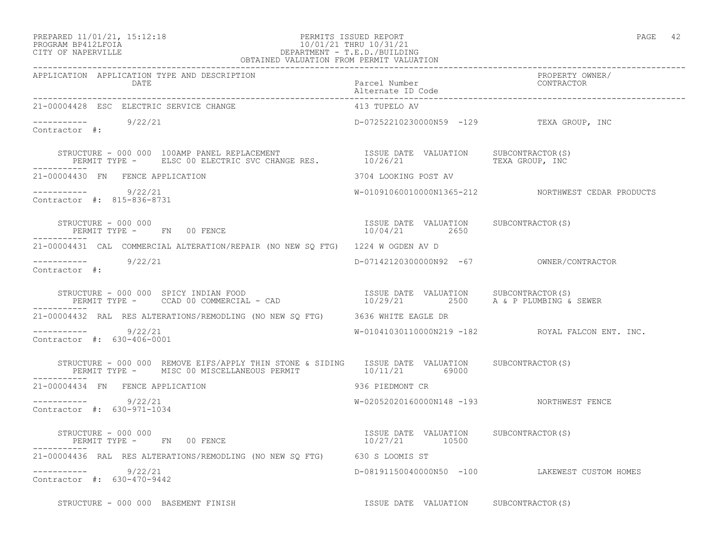## PREPARED 11/01/21, 15:12:18 PERMITS ISSUED REPORT PAGE 42 PROGRAM BP412LFOIA 10/01/21 THRU 10/31/21 CITY OF NAPERVILLE DEPARTMENT - T.E.D./BUILDING OBTAINED VALUATION FROM PERMIT VALUATION

| 21-00004428 ESC ELECTRIC SERVICE CHANGE                                                                                                                                                                                | 413 TUPELO AV                                           |                                                    |
|------------------------------------------------------------------------------------------------------------------------------------------------------------------------------------------------------------------------|---------------------------------------------------------|----------------------------------------------------|
| $\frac{1}{2}$ -----------<br>Contractor #: 9/22/21                                                                                                                                                                     | D-07252210230000N59 -129 TEXA GROUP, INC                |                                                    |
| STRUCTURE - 000 000 100AMP PANEL REPLACEMENT                   ISSUE DATE VALUATION   SUBCONTRACTOR(S)<br>PERMIT TYPE -   ELSC 00 ELECTRIC SVC CHANGE RES.         10/26/21             TEXA GROUP, INC<br>----------- |                                                         |                                                    |
| 21-00004430 FN FENCE APPLICATION                                                                                                                                                                                       | 3704 LOOKING POST AV                                    |                                                    |
| $--------- 9/22/21$<br>Contractor #: 815-836-8731                                                                                                                                                                      |                                                         | W-01091060010000N1365-212 NORTHWEST CEDAR PRODUCTS |
| STRUCTURE - 000 000<br>PERMIT TYPE - FN 00 FENCE                                                                                                                                                                       | ISSUE DATE VALUATION SUBCONTRACTOR(S)<br>10/04/21 2650  |                                                    |
| 21-00004431 CAL COMMERCIAL ALTERATION/REPAIR (NO NEW SQ FTG) 1224 W OGDEN AV D                                                                                                                                         |                                                         |                                                    |
| $--------- 9/22/21$<br>Contractor #:                                                                                                                                                                                   | D-07142120300000N92 -67 OWNER/CONTRACTOR                |                                                    |
| STRUCTURE - 000 000 SPICY INDIAN FOOD<br>PERMIT TYPE -    CCAD 00 COMMERCIAL - CAD                        10/29/21       2500     A & P PLUMBING & SEWER                                                               |                                                         |                                                    |
| 21-00004432 RAL RES ALTERATIONS/REMODLING (NO NEW SQ FTG) 3636 WHITE EAGLE DR                                                                                                                                          |                                                         |                                                    |
| $--------- 9/22/21$<br>Contractor #: 630-406-0001                                                                                                                                                                      |                                                         | W-01041030110000N219 -182 ROYAL FALCON ENT. INC.   |
| STRUCTURE - 000 000 REMOVE EIFS/APPLY THIN STONE & SIDING ISSUE DATE VALUATION SUBCONTRACTOR(S)<br>PERMIT TYPE - MISC 00 MISCELLANEOUS PERMIT 10/11/21 69000                                                           |                                                         |                                                    |
| 21-00004434 FN FENCE APPLICATION                                                                                                                                                                                       | 936 PIEDMONT CR                                         |                                                    |
| $--------- 9/22/21$<br>Contractor #: 630-971-1034                                                                                                                                                                      | W-02052020160000N148 -193 NORTHWEST FENCE               |                                                    |
| STRUCTURE - 000 000<br>PERMIT TYPE - FN 00 FENCE                                                                                                                                                                       | ISSUE DATE VALUATION SUBCONTRACTOR(S)<br>10/27/21 10500 |                                                    |
| 21-00004436 RAL RES ALTERATIONS/REMODLING (NO NEW SO FTG) 630 S LOOMIS ST                                                                                                                                              |                                                         |                                                    |
| $--------- 9/22/21$<br>Contractor #: 630-470-9442                                                                                                                                                                      |                                                         | D-08191150040000N50 -100 LAKEWEST CUSTOM HOMES     |
| STRUCTURE - 000 000 BASEMENT FINISH                                                                                                                                                                                    | ISSUE DATE VALUATION SUBCONTRACTOR(S)                   |                                                    |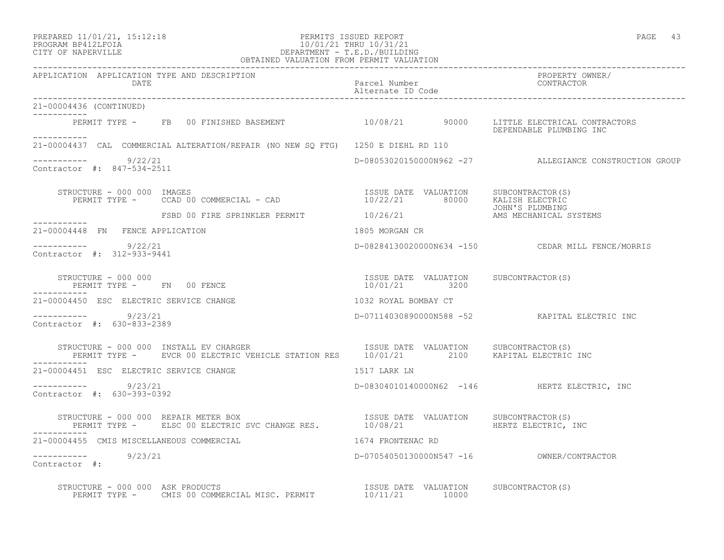## PREPARED 11/01/21, 15:12:18 PERMITS ISSUED REPORT PAGE 43 PROGRAM BP412LFOIA 10/01/21 THRU 10/31/21 CITY OF NAPERVILLE DEPARTMENT - T.E.D./BUILDING OBTAINED VALUATION FROM PERMIT VALUATION

------------------------------------------------------------------------------------------------------------------------------------ APPLICATION APPLICATION TYPE AND DESCRIPTION PROPERTY OWNER/ DATE Parcel Number CONTRACTOR Alternate ID Code ------------------------------------------------------------------------------------------------------------------------------------ 21-00004436 (CONTINUED) ----------- PERMIT TYPE - FB 00 FINISHED BASEMENT 10/08/21 90000 LITTLE ELECTRICAL CONTRACTORS DEPENDABLE PLUMBING INC ----------- 21-00004437 CAL COMMERCIAL ALTERATION/REPAIR (NO NEW SQ FTG) 1250 E DIEHL RD 110  $--------- 9/22/21$ D-08053020150000N962 -27 ALLEGIANCE CONSTRUCTION GROUP Contractor #: 847-534-2511 STRUCTURE - 000 000 IMAGES<br>PERMIT TYPE - CCAD 00 COMMERCIAL - CAD - 10/22/21 80000 KALISH ELECTRIC PERMIT TYPE - CCAD 00 COMMERCIAL - CAD JOHN'S PLUMBING FSBD 00 FIRE SPRINKLER PERMIT  $10/26/21$  AMS MECHANICAL SYSTEMS ----------- 21-00004448 FN FENCE APPLICATION 1805 MORGAN CR ----------- 9/22/21 D-08284130020000N634 -150 CEDAR MILL FENCE/MORRIS Contractor #: 312-933-9441 STRUCTURE - 000 000 ISSUE DATE VALUATION SUBCONTRACTOR(S) PERMIT TYPE - FN 00 FENCE ----------- 21-00004450 ESC ELECTRIC SERVICE CHANGE 1032 ROYAL BOMBAY CT ----------- 9/23/21 D-07114030890000N588 -52 KAPITAL ELECTRIC INC Contractor #: 630-833-2389 STRUCTURE - 000 000 INSTALL EV CHARGER **ISSUE DATE VALUATION** SUBCONTRACTOR(S) PERMIT TYPE - EVCR 00 ELECTRIC VEHICLE STATION RES 10/01/21 2100 KAPITAL ELECTRIC INC ----------- 21-00004451 ESC ELECTRIC SERVICE CHANGE 1517 LARK LN ----------- 9/23/21 D-08304010140000N62 -146 HERTZ ELECTRIC, INC Contractor #: 630-393-0392 STRUCTURE - 000 000 REPAIR METER BOX ISSUE DATE VALUATION SUBCONTRACTOR(S) PERMIT TYPE - ELSC 00 ELECTRIC SVC CHANGE RES. 10/08/21 HERTZ ELECTRIC, INC 21-00004455 CMIS MISCELLANEOUS COMMERCIAL 1674 FRONTENAC RD ----------- 9/23/21 D-07054050130000N547 -16 OWNER/CONTRACTOR Contractor #: STRUCTURE - 000 000 ASK PRODUCTS ISSUE DATE VALUATION SUBCONTRACTOR(S) PERMIT TYPE - CMIS 00 COMMERCIAL MISC. PERMIT  $10/11/21$  10000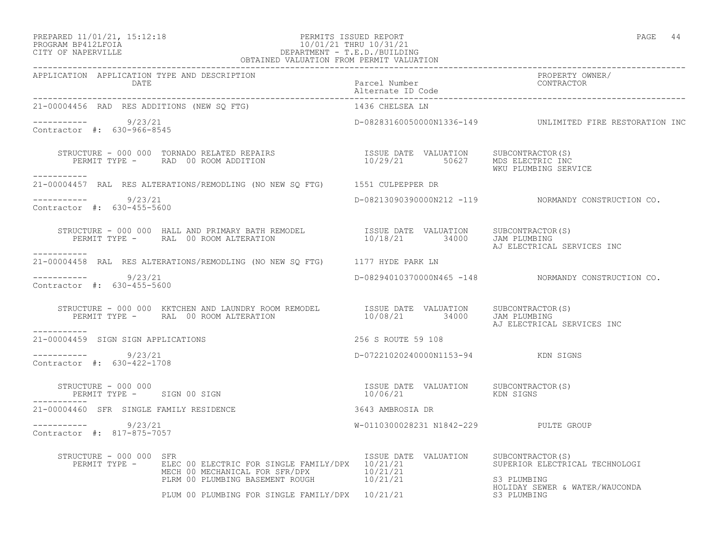## PREPARED 11/01/21, 15:12:18 PERMITS ISSUED REPORT PAGE 44 PROGRAM BP412LFOIA 10/01/21 THRU 10/31/21 CITY OF NAPERVILLE DEPARTMENT - T.E.D./BUILDING OBTAINED VALUATION FROM PERMIT VALUATION

| APPLICATION APPLICATION TYPE AND DESCRIPTION PATCH PATCH PATCH PATCH PATCH PATCH PATCH PATCH PATCH PATCH PATCH<br>Parcel Number Patch Patch Patch Patch Patch Patch Patch Patch Patch Patch Patch Patch Patch Patch Patch Patch                                                                                                                                 |                                                   |                                                                                                |
|-----------------------------------------------------------------------------------------------------------------------------------------------------------------------------------------------------------------------------------------------------------------------------------------------------------------------------------------------------------------|---------------------------------------------------|------------------------------------------------------------------------------------------------|
| 21-00004456 RAD RES ADDITIONS (NEW SO FTG)                                                                                                                                                                                                                                                                                                                      | 1436 CHELSEA LN                                   |                                                                                                |
| $--------- 9/23/21$<br>Contractor #: 630-966-8545                                                                                                                                                                                                                                                                                                               |                                                   | D-08283160050000N1336-149 UNLIMITED FIRE RESTORATION INC                                       |
| -----------                                                                                                                                                                                                                                                                                                                                                     |                                                   | WKU PLUMBING SERVICE                                                                           |
| 21-00004457 RAL RES ALTERATIONS/REMODLING (NO NEW SQ FTG) 1551 CULPEPPER DR                                                                                                                                                                                                                                                                                     |                                                   |                                                                                                |
| $--------- 9/23/21$<br>Contractor #: 630-455-5600                                                                                                                                                                                                                                                                                                               |                                                   | D-08213090390000N212 -119 NORMANDY CONSTRUCTION CO.                                            |
| STRUCTURE - 000 000 HALL AND PRIMARY BATH REMODEL              ISSUE DATE VALUATION    SUBCONTRACTOR(S)<br>PERMIT TYPE -      RAL  00 ROOM ALTERATION                         10/18/21        34000     JAM PLUMBING<br>-----------                                                                                                                             |                                                   | AJ ELECTRICAL SERVICES INC                                                                     |
| 21-00004458 RAL RES ALTERATIONS/REMODLING (NO NEW SQ FTG) 1177 HYDE PARK LN                                                                                                                                                                                                                                                                                     |                                                   |                                                                                                |
| $--------- 9/23/21$<br>Contractor #: 630-455-5600                                                                                                                                                                                                                                                                                                               |                                                   | D-08294010370000N465 -148 NORMANDY CONSTRUCTION CO.                                            |
| $\begin{array}{cccc} \texttt{STRUCTURE} & - & 000 & 000 & \texttt{KKTCHEN} \texttt{AND} \texttt{LAUNDRY} \texttt{ROM} \texttt{REMODEL} & \texttt{ISSUE} \texttt{DATE} & \texttt{VALUATION} & \texttt{SUBCONTRACTOR}(S) \\ \texttt{PERMIT TYPE} & - & \texttt{RAL} & 00 \texttt{ROM} \texttt{ALTERATION} & 10/08/21 & 34000 & \texttt{JAM PLUMBING} \end{array}$ |                                                   | AJ ELECTRICAL SERVICES INC                                                                     |
| 21-00004459 SIGN SIGN APPLICATIONS                                                                                                                                                                                                                                                                                                                              | 256 S ROUTE 59 108                                |                                                                                                |
| $--------- 9/23/21$<br>Contractor #: 630-422-1708                                                                                                                                                                                                                                                                                                               | D-07221020240000N1153-94 KDN SIGNS                |                                                                                                |
| STRUCTURE - 000 000<br>PERMIT TYPE - SIGN 00 SIGN                                                                                                                                                                                                                                                                                                               | ISSUE DATE VALUATION SUBCONTRACTOR(S)<br>10/06/21 | KDN SIGNS                                                                                      |
| ------------<br>21-00004460 SFR SINGLE FAMILY RESIDENCE                                                                                                                                                                                                                                                                                                         | 3643 AMBROSIA DR                                  |                                                                                                |
| $--------- 9/23/21$<br>Contractor #: 817-875-7057                                                                                                                                                                                                                                                                                                               | W-0110300028231 N1842-229 PULTE GROUP             |                                                                                                |
| STRUCTURE - 000 000 SFR<br>PERMIT TYPE - ELEC 00 ELECTRIC FOR SINGLE FAMILY/DPX 10/21/21<br>MECH 00 MECHANICAL FOR SFR/DPX<br>PLRM 00 PLUMBING BASEMENT ROUGH 10/21/21<br>PLUM 00 PLUMBING FOR SINGLE FAMILY/DPX 10/21/21                                                                                                                                       | ISSUE DATE VALUATION SUBCONTRACTOR(S)             | SUPERIOR ELECTRICAL TECHNOLOGI<br>S3 PLUMBING<br>HOLIDAY SEWER & WATER/WAUCONDA<br>S3 PLUMBING |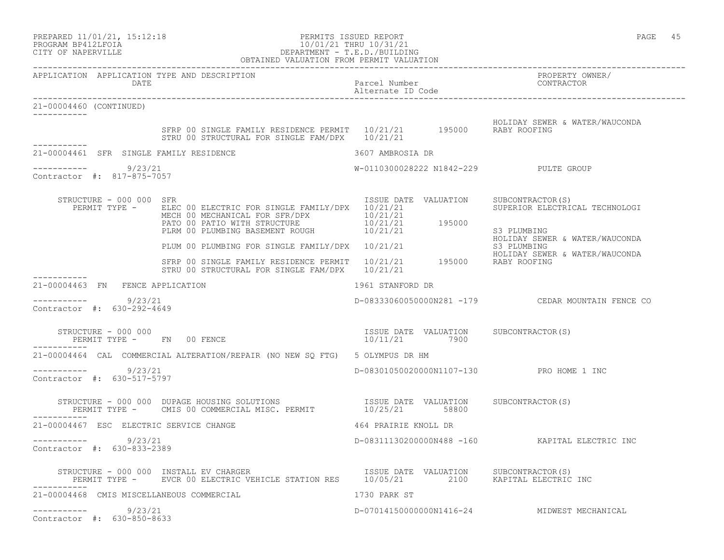| PREPARED 11/01/21, 15:12:18                               |  |  |
|-----------------------------------------------------------|--|--|
| $\bigcap \bigcap \bigcap \bigcap M$ מד $\bigcap$ ת היה מד |  |  |

## PREPARED 11/01/21, 15:12:18 PERMITS ISSUED REPORT<br>PROGRAM BP412LFOIA PAGE 45 PROGRAM BP412LFOIA 10/01/21 THRU 10/31/21<br>CITY OF NAPERVILLE DEPARTMENT - T.E.D./BUILDIN CITY OF NAPERVILLE DEPARTMENT - T.E.D./BUILDING

|                         |                                                     | OBTAINED VALUATION FROM PERMIT VALUATION                                                                                                                                                     |                                    |                                                                   |
|-------------------------|-----------------------------------------------------|----------------------------------------------------------------------------------------------------------------------------------------------------------------------------------------------|------------------------------------|-------------------------------------------------------------------|
|                         | DATE                                                | APPLICATION APPLICATION TYPE AND DESCRIPTION                                                                                                                                                 | Parcel Number<br>Alternate ID Code | PROPERTY OWNER/<br>CONTRACTOR                                     |
| 21-00004460 (CONTINUED) |                                                     |                                                                                                                                                                                              |                                    |                                                                   |
| -----------             |                                                     | SFRP 00 SINGLE FAMILY RESIDENCE PERMIT 10/21/21 195000 RABY ROOFING<br>STRU 00 STRUCTURAL FOR SINGLE FAM/DPX 10/21/21                                                                        |                                    | HOLIDAY SEWER & WATER/WAUCONDA                                    |
|                         |                                                     | 21-00004461 SFR SINGLE FAMILY RESIDENCE                                                                                                                                                      | 3607 AMBROSIA DR                   |                                                                   |
|                         | 9/23/21<br>Contractor #: 817-875-7057               |                                                                                                                                                                                              |                                    | W-0110300028222 N1842-229 PULTE GROUP                             |
|                         | STRUCTURE - 000 000 SFR<br>PERMIT TYPE -            | ELEC 00 ELECTRIC FOR SINGLE FAMILY/DPX 10/21/21<br>MECH 00 MECHANICAL FOR SFR/DPX 10/21/21<br>PLRM 00 PLUMBING BASEMENT ROUGH<br>PLRM 00 PLUMBING BASEMENT ROUGH<br>$10/21/21$<br>$10/21/21$ | ISSUE DATE VALUATION               | SUBCONTRACTOR(S)<br>SUPERIOR ELECTRICAL TECHNOLOGI<br>S3 PLUMBING |
|                         |                                                     | PLUM 00 PLUMBING FOR SINGLE FAMILY/DPX 10/21/21                                                                                                                                              |                                    | HOLIDAY SEWER & WATER/WAUCONDA<br>S3 PLUMBING                     |
|                         |                                                     | SFRP 00 SINGLE FAMILY RESIDENCE PERMIT 10/21/21 195000 RABY ROOFING<br>STRU 00 STRUCTURAL FOR SINGLE FAM/DPX 10/21/21                                                                        |                                    | HOLIDAY SEWER & WATER/WAUCONDA                                    |
|                         | 21-00004463 FN FENCE APPLICATION                    |                                                                                                                                                                                              | 1961 STANFORD DR                   |                                                                   |
|                         | ----------    9/23/21<br>Contractor #: 630-292-4649 |                                                                                                                                                                                              |                                    |                                                                   |
|                         | STRUCTURE - 000 000                                 | PERMIT TYPE - FN 00 FENCE                                                                                                                                                                    | 10/11/21 7900                      | ISSUE DATE VALUATION SUBCONTRACTOR(S)                             |
|                         |                                                     | 21-00004464 CAL COMMERCIAL ALTERATION/REPAIR (NO NEW SO FTG) 5 OLYMPUS DR HM                                                                                                                 |                                    |                                                                   |
|                         | 9/23/21<br>Contractor #: 630-517-5797               |                                                                                                                                                                                              |                                    | D-08301050020000N1107-130 PRO HOME 1 INC                          |
|                         |                                                     | STRUCTURE - 000 000 DUPAGE HOUSING SOLUTIONS<br>PERMIT TYPE - CMIS 00 COMMERCIAL MISC. PERMIT 10/25/21 58800 50800                                                                           |                                    |                                                                   |
|                         |                                                     | 21-00004467 ESC ELECTRIC SERVICE CHANGE                                                                                                                                                      | 464 PRAIRIE KNOLL DR               |                                                                   |
| -----------             | 9/23/21<br>Contractor #: 630-833-2389               |                                                                                                                                                                                              |                                    | D-08311130200000N488 -160 KAPITAL ELECTRIC INC                    |
|                         |                                                     | STRUCTURE - 000 000 INSTALL EV CHARGER<br>PERMIT TYPE -    EVCR 00 ELECTRIC VEHICLE STATION RES     10/05/21        2100    KAPITAL ELECTRIC INC<br>STRUCTURE - 000 000 INSTALL EV CHARGER   |                                    |                                                                   |
|                         |                                                     | 21-00004468 CMIS MISCELLANEOUS COMMERCIAL                                                                                                                                                    | 1730 PARK ST                       |                                                                   |
| -----------             | 9/23/21<br>Contractor #: 630-850-8633               |                                                                                                                                                                                              |                                    | D-070141500000000N1416-24 MIDWEST MECHANICAL                      |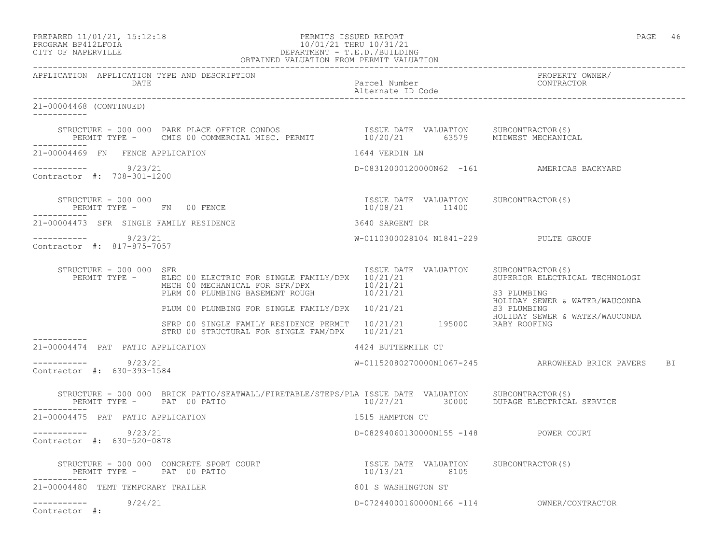### PREPARED 11/01/21, 15:12:18 PERMITS ISSUED REPORT PAGE 46 PROGRAM BP412LFOIA 10/01/21 THRU 10/31/21 CITY OF NAPERVILLE DEPARTMENT - T.E.D./BUILDING OBTAINED VALUATION FROM PERMIT VALUATION

------------------------------------------------------------------------------------------------------------------------------------

APPLICATION APPLICATION TYPE AND DESCRIPTION PROPERTY OWNER/ DATE PARTICLE IN PARTICLE IN THE PARTICLE IN THE PARTICLE IN THE PARTICLE IN THE PARTICLE IN THE PARTICLE IN THE PARTICLE IN THE PARTICLE IN THE PARTICLE IN THE PARTICLE IN THE PARTICLE IN THE PARTICLE IN THE PARTICLE IN T Alternate ID Code ------------------------------------------------------------------------------------------------------------------------------------ 21-00004468 (CONTINUED) ----------- STRUCTURE - 000 000 PARK PLACE OFFICE CONDOS ISSUE DATE VALUATION SUBCONTRACTOR(S) PERMIT TYPE - CMIS 00 COMMERCIAL MISC. PERMIT 10/20/21 63579 MIDWEST MECHANICAL ----------- 21-00004469 FN FENCE APPLICATION 1644 VERDIN LN ----------- 9/23/21 D-08312000120000N62 -161 AMERICAS BACKYARD Contractor #: 708-301-1200 STRUCTURE - 000 000 ISSUE DATE VALUATION SUBCONTRACTOR(S) PERMIT TYPE - FN 00 FENCE 10/08/21 11400 ----------- 21-00004473 SFR SINGLE FAMILY RESIDENCE 3640 SARGENT DR ----------- 9/23/21 W-0110300028104 N1841-229 PULTE GROUP Contractor #: 817-875-7057 STRUCTURE - 000 000 SFR<br>PERMIT TYPE - ELEC 00 ELECTRIC FOR SINGLE FAMILY/DPX 10/21/21<br>PERMIT TYPE - ELEC 00 ELECTRIC FOR SINGLE FAMILY/DPX 10/21/21 PERMIT TYPE - ELEC 00 ELECTRIC FOR SINGLE FAMILY/DPX 10/21/21 MECH 00 MECHANICAL FOR SFR/DPX 10/21/21 PLRM 00 PLUMBING BASEMENT ROUGH  $10/21/21$  S3 PLUMBING HOLIDAY SEWER & WATER/WAUCONDA PLUM 00 PLUMBING FOR SINGLE FAMILY/DPX 10/21/21 S3 PLUMBING HOLIDAY SEWER & WATER/WAUCONDA SFRP 00 SINGLE FAMILY RESIDENCE PERMIT  $10/21/21$  195000 RABY ROOFING STRU 00 STRUCTURAL FOR SINGLE FAM/DPX 10/21/21 ----------- 21-00004474 PAT PATIO APPLICATION 4424 BUTTERMILK CT  $--------- 9/23/21$ W-01152080270000N1067-245 ARROWHEAD BRICK PAVERS BI Contractor #: 630-393-1584 STRUCTURE - 000 000 BRICK PATIO/SEATWALL/FIRETABLE/STEPS/PLA ISSUE DATE VALUATION SUBCONTRACTOR(S) 10/27/21 30000 DUPAGE ELECTRICAL SERVICE ----------- 21-00004475 PAT PATIO APPLICATION 1515 HAMPTON CT ----------- 9/23/21 D-08294060130000N155 -148 POWER COURT Contractor #: 630-520-0878 STRUCTURE - 000 000 CONCRETE SPORT COURT ISSUE DATE VALUATION SUBCONTRACTOR(S) PERMIT TYPE - PAT 00 PATIO ----------- 21-00004480 TEMT TEMPORARY TRAILER 801 S WASHINGTON ST ----------- 9/24/21 D-07244000160000N166 -114 OWNER/CONTRACTOR

Contractor #: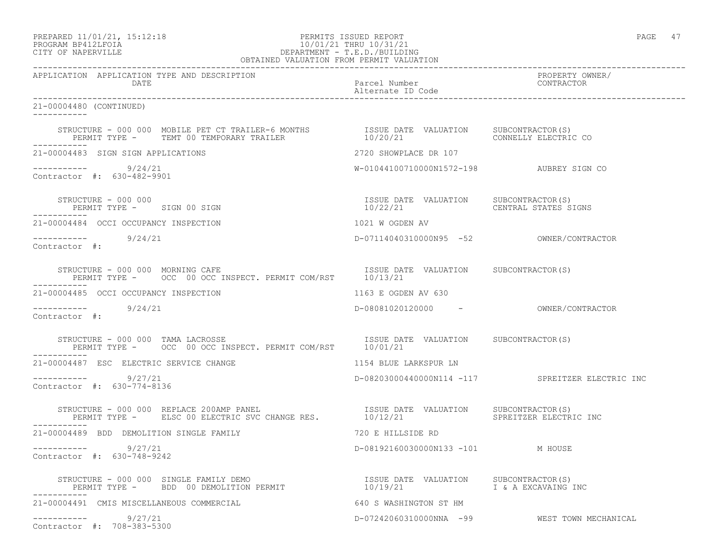PREPARED 11/01/21, 15:12:18 PERMITS ISSUED REPORT PAGE 47

## PROGRAM BP412LFOIA 10/01/21 THRU 10/31/21 CITY OF NAPERVILLE DEPARTMENT - T.E.D./BUILDING OBTAINED VALUATION FROM PERMIT VALUATION

| APPLICATION APPLICATION TYPE AND DESCRIPTION<br>DATE                                                                                                                                                      | Parcel Number<br>Alternate ID Code                                     | PROPERTY OWNER/<br>CONTRACTOR                    |
|-----------------------------------------------------------------------------------------------------------------------------------------------------------------------------------------------------------|------------------------------------------------------------------------|--------------------------------------------------|
| 21-00004480 (CONTINUED)<br>------------                                                                                                                                                                   |                                                                        |                                                  |
|                                                                                                                                                                                                           |                                                                        | CONNELLY ELECTRIC CO                             |
| 21-00004483 SIGN SIGN APPLICATIONS                                                                                                                                                                        | 2720 SHOWPLACE DR 107                                                  |                                                  |
| $--------- 9/24/21$<br>Contractor #: 630-482-9901                                                                                                                                                         | W-01044100710000N1572-198 AUBREY SIGN CO                               |                                                  |
| STRUCTURE - 000 000<br>PERMIT TYPE - SIGN 00 SIGN                                                                                                                                                         | ISSUE DATE VALUATION SUBCONTRACTOR(S)<br>10/22/21 CENTRAL STATES SIGNS |                                                  |
| 21-00004484 OCCI OCCUPANCY INSPECTION                                                                                                                                                                     | 1021 W OGDEN AV                                                        |                                                  |
| $--------- 9/24/21$<br>Contractor #:                                                                                                                                                                      |                                                                        |                                                  |
| STRUCTURE - 000 000 MORNING CAFE<br>PERMIT TYPE - OCC 00 OCC INSPECT. PERMIT COM/RST 10/13/21<br>STRUCTURE - 000 000 MORNING CAFE                                                                         |                                                                        |                                                  |
| 21-00004485 OCCI OCCUPANCY INSPECTION                                                                                                                                                                     | 1163 E OGDEN AV 630                                                    |                                                  |
| $--------- 9/24/21$<br>Contractor #:                                                                                                                                                                      | D-08081020120000 - OWNER/CONTRACTOR                                    |                                                  |
| ------------                                                                                                                                                                                              |                                                                        |                                                  |
| 21-00004487 ESC ELECTRIC SERVICE CHANGE                                                                                                                                                                   | 1154 BLUE LARKSPUR LN                                                  |                                                  |
| $--------- 9/27/21$<br>Contractor #: 630-774-8136                                                                                                                                                         |                                                                        | D-08203000440000N114 -117 SPREITZER ELECTRIC INC |
| STRUCTURE – 000 000 REPLACE 200AMP PANEL (S) TSSUE DATE VALUATION SUBCONTRACTOR<br>PERMIT TYPE – ELSC 00 ELECTRIC SVC CHANGE RES. (10/12/21 SPREITZER ELECTRI<br>STRUCTURE - 000 000 REPLACE 200AMP PANEL |                                                                        | SPREITZER ELECTRIC INC                           |
| 21-00004489 BDD DEMOLITION SINGLE FAMILY                                                                                                                                                                  | 720 E HILLSIDE RD                                                      |                                                  |
| $--------- 9/27/21$<br>Contractor #: 630-748-9242                                                                                                                                                         | D-08192160030000N133 -101 M HOUSE                                      |                                                  |
| STRUCTURE - 000 000 SINGLE FAMILY DEMO<br>PERMIT TYPE -   BDD 00 DEMOLITION PERMIT                       10/19/21             I & A EXCAVAING INC                                                         |                                                                        |                                                  |
| 21-00004491 CMIS MISCELLANEOUS COMMERCIAL                                                                                                                                                                 | 640 S WASHINGTON ST HM                                                 |                                                  |
| $--------- 9/27/21$<br>Contractor #: 708-383-5300                                                                                                                                                         |                                                                        | D-07242060310000NNA -99 WEST TOWN MECHANICAL     |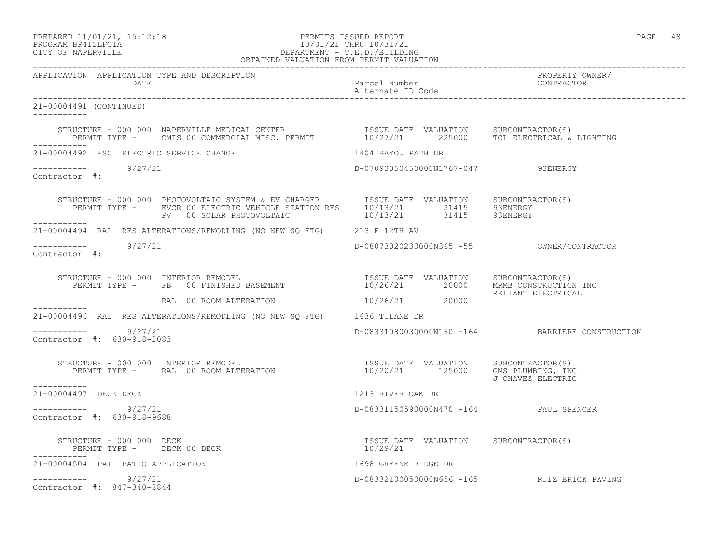PREPARED 11/01/21, 15:12:18 PERMITS ISSUED REPORT PAGE 48

## PROGRAM BP412LFOIA 10/01/21 THRU 10/31/21 CITY OF NAPERVILLE DEPARTMENT - T.E.D./BUILDING OBTAINED VALUATION FROM PERMIT VALUATION

------------------------------------------------------------------------------------------------------------------------------------ APPLICATION APPLICATION TYPE AND DESCRIPTION PROPERTY OWNER/ DATE Parcel Number Contractor of the Parcel Number Contractor of the Parcel Number Contractor of the Parcel Number Alternate ID Code ------------------------------------------------------------------------------------------------------------------------------------ 21-00004491 (CONTINUED) ----------- STRUCTURE - 000 000 NAPERVILLE MEDICAL CENTER ISSUE DATE VALUATION SUBCONTRACTOR(S) PERMIT TYPE - CMIS 00 COMMERCIAL MISC. PERMIT 10/27/21 225000 TCL ELECTRICAL & LIGHTING ----------- 21-00004492 ESC ELECTRIC SERVICE CHANGE 1404 BAYOU PATH DR ----------- 9/27/21 D-07093050450000N1767-047 93ENERGY Contractor #: STRUCTURE - 000 000 PHOTOVOLTAIC SYSTEM & EV CHARGER ISSUE DATE VALUATION SUBCONTRACTOR(S) PERMIT TYPE - EVCR 00 ELECTRIC VEHICLE STATION RES  $10/13/21$  31415 93ENERGY PV 00 SOLAR PHOTOVOLTAIC  $10/13/21$  31415 93ENERGY ----------- 21-00004494 RAL RES ALTERATIONS/REMODLING (NO NEW SQ FTG) 213 E 12TH AV ----------- 9/27/21 D-08073020230000N365 -55 OWNER/CONTRACTOR Contractor #: STRUCTURE - 000 000 INTERIOR REMODEL ISSUE DATE VALUATION SUBCONTRACTOR(S) PERMIT TYPE - FB 00 FINISHED BASEMENT 10/26/21 20000 MRMB CONSTRUCTION INC RELIANT ELECTRICAL RAL 00 ROOM ALTERATION 10/26/21 20000 ----------- 21-00004496 RAL RES ALTERATIONS/REMODLING (NO NEW SQ FTG) 1636 TULANE DR  $--------- 9/27/21$  $D-08331080030000N160 -164$  BARRIERE CONSTRUCTION Contractor #: 630-918-2083 STRUCTURE - 000 000 INTERIOR REMODEL ISSUE DATE VALUATION SUBCONTRACTOR(S) PERMIT TYPE - RAL 00 ROOM ALTERATION 10/20/21 125000 GMS PLUMBING, INC J CHAVEZ ELECTRIC ----------- 21-00004497 DECK DECK 1213 RIVER OAK DR \_\_\_\_\_\_\_\_\_\_\_ ----------- 9/27/21 D-08331150590000N470 -164 PAUL SPENCER Contractor #: 630-918-9688 STRUCTURE - 000 000 DECK ISSUE DATE VALUATION SUBCONTRACTOR(S) PERMIT TYPE - DECK 00 DECK ----------- 21-00004504 PAT PATIO APPLICATION 1698 GREENE RIDGE DR ----------- 9/27/21 D-08332100050000N656 -165 RUIZ BRICK PAVING Contractor #: 847-340-8844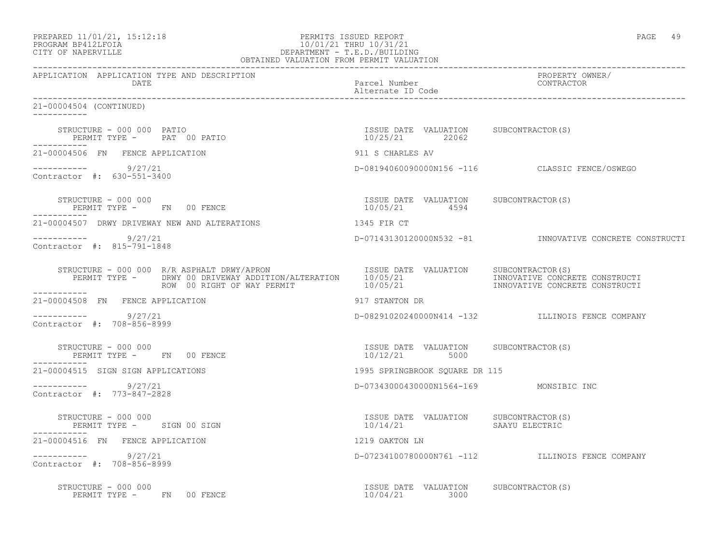| PREPARED 11/01/21, 15:12:18 |  |
|-----------------------------|--|
| PROGRAM RP412LFOIA          |  |

## PERMITS ISSUED REPORT AND REPORT THE REPORT OF PAGE 49 PROGRAM BP412LFOIA 10/01/21 THRU 10/31/21<br>CITY OF NAPERVILLE CITY OF NAPERVILLE DEPARTMENT - T.E.D./BUILDING OBTAINED VALUATION FROM PERMIT VALUATION

------------------------------------------------------------------------------------------------------------------------------------ APPLICATION APPLICATION TYPE AND DESCRIPTION PROPERTY OWNER/ Parcel Number Alternate ID Code ------------------------------------------------------------------------------------------------------------------------------------ 21-00004504 (CONTINUED) ----------- STRUCTURE - 000 000 PATIO ISSUE DATE VALUATION SUBCONTRACTOR(S) PERMIT TYPE - PAT 00 PATIO ----------- 21-00004506 FN FENCE APPLICATION 911 S CHARLES AV ----------- 9/27/21 D-08194060090000N156 -116 CLASSIC FENCE/OSWEGO Contractor #: 630-551-3400 STRUCTURE - 000 000 ISSUE DATE VALUATION SUBCONTRACTOR(S) PERMIT TYPE - FN 00 FENCE ----------- 21-00004507 DRWY DRIVEWAY NEW AND ALTERATIONS 1345 FIR CT ----------- 9/27/21 D-07143130120000N532 -81 INNOVATIVE CONCRETE CONSTRUCTI Contractor #: 815-791-1848 STRUCTURE - 000 000 R/R ASPHALT DRWY/APRON ISSUE DATE VALUATION SUBCONTRACTOR(S) PERMIT TYPE - DRWY 00 DRIVEWAY ADDITION/ALTERATION 10/05/21 INNOVATIVE CONCRETE CONSTRUCTI ROW 00 RIGHT OF WAY PERMIT  $10/05/21$  INNOVATIVE CONCRETE CONSTRUCTI 21-00004508 FN FENCE APPLICATION 917 STANTON DR  $--------- 9/27/21$ ----------- 9/27/21 D-08291020240000N414 -132 ILLINOIS FENCE COMPANY Contractor #: 708-856-8999 STRUCTURE - 000 000 ISSUE DATE VALUATION SUBCONTRACTOR(S) PERMIT TYPE - FN 00 FENCE ----------- 21-00004515 SIGN SIGN APPLICATIONS 1995 SPRINGBROOK SQUARE DR 115 ----------- 9/27/21 D-07343000430000N1564-169 MONSIBIC INC Contractor #: 773-847-2828 STRUCTURE - 000 000 ISSUE DATE VALUATION SUBCONTRACTOR(S) PERMIT TYPE - SIGN 00 SIGN 21-00004516 FN FENCE APPLICATION 1219 OAKTON LN ----------- 9/27/21 D-07234100780000N761 -112 ILLINOIS FENCE COMPANY Contractor #: 708-856-8999 STRUCTURE - 000 000 ISSUE DATE VALUATION SUBCONTRACTOR(S) PERMIT TYPE - FN 00 FENCE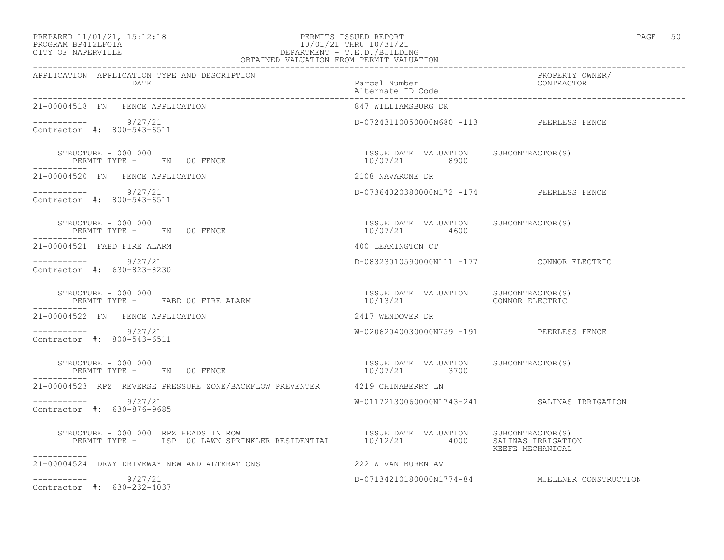# PREPARED 11/01/21, 15:12:18 PERMITS ISSUED REPORT PROGRAM BP412LFOIA PROGRAM BP412LFOIA 10/01/21 THRU 10/31/21 CITY OF NAPERVILLE DEPARTMENT - T.E.D./BUILDING

| . .<br>×.<br>۰. |  |
|-----------------|--|
|                 |  |

| OBTAINED VALUATION FROM PERMIT VALUATION                                                                                                                                                                                                                                                                                                                                                                  |                                           |                                                |  |
|-----------------------------------------------------------------------------------------------------------------------------------------------------------------------------------------------------------------------------------------------------------------------------------------------------------------------------------------------------------------------------------------------------------|-------------------------------------------|------------------------------------------------|--|
| APPLICATION APPLICATION TYPE AND DESCRIPTION<br><b>DATE</b>                                                                                                                                                                                                                                                                                                                                               | Parcel Number<br>Alternate ID Code        | PROPERTY OWNER/<br>CONTRACTOR                  |  |
| 21-00004518 FN FENCE APPLICATION                                                                                                                                                                                                                                                                                                                                                                          | 847 WILLIAMSBURG DR                       |                                                |  |
| ----------- 9/27/21<br>Contractor #: 800-543-6511                                                                                                                                                                                                                                                                                                                                                         | D-07243110050000N680 -113 PEERLESS FENCE  |                                                |  |
| $\begin{array}{cccc} \texttt{STRUCTURE} & - & 000 & 000 \\ \texttt{PERMIT TYPE} & - & \texttt{FN} & 00 & \texttt{FENCE} \\ \end{array} \qquad \begin{array}{cccc} \texttt{TSSUE} & \texttt{DATE} & \texttt{VALUATION} & \texttt{SUBCONTRACTOR(S)} \\ \texttt{10/07/21} & 8900 \\ \end{array}$                                                                                                             |                                           |                                                |  |
| 21-00004520 FN FENCE APPLICATION                                                                                                                                                                                                                                                                                                                                                                          | 2108 NAVARONE DR                          |                                                |  |
| ----------- 9/27/21<br>Contractor #: 800-543-6511                                                                                                                                                                                                                                                                                                                                                         | D-07364020380000N172 -174 PEERLESS FENCE  |                                                |  |
|                                                                                                                                                                                                                                                                                                                                                                                                           |                                           |                                                |  |
| 21-00004521 FABD FIRE ALARM                                                                                                                                                                                                                                                                                                                                                                               | 400 LEAMINGTON CT                         |                                                |  |
| $--------- 9/27/21$<br>Contractor #: 630-823-8230                                                                                                                                                                                                                                                                                                                                                         | D-08323010590000N111 -177 CONNOR ELECTRIC |                                                |  |
| $\begin{array}{cccccccccc} \texttt{STRUCTURE} & - & 000 & 000 & & & & & \\ \texttt{STRUCTURE} & - & \texttt{000} & 000 & & & & & \\ \texttt{STRUCTURE} & - & \texttt{000} & \texttt{000} & \texttt{000} & \texttt{000} & \texttt{000} & \texttt{000} & \texttt{000} & \texttt{000} & \texttt{000} & \texttt{000} & \texttt{000} & \texttt{000} & \texttt{000} & \texttt{000} & \texttt{000} & \texttt{00$ |                                           |                                                |  |
| 21-00004522 FN FENCE APPLICATION                                                                                                                                                                                                                                                                                                                                                                          | 2417 WENDOVER DR                          |                                                |  |
| ----------- 9/27/21<br>Contractor #: 800-543-6511                                                                                                                                                                                                                                                                                                                                                         | W-02062040030000N759 -191 PEERLESS FENCE  |                                                |  |
| $\begin{array}{cccccccccc} \texttt{STRUCTURE} & - & 000 & 000 & & & & & & \\ \texttt{PERMIT TYPE} & - & & \texttt{FN} & 00 & \texttt{FENCE} & & & & & & \\ \texttt{PERMIT TYPE} & - & & \texttt{FN} & 00 & \texttt{FENCE} & & & & & \\ \end{array}$                                                                                                                                                       |                                           |                                                |  |
| 21-00004523 RPZ REVERSE PRESSURE ZONE/BACKFLOW PREVENTER 4219 CHINABERRY LN                                                                                                                                                                                                                                                                                                                               |                                           |                                                |  |
| $--------$ 9/27/21<br>Contractor #: 630-876-9685                                                                                                                                                                                                                                                                                                                                                          |                                           | W-01172130060000N1743-241 SALINAS IRRIGATION   |  |
| STRUCTURE - 000 000 RPZ HEADS IN ROW STRUCTURE TO THE VALUATION SUBCONTRACTOR(S)<br>PERMIT TYPE - LSP 00 LAWN SPRINKLER RESIDENTIAL 10/12/21 4000 SALINAS IRRIGATION<br>-----------                                                                                                                                                                                                                       |                                           | KEEFE MECHANICAL                               |  |
| 21-00004524 DRWY DRIVEWAY NEW AND ALTERATIONS                                                                                                                                                                                                                                                                                                                                                             | 222 W VAN BUREN AV                        |                                                |  |
| $--------$ 9/27/21<br>Contractor #: 630-232-4037                                                                                                                                                                                                                                                                                                                                                          |                                           | D-07134210180000N1774-84 MUELLNER CONSTRUCTION |  |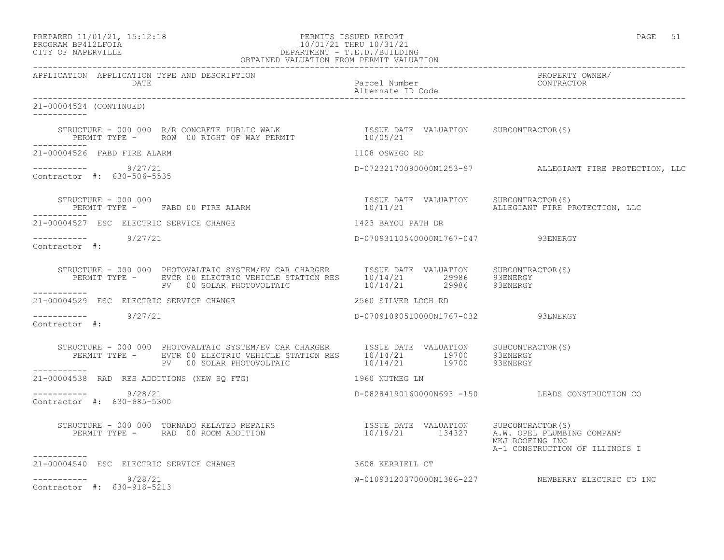# PREPARED 11/01/21, 15:12:18 PERMITS ISSUED REPORT PAGE 51 PROGRAM BP412LFOIA 10/01/21 THRU 10/31/21 CITY OF NAPERVILLE **DEPARTMENT - T.E.D./BUILDING**

| OBTAINED VALUATION FROM PERMIT VALUATION             |                                                                                                                                                                                                                                                                                                                                                                                            |                                    |                                                         |
|------------------------------------------------------|--------------------------------------------------------------------------------------------------------------------------------------------------------------------------------------------------------------------------------------------------------------------------------------------------------------------------------------------------------------------------------------------|------------------------------------|---------------------------------------------------------|
| APPLICATION APPLICATION TYPE AND DESCRIPTION<br>DATE |                                                                                                                                                                                                                                                                                                                                                                                            | Parcel Number<br>Alternate ID Code | PROPERTY OWNER/<br>CONTRACTOR                           |
| 21-00004524 (CONTINUED)<br>___________               |                                                                                                                                                                                                                                                                                                                                                                                            |                                    |                                                         |
|                                                      | STRUCTURE – 000 000 R/R CONCRETE PUBLIC WALK                     ISSUE DATE VALUATION     SUBCONTRACTOR(S)<br>PERMIT TYPE –     ROW  00 RIGHT OF WAY PERMIT                       10/05/21                                                                                                                                                                                                 |                                    |                                                         |
| 21-00004526 FABD FIRE ALARM                          |                                                                                                                                                                                                                                                                                                                                                                                            | 1108 OSWEGO RD                     |                                                         |
| ----------- 9/27/21<br>Contractor #: 630-506-5535    |                                                                                                                                                                                                                                                                                                                                                                                            |                                    | D-07232170090000N1253-97 ALLEGIANT FIRE PROTECTION, LLC |
|                                                      |                                                                                                                                                                                                                                                                                                                                                                                            |                                    | 10/11/21 ALLEGIANT FIRE PROTECTION, LLC                 |
| 21-00004527 ESC ELECTRIC SERVICE CHANGE              |                                                                                                                                                                                                                                                                                                                                                                                            | 1423 BAYOU PATH DR                 |                                                         |
| $--------- 9/27/21$<br>Contractor #:                 |                                                                                                                                                                                                                                                                                                                                                                                            | D-07093110540000N1767-047 93ENERGY |                                                         |
|                                                      | $\begin{array}{cccc} \texttt{STRUCTURE} & - & 000 & 000 & \texttt{PHOTOVALTAIC} \texttt{ SYSTEM/EV CAR CHARGE} & \texttt{ISSUE DATE} & \texttt{VALUATION} & \texttt{SUBCONTRACTOR(S)} \\ \texttt{PERMIT TYPE} & - & \texttt{EVCR 00 ELECTRIC VEHICLE STATION} & 10/14/21 & 29986 & 93ENERGY \\ \texttt{PV} & 00 \texttt{ SOLAR PHOTOVOLTAIC} & 10/14/21 & 29986 & 93ENERGY \\ \end{array}$ |                                    |                                                         |
| 21-00004529 ESC ELECTRIC SERVICE CHANGE              |                                                                                                                                                                                                                                                                                                                                                                                            | 2560 SILVER LOCH RD                |                                                         |
| $--------- 9/27/21$<br>Contractor #:                 |                                                                                                                                                                                                                                                                                                                                                                                            | D-07091090510000N1767-032 93ENERGY |                                                         |
|                                                      | STRUCTURE - 000 000 PHOTOVALTAIC SYSTEM/EV CAR CHARGER ISSUE DATE VALUATION SUBCONTRACTOR(S)<br>PERMIT TYPE - EVCR 00 ELECTRIC VEHICLE STATION RES 10/14/21 19700 93ENERGY<br>PV 00 SOLAR PHOTOVOLTAIC 10/14/21 19700 93ENERGY                                                                                                                                                             |                                    |                                                         |
|                                                      | 21-00004538 RAD RES ADDITIONS (NEW SQ FTG) 1960 NUTMEG LN                                                                                                                                                                                                                                                                                                                                  |                                    |                                                         |
| $--------- 9/28/21$<br>Contractor #: 630-685-5300    |                                                                                                                                                                                                                                                                                                                                                                                            |                                    | D-08284190160000N693 -150 LEADS CONSTRUCTION CO         |
|                                                      | STRUCTURE - 000 000 TORNADO RELATED REPAIRS<br>PERMIT TYPE -     RAD 00 ROOM ADDITION                                 10/19/21      134327     A.W. OPEL PLUMBING COMPANY                                                                                                                                                                                                                  |                                    | MKJ ROOFING INC<br>A-1 CONSTRUCTION OF ILLINOIS I       |
| 21-00004540 ESC ELECTRIC SERVICE CHANGE              | 3608 KERRIELL CT                                                                                                                                                                                                                                                                                                                                                                           |                                    |                                                         |
| $--------- 9/28/21$<br>Contractor #: 630-918-5213    |                                                                                                                                                                                                                                                                                                                                                                                            |                                    | W-01093120370000N1386-227 NEWBERRY ELECTRIC CO INC      |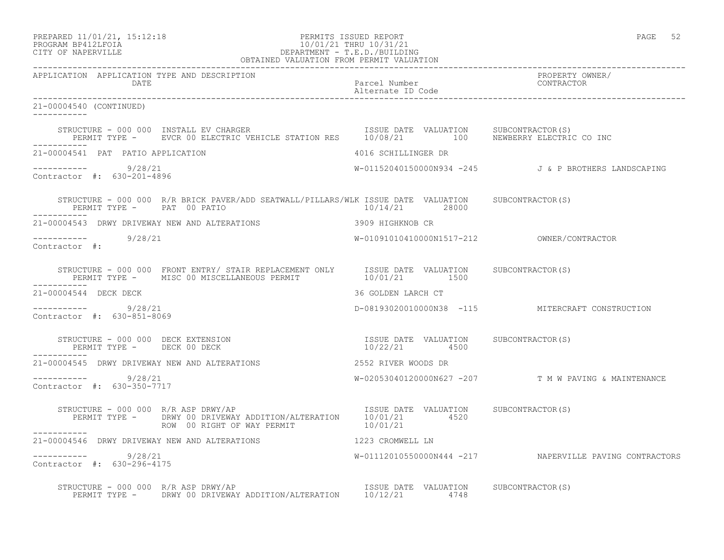PREPARED 11/01/21, 15:12:18 PERMITS ISSUED REPORT PAGE 52

# PROGRAM BP412LFOIA 10/01/21 THRU 10/31/21 CITY OF NAPERVILLE DEPARTMENT - T.E.D./BUILDING OBTAINED VALUATION FROM PERMIT VALUATION

------------------------------------------------------------------------------------------------------------------------------------ APPLICATION APPLICATION TYPE AND DESCRIPTION PROPERTY OWNER/ DATE CONTRACTOR CONTRACTOR DESCRIPTION OF PARTICULAR PARTICULAR POSTAGE IN CONTRACTOR CONTRACTOR ON A PARTICULAR CONTRACTOR OF CONTRACTOR CONTRACTOR OF CONTRACTOR OF CONTRACTOR CONTRACTOR CONTRACTOR OF CONTRACTOR OF CONTRA Alternate ID Code ------------------------------------------------------------------------------------------------------------------------------------ 21-00004540 (CONTINUED) ----------- STRUCTURE - 000 000 INSTALL EV CHARGER ISSUE DATE VALUATION SUBCONTRACTOR(S) PERMIT TYPE - EVCR 00 ELECTRIC VEHICLE STATION RES 10/08/21 100 NEWBERRY ELECTRIC CO INC ----------- 21-00004541 PAT PATIO APPLICATION 4016 SCHILLINGER DR ----------- 9/28/21 W-01152040150000N934 -245 J & P BROTHERS LANDSCAPING Contractor #: 630-201-4896 STRUCTURE - 000 000 R/R BRICK PAVER/ADD SEATWALL/PILLARS/WLK ISSUE DATE VALUATION SUBCONTRACTOR(S)<br>PERMIT TYPE - PAT 00 PATIO 10/14/21 28000 PERMIT TYPE - PAT 00 PATIO ----------- 21-00004543 DRWY DRIVEWAY NEW AND ALTERATIONS 3909 HIGHKNOB CR ----------- 9/28/21 W-01091010410000N1517-212 OWNER/CONTRACTOR Contractor #: STRUCTURE - 000 000 FRONT ENTRY/ STAIR REPLACEMENT ONLY ISSUE DATE VALUATION SUBCONTRACTOR(S) PERMIT TYPE - MISC 00 MISCELLANEOUS PERMIT  $10/01/21$  1500 21-00004544 DECK DECK 36 GOLDEN LARCH CT ----------- 9/28/21 D-08193020010000N38 -115 MITERCRAFT CONSTRUCTION Contractor #: 630-851-8069 ISSUE DATE VALUATION SUBCONTRACTOR(S)<br>10/22/21 4500 STRUCTURE - 000 000 DECK EXTENSION<br>PERMIT TYPE - DECK 00 DECK ----------- 21-00004545 DRWY DRIVEWAY NEW AND ALTERATIONS 2552 RIVER WOODS DR ----------- 9/28/21 W-02053040120000N627 -207 T M W PAVING & MAINTENANCE Contractor #: 630-350-7717 STRUCTURE - 000 000 R/R ASP DRWY/AP **ISSUE DATE VALUATION** SUBCONTRACTOR(S) PERMIT TYPE - DRWY 00 DRIVEWAY ADDITION/ALTERATION  $10/01/21$  4520<br>ROW 00 RIGHT OF WAY PERMIT 10/01/21 ROW 00 RIGHT OF WAY PERMIT ----------- 21-00004546 DRWY DRIVEWAY NEW AND ALTERATIONS 1223 CROMWELL LN \_\_\_\_\_\_\_\_\_\_\_ ----------- 9/28/21 W-01112010550000N444 -217 NAPERVILLE PAVING CONTRACTORS Contractor #: 630-296-4175 STRUCTURE - 000 000 R/R ASP DRWY/AP **ISSUE DATE VALUATION** SUBCONTRACTOR(S) PERMIT TYPE - DRWY 00 DRIVEWAY ADDITION/ALTERATION 10/12/21 4748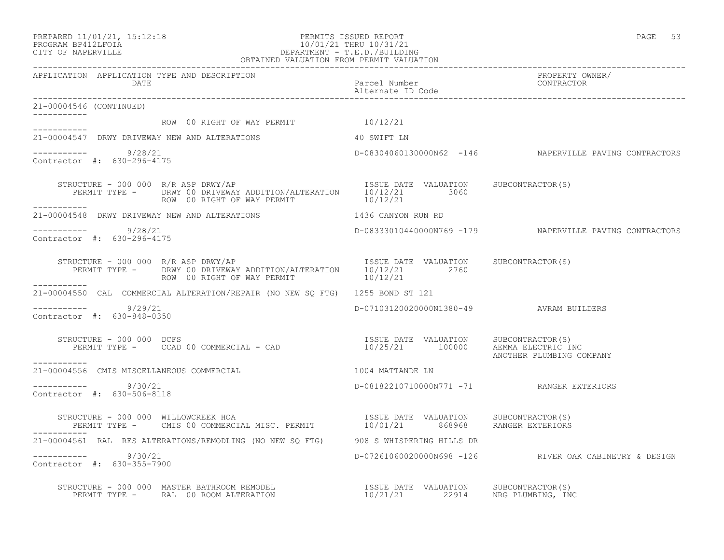PREPARED 11/01/21, 15:12:18 PERMITS ISSUED REPORT PAGE 53

## PROGRAM BP412LFOIA 10/01/21 THRU 10/31/21 CITY OF NAPERVILLE DEPARTMENT - T.E.D./BUILDING OBTAINED VALUATION FROM PERMIT VALUATION

| APPLICATION APPLICATION TYPE AND DESCRIPTION<br>DATE                                                                                                          |                                                                           | PROPERTY OWNER/                                         |
|---------------------------------------------------------------------------------------------------------------------------------------------------------------|---------------------------------------------------------------------------|---------------------------------------------------------|
| 21-00004546 (CONTINUED)                                                                                                                                       |                                                                           |                                                         |
| ROW 00 RIGHT OF WAY PERMIT $10/12/21$                                                                                                                         |                                                                           |                                                         |
| ___________<br>21-00004547 DRWY DRIVEWAY NEW AND ALTERATIONS 40 SWIFT LN                                                                                      |                                                                           |                                                         |
| $--------- 9/28/21$<br>Contractor #: 630-296-4175                                                                                                             |                                                                           | D-08304060130000N62 -146 NAPERVILLE PAVING CONTRACTORS  |
| STRUCTURE - 000 000 R/R ASP DRWY/AP<br>PERMIT TYPE - DRWY 00 DRIVEWAY ADDITION/ALTERATION 10/12/21 3060<br>ROW 00 RIGHT OF WAY PERMIT 10/12/21<br>----------- |                                                                           |                                                         |
| 21-00004548 DRWY DRIVEWAY NEW AND ALTERATIONS 1436 CANYON RUN RD                                                                                              |                                                                           |                                                         |
| $--------- 9/28/21$<br>Contractor #: 630-296-4175                                                                                                             |                                                                           | D-08333010440000N769 -179 NAPERVILLE PAVING CONTRACTORS |
| STRUCTURE - 000 000 R/R ASP DRWY/AP<br>PERMIT TYPE - DRWY 00 DRIVEWAY ADDITION/ALTERATION 10/12/21 2760<br>ROW 00 RIGHT OF WAY PERMIT 10/12/21                |                                                                           |                                                         |
| ___________<br>21-00004550 CAL COMMERCIAL ALTERATION/REPAIR (NO NEW SO FTG) 1255 BOND ST 121                                                                  |                                                                           |                                                         |
| ----------- 9/29/21<br>Contractor #: 630-848-0350                                                                                                             | D-07103120020000N1380-49 AVRAM BUILDERS                                   |                                                         |
| STRUCTURE - 000 000 DCFS<br>RUCTURE – 000 000 DCFS<br>PERMIT TYPE – CCAD 00 COMMERCIAL – CAD                       10/25/21     100000    AEMMA ELECTRIC INC  |                                                                           | ANOTHER PLUMBING COMPANY                                |
| 21-00004556 CMIS MISCELLANEOUS COMMERCIAL                                                                                                                     | 1004 MATTANDE LN                                                          |                                                         |
| $--------- 9/30/21$<br>Contractor #: 630-506-8118                                                                                                             | D-08182210710000N771 -71 RANGER EXTERIORS                                 |                                                         |
|                                                                                                                                                               |                                                                           |                                                         |
| 21-00004561 RAL RES ALTERATIONS/REMODLING (NO NEW SO FTG) 908 S WHISPERING HILLS DR                                                                           |                                                                           |                                                         |
| $--------- 9/30/21$<br>Contractor #: 630-355-7900                                                                                                             |                                                                           | D-07261060020000N698 -126 RIVER OAK CABINETRY & DESIGN  |
| STRUCTURE - 000 000 MASTER BATHROOM REMODEL<br>PERMIT TYPE - RAL 00 ROOM ALTERATION                                                                           | ISSUE DATE VALUATION SUBCONTRACTOR(S)<br>10/21/21 22914 NRG PLUMBING, INC |                                                         |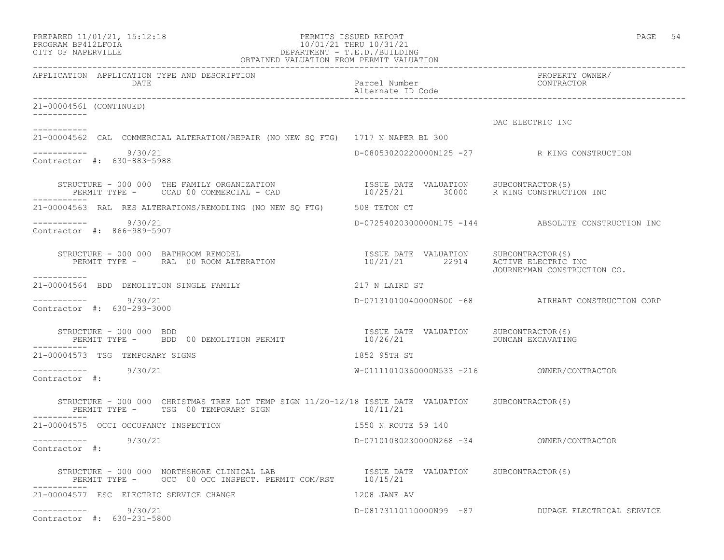| PREPARED 11/01/21, 15:12:18 |  |
|-----------------------------|--|
| PROGRAM BP412LFOIA          |  |

# PERMITS ISSUED REPORT **PAGE 54** PROGRAM BP412LFOIA 10/01/21 THRU 10/31/21<br>CITY OF NAPERVILLE DEPARTMENT - T.E.D./BUILDIN CITY OF NAPERVILLE DEPARTMENT - T.E.D./BUILDING

| OBTAINED VALUATION FROM PERMIT VALUATION                                                                                                                                                                                                                                                                                                                                                               |                                    |                                                     |
|--------------------------------------------------------------------------------------------------------------------------------------------------------------------------------------------------------------------------------------------------------------------------------------------------------------------------------------------------------------------------------------------------------|------------------------------------|-----------------------------------------------------|
| APPLICATION APPLICATION TYPE AND DESCRIPTION<br>DATE                                                                                                                                                                                                                                                                                                                                                   | Parcel Number<br>Alternate ID Code | PROPERTY OWNER/<br>CONTRACTOR                       |
| 21-00004561 (CONTINUED)                                                                                                                                                                                                                                                                                                                                                                                |                                    |                                                     |
|                                                                                                                                                                                                                                                                                                                                                                                                        |                                    | DAC ELECTRIC INC                                    |
| 21-00004562 CAL COMMERCIAL ALTERATION/REPAIR (NO NEW SO FTG) 1717 N NAPER BL 300                                                                                                                                                                                                                                                                                                                       |                                    |                                                     |
| ----------- 9/30/21<br>Contractor #: 630-883-5988                                                                                                                                                                                                                                                                                                                                                      |                                    | D-08053020220000N125 -27 R KING CONSTRUCTION        |
| STRUCTURE - 000 000 THE FAMILY ORGANIZATION                       ISSUE DATE VALUATION     SUBCONTRACTOR(S)<br>PERMIT TYPE -     CCAD 00 COMMERCIAL - CAD                        10/25/21        30000     R KING CONSTRUCTION IN                                                                                                                                                                      |                                    |                                                     |
| 21-00004563 RAL RES ALTERATIONS/REMODLING (NO NEW SQ FTG) 508 TETON CT                                                                                                                                                                                                                                                                                                                                 |                                    |                                                     |
| ----------- 9/30/21<br>Contractor #: 866-989-5907                                                                                                                                                                                                                                                                                                                                                      |                                    | D-07254020300000N175 -144 ABSOLUTE CONSTRUCTION INC |
| STRUCTURE – 000 000 BATHROOM REMODEL<br>PERMIT TYPE – RAL 00 ROOM ALTERATION 10/21/21 22914 ACTIVE ELECTRIC INC<br>. _ _ _ _ _ _ _ _ _                                                                                                                                                                                                                                                                 |                                    | JOURNEYMAN CONSTRUCTION CO.                         |
| 21-00004564 BDD DEMOLITION SINGLE FAMILY THE SERIES OF 217 N LAIRD ST                                                                                                                                                                                                                                                                                                                                  |                                    |                                                     |
| ----------- 9/30/21<br>Contractor #: 630-293-3000                                                                                                                                                                                                                                                                                                                                                      |                                    | D-07131010040000N600 -68 AIRHART CONSTRUCTION CORP  |
| $\begin{array}{cccc} \texttt{STRUCTURE} & - & 000 & 000 & \texttt{BDD} \\ \texttt{PERMIT} & \texttt{TPE} & - & \texttt{BDD} & 00 & \texttt{DEMULTION} & \texttt{PERMIT} \\ \end{array} \qquad \begin{array}{cccc} \texttt{ISSUE} & \texttt{DATE} & \texttt{VALUATION} & \texttt{SUBCONTRACTOR(S)} \\ \texttt{10/26/21} & \texttt{10/26/21} & \texttt{DUNCAN EXCAVATING} \\ \end{array}$<br>----------- |                                    |                                                     |
| 21-00004573 TSG TEMPORARY SIGNS                                                                                                                                                                                                                                                                                                                                                                        | 1852 95TH ST                       |                                                     |
| ----------- 9/30/21<br>Contractor #:                                                                                                                                                                                                                                                                                                                                                                   |                                    |                                                     |
| STRUCTURE - 000 000 CHRISTMAS TREE LOT TEMP SIGN 11/20-12/18 ISSUE DATE VALUATION SUBCONTRACTOR(S)<br>PERMIT TYPE - TSG 00 TEMPORARY SIGN 10/11/21                                                                                                                                                                                                                                                     |                                    |                                                     |
| 21-00004575 OCCI OCCUPANCY INSPECTION                                                                                                                                                                                                                                                                                                                                                                  | 1550 N ROUTE 59 140                |                                                     |
| ----------- 9/30/21<br>Contractor #:                                                                                                                                                                                                                                                                                                                                                                   |                                    |                                                     |
| STRUCTURE - 000 000 NORTHSHORE CLINICAL LAB                             ISSUE DATE VALUATION     SUBCONTRACTOR(S)<br>PERMIT TYPE -        OCC  00 OCC INSPECT. PERMIT COM/RST       10/15/21                                                                                                                                                                                                           |                                    |                                                     |
| 21-00004577 ESC ELECTRIC SERVICE CHANGE<br>1208 JANE AV                                                                                                                                                                                                                                                                                                                                                |                                    |                                                     |
| ----------- 9/30/21<br>Contractor #: 630-231-5800                                                                                                                                                                                                                                                                                                                                                      |                                    | D-08173110110000N99 -87 DUPAGE ELECTRICAL SERVICE   |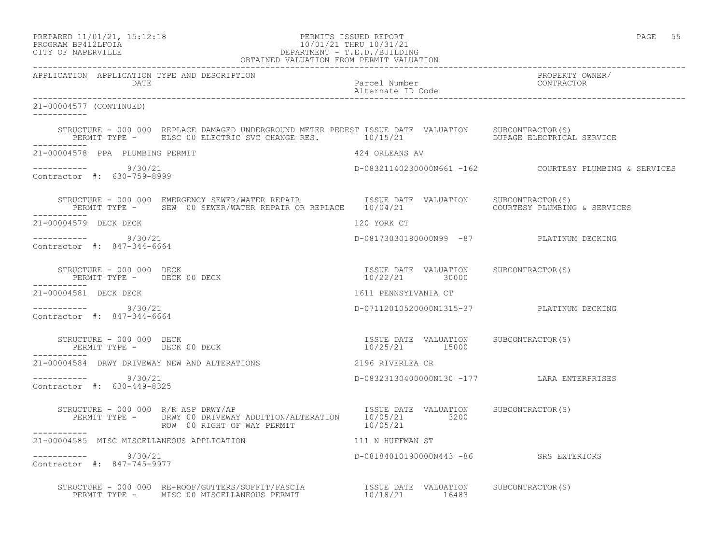| PREPARED 11/01/21, 15:12:18 |  |
|-----------------------------|--|
| PROGRAM BP412LFOIA          |  |

# PERMITS ISSUED REPORT **PAGE 55** PROGRAM BP412LFOIA 10/01/21 THRU 10/31/21<br>CITY OF NAPERVILLE DEPARTMENT - T.E.D./BUILDIN CITY OF NAPERVILLE DEPARTMENT - T.E.D./BUILDING

| OBTAINED VALUATION FROM PERMIT VALUATION                              |                                                                                                                                                                                                                                   |                                                         |                                                        |
|-----------------------------------------------------------------------|-----------------------------------------------------------------------------------------------------------------------------------------------------------------------------------------------------------------------------------|---------------------------------------------------------|--------------------------------------------------------|
| APPLICATION APPLICATION TYPE AND DESCRIPTION<br>DATE                  |                                                                                                                                                                                                                                   | Parcel Number<br>Alternate ID Code                      | PROPERTY OWNER/<br>CONTRACTOR                          |
| 21-00004577 (CONTINUED)                                               |                                                                                                                                                                                                                                   |                                                         |                                                        |
|                                                                       | STRUCTURE - 000 000 REPLACE DAMAGED UNDERGROUND METER PEDEST ISSUE DATE VALUATION SUBCONTRACTOR(S)<br>PERMIT TYPE - ELSC 00 ELECTRIC SVC CHANGE RES. 10/15/21 11 DUPAGE ELECTRICAL SERVICE                                        |                                                         |                                                        |
| 21-00004578 PPA PLUMBING PERMIT                                       |                                                                                                                                                                                                                                   | 424 ORLEANS AV                                          |                                                        |
| ----------- 9/30/21<br>Contractor #: 630-759-8999                     |                                                                                                                                                                                                                                   |                                                         | D-08321140230000N661 -162 COURTESY PLUMBING & SERVICES |
|                                                                       | STRUCTURE - 000 000 EMERGENCY SEWER/WATER REPAIR              ISSUE DATE VALUATION     SUBCONTRACTOR(S)<br>PERMIT TYPE -     SEW 00 SEWER/WATER REPAIR OR REPLACE    10/04/21                               COURTESY PLUMBING & S |                                                         |                                                        |
| 21-00004579 DECK DECK                                                 |                                                                                                                                                                                                                                   | 120 YORK CT                                             |                                                        |
| $--------- 9/30/21$<br>Contractor #: 847-344-6664                     |                                                                                                                                                                                                                                   |                                                         | D-08173030180000N99 -87 PLATINUM DECKING               |
| STRUCTURE - 000 000 DECK<br>PERMIT TYPE - DECK 00 DECK                |                                                                                                                                                                                                                                   | ISSUE DATE VALUATION SUBCONTRACTOR(S)<br>10/22/21 30000 |                                                        |
| 21-00004581 DECK DECK                                                 |                                                                                                                                                                                                                                   | 1611 PENNSYLVANIA CT                                    |                                                        |
| $--------- 9/30/21$<br>Contractor #: 847-344-6664                     |                                                                                                                                                                                                                                   |                                                         | D-07112010520000N1315-37 PLATINUM DECKING              |
| STRUCTURE - 000 000 DECK<br>PERMIT TYPE - DECK 00 DECK<br>___________ |                                                                                                                                                                                                                                   | ISSUE DATE VALUATION SUBCONTRACTOR(S)<br>10/25/21 15000 |                                                        |
|                                                                       | 21-00004584 DRWY DRIVEWAY NEW AND ALTERATIONS                                                                                                                                                                                     | 2196 RIVERLEA CR                                        |                                                        |
| $--------- 9/30/21$<br>Contractor #: 630-449-8325                     |                                                                                                                                                                                                                                   |                                                         | D-08323130400000N130 -177 LARA ENTERPRISES             |
| STRUCTURE - 000 000 R/R ASP DRWY/AP                                   | PERMIT TYPE - DRWY 00 DRIVEWAY ADDITION/ALTERATION 10/05/21 3200<br>ROW 00 RIGHT OF WAY PERMIT THE 10/05/21                                                                                                                       | ISSUE DATE VALUATION SUBCONTRACTOR(S)                   |                                                        |
| 21-00004585 MISC MISCELLANEOUS APPLICATION                            |                                                                                                                                                                                                                                   | 111 N HUFFMAN ST                                        |                                                        |
| $--------- 9/30/21$<br>Contractor #: 847-745-9977                     |                                                                                                                                                                                                                                   | D-08184010190000N443 -86 SRS EXTERIORS                  |                                                        |
|                                                                       |                                                                                                                                                                                                                                   |                                                         |                                                        |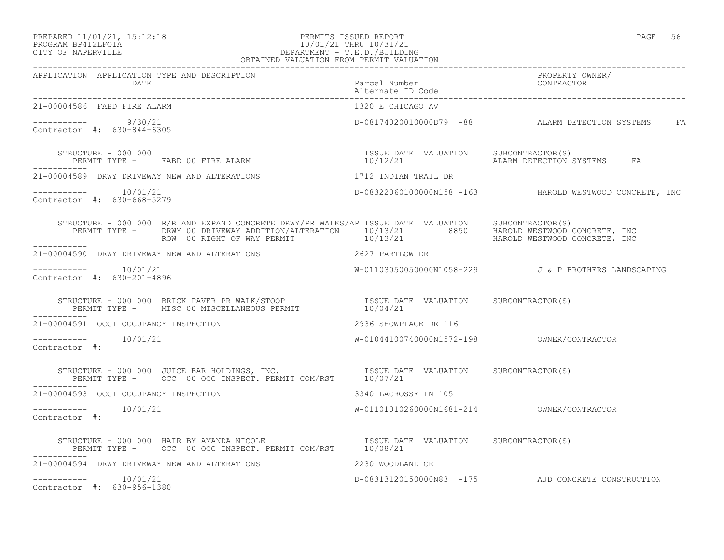## PREPARED 11/01/21, 15:12:18 PERMITS ISSUED REPORT PAGE 56 PROGRAM BP412LFOIA 10/01/21 THRU 10/31/21 CITY OF NAPERVILLE DEPARTMENT - T.E.D./BUILDING OBTAINED VALUATION FROM PERMIT VALUATION

| 21-00004586 FABD FIRE ALARM                                                                                                                                                                                                          | 1320 E CHICAGO AV     |                                                         |
|--------------------------------------------------------------------------------------------------------------------------------------------------------------------------------------------------------------------------------------|-----------------------|---------------------------------------------------------|
| ----------    9/30/21<br>Contractor #: 630-844-6305                                                                                                                                                                                  |                       | D-08174020010000D79 -88 ALARM DETECTION SYSTEMS FA      |
| STRUCTURE – 000 000<br>PERMIT TYPE - FABD 00 FIRE ALARM                                                                                                                                                                              |                       |                                                         |
| 21-00004589 DRWY DRIVEWAY NEW AND ALTERATIONS                                                                                                                                                                                        | 1712 INDIAN TRAIL DR  |                                                         |
| $--------- 10/01/21$<br>Contractor #: 630-668-5279                                                                                                                                                                                   |                       | D-08322060100000N158 -163 HAROLD WESTWOOD CONCRETE, INC |
| STRUCTURE - 000 000 R/R AND EXPAND CONCRETE DRWY/PR WALKS/AP ISSUE DATE VALUATION SUBCONTRACTOR(S)<br>PERMIT TYPE - DRWY 00 DRIVEWAY ADDITION/ALTERATION 10/13/21 8850 HAROLD WESTWOOD CONCRETE, INC<br>ROW 00 RIGHT OF WAY PERMIT 1 |                       |                                                         |
| 21-00004590 DRWY DRIVEWAY NEW AND ALTERATIONS 2627 PARTLOW DR                                                                                                                                                                        |                       |                                                         |
| -----------    10/01/21<br>Contractor #: 630-201-4896                                                                                                                                                                                |                       | W-01103050050000N1058-229 J& P BROTHERS LANDSCAPING     |
|                                                                                                                                                                                                                                      |                       |                                                         |
| 21-00004591 OCCI OCCUPANCY INSPECTION                                                                                                                                                                                                | 2936 SHOWPLACE DR 116 |                                                         |
| Contractor #:                                                                                                                                                                                                                        |                       |                                                         |
| STRUCTURE - 000 000 JUICE BAR HOLDINGS, INC.                    ISSUE DATE VALUATION     SUBCONTRACTOR(S)<br>PERMIT TYPE -       OCC  00 OCC INSPECT. PERMIT COM/RST       10/07/21                                                  |                       |                                                         |
| 21-00004593 OCCI OCCUPANCY INSPECTION                                                                                                                                                                                                | 3340 LACROSSE LN 105  |                                                         |
| $--------- 10/01/21$<br>Contractor #:                                                                                                                                                                                                |                       |                                                         |
| STRUCTURE - 000 000 HAIR BY AMANDA NICOLE [ISSUE DATE VALUATION SUBCONTRACTOR(S)<br>PERMIT TYPE - OCC 00 OCC INSPECT. PERMIT COM/RST 10/08/21                                                                                        |                       |                                                         |
| 21-00004594 DRWY DRIVEWAY NEW AND ALTERATIONS                                                                                                                                                                                        | 2230 WOODLAND CR      |                                                         |
| $--------- 10/01/21$<br>Contractor #: 630-956-1380                                                                                                                                                                                   |                       | D-08313120150000N83 -175 AJD CONCRETE CONSTRUCTION      |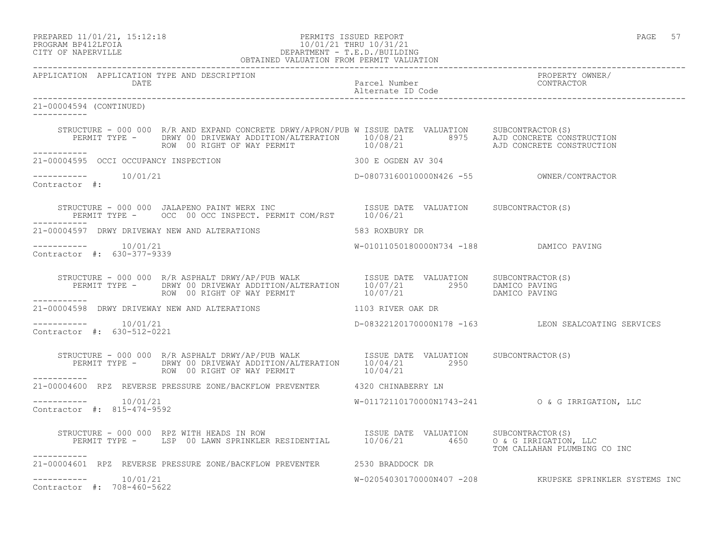PREPARED 11/01/21, 15:12:18 PERMITS ISSUED REPORT PAGE 57

## PROGRAM BP412LFOIA 10/01/21 THRU 10/31/21 CITY OF NAPERVILLE DEPARTMENT - T.E.D./BUILDING OBTAINED VALUATION FROM PERMIT VALUATION

------------------------------------------------------------------------------------------------------------------------------------ APPLICATION APPLICATION TYPE AND DESCRIPTION<br>DATE Parcel Number<br>Alternate ID Code Alternate ID Code ------------------------------------------------------------------------------------------------------------------------------------ 21-00004594 (CONTINUED) ----------- STRUCTURE - 000 000 R/R AND EXPAND CONCRETE DRWY/APRON/PUB W ISSUE DATE VALUATION SUBCONTRACTOR(S) PERMIT TYPE - DRWY 00 DRIVEWAY ADDITION/ALTERATION 10/08/21 8975 AJD CONCRETE CONSTRUCTION ROW 00 RIGHT OF WAY PERMIT  $10/08/21$  AJD CONCRETE CONSTRUCTION ----------- 21-00004595 OCCI OCCUPANCY INSPECTION 300 E OGDEN AV 304  $---------$  10/01/21 ----------- 10/01/21 D-08073160010000N426 -55 OWNER/CONTRACTOR Contractor #: STRUCTURE - 000 000 JALAPENO PAINT WERX INC **ISSUE DATE** VALUATION SUBCONTRACTOR(S) PERMIT TYPE - OCC 00 OCC INSPECT. PERMIT COM/RST 10/06/21 ----------- 21-00004597 DRWY DRIVEWAY NEW AND ALTERATIONS 583 ROXBURY DR ----------- 10/01/21 W-01011050180000N734 -188 DAMICO PAVING Contractor #: 630-377-9339 STRUCTURE - 000 000 R/R ASPHALT DRWY/AP/PUB WALK **ISSUE DATE VALUATION** SUBCONTRACTOR(S) PERMIT TYPE - DRWY 00 DRIVEWAY ADDITION/ALTERATION 10/07/21 2950 DAMICO PAVING ROW 00 RIGHT OF WAY PERMIT  $10/07/21$  DAMICO PAVING ----------- 21-00004598 DRWY DRIVEWAY NEW AND ALTERATIONS 1103 RIVER OAK DR  $--------- 10/01/21$ ----------- 10/01/21 D-08322120170000N178 -163 LEON SEALCOATING SERVICES Contractor #: 630-512-0221 STRUCTURE - 000 000 R/R ASPHALT DRWY/AP/PUB WALK **ISSUE DATE VALUATION** SUBCONTRACTOR(S) PERMIT TYPE - DRWY 00 DRIVEWAY ADDITION/ALTERATION 10/04/21 2950 ROW 00 RIGHT OF WAY PERMIT 10/04/21 ----------- 21-00004600 RPZ REVERSE PRESSURE ZONE/BACKFLOW PREVENTER 4320 CHINABERRY LN ----------- 10/01/21 W-01172110170000N1743-241 O & G IRRIGATION, LLC Contractor #: 815-474-9592 STRUCTURE - 000 000 RPZ WITH HEADS IN ROW ISSUE DATE VALUATION SUBCONTRACTOR(S) PERMIT TYPE - LSP 00 LAWN SPRINKLER RESIDENTIAL 10/06/21 4650 O & G IRRIGATION, LLC TOM CALLAHAN PLUMBING CO INC ----------- 21-00004601 RPZ REVERSE PRESSURE ZONE/BACKFLOW PREVENTER 2530 BRADDOCK DR  $--------- 10/01/21$ W-02054030170000N407 -208 KRUPSKE SPRINKLER SYSTEMS INC Contractor #: 708-460-5622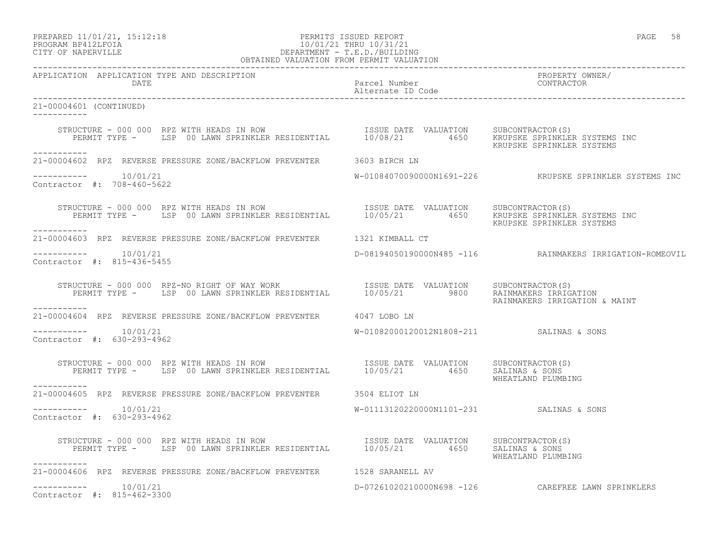# PREPARED 11/01/21, 15:12:18 PERMITS ISSUED REPORT PAGE 58 PROGRAM BP412LFOIA 10/01/21 THRU 10/31/21 CITY OF NAPERVILLE DEPARTMENT - T.E.D./BUILDING

| OBTAINED VALUATION FROM PERMIT VALUATION                                                                                                                |                                          |                                                          |
|---------------------------------------------------------------------------------------------------------------------------------------------------------|------------------------------------------|----------------------------------------------------------|
| APPLICATION APPLICATION TYPE AND DESCRIPTION                                                                                                            |                                          | PROPERTY OWNER/                                          |
| 21-00004601 (CONTINUED)                                                                                                                                 |                                          |                                                          |
| STRUCTURE - 000 000 RPZ WITH HEADS IN ROW<br>PERMIT TYPE - LSP 00 LAWN SPRINKLER RESIDENTIAL 10/08/21 4650 KRUPSKE SPRINKLER SYSTEMS INC<br>----------- |                                          |                                                          |
| 21-00004602 RPZ REVERSE PRESSURE ZONE/BACKFLOW PREVENTER 3603 BIRCH LN                                                                                  |                                          |                                                          |
| -----------    10/01/21<br>Contractor #: 708-460-5622                                                                                                   |                                          | W-01084070090000N1691-226 KRUPSKE SPRINKLER SYSTEMS INC  |
| STRUCTURE - 000 000 RPZ WITH HEADS IN ROW<br>PERMIT TYPE - LSP 00 LAWN SPRINKLER RESIDENTIAL 10/05/21 4650 KRUPSKE SPRINKLER SYSTEMS INC<br>----------- |                                          | KRUPSKE SPRINKLER SYSTEMS                                |
| 21-00004603 RPZ REVERSE PRESSURE ZONE/BACKFLOW PREVENTER 1321 KIMBALL CT                                                                                |                                          |                                                          |
| $--------- 10/01/21$<br>Contractor #: 815-436-5455                                                                                                      |                                          | D-08194050190000N485 -116 RAINMAKERS IRRIGATION-ROMEOVIL |
| STRUCTURE - 000 000 RPZ-NO RIGHT OF WAY WORK<br>PERMIT TYPE - LSP 00 LAWN SPRINKLER RESIDENTIAL 10/05/21 9800 RAINALERS IRRIGATION<br>-----------       |                                          | RAINMAKERS IRRIGATION & MAINT                            |
| 21-00004604 RPZ REVERSE PRESSURE ZONE/BACKFLOW PREVENTER 4047 LOBO LN                                                                                   |                                          |                                                          |
| $--------- 10/01/21$<br>Contractor #: 630-293-4962                                                                                                      | W-01082000120012N1808-211 SALINAS & SONS |                                                          |
| STRUCTURE - 000 000 RPZ WITH HEADS IN ROW<br>PERMIT TYPE - LSP 00 LAWN SPRINKLER RESIDENTIAL 10/05/21 4650 SALINAS & SONS<br>------------               |                                          | WHEATLAND PLUMBING                                       |
| 21-00004605 RPZ REVERSE PRESSURE ZONE/BACKFLOW PREVENTER 3504 ELIOT LN                                                                                  |                                          |                                                          |
| $--------$ 10/01/21<br>Contractor #: 630-293-4962                                                                                                       | W-01113120220000N1101-231 SALINAS & SONS |                                                          |
| STRUCTURE - 000 000 RPZ WITH HEADS IN ROW<br>PERMIT TYPE - LSP 00 LAWN SPRINKLER RESIDENTIAL 10/05/21 4650 SALIATION SUBCONTRACTOR(S)<br>___________    |                                          | WHEATLAND PLUMBING                                       |
| 21-00004606 RPZ REVERSE PRESSURE ZONE/BACKFLOW PREVENTER 1528 SARANELL AV                                                                               |                                          |                                                          |
| $--------- 10/01/21$<br>Contractor #: 815-462-3300                                                                                                      |                                          | D-07261020210000N698 -126 CAREFREE LAWN SPRINKLERS       |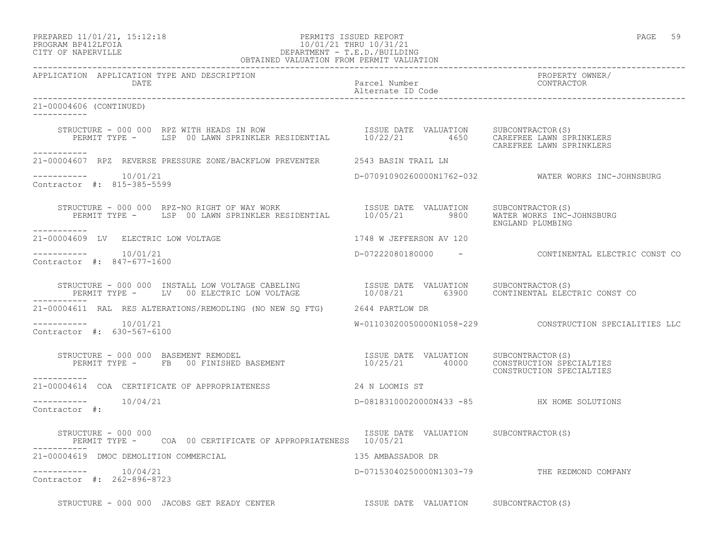## PREPARED 11/01/21, 15:12:18 PERMITS ISSUED REPORT PAGE 59 PROGRAM BP412LFOIA 10/01/21 THRU 10/31/21 CITY OF NAPERVILLE DEPARTMENT - T.E.D./BUILDING OBTAINED VALUATION FROM PERMIT VALUATION

APPLICATION APPLICATION TYPE AND DESCRIPTION<br>DATE DATE DATE DATE DATE Parcel Number CONTRACTOR

------------------------------------------------------------------------------------------------------------------------------------

 Alternate ID Code ------------------------------------------------------------------------------------------------------------------------------------ 21-00004606 (CONTINUED) ----------- STRUCTURE - 000 000 RPZ WITH HEADS IN ROW ISSUE DATE VALUATION SUBCONTRACTOR(S) PERMIT TYPE - LSP 00 LAWN SPRINKLER RESIDENTIAL 10/22/21 4650 CAREFREE LAWN SPRINKLERS CAREFREE LAWN SPRINKLERS ----------- 21-00004607 RPZ REVERSE PRESSURE ZONE/BACKFLOW PREVENTER 2543 BASIN TRAIL LN  $--------- 10/01/21$ ----------- 10/01/21 D-07091090260000N1762-032 WATER WORKS INC-JOHNSBURG Contractor #: 815-385-5599 STRUCTURE - 000 000 RPZ-NO RIGHT OF WAY WORK ISSUE DATE VALUATION SUBCONTRACTOR(S) PERMIT TYPE - LSP 00 LAWN SPRINKLER RESIDENTIAL 10/05/21 9800 WATER WORKS INC-JOHNSBURG ENGLAND PLUMBING ----------- 21-00004609 LV ELECTRIC LOW VOLTAGE 1748 W JEFFERSON AV 120  $--------- 10/01/21$ ----------- 10/01/21 D-07222080180000 - CONTINENTAL ELECTRIC CONST CO Contractor #: 847-677-1600 STRUCTURE - 000 000 INSTALL LOW VOLTAGE CABELING ISSUE DATE VALUATION SUBCONTRACTOR(S) PERMIT TYPE - LV 00 ELECTRIC LOW VOLTAGE 10/08/21 63900 CONTINENTAL ELECTRIC CONST CO ----------- 21-00004611 RAL RES ALTERATIONS/REMODLING (NO NEW SQ FTG) 2644 PARTLOW DR ----------- 10/01/21 W-01103020050000N1058-229 CONSTRUCTION SPECIALITIES LLC Contractor #: 630-567-6100 STRUCTURE - 000 000 BASEMENT REMODEL ISSUE DATE VALUATION SUBCONTRACTOR(S) PERMIT TYPE - FB 00 FINISHED BASEMENT 10/25/21 40000 CONSTRUCTION SPECIALTIES ISSUE DATE VALUATION SUBCONTRACTOR(S)<br>10/25/21 40000 CONSTRUCTION SPECIALTIES<br>CONSTRUCTION SPECIALTIES ----------- 21-00004614 COA CERTIFICATE OF APPROPRIATENESS 24 N LOOMIS ST  $--------- 10/04/21$ ----------- 10/04/21 D-08183100020000N433 -85 HX HOME SOLUTIONS Contractor #: STRUCTURE - 000 000 **ISSUE DATE VALUATION** SUBCONTRACTOR(S) PERMIT TYPE - COA 00 CERTIFICATE OF APPROPRIATENESS 10/05/21 ----------- 21-00004619 DMOC DEMOLITION COMMERCIAL 135 AMBASSADOR DR ----------- 10/04/21 D-07153040250000N1303-79 THE REDMOND COMPANY Contractor #: 262-896-8723 STRUCTURE - 000 000 JACOBS GET READY CENTER **ISSUE DATE** VALUATION SUBCONTRACTOR(S)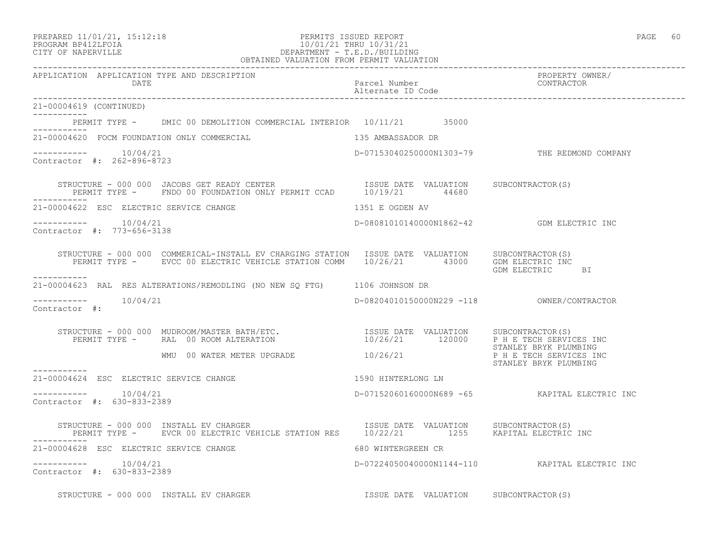| PREPARED 11/01/21, 15:12:18 |  |
|-----------------------------|--|
| PROCRAM RP412LFOIA          |  |

# eration of the PERMITS ISSUED REPORT And the end of the end of the end of the end of the end of the end of the end of the end of the end of the end of the end of the end of the end of the end of the end of the end of the e PROGRAM BP412LFOIA 10/01/21 THRU 10/31/21 CITY OF NAPERVILLE CITY OF NAPERVILLE DEPARTMENT - T.E.D./BUILDING

|                                                                      | OBTAINED VALUATION FROM PERMIT VALUATION                                                                                                                                                                                                                                                                                                                                                                                                                              |                                       |                                                |
|----------------------------------------------------------------------|-----------------------------------------------------------------------------------------------------------------------------------------------------------------------------------------------------------------------------------------------------------------------------------------------------------------------------------------------------------------------------------------------------------------------------------------------------------------------|---------------------------------------|------------------------------------------------|
| APPLICATION APPLICATION TYPE AND DESCRIPTION<br>DATE                 |                                                                                                                                                                                                                                                                                                                                                                                                                                                                       | Parcel Number<br>Alternate ID Code    | PROPERTY OWNER/<br>CONTRACTOR                  |
| 21-00004619 (CONTINUED)                                              |                                                                                                                                                                                                                                                                                                                                                                                                                                                                       |                                       |                                                |
|                                                                      | PERMIT TYPE - DMIC 00 DEMOLITION COMMERCIAL INTERIOR 10/11/21 35000                                                                                                                                                                                                                                                                                                                                                                                                   |                                       |                                                |
| . _ _ _ _ _ _ _ _ _ _<br>21-00004620 FOCM FOUNDATION ONLY COMMERCIAL |                                                                                                                                                                                                                                                                                                                                                                                                                                                                       | 135 AMBASSADOR DR                     |                                                |
| Contractor #: 262-896-8723                                           |                                                                                                                                                                                                                                                                                                                                                                                                                                                                       |                                       | D-07153040250000N1303-79 THE REDMOND COMPANY   |
|                                                                      | $\begin{tabular}{llllll} \multicolumn{2}{l}{{\small\tt STRUCTURE ~ 000 ~ 000 ~ JACOBS~GET~READY~CENTER} & \multicolumn{2}{l}{\small\tt ISSUE~DATE~ VALUATION} & \multicolumn{2}{l}{\small\tt SUBCONTRACTOR(S)} \\ \multicolumn{2}{l}{\small\tt PERMIT~TYPE ~ & FNDO~00~ FOUNDATION~ONLY~PERMIT~CCAD} & \multicolumn{2}{l}{\small\tt 10/19/21} & \multicolumn{2}{l}{\small\tt 44680} & \multicolumn{2}{l}{\small\tt SUBCONTRACTOR(S)} \\ \multicolumn{2}{l}{\small\tt$ |                                       |                                                |
| 21-00004622 ESC ELECTRIC SERVICE CHANGE                              | 1351 E OGDEN AV                                                                                                                                                                                                                                                                                                                                                                                                                                                       |                                       |                                                |
| -----------    10/04/21<br>Contractor #: 773-656-3138                |                                                                                                                                                                                                                                                                                                                                                                                                                                                                       |                                       | D-08081010140000N1862-42   GDM ELECTRIC INC    |
| -----------                                                          | STRUCTURE - 000 000 COMMERICAL-INSTALL EV CHARGING STATION ISSUE DATE VALUATION SUBCONTRACTOR(S)<br>PERMIT TYPE - EVCC 00 ELECTRIC VEHICLE STATION COMM 10/26/21 43000 GDM ELECTRIC INC                                                                                                                                                                                                                                                                               |                                       | GDM ELECTRIC BI                                |
|                                                                      | 21-00004623 RAL RES ALTERATIONS/REMODLING (NO NEW SQ FTG) 1106 JOHNSON DR                                                                                                                                                                                                                                                                                                                                                                                             |                                       |                                                |
| ----------    10/04/21<br>Contractor #:                              |                                                                                                                                                                                                                                                                                                                                                                                                                                                                       |                                       | D-08204010150000N229 -118 OWNER/CONTRACTOR     |
|                                                                      | $\begin{array}{cccc} \texttt{STRUCTURE} & - & 000 & 000 & \texttt{MUDROOM/MASTER BATH/ETC.} \\ \texttt{PERMIT TYPE} & - & \texttt{RAL} & 00 & \texttt{ROOM ALTERATION} \\ \end{array} \qquad \begin{array}{cccc} \texttt{SUE} & \texttt{DATE} & \texttt{VALUATION} & \texttt{SUBCONTRACTOR(S)} \\ \texttt{10/26/21} & \texttt{120000} & \texttt{P H E TECH SERVICES INC} \\ \end{array}$                                                                              |                                       | STANLEY BRYK PLUMBING                          |
|                                                                      | $M_{\rm M}$ WMU 00 WATER METER UPGRADE $10/26/21$ P H E TECH SERVICES INC                                                                                                                                                                                                                                                                                                                                                                                             |                                       | STANLEY BRYK PLUMBING                          |
| 21-00004624 ESC ELECTRIC SERVICE CHANGE                              | 1590 HINTERLONG LN                                                                                                                                                                                                                                                                                                                                                                                                                                                    |                                       |                                                |
| Contractor #: 630-833-2389                                           |                                                                                                                                                                                                                                                                                                                                                                                                                                                                       |                                       | D-07152060160000N689 -65 KAPITAL ELECTRIC INC  |
|                                                                      | STRUCTURE - 000 000 INSTALL EV CHARGER                           ISSUE DATE VALUATION     SUBCONTRACTOR(S)<br>PERMIT TYPE -     EVCR 00 ELECTRIC VEHICLE STATION RES     10/22/21           1255     KAPITAL ELECTRIC INC                                                                                                                                                                                                                                             |                                       |                                                |
| 21-00004628 ESC ELECTRIC SERVICE CHANGE                              | 680 WINTERGREEN CR                                                                                                                                                                                                                                                                                                                                                                                                                                                    |                                       |                                                |
| $--------- 10/04/21$<br>Contractor #: 630-833-2389                   |                                                                                                                                                                                                                                                                                                                                                                                                                                                                       |                                       | D-07224050040000N1144-110 KAPITAL ELECTRIC INC |
|                                                                      | STRUCTURE - 000 000 INSTALL EV CHARGER                                                                                                                                                                                                                                                                                                                                                                                                                                | ISSUE DATE VALUATION SUBCONTRACTOR(S) |                                                |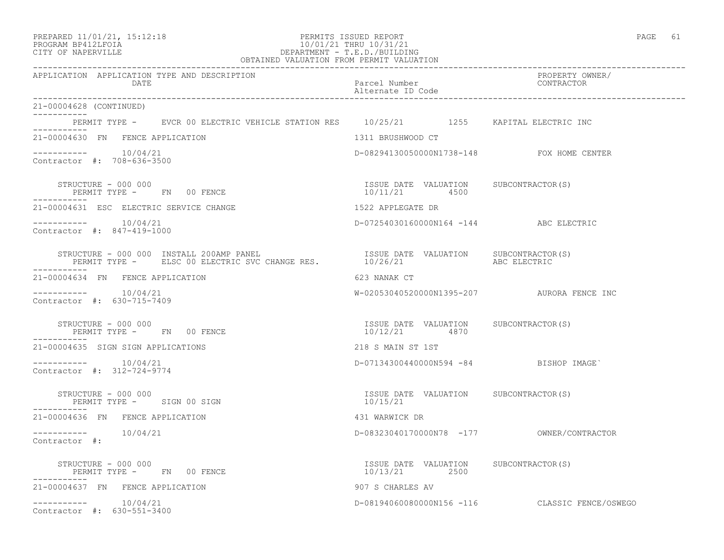| PREPARED 11/01/21, 15:12:18 |  |
|-----------------------------|--|
|                             |  |

# PREPARED 11/01/21, 15:12:18 PERMITS ISSUED REPORT<br>PROGRAM BP412LFOIA PAGE 61 2007/01/21 THRU 10/31/21 PROGRAM BP412LFOIA 10/01/21 THRU 10/31/21 CITY OF NAPERVILLE CITY OF NAPERVILLE DEPARTMENT - T.E.D./BUILDING

| OBTAINED VALUATION FROM PERMIT VALUATION                                                                                                                                                                                                                                                                                                                                                                                |                                                              |                                                |
|-------------------------------------------------------------------------------------------------------------------------------------------------------------------------------------------------------------------------------------------------------------------------------------------------------------------------------------------------------------------------------------------------------------------------|--------------------------------------------------------------|------------------------------------------------|
| APPLICATION APPLICATION TYPE AND DESCRIPTION<br>DATE                                                                                                                                                                                                                                                                                                                                                                    | Parcel Number<br>Alternate ID Code<br>---------------------- | PROPERTY OWNER/<br>CONTRACTOR                  |
| 21-00004628 (CONTINUED)<br>------------                                                                                                                                                                                                                                                                                                                                                                                 |                                                              |                                                |
| PERMIT TYPE - EVCR 00 ELECTRIC VEHICLE STATION RES 10/25/21 1255 KAPITAL ELECTRIC INC<br>.                                                                                                                                                                                                                                                                                                                              |                                                              |                                                |
| 21-00004630 FN FENCE APPLICATION                                                                                                                                                                                                                                                                                                                                                                                        | 1311 BRUSHWOOD CT                                            |                                                |
| $--------- 10/04/21$<br>Contractor #: 708-636-3500                                                                                                                                                                                                                                                                                                                                                                      | D-08294130050000N1738-148 FOX HOME CENTER                    |                                                |
| STRUCTURE - 000 000<br>PERMIT TYPE - FN 00 FENCE<br>STRUCTURE - 000 000                                                                                                                                                                                                                                                                                                                                                 | ISSUE DATE VALUATION SUBCONTRACTOR (S)<br>10/11/21 4500      |                                                |
| 21-00004631 ESC ELECTRIC SERVICE CHANGE                                                                                                                                                                                                                                                                                                                                                                                 | 1522 APPLEGATE DR                                            |                                                |
| Contractor #: 847-419-1000                                                                                                                                                                                                                                                                                                                                                                                              | D-07254030160000N164 -144 ABC ELECTRIC                       |                                                |
| $\begin{tabular}{lllllllllll} \texttt{STRUCURE} & - & 000 & 000 & \texttt{INSTALL} & 200\texttt{AMP} & \texttt{PANE} & \texttt{ISSUE} & \texttt{DATE} & \texttt{VALUATION} & & \texttt{SUBCONTRACTOR(S)} \\ \texttt{PERMIT TYPE} & - & \texttt{ELSC} & 00 & \texttt{ELECTRIC} & \texttt{SVC} & \texttt{CHANGE} & \texttt{RES} & & & & 10/26/21 & & & \texttt{ABC} & \texttt{ELECTRIC} \\ \end{tabular}$<br>------------ |                                                              |                                                |
| 21-00004634 FN FENCE APPLICATION                                                                                                                                                                                                                                                                                                                                                                                        | 623 NANAK CT                                                 |                                                |
| $--------- 10/04/21$<br>Contractor #: 630-715-7409                                                                                                                                                                                                                                                                                                                                                                      | W-02053040520000N1395-207 AURORA FENCE INC                   |                                                |
| SIRUCTURE - 000 000<br>PERMIT TYPE - FN 00 FENCE                                                                                                                                                                                                                                                                                                                                                                        | ISSUE DATE VALUATION SUBCONTRACTOR(S)<br>10/12/21 4870       |                                                |
| 21-00004635 SIGN SIGN APPLICATIONS                                                                                                                                                                                                                                                                                                                                                                                      | 218 S MAIN ST 1ST                                            |                                                |
| Contractor #: 312-724-9774                                                                                                                                                                                                                                                                                                                                                                                              | $D-07134300440000N594 -84$ BISHOP IMAGE                      |                                                |
| STRUCTURE - 000 000<br>PERMIT TYPE - SIGN 00 SIGN                                                                                                                                                                                                                                                                                                                                                                       | ISSUE DATE VALUATION SUBCONTRACTOR(S)<br>10/15/21            |                                                |
| 21-00004636 FN FENCE APPLICATION                                                                                                                                                                                                                                                                                                                                                                                        | 431 WARWICK DR                                               |                                                |
| $--------- 10/04/21$<br>Contractor #:                                                                                                                                                                                                                                                                                                                                                                                   |                                                              |                                                |
| STRUCTURE - 000 000<br>PERMIT TYPE - FN 00 FENCE                                                                                                                                                                                                                                                                                                                                                                        | ISSUE DATE VALUATION SUBCONTRACTOR(S)<br>10/13/21 2500       |                                                |
| 21-00004637 FN FENCE APPLICATION                                                                                                                                                                                                                                                                                                                                                                                        | 907 S CHARLES AV                                             |                                                |
| $--------- 10/04/21$<br>Contractor #: 630-551-3400                                                                                                                                                                                                                                                                                                                                                                      |                                                              | D-08194060080000N156 -116 CLASSIC FENCE/OSWEGO |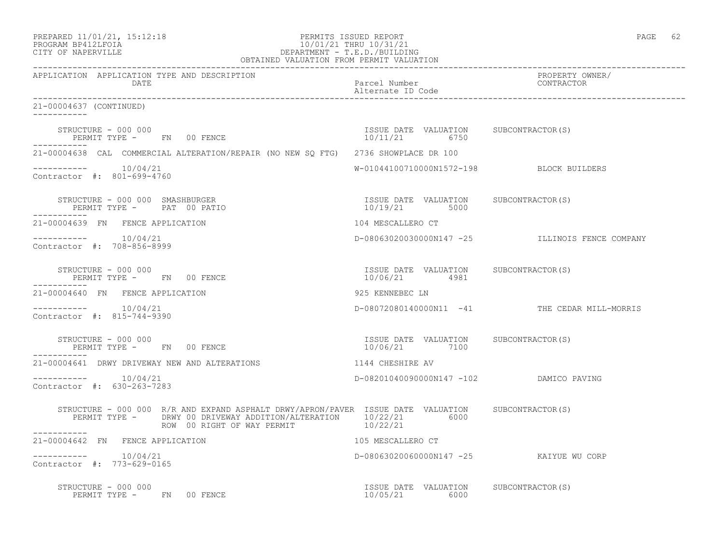| PREPARED 11/01/21, 15:12:18 |  |
|-----------------------------|--|
|                             |  |

# PREPARED 11/01/21, 15:12:18 PERMITS ISSUED REPORT<br>PROGRAM BP412LFOIA PAGE 62<br>10/01/21 THRU 10/31/21 PROGRAM BP412LFOIA 10/01/21 THRU 10/31/21<br>CITY OF NAPERVILLE DEPARTMENT - T.E.D./BUILDIN CITY OF NAPERVILLE DEPARTMENT - T.E.D./BUILDING

| OBTAINED VALUATION FROM PERMIT VALUATION                                                                                                                                                                                                                                                                                                     |                                                        |                                                 |
|----------------------------------------------------------------------------------------------------------------------------------------------------------------------------------------------------------------------------------------------------------------------------------------------------------------------------------------------|--------------------------------------------------------|-------------------------------------------------|
| APPLICATION APPLICATION TYPE AND DESCRIPTION<br>DATE                                                                                                                                                                                                                                                                                         | Parcel Number<br>Alternate ID Code                     | PROPERTY OWNER/<br>CONTRACTOR                   |
| 21-00004637 (CONTINUED)                                                                                                                                                                                                                                                                                                                      |                                                        |                                                 |
| $\begin{array}{cccccccccc} \texttt{STRUCTURE} & - & 000 & 000 & & & & & & & \\ \texttt{PERMIT TYPE} & - & \texttt{FN} & 00 & \texttt{FENCE} & & & & & & \\ \end{array} \hspace{2.5in} \begin{array}{cccccccccc} \texttt{TSSUE} & \texttt{DATE} & \texttt{VALUATION} & \texttt{SUBCONTRACTOR(S)} \\ & 10/11/21 & 6750 & & & & \\ \end{array}$ |                                                        |                                                 |
| 21-00004638 CAL COMMERCIAL ALTERATION/REPAIR (NO NEW SQ FTG) 2736 SHOWPLACE DR 100                                                                                                                                                                                                                                                           |                                                        |                                                 |
| $--------- 10/04/21$<br>Contractor #: 801-699-4760                                                                                                                                                                                                                                                                                           | W-01044100710000N1572-198 BLOCK BUILDERS               |                                                 |
| ___________                                                                                                                                                                                                                                                                                                                                  |                                                        |                                                 |
| 21-00004639 FN FENCE APPLICATION                                                                                                                                                                                                                                                                                                             | 104 MESCALLERO CT                                      |                                                 |
| $--------- 10/04/21$<br>Contractor #: 708-856-8999                                                                                                                                                                                                                                                                                           |                                                        | D-08063020030000N147 -25 ILLINOIS FENCE COMPANY |
| STRUCTURE - 000 000<br>PERMIT TYPE - FN 00 FENCE                                                                                                                                                                                                                                                                                             | ISSUE DATE VALUATION SUBCONTRACTOR(S)<br>10/06/21 4981 |                                                 |
| 21-00004640 FN FENCE APPLICATION                                                                                                                                                                                                                                                                                                             | 925 KENNEBEC LN                                        |                                                 |
| $--------- 10/04/21$<br>Contractor #: 815-744-9390                                                                                                                                                                                                                                                                                           |                                                        | D-08072080140000N11 -41 THE CEDAR MILL-MORRIS   |
| STRUCTURE - 000 000<br>PERMIT TYPE - FN 00 FENCE<br>-----------                                                                                                                                                                                                                                                                              | ISSUE DATE VALUATION SUBCONTRACTOR(S)<br>10/06/21 7100 |                                                 |
| 21-00004641 DRWY DRIVEWAY NEW AND ALTERATIONS                                                                                                                                                                                                                                                                                                | 1144 CHESHIRE AV                                       |                                                 |
| -----------    10/04/21<br>Contractor #: 630-263-7283                                                                                                                                                                                                                                                                                        | D-08201040090000N147 -102 DAMICO PAVING                |                                                 |
| STRUCTURE - 000 000 R/R AND EXPAND ASPHALT DRWY/APRON/PAVER ISSUE DATE VALUATION SUBCONTRACTOR(S)<br>PERMIT TYPE - DRWY 00 DRIVEWAY ADDITION/ALTERATION 10/22/21 6000<br>ROW 00 RIGHT OF WAY PERMIT 10/22/21                                                                                                                                 |                                                        |                                                 |
| 21-00004642 FN FENCE APPLICATION                                                                                                                                                                                                                                                                                                             | 105 MESCALLERO CT                                      |                                                 |
| -----------    10/04/21<br>Contractor #: 773-629-0165                                                                                                                                                                                                                                                                                        | D-08063020060000N147 -25 KAIYUE WU CORP                |                                                 |
| STRUCTURE - 000 000<br>PERMIT TYPE - FN 00 FENCE                                                                                                                                                                                                                                                                                             | ISSUE DATE VALUATION SUBCONTRACTOR(S)<br>10/05/21 6000 |                                                 |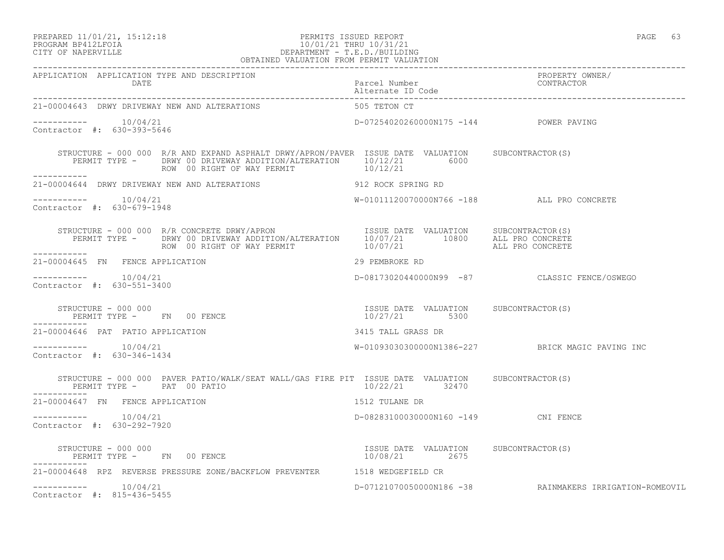## PREPARED 11/01/21, 15:12:18 PERMITS ISSUED REPORT PAGE 63 PROGRAM BP412LFOIA 10/01/21 THRU 10/31/21 CITY OF NAPERVILLE DEPARTMENT - T.E.D./BUILDING

| OBTAINED VALUATION FROM PERMIT VALUATION                                                                                                                                                                                                                                                                             |                                            |                                                         |  |
|----------------------------------------------------------------------------------------------------------------------------------------------------------------------------------------------------------------------------------------------------------------------------------------------------------------------|--------------------------------------------|---------------------------------------------------------|--|
| APPLICATION APPLICATION TYPE AND DESCRIPTION<br>DATE                                                                                                                                                                                                                                                                 | Parcel Number<br>Alternate ID Code         | PROPERTY OWNER/<br>CONTRACTOR                           |  |
| 21-00004643 DRWY DRIVEWAY NEW AND ALTERATIONS                                                                                                                                                                                                                                                                        | 505 TETON CT                               |                                                         |  |
| $---------$ 10/04/21<br>Contractor #: 630-393-5646                                                                                                                                                                                                                                                                   | D-07254020260000N175 -144 POWER PAVING     |                                                         |  |
| STRUCTURE - 000 000 R/R AND EXPAND ASPHALT DRWY/APRON/PAVER ISSUE DATE VALUATION SUBCONTRACTOR(S)<br>PERMIT TYPE - DRWY 00 DRIVEWAY ADDITION/ALTERATION 10/12/21 6000<br>ROW 00 RIGHT OF WAY PERMIT 10/12/21                                                                                                         |                                            |                                                         |  |
| 21-00004644 DRWY DRIVEWAY NEW AND ALTERATIONS 912 ROCK SPRING RD                                                                                                                                                                                                                                                     |                                            |                                                         |  |
| $--------- 10/04/21$<br>Contractor #: 630-679-1948                                                                                                                                                                                                                                                                   | W-01011120070000N766 -188 ALL PRO CONCRETE |                                                         |  |
| -----------                                                                                                                                                                                                                                                                                                          |                                            |                                                         |  |
| 29 PEMBROKE RD<br>21-00004645 FN FENCE APPLICATION                                                                                                                                                                                                                                                                   |                                            |                                                         |  |
| $--------- 10/04/21$<br>Contractor #: 630-551-3400                                                                                                                                                                                                                                                                   |                                            | D-08173020440000N99 -87 CLASSIC FENCE/OSWEGO            |  |
|                                                                                                                                                                                                                                                                                                                      |                                            |                                                         |  |
| 21-00004646 PAT PATIO APPLICATION                                                                                                                                                                                                                                                                                    | 3415 TALL GRASS DR                         |                                                         |  |
| $--------- 10/04/21$<br>Contractor #: 630-346-1434                                                                                                                                                                                                                                                                   |                                            | W-01093030300000N1386-227 BRICK MAGIC PAVING INC        |  |
| STRUCTURE - 000 000 PAVER PATIO/WALK/SEAT WALL/GAS FIRE PIT ISSUE DATE VALUATION SUBCONTRACTOR(S)<br>PERMIT TYPE - PAT 00 PATIO                                                                                                                                                                                      | 10/22/21 32470                             |                                                         |  |
| 21-00004647 FN FENCE APPLICATION                                                                                                                                                                                                                                                                                     | 1512 TULANE DR                             |                                                         |  |
| $--------- 10/04/21$<br>Contractor #: 630-292-7920                                                                                                                                                                                                                                                                   | D-08283100030000N160 -149 CNI FENCE        |                                                         |  |
| $\begin{array}{cccc} \texttt{STRUCTURE} & - & 000 & 000 \\ \texttt{PERMIT TYPE} & - & \texttt{FN} & 00 & \texttt{FENCE} \\ \end{array} \hspace{2.5in} \begin{array}{cccc} \texttt{TSUE} & \texttt{DATE} & \texttt{VALUATION} & \texttt{SUBCONTRACTOR(S)} \\ \texttt{10/08/21} & 2675 \\ \end{array}$<br>------------ |                                            |                                                         |  |
| 21-00004648 RPZ REVERSE PRESSURE ZONE/BACKFLOW PREVENTER 1518 WEDGEFIELD CR                                                                                                                                                                                                                                          |                                            |                                                         |  |
| $--------- 10/04/21$<br>Contractor #: 815-436-5455                                                                                                                                                                                                                                                                   |                                            | D-07121070050000N186 -38 RAINMAKERS IRRIGATION-ROMEOVIL |  |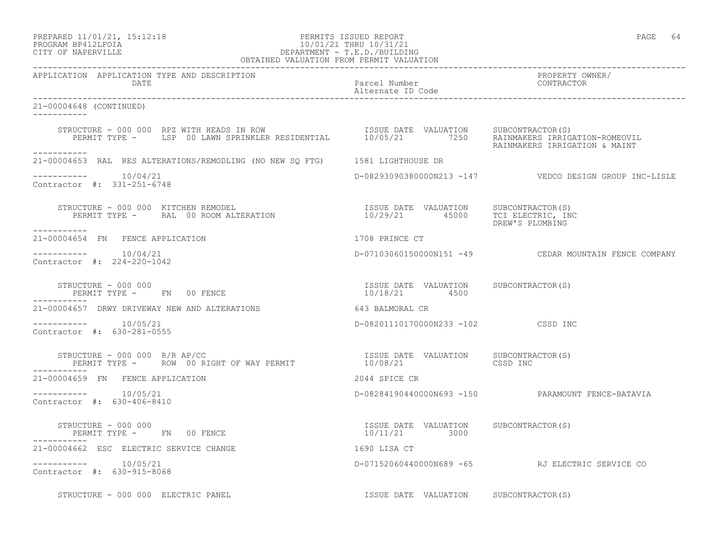# PREPARED 11/01/21, 15:12:18 PERMITS ISSUED REPORT PAGE 64 PROGRAM BP412LFOIA 10/01/21 THRU 10/31/21 CITY OF NAPERVILLE DEPARTMENT - T.E.D./BUILDING

| OBTAINED VALUATION FROM PERMIT VALUATION                                                                                                                                                                                                                                                              |                                                        |                                                           |
|-------------------------------------------------------------------------------------------------------------------------------------------------------------------------------------------------------------------------------------------------------------------------------------------------------|--------------------------------------------------------|-----------------------------------------------------------|
| APPLICATION APPLICATION TYPE AND DESCRIPTION<br>DATE                                                                                                                                                                                                                                                  | Parcel Number<br>Alternate ID Code                     | PROPERTY OWNER/<br>CONTRACTOR                             |
| 21-00004648 (CONTINUED)                                                                                                                                                                                                                                                                               |                                                        |                                                           |
| STRUCTURE - 000 000 RPZ WITH HEADS IN ROW                           ISSUE DATE VALUATION     SUBCONTRACTOR(S)<br>PERMIT TYPE -     LSP 00 LAWN SPRINKLER RESIDENTIAL        10/05/21        7250    RAINMAKERS IRRIGATION-ROMEOVI                                                                     |                                                        | RAINMAKERS IRRIGATION & MAINT                             |
| -----------<br>21-00004653 RAL RES ALTERATIONS/REMODLING (NO NEW SQ FTG) 1581 LIGHTHOUSE DR                                                                                                                                                                                                           |                                                        |                                                           |
| -----------    10/04/21<br>Contractor #: 331-251-6748                                                                                                                                                                                                                                                 |                                                        | D-08293090380000N213 -147    VEDCO DESIGN GROUP INC-LISLE |
| STRUCTURE - 000 000 KITCHEN REMODEL<br>-----------                                                                                                                                                                                                                                                    |                                                        | DREW'S PLUMBING                                           |
| 21-00004654 FN FENCE APPLICATION                                                                                                                                                                                                                                                                      | 1708 PRINCE CT                                         |                                                           |
| $--------- 10/04/21$<br>Contractor #: 224-220-1042                                                                                                                                                                                                                                                    |                                                        | D-07103060150000N151 -49 CEDAR MOUNTAIN FENCE COMPANY     |
| $\begin{array}{cccc} \texttt{STRUCTURE} & - & 000 & 000 \\ \texttt{PERMIT TYPE} & - & \texttt{FN} & 00 & \texttt{FENCE} \\ \end{array} \qquad \begin{array}{cccc} \texttt{TSUE} & \texttt{DATE} & \texttt{VALUATION} & \texttt{SUBCONTRACTOR(S)} \\ \texttt{10/18/21} & \texttt{4500} \\ \end{array}$ |                                                        |                                                           |
| 21-00004657 DRWY DRIVEWAY NEW AND ALTERATIONS 643 BALMORAL CR                                                                                                                                                                                                                                         |                                                        |                                                           |
| $---------$ 10/05/21<br>Contractor #: 630-281-0555                                                                                                                                                                                                                                                    | D-08201110170000N233 -102 CSSD INC                     |                                                           |
| STRUCTURE - 000 000 $R/R$ AP/CC                                                                                                                                                                                                                                                                       |                                                        |                                                           |
| 21-00004659 FN FENCE APPLICATION                                                                                                                                                                                                                                                                      | 2044 SPICE CR                                          |                                                           |
| $--------- 10/05/21$<br>Contractor #: 630-406-8410                                                                                                                                                                                                                                                    |                                                        | D-08284190440000N693 -150 PARAMOUNT FENCE-BATAVIA         |
| PERMIT TYPE - FN 00 FENCE<br>------------                                                                                                                                                                                                                                                             | ISSUE DATE VALUATION SUBCONTRACTOR(S)<br>10/11/21 3000 |                                                           |
| 21-00004662 ESC ELECTRIC SERVICE CHANGE                                                                                                                                                                                                                                                               | 1690 LISA CT                                           |                                                           |
| $--------- 10/05/21$<br>Contractor #: 630-915-8068                                                                                                                                                                                                                                                    |                                                        | D-07152060440000N689 -65 RJ ELECTRIC SERVICE CO           |
| STRUCTURE - 000 000 ELECTRIC PANEL                                                                                                                                                                                                                                                                    | ISSUE DATE VALUATION SUBCONTRACTOR(S)                  |                                                           |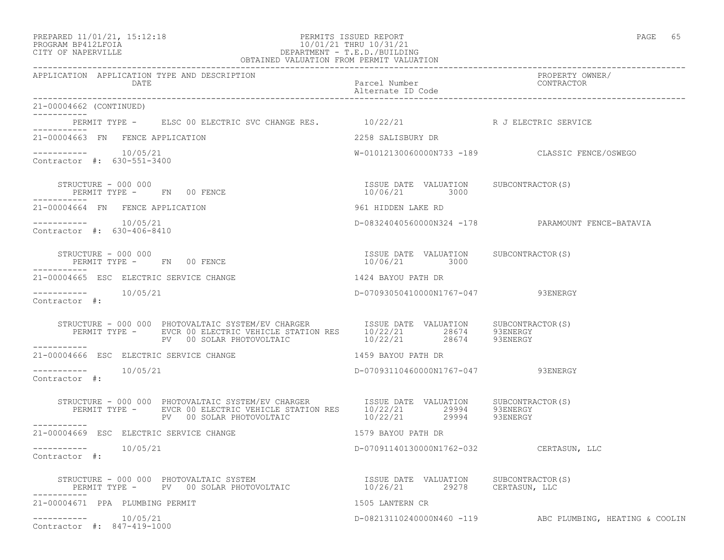# PREPARED 11/01/21, 15:12:18 PERMITS ISSUED REPORT PAGE 65 PROGRAM BP412LFOIA 10/01/21 THRU 10/31/21 CITY OF NAPERVILLE DEPARTMENT - T.E.D./BUILDING

| OBTAINED VALUATION FROM PERMIT VALUATION                                                                                                                                                                                   |                                                          |                                                          |
|----------------------------------------------------------------------------------------------------------------------------------------------------------------------------------------------------------------------------|----------------------------------------------------------|----------------------------------------------------------|
| APPLICATION APPLICATION TYPE AND DESCRIPTION<br>DATE                                                                                                                                                                       | Parcel Number<br>Alternate ID Code                       | PROPERTY OWNER/<br>CONTRACTOR                            |
| 21-00004662 (CONTINUED)<br>___________                                                                                                                                                                                     |                                                          |                                                          |
| PERMIT TYPE - ELSC 00 ELECTRIC SVC CHANGE RES. 10/22/21 R J ELECTRIC SERVICE<br>------------                                                                                                                               |                                                          |                                                          |
| 21-00004663 FN FENCE APPLICATION                                                                                                                                                                                           | 2258 SALISBURY DR                                        |                                                          |
| Contractor #: 630-551-3400                                                                                                                                                                                                 |                                                          | W-01012130060000N733 -189 CLASSIC FENCE/OSWEGO           |
| -----------                                                                                                                                                                                                                | ISSUE DATE VALUATION SUBCONTRACTOR(S)                    |                                                          |
| 21-00004664 FN FENCE APPLICATION                                                                                                                                                                                           | 961 HIDDEN LAKE RD                                       |                                                          |
| $--------- 10/05/21$<br>Contractor #: 630-406-8410                                                                                                                                                                         |                                                          | D-08324040560000N324 -178 PARAMOUNT FENCE-BATAVIA        |
| STRUCTURE - 000 000<br>PERMIT TYPE - FN 00 FENCE                                                                                                                                                                           | ISSUE DATE VALUATION SUBCONTRACTOR(S)<br>$10/06/21$ 3000 |                                                          |
| 21-00004665 ESC ELECTRIC SERVICE CHANGE                                                                                                                                                                                    | 1424 BAYOU PATH DR                                       |                                                          |
| Contractor #:                                                                                                                                                                                                              | D-07093050410000N1767-047 93ENERGY                       |                                                          |
| STRUCTURE - 000 000 PHOTOVALTAIC SYSTEM/EV CHARGER<br>PERMIT TYPE - EVCR 00 ELECTRIC VEHICLE STATION RES 10/22/21 28674 93ENERGY<br>PV 00 SOLAR PHOTOVOLTAIC 10/22/21 28674 93ENERGY                                       |                                                          |                                                          |
| 21-00004666 ESC ELECTRIC SERVICE CHANGE                                                                                                                                                                                    | 1459 BAYOU PATH DR                                       |                                                          |
| Contractor #:                                                                                                                                                                                                              | D-07093110460000N1767-047 93ENERGY                       |                                                          |
| STRUCTURE - 000 000 PHOTOVALTAIC SYSTEM/EV CHARGER ISSUE DATE VALUATION SUBCONTRACTOR(S)<br>PERMIT TYPE - EVCR 00 ELECTRIC VEHICLE STATION RES 10/22/21 29994 93ENERGY<br>PV 00 SOLAR PHOTOVOLTAIC 10/22/21 29994 93ENERGY |                                                          |                                                          |
| ------------<br>21-00004669 ESC ELECTRIC SERVICE CHANGE                                                                                                                                                                    | 1579 BAYOU PATH DR                                       |                                                          |
| -----------    10/05/21<br>Contractor #:                                                                                                                                                                                   | D-07091140130000N1762-032 CERTASUN, LLC                  |                                                          |
|                                                                                                                                                                                                                            |                                                          |                                                          |
| 21-00004671 PPA PLUMBING PERMIT                                                                                                                                                                                            | 1505 LANTERN CR                                          |                                                          |
| $--------- 10/05/21$<br>Contractor #: 847-419-1000                                                                                                                                                                         |                                                          | D-08213110240000N460 -119 ABC PLUMBING, HEATING & COOLIN |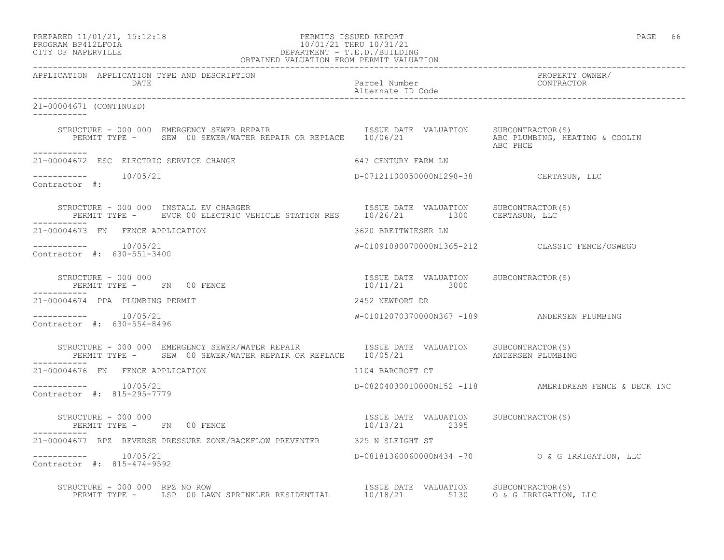| PREPARED 11/01/21, 15:12:18 |  |
|-----------------------------|--|
| PROGRAM RP412LFOIA          |  |

# PERMITS ISSUED REPORT **PAGE 66** PROGRAM BP412LFOIA 10/01/21 THRU 10/31/21<br>CITY OF NAPERVILLE DEPARTMENT - T.E.D./BUILDIN CITY OF NAPERVILLE DEPARTMENT - T.E.D./BUILDING

| OBTAINED VALUATION FROM PERMIT VALUATION                                                                                                                                |                                                        |                                                       |
|-------------------------------------------------------------------------------------------------------------------------------------------------------------------------|--------------------------------------------------------|-------------------------------------------------------|
| APPLICATION APPLICATION TYPE AND DESCRIPTION<br>DATE                                                                                                                    | Parcel Number<br>Alternate ID Code                     | PROPERTY OWNER/<br>CONTRACTOR                         |
| 21-00004671 (CONTINUED)<br>___________                                                                                                                                  |                                                        |                                                       |
| STRUCTURE - 000 000 EMERGENCY SEWER REPAIR<br>PERMIT TYPE - SEW 00 SEWER/WATER REPAIR OR REPLACE 10/06/21 ABC PLUMBING, HEATING & COOLIN<br>ABC PHCE                    |                                                        |                                                       |
| -----------<br>21-00004672 ESC ELECTRIC SERVICE CHANGE                                                                                                                  | 647 CENTURY FARM LN                                    |                                                       |
| $--------$ 10/05/21<br>Contractor #:                                                                                                                                    | D-07121100050000N1298-38 CERTASUN, LLC                 |                                                       |
| STRUCTURE - 000 000 INSTALL EV CHARGER<br>PERMIT TYPE - EVCR 00 ELECTRIC VEHICLE STATION RES 10/26/21 1300 CERTASUN, LLC                                                | ISSUE DATE VALUATION SUBCONTRACTOR(S)                  |                                                       |
| 21-00004673 FN FENCE APPLICATION                                                                                                                                        | 3620 BREITWIESER LN                                    |                                                       |
| Contractor #: 630-551-3400                                                                                                                                              |                                                        | W-01091080070000N1365-212 CLASSIC FENCE/OSWEGO        |
| SIRUCTURE - 000 000<br>PERMIT TYPE - FN 00 FENCE<br>------<br>------------                                                                                              | ISSUE DATE VALUATION SUBCONTRACTOR(S)<br>10/11/21 3000 |                                                       |
| 21-00004674 PPA PLUMBING PERMIT                                                                                                                                         | 2452 NEWPORT DR                                        |                                                       |
| $--------- 10/05/21$<br>Contractor #: 630-554-8496                                                                                                                      |                                                        | W-01012070370000N367 -189 ANDERSEN PLUMBING           |
| STRUCTURE - 000 000 EMERGENCY SEWER/WATER REPAIR TSSUE DATE VALUATION SUBCONTRACTOR(S)<br>PERMIT TYPE - SEW 00 SEWER/WATER REPAIR OR REPLACE 10/05/21 ANDERSEN PLUMBING |                                                        |                                                       |
| 21-00004676 FN FENCE APPLICATION                                                                                                                                        | 1104 BARCROFT CT                                       |                                                       |
| $--------- 10/05/21$<br>Contractor #: 815-295-7779                                                                                                                      |                                                        | D-08204030010000N152 -118 AMERIDREAM FENCE & DECK INC |
| STRUCTURE - 000 000                                                                                                                                                     | ISSUE DATE VALUATION SUBCONTRACTOR(S)                  |                                                       |
| 21-00004677 RPZ REVERSE PRESSURE ZONE/BACKFLOW PREVENTER 325 N SLEIGHT ST                                                                                               |                                                        |                                                       |
| $--------$ 10/05/21<br>Contractor #: 815-474-9592                                                                                                                       |                                                        | D-08181360060000N434 -70 0 & G IRRIGATION, LLC        |
| STRUCTURE - 000 000 RPZ NO ROW<br>PERMIT TYPE - LSP 00 LAWN SPRINKLER RESIDENTIAL 10/18/21 5130 0 & G IRRIGATION, LLC                                                   |                                                        |                                                       |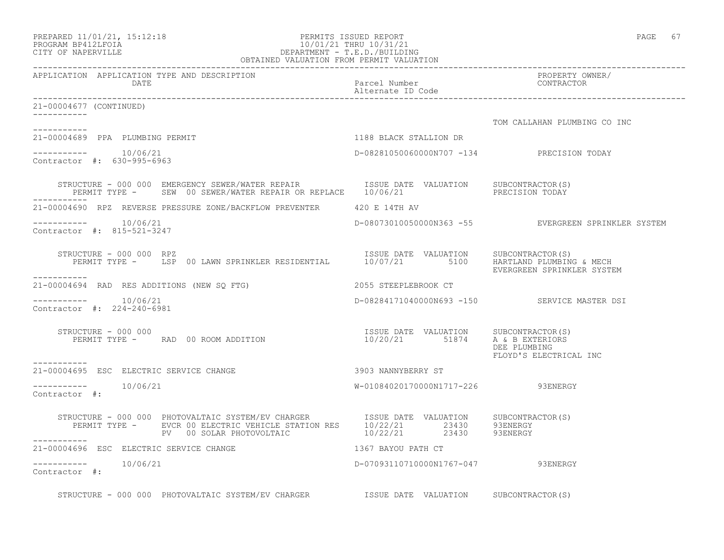| PREPARED 11/01/21, 15:12:18 |  |
|-----------------------------|--|
| PROGRAM BP412LFOIA          |  |

## PREPARED 11/01/21, 15:12:18 PERMITS ISSUED REPORT PAGE 67 PROGRAM BP412LFOIA 10/01/21 THRU 10/31/21 CITY OF NAPERVILLE DEPARTMENT - T.E.D./BUILDING OBTAINED VALUATION FROM PERMIT VALUATION

------------------------------------------------------------------------------------------------------------------------------------ APPLICATION APPLICATION TYPE AND DESCRIPTION PROPERTY OWNER/ DATE PARTICLE IN PARTICLE IN THE PARTICLE IN THE PARTICLE IN THE PARTICLE IN THE PARTICLE IN THE PARTICLE IN THE PARTICLE IN THE PARTICLE IN THE PARTICLE IN THE PARTICLE IN THE PARTICLE IN THE PARTICLE IN THE PARTICLE IN T Alternate ID Code ------------------------------------------------------------------------------------------------------------------------------------ 21-00004677 (CONTINUED) ----------- TOM CALLAHAN PLUMBING CO INC ----------- 21-00004689 PPA PLUMBING PERMIT 1188 BLACK STALLION DR  $--------- 10/06/21$ ----------- 10/06/21 D-08281050060000N707 -134 PRECISION TODAY Contractor #: 630-995-6963 STRUCTURE - 000 000 EMERGENCY SEWER/WATER REPAIR ISSUE DATE VALUATION SUBCONTRACTOR(S) PERMIT TYPE - SEW 00 SEWER/WATER REPAIR OR REPLACE 10/06/21 ----------- 21-00004690 RPZ REVERSE PRESSURE ZONE/BACKFLOW PREVENTER 420 E 14TH AV ----------- 10/06/21 D-08073010050000N363 -55 EVERGREEN SPRINKLER SYSTEM Contractor #: 815-521-3247 STRUCTURE - 000 000 RPZ ISSUE DATE VALUATION SUBCONTRACTOR(S) PERMIT TYPE - LSP 00 LAWN SPRINKLER RESIDENTIAL 10/07/21 5100 HARTLAND PLUMBING & MECH EVERGREEN SPRINKLER SYSTEM ----------- 21-00004694 RAD RES ADDITIONS (NEW SQ FTG) 2055 STEEPLEBROOK CT  $--------- 10/06/21$ D-08284171040000N693 -150 SERVICE MASTER DSI Contractor #: 224-240-6981 STRUCTURE - 000 000 ISSUE DATE VALUATION SUBCONTRACTOR(S) PERMIT TYPE - RAD 00 ROOM ADDITION 10/20/21 51874 A & B EXTERIORS DEE PLUMBING FLOYD'S ELECTRICAL INC ----------- 21-00004695 ESC ELECTRIC SERVICE CHANGE 3903 NANNYBERRY ST ----------- 10/06/21 W-01084020170000N1717-226 93ENERGY Contractor #: STRUCTURE - 000 000 PHOTOVALTAIC SYSTEM/EV CHARGER ISSUE DATE VALUATION SUBCONTRACTOR(S) PERMIT TYPE - EVCR 00 ELECTRIC VEHICLE STATION RES  $10/22/21$  23430 93ENERGY PV 00 SOLAR PHOTOVOLTAIC  $10/22/21$  23430 93ENERGY ----------- 21-00004696 ESC ELECTRIC SERVICE CHANGE 1367 BAYOU PATH CT  $--------- 10/06/21$ D-07093110710000N1767-047 93ENERGY Contractor #: STRUCTURE - 000 000 PHOTOVALTAIC SYSTEM/EV CHARGER STRUCE DATE VALUATION SUBCONTRACTOR(S)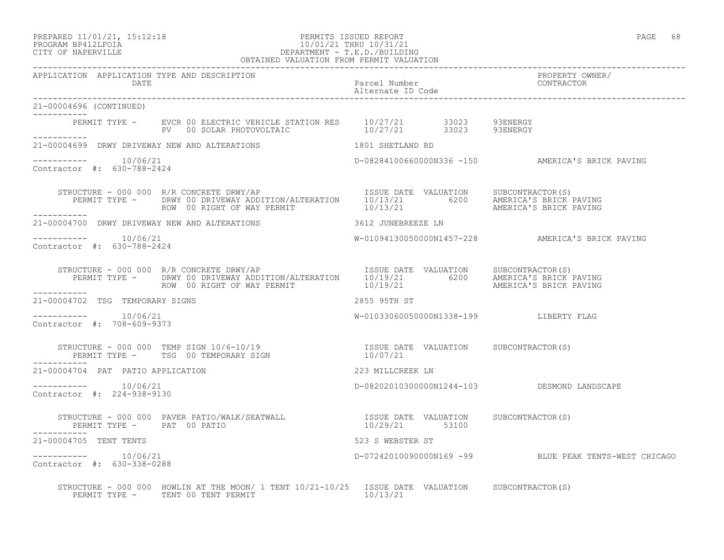## PREPARED 11/01/21, 15:12:18 PERMITS ISSUED REPORT PAGE 68 PROGRAM BP412LFOIA 10/01/21 THRU 10/31/21 CITY OF NAPERVILLE DEPARTMENT - T.E.D./BUILDING OBTAINED VALUATION FROM PERMIT VALUATION

| APPLICATION APPLICATION TYPE AND DESCRIPTION       |                                                                                                                                                                                       |                                        |                                                       |
|----------------------------------------------------|---------------------------------------------------------------------------------------------------------------------------------------------------------------------------------------|----------------------------------------|-------------------------------------------------------|
| 21-00004696 (CONTINUED)                            |                                                                                                                                                                                       |                                        |                                                       |
|                                                    | PERMIT TYPE - EVCR 00 ELECTRIC VEHICLE STATION RES $10/27/21$ 33023 93ENERGY<br>PV 00 SOLAR PHOTOVOLTAIC 10/27/21 33023 93ENERGY                                                      |                                        |                                                       |
|                                                    | 21-00004699 DRWY DRIVEWAY NEW AND ALTERATIONS 1801 SHETLAND RD                                                                                                                        |                                        |                                                       |
| $--------- 10/06/21$<br>Contractor #: 630-788-2424 |                                                                                                                                                                                       |                                        | D-08284100660000N336 -150 AMERICA'S BRICK PAVING      |
|                                                    |                                                                                                                                                                                       |                                        |                                                       |
|                                                    | 21-00004700 DRWY DRIVEWAY NEW AND ALTERATIONS 3612 JUNEBREEZE LN                                                                                                                      |                                        |                                                       |
| Contractor #: 630-788-2424                         |                                                                                                                                                                                       |                                        | W-01094130050000N1457-228 AMERICA'S BRICK PAVING      |
| ___________                                        |                                                                                                                                                                                       |                                        |                                                       |
| 21-00004702 TSG TEMPORARY SIGNS                    | 2855 95TH ST                                                                                                                                                                          |                                        |                                                       |
| $--------- 10/06/21$<br>Contractor #: 708-609-9373 |                                                                                                                                                                                       | W-01033060050000N1338-199 LIBERTY FLAG |                                                       |
|                                                    | STRUCTURE - 000 000 TEMP SIGN 10/6-10/19                        ISSUE DATE VALUATION     SUBCONTRACTOR(S)<br>PERMIT TYPE -     TSG 00 TEMPORARY SIGN                         10/07/21 |                                        |                                                       |
| 21-00004704 PAT PATIO APPLICATION                  |                                                                                                                                                                                       | 223 MILLCREEK LN                       |                                                       |
| $--------- 10/06/21$<br>Contractor #: 224-938-9130 |                                                                                                                                                                                       |                                        | D-08202010300000N1244-103 DESMOND LANDSCAPE           |
|                                                    |                                                                                                                                                                                       |                                        |                                                       |
| 21-00004705 TENT TENTS                             |                                                                                                                                                                                       | 523 S WEBSTER ST                       |                                                       |
| $--------- 10/06/21$<br>Contractor #: 630-338-0288 |                                                                                                                                                                                       |                                        | D-07242010090000N169 -99 BLUE PEAK TENTS-WEST CHICAGO |
|                                                    | STRUCTURE - 000 000 HOWLIN AT THE MOON/ 1 TENT 10/21-10/25 ISSUE DATE VALUATION SUBCONTRACTOR(S)<br>PERMIT TYPE - TENT 00 TENT PERMIT AND MONOGRAPHIC MONOGRAPHIC METAL 10/13/21      |                                        |                                                       |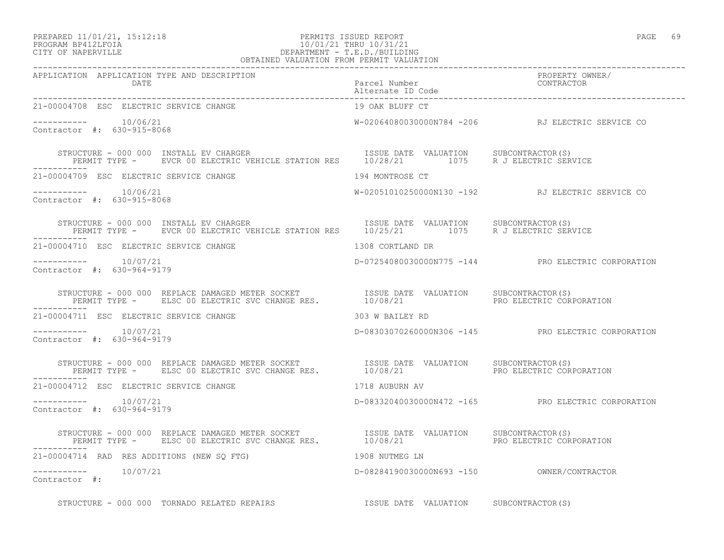## PREPARED 11/01/21, 15:12:18 PERMITS ISSUED REPORT PAGE 69 PROGRAM BP412LFOIA 10/01/21 THRU 10/31/21 CITY OF NAPERVILLE DEPARTMENT - T.E.D./BUILDING OBTAINED VALUATION FROM PERMIT VALUATION

| 21-00004708 ESC ELECTRIC SERVICE CHANGE                                                                                                                                                                                           | 19 OAK BLUFF CT  |                                                    |
|-----------------------------------------------------------------------------------------------------------------------------------------------------------------------------------------------------------------------------------|------------------|----------------------------------------------------|
| Contractor #: 630-915-8068                                                                                                                                                                                                        |                  | W-02064080030000N784 -206 RJ ELECTRIC SERVICE CO   |
| STRUCTURE - 000 000 INSTALL EV CHARGER<br>PERMIT TYPE - EVCR 00 ELECTRIC VEHICLE STATION RES 10/28/21 1075 R J ELECTRIC SERVICE<br>STRUCTURE - 000 000 INSTALL EV CHARGER                                                         |                  |                                                    |
| 21-00004709 ESC ELECTRIC SERVICE CHANGE                                                                                                                                                                                           | 194 MONTROSE CT  |                                                    |
| $--------- 10/06/21$<br>Contractor #: 630-915-8068                                                                                                                                                                                |                  | W-02051010250000N130 -192 RJ ELECTRIC SERVICE CO   |
| STRUCTURE - 000 000 INSTALL EV CHARGER<br>PERMIT TYPE - EVCR 00 ELECTRIC VEHICLE STATION RES 10/25/21 1075 R J ELECTRIC SERVICE<br>STRUCTURE - 000 000 INSTALL EV CHARGER                                                         |                  |                                                    |
| 21-00004710 ESC ELECTRIC SERVICE CHANGE                                                                                                                                                                                           | 1308 CORTLAND DR |                                                    |
| $--------- 10/07/21$<br>Contractor #: 630-964-9179                                                                                                                                                                                |                  | D-07254080030000N775 -144 PRO ELECTRIC CORPORATION |
| STRUCTURE - 000 000 REPLACE DAMAGED METER SOCKET              ISSUE DATE VALUATION     SUBCONTRACTOR(S)<br>PERMIT TYPE -     ELSC 00 ELECTRIC SVC CHANGE RES.           10/08/21                             PRO ELECTRIC CORPORA |                  |                                                    |
| 303 W BAILEY RD<br>21-00004711 ESC ELECTRIC SERVICE CHANGE                                                                                                                                                                        |                  |                                                    |
| $--------- 10/07/21$<br>Contractor #: 630-964-9179                                                                                                                                                                                |                  | D-08303070260000N306 -145 PRO ELECTRIC CORPORATION |
|                                                                                                                                                                                                                                   |                  |                                                    |
| 1718 AUBURN AV<br>21-00004712 ESC ELECTRIC SERVICE CHANGE                                                                                                                                                                         |                  |                                                    |
| $--------- 10/07/21$<br>Contractor #: 630-964-9179                                                                                                                                                                                |                  | D-08332040030000N472 -165 PRO ELECTRIC CORPORATION |
| STRUCTURE - 000 000 REPLACE DAMAGED METER SOCKET              ISSUE DATE VALUATION     SUBCONTRACTOR(S)<br>PERMIT TYPE -      ELSC 00 ELECTRIC SVC CHANGE RES.            10/08/21                           PRO ELECTRIC CORPORA |                  |                                                    |
| 21-00004714 RAD RES ADDITIONS (NEW SO FTG)<br>1908 NUTMEG LN                                                                                                                                                                      |                  |                                                    |
| $--------- 10/07/21$<br>Contractor #:                                                                                                                                                                                             |                  |                                                    |
| STRUCTURE - 000 000 TORNADO RELATED REPAIRS TSSUE DATE VALUATION SUBCONTRACTOR(S)                                                                                                                                                 |                  |                                                    |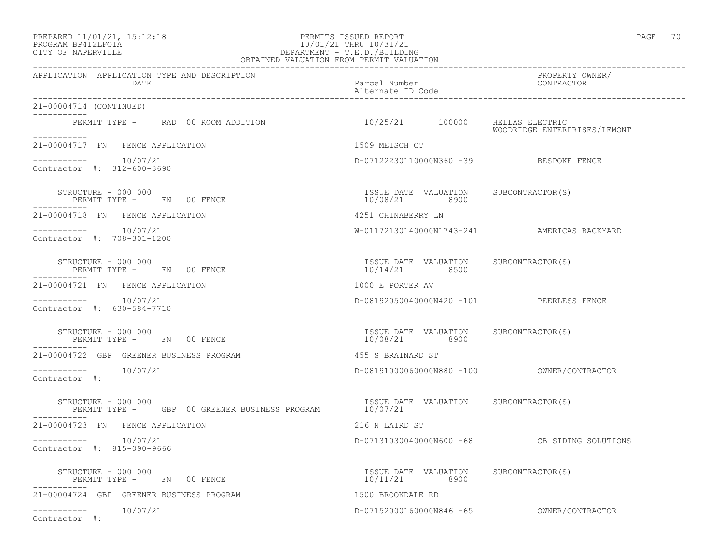## PREPARED 11/01/21, 15:12:18 PERMITS ISSUED REPORT PAGE 70 PROGRAM BP412LFOIA 10/01/21 THRU 10/31/21 CITY OF NAPERVILLE DEPARTMENT - T.E.D./BUILDING OBTAINED VALUATION FROM PERMIT VALUATION

| APPLICATION APPLICATION TYPE AND DESCRIPTION<br>DATE                                                             | Parcel Number<br>Alternate ID Code                     | PROPERTY OWNER/<br>FROFERII OW<br>CONTRACTOR |
|------------------------------------------------------------------------------------------------------------------|--------------------------------------------------------|----------------------------------------------|
| 21-00004714 (CONTINUED)                                                                                          |                                                        |                                              |
| PERMIT TYPE - RAD 00 ROOM ADDITION                                                                               |                                                        | WOODRIDGE ENTERPRISES/LEMONT                 |
| 21-00004717 FN FENCE APPLICATION                                                                                 | 1509 MEISCH CT                                         |                                              |
| Contractor #: 312-600-3690                                                                                       | D-07122230110000N360 -39 BESPOKE FENCE                 |                                              |
| STRUCTURE - 000 000<br>PERMIT TYPE - FN 00 FENCE                                                                 | ISSUE DATE VALUATION SUBCONTRACTOR(S)<br>10/08/21 8900 |                                              |
| 21-00004718 FN FENCE APPLICATION                                                                                 | 4251 CHINABERRY LN                                     |                                              |
| $--------- 10/07/21$<br>Contractor #: 708-301-1200                                                               |                                                        | W-01172130140000N1743-241 AMERICAS BACKYARD  |
| STRUCTURE - 000 000<br>PERMIT TYPE - FN 00 FENCE<br>------------                                                 | ISSUE DATE VALUATION SUBCONTRACTOR(S)<br>10/14/21 8500 |                                              |
| 21-00004721 FN FENCE APPLICATION                                                                                 | 1000 E PORTER AV                                       |                                              |
| $--------- 10/07/21$<br>Contractor #: 630-584-7710                                                               | D-08192050040000N420 -101 PEERLESS FENCE               |                                              |
| STRUCTURE - 000 000<br>PERMIT TYPE - FN 00 FENCE                                                                 | ISSUE DATE VALUATION SUBCONTRACTOR(S)<br>10/08/21 8900 |                                              |
| 21-00004722 GBP GREENER BUSINESS PROGRAM                                                                         | 455 S BRAINARD ST                                      |                                              |
| $--------$ 10/07/21<br>Contractor $\#$ :                                                                         |                                                        |                                              |
| STRUCTURE - 000 000<br>PERMIT TYPE - GBP 00 GREENER BUSINESS PROGRAM 10/07/21<br>10/07/21<br>STRUCTURE - 000 000 |                                                        |                                              |
| 21-00004723 FN FENCE APPLICATION                                                                                 | 216 N LAIRD ST                                         |                                              |
| $--------- 10/07/21$<br>Contractor #: 815-090-9666                                                               |                                                        | D-07131030040000N600 -68 CB SIDING SOLUTIONS |
| $\texttt{STRUCTURE} = 000 000$<br>PERMIT TYPE - FN 00 FENCE<br>-----------                                       | ISSUE DATE VALUATION SUBCONTRACTOR(S)<br>10/11/21 8900 |                                              |
| 21-00004724 GBP GREENER BUSINESS PROGRAM                                                                         | 1500 BROOKDALE RD                                      |                                              |
| $--------- 10/07/21$<br>Contractor #:                                                                            |                                                        |                                              |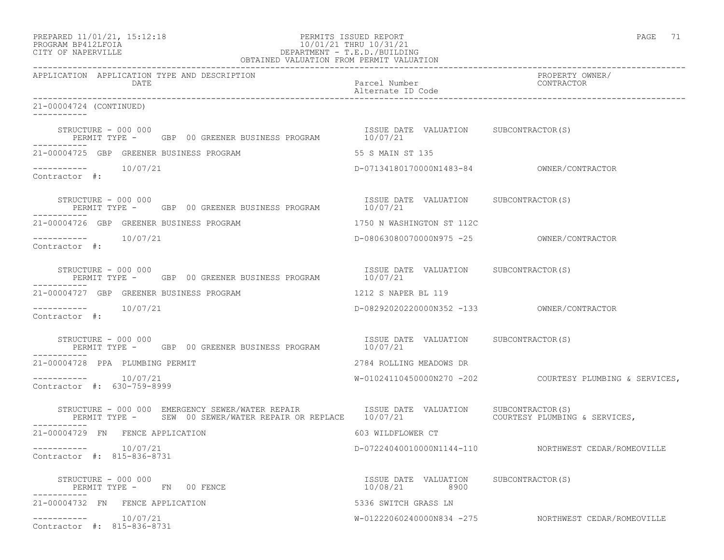# PREPARED 11/01/21, 15:12:18 PERMITS ISSUED REPORT PAGE 71 PROGRAM BP412LFOIA 10/01/21 THRU 10/31/21 CITY OF NAPERVILLE **DEPARTMENT - T.E.D./BUILDING**

| OBTAINED VALUATION FROM PERMIT VALUATION                                                                       |                                                        |                                                         |
|----------------------------------------------------------------------------------------------------------------|--------------------------------------------------------|---------------------------------------------------------|
| APPLICATION APPLICATION TYPE AND DESCRIPTION<br>DATE                                                           | Parcel Number<br>Alternate ID Code                     | PROPERTY OWNER/<br>CONTRACTOR                           |
| 21-00004724 (CONTINUED)<br>-----------                                                                         |                                                        |                                                         |
| STRUCTURE - 000 000<br>PERMIT TYPE - GBP 00 GREENER BUSINESS PROGRAM                                           | ISSUE DATE VALUATION SUBCONTRACTOR(S)<br>10/07/21      |                                                         |
| 21-00004725 GBP GREENER BUSINESS PROGRAM                                                                       | 55 S MAIN ST 135                                       |                                                         |
| -----------    10/07/21<br>Contractor #:                                                                       | D-07134180170000N1483-84 OWNER/CONTRACTOR              |                                                         |
| SINUCIURE - UUU UUU<br>PERMIT TYPE - GBP 00 GREENER BUSINESS PROGRAM 10/07/21<br>------<br>STRUCTURE - 000 000 |                                                        |                                                         |
| 21-00004726 GBP GREENER BUSINESS PROGRAM                                                                       | 1750 N WASHINGTON ST 112C                              |                                                         |
| -----------    10/07/21<br>Contractor #:                                                                       |                                                        |                                                         |
| STRUCTURE - 000 000<br>PERMIT TYPE - GBP 00 GREENER BUSINESS PROGRAM                                           | ISSUE DATE VALUATION SUBCONTRACTOR(S)<br>10/07/21      |                                                         |
| 21-00004727 GBP GREENER BUSINESS PROGRAM                                                                       | 1212 S NAPER BL 119                                    |                                                         |
| ----------    10/07/21<br>Contractor #:                                                                        |                                                        |                                                         |
| STRUCTURE - 000 000<br>PERMIT TYPE - GBP 00 GREENER BUSINESS PROGRAM                                           | ISSUE DATE VALUATION SUBCONTRACTOR(S)<br>10/07/21      |                                                         |
| 21-00004728 PPA PLUMBING PERMIT                                                                                | 2784 ROLLING MEADOWS DR                                |                                                         |
| $--------- 10/07/21$<br>Contractor #: 630-759-8999                                                             |                                                        | W-01024110450000N270 -202 COURTESY PLUMBING & SERVICES, |
| STRUCTURE - 000 000 EMERGENCY SEWER/WATER REPAIR TSSUE DATE VALUATION SUBCONTRACTOR(S)<br>-----------          |                                                        |                                                         |
| 21-00004729 FN FENCE APPLICATION                                                                               | 603 WILDFLOWER CT                                      |                                                         |
| -----------    10/07/21<br>Contractor #: 815-836-8731                                                          |                                                        | D-07224040010000N1144-110 NORTHWEST CEDAR/ROMEOVILLE    |
| STRUCTURE - 000 000<br>PERMIT TYPE - FN 00 FENCE                                                               | ISSUE DATE VALUATION SUBCONTRACTOR(S)<br>10/08/21 8900 |                                                         |
| 21-00004732 FN FENCE APPLICATION                                                                               | 5336 SWITCH GRASS LN                                   |                                                         |
| $--------- 10/07/21$<br>Contractor #: 815-836-8731                                                             |                                                        | W-01222060240000N834 -275 NORTHWEST CEDAR/ROMEOVILLE    |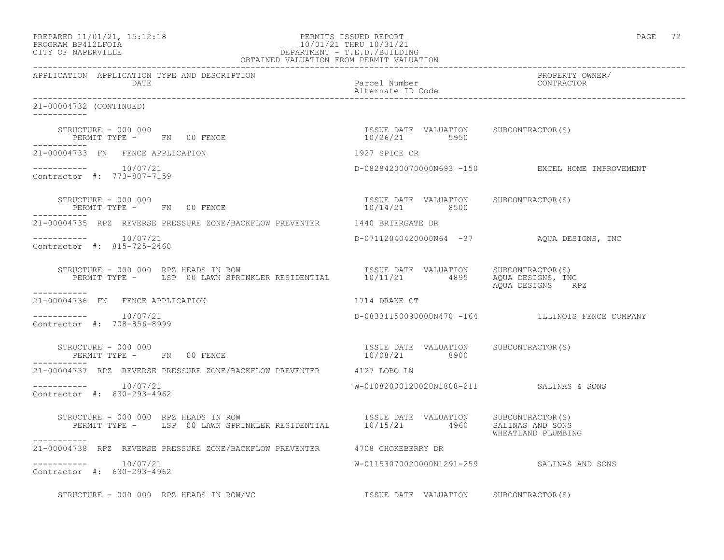| PREPARED 11/01/21, 15:12:18<br>PROGRAM BP412LFOIA 10/01/21 THRU 10/31/21<br>CITY OF NAPERVILLE DEPARTMENT - T.E.D./BUILDING<br>OBTAINED VALUATION FROM PERMIT VALUATION                                                                                                          |                                                        | PAGE 72                                          |
|----------------------------------------------------------------------------------------------------------------------------------------------------------------------------------------------------------------------------------------------------------------------------------|--------------------------------------------------------|--------------------------------------------------|
| APPLICATION APPLICATION TYPE AND DESCRIPTION<br>DATE                                                                                                                                                                                                                             | Parcel Number<br>Alternate ID Code                     | PROPERTY OWNER/<br>CONTRACTOR                    |
| 21-00004732 (CONTINUED)<br>___________                                                                                                                                                                                                                                           |                                                        |                                                  |
| STRUCTURE - 000 000<br>PERMIT TYPE - FN 00 FENCE                                                                                                                                                                                                                                 | ISSUE DATE VALUATION SUBCONTRACTOR(S)<br>10/26/21 5950 |                                                  |
| 21-00004733 FN FENCE APPLICATION                                                                                                                                                                                                                                                 | 1927 SPICE CR                                          |                                                  |
| 10/07/21<br>Contractor #: 773-807-7159                                                                                                                                                                                                                                           |                                                        | D-08284200070000N693 -150 EXCEL HOME IMPROVEMENT |
| STRUCTURE - 000 000<br>PERMIT TYPE - FN 00 FENCE                                                                                                                                                                                                                                 | ISSUE DATE VALUATION SUBCONTRACTOR(S)<br>10/14/21 8500 |                                                  |
| 21-00004735 RPZ REVERSE PRESSURE ZONE/BACKFLOW PREVENTER 1440 BRIERGATE DR                                                                                                                                                                                                       |                                                        |                                                  |
| $--------- 10/07/21$<br>Contractor #: 815-725-2460                                                                                                                                                                                                                               |                                                        | D-07112040420000N64 -37 AQUA DESIGNS, INC        |
| STRUCTURE - 000 000 RPZ HEADS IN ROW<br>RUCTURE - 000 000 RPZ HEADS IN ROW                                   ISSUE DATE VALUATION      SUBCONTRACTOR(S)<br>PERMIT TYPE -      LSP 00 LAWN SPRINKLER RESIDENTIAL        10/11/21         4895     AQUA DESIGNS, IN<br>----------- |                                                        | AQUA DESIGNS, INC<br>AQUA DESIGNS RPZ            |
| 21-00004736 FN FENCE APPLICATION                                                                                                                                                                                                                                                 | 1714 DRAKE CT                                          |                                                  |
| $--------- 10/07/21$<br>Contractor #: 708-856-8999                                                                                                                                                                                                                               |                                                        | D-08331150090000N470 -164 ILLINOIS FENCE COMPANY |
| STRUCTURE - 000 000<br>PERMIT TYPE - FN 00 FENCE<br>--------                                                                                                                                                                                                                     |                                                        | SUBCONTRACTOR (S)                                |
| 21-00004737 RPZ REVERSE PRESSURE ZONE/BACKFLOW PREVENTER 4127 LOBO LN                                                                                                                                                                                                            |                                                        |                                                  |
| $--------- 10/07/21$<br>Contractor #: 630-293-4962                                                                                                                                                                                                                               | W-01082000120020N1808-211 SALINAS & SONS               |                                                  |
| RUCTURE - 000 000 RPZ HEADS IN ROW                                  ISSUE DATE VALUATION     SUBCONTRACTOR(S)<br>PERMIT TYPE -     LSP 00 LAWN SPRINKLER RESIDENTIAL        10/15/21        4960     SALINAS AND SONS<br>STRUCTURE - 000 000 RPZ HEADS IN ROW                    |                                                        | WHEATLAND PLUMBING                               |
| 21-00004738 RPZ REVERSE PRESSURE ZONE/BACKFLOW PREVENTER 4708 CHOKEBERRY DR                                                                                                                                                                                                      |                                                        |                                                  |
| 10/07/21<br>___________<br>Contractor #: 630-293-4962                                                                                                                                                                                                                            |                                                        | W-01153070020000N1291-259 SALINAS AND SONS       |
| STRUCTURE - 000 000 RPZ HEADS IN ROW/VC                                                                                                                                                                                                                                          | ISSUE DATE VALUATION SUBCONTRACTOR(S)                  |                                                  |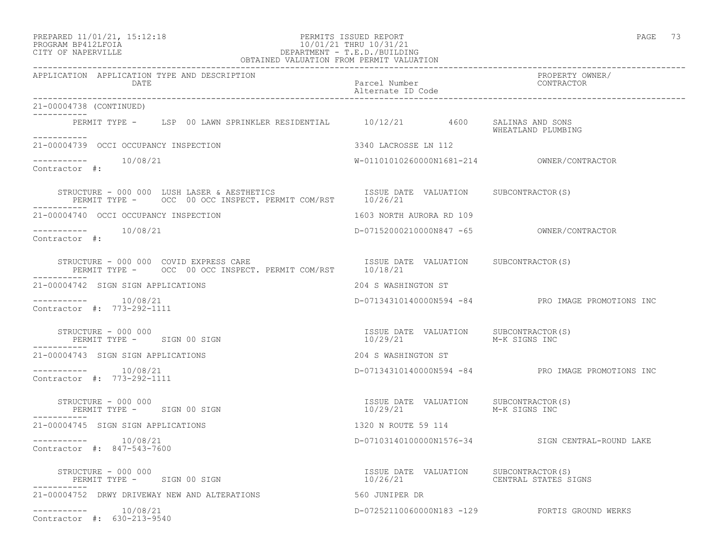21-00004738 (CONTINUED)

 $--------- 10/08/21$ 

Contractor #: 773-292-1111

Contractor #: 773-292-1111

Contractor #: 847-543-7600

-----------

-----------

-----------

-----------

-----------

-----------

Contractor #:

Contractor #:

### PREPARED 11/01/21, 15:12:18 PERMITS ISSUED REPORT PAGE 73 PROGRAM BP412LFOIA 10/01/21 THRU 10/31/21 CITY OF NAPERVILLE DEPARTMENT - T.E.D./BUILDING OBTAINED VALUATION FROM PERMIT VALUATION

------------------------------------------------------------------------------------------------------------------------------------ APPLICATION APPLICATION TYPE AND DESCRIPTION PROPERTY OWNER/ Parcel Number<br>Alternate ID Code Alternate ID Code ------------------------------------------------------------------------------------------------------------------------------------ PERMIT TYPE - LSP 00 LAWN SPRINKLER RESIDENTIAL 10/12/21 4600 SALINAS AND SONS WHEATLAND PLUMBING 21-00004739 OCCI OCCUPANCY INSPECTION 3340 LACROSSE LN 112  $W-01101010260000N1681-214$  OWNER/CONTRACTOR STRUCTURE - 000 000 LUSH LASER & AESTHETICS ISSUE DATE VALUATION SUBCONTRACTOR(S) PERMIT TYPE - OCC 00 OCC INSPECT. PERMIT COM/RST 10/26/21 21-00004740 OCCI OCCUPANCY INSPECTION 1603 NORTH AURORA RD 109 ----------- 10/08/21 D-07152000210000N847 -65 OWNER/CONTRACTOR STRUCTURE - 000 000 COVID EXPRESS CARE **ISSUE DATE VALUATION SUBCONTRACTOR**(S) PERMIT TYPE - OCC 00 OCC INSPECT. PERMIT COM/RST 10/18/21 21-00004742 SIGN SIGN APPLICATIONS 204 S WASHINGTON ST ----------- 10/08/21 D-07134310140000N594 -84 PRO IMAGE PROMOTIONS INC STRUCTURE - 000 000<br>
PERMIT TYPE - SIGN 00 SIGN<br>
10/29/21 M-K SIGNS INC PERMIT TYPE - SIGN 00 SIGN 10/29/21 M-K SIGNS INC 21-00004743 SIGN SIGN APPLICATIONS 204 S WASHINGTON ST ----------- 10/08/21 D-07134310140000N594 -84 PRO IMAGE PROMOTIONS INC STRUCTURE – 000 000<br>
PERMIT TYPE – SIGN 00 SIGN CONNECTOR CONNECTOR ISSUE DATE VALUATION SUBCONTRACTOR(S) PERMIT TYPE - SIGN 00 SIGN 21-00004745 SIGN SIGN APPLICATIONS 1320 N ROUTE 59 114 ----------- 10/08/21 D-07103140100000N1576-34 SIGN CENTRAL-ROUND LAKE

| STRUCTURE - 000 000<br>SIGN 00 SIGN<br>PERMIT TYPE –  | ISSUE DATE VALUATION<br>10/26/21 | SUBCONTRACTOR(S)<br>CENTRAL STATES SIGNS |
|-------------------------------------------------------|----------------------------------|------------------------------------------|
| 21-00004752 DRWY DRIVEWAY NEW AND ALTERATIONS         | 560 JUNIPER DR                   |                                          |
| 10/08/21<br>___________<br>Contractor #: 630-213-9540 | D-07252110060000N183 -129        | FORTIS GROUND WERKS                      |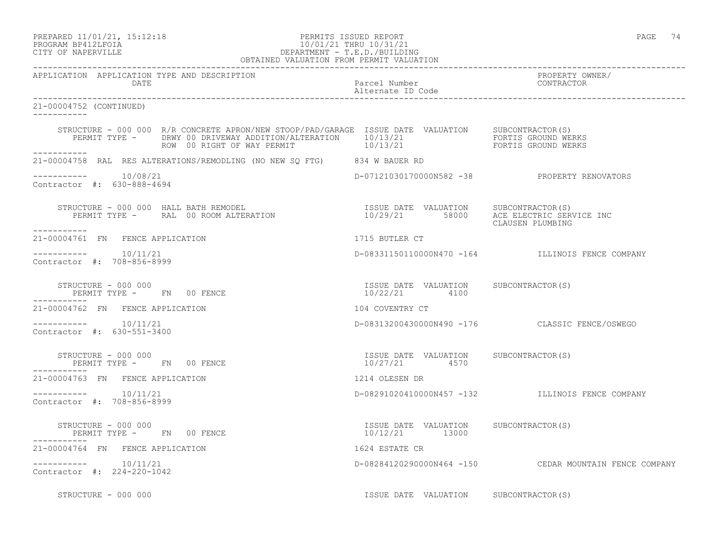PREPARED 11/01/21, 15:12:18 PERMITS ISSUED REPORT PAGE 74

# PROGRAM BP412LFOIA 10/01/21 THRU 10/31/21 CITY OF NAPERVILLE DEPARTMENT - T.E.D./BUILDING

| OBTAINED VALUATION FROM PERMIT VALUATION              |                                                                                                                       |                                                         |                                                        |
|-------------------------------------------------------|-----------------------------------------------------------------------------------------------------------------------|---------------------------------------------------------|--------------------------------------------------------|
| APPLICATION APPLICATION TYPE AND DESCRIPTION<br>DATE  |                                                                                                                       | Parcel Number<br>Alternate ID Code                      | PROPERTY OWNER/<br>CONTRACTOR                          |
| 21-00004752 (CONTINUED)<br>___________                |                                                                                                                       |                                                         |                                                        |
|                                                       | STRUCTURE - 000 000 R/R CONCRETE APRON/NEW STOOP/PAD/GARAGE ISSUE DATE VALUATION SUBCONTRACTOR(S)                     |                                                         |                                                        |
| ------------                                          | 21-00004758 RAL RES ALTERATIONS/REMODLING (NO NEW SQ FTG) 834 W BAUER RD                                              |                                                         |                                                        |
| -----------    10/08/21<br>Contractor #: 630-888-4694 |                                                                                                                       |                                                         | D-07121030170000N582 -38 PROPERTY RENOVATORS           |
| ___________                                           | STRUCTURE - 000 000 HALL BATH REMODEL<br>PERMIT TYPE - RAL 00 ROOM ALTERATION 10/29/21 58000 ACC ELECTRIC SERVICE INC |                                                         | CLAUSEN PLUMBING                                       |
| 21-00004761 FN FENCE APPLICATION                      |                                                                                                                       | 1715 BUTLER CT                                          |                                                        |
| $--------$ 10/11/21<br>Contractor #: 708-856-8999     |                                                                                                                       |                                                         | D-08331150110000N470 -164 ILLINOIS FENCE COMPANY       |
|                                                       | STRUCTURE - 000 000<br>PERMIT TYPE - FN 00 FENCE                                                                      | ISSUE DATE VALUATION SUBCONTRACTOR(S)<br>10/22/21 4100  |                                                        |
| 21-00004762 FN FENCE APPLICATION                      |                                                                                                                       | 104 COVENTRY CT                                         |                                                        |
| $--------- 10/11/21$<br>Contractor #: 630-551-3400    |                                                                                                                       |                                                         | D-08313200430000N490 -176 CLASSIC FENCE/OSWEGO         |
|                                                       | STRUCTURE - 000 000<br>PERMIT TYPE -     FN   00 FENCE                                                                | ISSUE DATE VALUATION SUBCONTRACTOR(S)<br>10/27/21 4570  |                                                        |
| 21-00004763 FN FENCE APPLICATION                      |                                                                                                                       | 1214 OLESEN DR                                          |                                                        |
| $--------- 10/11/21$<br>Contractor #: 708-856-8999    |                                                                                                                       |                                                         | D-08291020410000N457 -132 ILLINOIS FENCE COMPANY       |
|                                                       | STRUCTURE - 000 000<br>PERMIT TYPE - FN 00 FENCE                                                                      | ISSUE DATE VALUATION SUBCONTRACTOR(S)<br>10/12/21 13000 |                                                        |
| 21-00004764 FN FENCE APPLICATION                      |                                                                                                                       | 1624 ESTATE CR                                          |                                                        |
| Contractor #: 224-220-1042                            |                                                                                                                       |                                                         | D-08284120290000N464 -150 CEDAR MOUNTAIN FENCE COMPANY |
| STRUCTURE - 000 000                                   |                                                                                                                       | ISSUE DATE VALUATION SUBCONTRACTOR(S)                   |                                                        |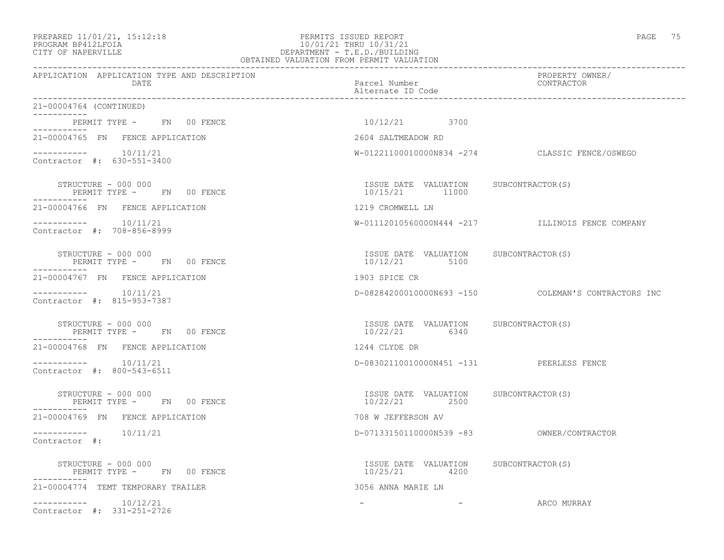### PREPARED 11/01/21, 15:12:18 PERMITS ISSUED REPORT PAGE 75 PROGRAM BP412LFOIA 10/01/21 THRU 10/31/21 CITY OF NAPERVILLE DEPARTMENT - T.E.D./BUILDING OBTAINED VALUATION FROM PERMIT VALUATION

| APPLICATION APPLICATION TYPE AND DESCRIPTION<br>DATE                                                                                                                                   | Parcel Number<br>Alternate ID Code                        | PROPERTY OWNER/<br>CONTRACTOR                       |
|----------------------------------------------------------------------------------------------------------------------------------------------------------------------------------------|-----------------------------------------------------------|-----------------------------------------------------|
| 21-00004764 (CONTINUED)                                                                                                                                                                |                                                           |                                                     |
| PERMIT TYPE - FN 00 FENCE                                                                                                                                                              | 10/12/21 3700                                             |                                                     |
| ------------<br>21-00004765 FN FENCE APPLICATION                                                                                                                                       | 2604 SALTMEADOW RD                                        |                                                     |
| $--------- 10/11/21$<br>Contractor #: 630-551-3400                                                                                                                                     |                                                           | W-01221100010000N834 -274 CLASSIC FENCE/OSWEGO      |
| STRUCTURE - 000 000<br>PERMIT TYPE - FN 00 FENCE<br>-----------                                                                                                                        | ISSUE DATE VALUATION SUBCONTRACTOR(S)<br>$10/15/21$ 11000 |                                                     |
| 21-00004766 FN FENCE APPLICATION                                                                                                                                                       | 1219 CROMWELL LN                                          |                                                     |
| $--------- 10/11/21$<br>Contractor #: 708-856-8999                                                                                                                                     |                                                           | W-01112010560000N444 -217 ILLINOIS FENCE COMPANY    |
| STRUCTURE - 000 000<br>PERMIT TYPE - FN 00 FENCE                                                                                                                                       | ISSUE DATE VALUATION SUBCONTRACTOR(S)<br>10/12/21 5100    |                                                     |
| 21-00004767 FN FENCE APPLICATION                                                                                                                                                       | 1903 SPICE CR                                             |                                                     |
| $--------- 10/11/21$<br>Contractor #: 815-953-7387                                                                                                                                     |                                                           | D-08284200010000N693 -150 COLEMAN'S CONTRACTORS INC |
| $\begin{tabular}{lllll} \multicolumn{2}{c}{\textbf{STRUCTURE}} & - & \textbf{UUU} & \textbf{UUV} \\ & & \textbf{PERMIT TYPE} & - & \textbf{FN} & 00 & \textbf{FENCE} \\ \end{tabular}$ | ISSUE DATE VALUATION SUBCONTRACTOR(S)<br>10/22/21 6340    |                                                     |
| 21-00004768 FN FENCE APPLICATION                                                                                                                                                       | 1244 CLYDE DR                                             |                                                     |
| $--------- 10/11/21$<br>Contractor #: 800-543-6511                                                                                                                                     | D-08302110010000N451 -131 PEERLESS FENCE                  |                                                     |
| STRUCTURE - 000 000<br>PERMIT TYPE - FN 00 FENCE                                                                                                                                       | ISSUE DATE VALUATION SUBCONTRACTOR (S)<br>10/22/21 2500   |                                                     |
| 21-00004769 FN FENCE APPLICATION                                                                                                                                                       | 708 W JEFFERSON AV                                        |                                                     |
| $--------- 10/11/21$<br>Contractor #:                                                                                                                                                  | D-07133150110000N539 -83 OWNER/CONTRACTOR                 |                                                     |
| STRUCTURE - 000 000<br>PERMIT TYPE - FN 00 FENCE                                                                                                                                       | ISSUE DATE VALUATION SUBCONTRACTOR(S)<br>10/25/21 4200    |                                                     |
| 21-00004774 TEMT TEMPORARY TRAILER                                                                                                                                                     | 3056 ANNA MARIE LN                                        |                                                     |
| $--------- 10/12/21$<br>Contractor #: 331-251-2726                                                                                                                                     | the company's company's company's                         | ARCO MURRAY                                         |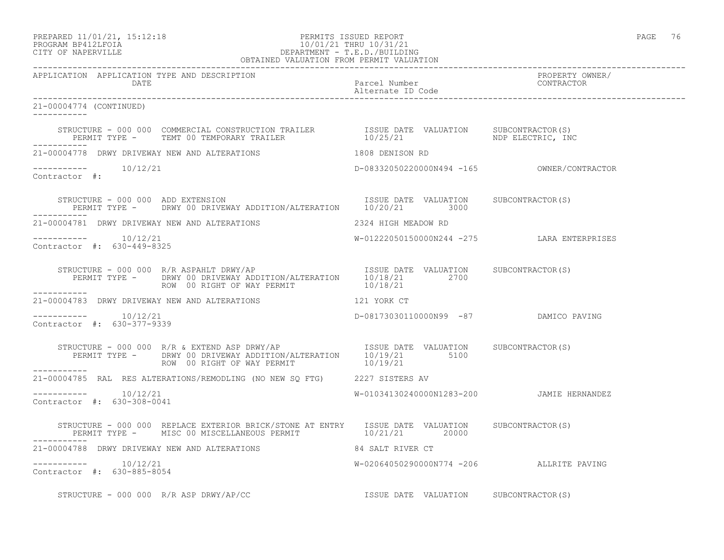PREPARED 11/01/21, 15:12:18 PERMITS ISSUED REPORT PAGE 76

# PROGRAM BP412LFOIA 10/01/21 THRU 10/31/21 CITY OF NAPERVILLE DEPARTMENT - T.E.D./BUILDING

| OBTAINED VALUATION FROM PERMIT VALUATION              |                                                                                                                                                                |                                             |                 |
|-------------------------------------------------------|----------------------------------------------------------------------------------------------------------------------------------------------------------------|---------------------------------------------|-----------------|
| APPLICATION APPLICATION TYPE AND DESCRIPTION          |                                                                                                                                                                |                                             | PROPERTY OWNER/ |
| 21-00004774 (CONTINUED)<br>------------               |                                                                                                                                                                |                                             |                 |
|                                                       |                                                                                                                                                                | 10/25/21 NDP ELECTRIC, INC                  |                 |
|                                                       | 21-00004778 DRWY DRIVEWAY NEW AND ALTERATIONS                                                                                                                  | 1808 DENISON RD                             |                 |
| -----------    10/12/21<br>Contractor #:              |                                                                                                                                                                |                                             |                 |
|                                                       | STRUCTURE - 000 000 ADD EXTENSION (S)<br>PERMIT TYPE - DRWY 00 DRIVEWAY ADDITION/ALTERATION 10/20/21 3000                                                      |                                             |                 |
|                                                       | 21-00004781 DRWY DRIVEWAY NEW AND ALTERATIONS THE READ READOW RD                                                                                               |                                             |                 |
| $--------- 10/12/21$<br>Contractor #: 630-449-8325    |                                                                                                                                                                | W-01222050150000N244 -275 LARA ENTERPRISES  |                 |
|                                                       |                                                                                                                                                                |                                             |                 |
|                                                       | 21-00004783 DRWY DRIVEWAY NEW AND ALTERATIONS THE RELATION MALL TO LATER CT                                                                                    |                                             |                 |
| $--------- 10/12/21$<br>Contractor #: 630-377-9339    |                                                                                                                                                                | D-08173030110000N99 -87 DAMICO PAVING       |                 |
|                                                       | STRUCTURE - 000 000 R/R & EXTEND ASP DRWY/AP<br>PERMIT TYPE - DRWY 00 DRIVEWAY ADDITION/ALTERATION $10/19/21$ 5100 5100<br>ROW 00 RIGHT OF WAY PERMIT 10/19/21 |                                             |                 |
|                                                       | 21-00004785 RAL RES ALTERATIONS/REMODLING (NO NEW SQ FTG) 2227 SISTERS AV                                                                                      |                                             |                 |
| -----------    10/12/21<br>Contractor #: 630-308-0041 |                                                                                                                                                                | W-01034130240000N1283-200   JAMIE HERNANDEZ |                 |
|                                                       | STRUCTURE - 000 000 REPLACE EXTERIOR BRICK/STONE AT ENTRY ISSUE DATE VALUATION SUBCONTRACTOR(S)<br>PERMIT TYPE - MISC 00 MISCELLANEOUS PERMIT 10/21/21 20000   |                                             |                 |
|                                                       | 21-00004788 DRWY DRIVEWAY NEW AND ALTERATIONS 84 SALT RIVER CT                                                                                                 |                                             |                 |
| -----------    10/12/21<br>Contractor #: 630-885-8054 |                                                                                                                                                                | W-02064050290000N774 -206 ALLRITE PAVING    |                 |
|                                                       |                                                                                                                                                                |                                             |                 |

STRUCTURE - 000 000 R/R ASP DRWY/AP/CC **ISSUE DATE VALUATION** SUBCONTRACTOR(S)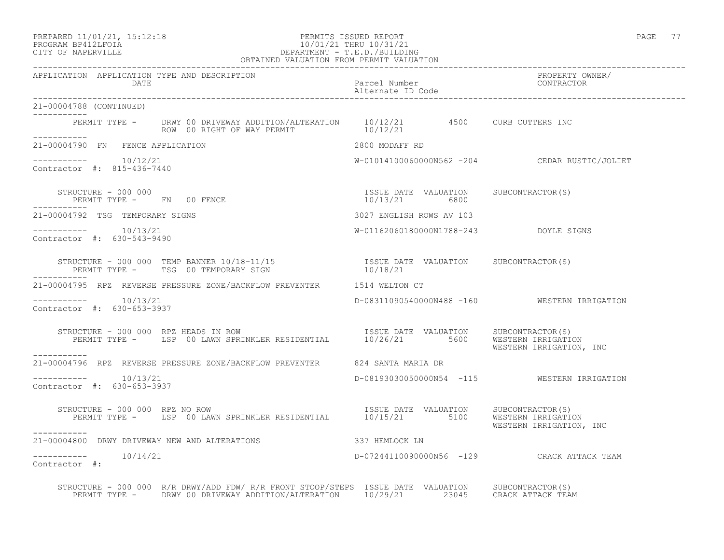## PREPARED 11/01/21, 15:12:18 PERMITS ISSUED REPORT PAGE 77 PROGRAM BP412LFOIA 10/01/21 THRU 10/31/21 CITY OF NAPERVILLE DEPARTMENT - T.E.D./BUILDING

| OBTAINED VALUATION FROM PERMIT VALUATION                                                                                                                                                 |                                            |                                               |
|------------------------------------------------------------------------------------------------------------------------------------------------------------------------------------------|--------------------------------------------|-----------------------------------------------|
| APPLICATION APPLICATION TYPE AND DESCRIPTION<br>DATE                                                                                                                                     | Parcel Number<br>Alternate ID Code         | PROPERTY OWNER/<br>CONTRACTOR                 |
| 21-00004788 (CONTINUED)                                                                                                                                                                  |                                            |                                               |
| PERMIT TYPE - DRWY 00 DRIVEWAY ADDITION/ALTERATION 10/12/21 4500 CURB CUTTERS INC<br>ROW 00 RIGHT OF WAY PERMIT 10/12/21<br>____________                                                 |                                            |                                               |
| 21-00004790 FN FENCE APPLICATION                                                                                                                                                         | 2800 MODAFF RD                             |                                               |
| $--------- 10/12/21$<br>Contractor #: 815-436-7440                                                                                                                                       |                                            | W-01014100060000N562 -204 CEDAR RUSTIC/JOLIET |
| STRUCTURE - 000 000                                                                                                                                                                      |                                            |                                               |
| 21-00004792 TSG TEMPORARY SIGNS                                                                                                                                                          | 3027 ENGLISH ROWS AV 103                   |                                               |
| $--------- 10/13/21$<br>Contractor #: 630-543-9490                                                                                                                                       | W-01162060180000N1788-243 DOYLE SIGNS      |                                               |
| STRUCTURE - 000 000 TEMP BANNER 10/18-11/15<br>PERMIT TYPE - TSG 00 TEMPORARY SIGN 10/18/21<br>--------                                                                                  |                                            |                                               |
| 21-00004795 RPZ REVERSE PRESSURE ZONE/BACKFLOW PREVENTER 1514 WELTON CT                                                                                                                  |                                            |                                               |
| $--------- 10/13/21$<br>Contractor #: 630-653-3937                                                                                                                                       |                                            | D-08311090540000N488 -160 WESTERN IRRIGATION  |
| STRUCTURE - 000 000 RPZ HEADS IN ROW<br>PERMIT TYPE - LSP 00 LAWN SPRINKLER RESIDENTIAL 10/26/21 5600 WESTERN IRRIGATION<br>WESTERN IRRIGATION, INC                                      |                                            |                                               |
| 21-00004796 RPZ REVERSE PRESSURE ZONE/BACKFLOW PREVENTER 624 SANTA MARIA DR                                                                                                              |                                            |                                               |
| $--------- 10/13/21$<br>Contractor #: 630-653-3937                                                                                                                                       |                                            | D-08193030050000N54 -115 WESTERN IRRIGATION   |
| TRUCTURE - 000 000 RPZ NO ROW<br>PERMIT TYPE - LSP 00 LAWN SPRINKLER RESIDENTIAL 10/15/21 5100 WESTERN IRRIGATION<br>STRUCTURE - 000 000 RPZ NO ROW<br>-----------                       |                                            | WESTERN IRRIGATION, INC                       |
| 21-00004800 DRWY DRIVEWAY NEW AND ALTERATIONS                                                                                                                                            | 337 HEMLOCK LN                             |                                               |
| $--------- 10/14/21$<br>Contractor #:                                                                                                                                                    | D-07244110090000N56 -129 CRACK ATTACK TEAM |                                               |
| STRUCTURE - 000 000 R/R DRWY/ADD FDW/ R/R FRONT STOOP/STEPS ISSUE DATE VALUATION SUBCONTRACTOR(S)<br>PERMIT TYPE - DRWY 00 DRIVEWAY ADDITION/ALTERATION 10/29/21 23045 CRACK ATTACK TEAM |                                            |                                               |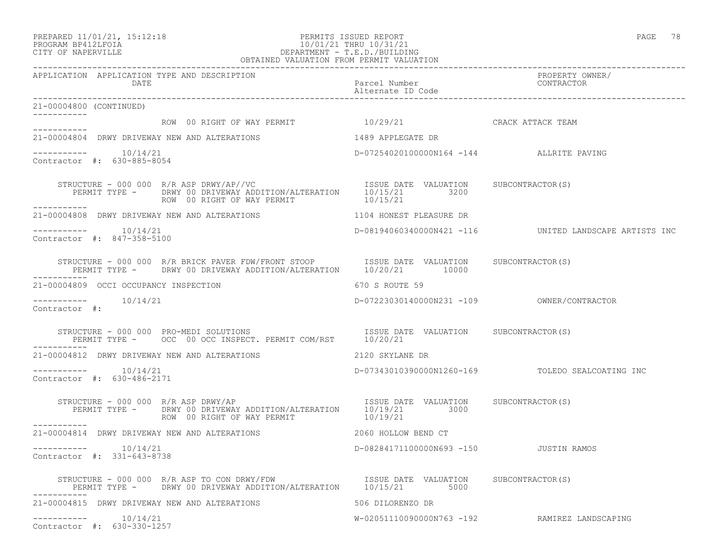21-00004800 (CONTINUED)

-----------

-----------

-----------

\_\_\_\_\_\_\_\_\_\_\_

-----------

Contractor #:

-----------

-----------

#### PREPARED 11/01/21, 15:12:18 PERMITS ISSUED REPORT PAGE 78 PROGRAM BP412LFOIA 10/01/21 THRU 10/31/21 CITY OF NAPERVILLE DEPARTMENT - T.E.D./BUILDING OBTAINED VALUATION FROM PERMIT VALUATION

------------------------------------------------------------------------------------------------------------------------------------ APPLICATION APPLICATION TYPE AND DESCRIPTION PROPERTY OWNER/ DATE Parcel Number Contractor Contractor Parcel Number Alternate ID Code ------------------------------------------------------------------------------------------------------------------------------------ ROW 00 RIGHT OF WAY PERMIT  $10/29/21$  CRACK ATTACK TEAM 21-00004804 DRWY DRIVEWAY NEW AND ALTERATIONS 1489 APPLEGATE DR  $--------- 10/14/21$ D-07254020100000N164 -144 ALLRITE PAVING Contractor #: 630-885-8054 STRUCTURE - 000 000 R/R ASP DRWY/AP//VC **ISSUE DATE VALUATION** SUBCONTRACTOR(S) PERMIT TYPE - DRWY 00 DRIVEWAY ADDITION/ALTERATION 10/15/21 3200 ROW 00 RIGHT OF WAY PERMIT 10/15/21 21-00004808 DRWY DRIVEWAY NEW AND ALTERATIONS 1104 HONEST PLEASURE DR ----------- 10/14/21 D-08194060340000N421 -116 UNITED LANDSCAPE ARTISTS INC Contractor #: 847-358-5100 STRUCTURE - 000 000 R/R BRICK PAVER FDW/FRONT STOOP ISSUE DATE VALUATION SUBCONTRACTOR(S) PERMIT TYPE - DRWY 00 DRIVEWAY ADDITION/ALTERATION 10/20/21 10000 21-00004809 OCCI OCCUPANCY INSPECTION 670 S ROUTE 59 ----------- 10/14/21 D-07223030140000N231 -109 OWNER/CONTRACTOR STRUCTURE - 000 000 PRO-MEDI SOLUTIONS ISSUE DATE VALUATION SUBCONTRACTOR(S) PERMIT TYPE - OCC 00 OCC INSPECT. PERMIT COM/RST 10/20/21 21-00004812 DRWY DRIVEWAY NEW AND ALTERATIONS 2120 SKYLANE DR ----------- 10/14/21 D-07343010390000N1260-169 TOLEDO SEALCOATING INC Contractor #: 630-486-2171 STRUCTURE - 000 000 R/R ASP DRWY/AP **ISSUE DATE VALUATION** SUBCONTRACTOR(S) PERMIT TYPE - DRWY 00 DRIVEWAY ADDITION/ALTERATION 10/19/21 3000 ROW 00 RIGHT OF WAY PERMIT 10/19/21 21-00004814 DRWY DRIVEWAY NEW AND ALTERATIONS 2060 HOLLOW BEND CT

D-08284171100000N693 -150 JUSTIN RAMOS

 $--------- 10/14/21$ Contractor #: 331-643-8738

 STRUCTURE - 000 000 R/R ASP TO CON DRWY/FDW ISSUE DATE VALUATION SUBCONTRACTOR(S) PERMIT TYPE - DRWY 00 DRIVEWAY ADDITION/ALTERATION 10/15/21 5000 ----------- 21-00004815 DRWY DRIVEWAY NEW AND ALTERATIONS 606 SOLLORENZO DR ----------- 10/14/21 W-02051110090000N763 -192 RAMIREZ LANDSCAPING Contractor #: 630-330-1257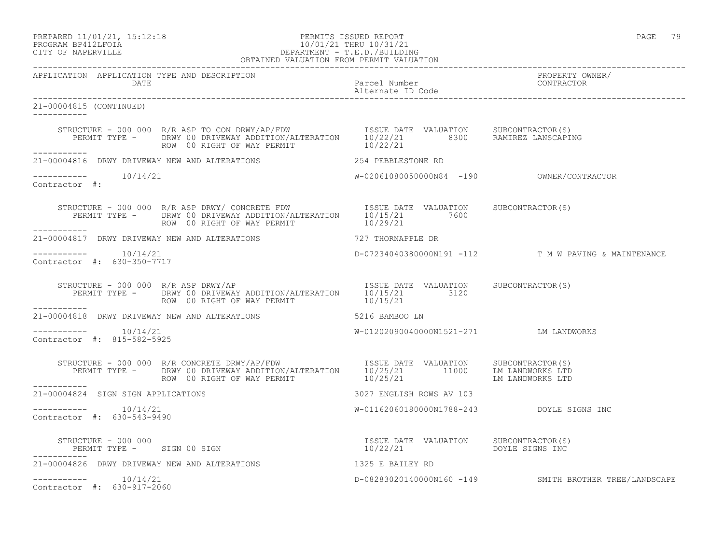# PREPARED 11/01/21, 15:12:18 PERMITS ISSUED REPORT PAGE 79 PROGRAM BP412LFOIA 10/01/21 THRU 10/31/21 CITY OF NAPERVILLE DEPARTMENT - T.E.D./BUILDING

|                                                          | OBTAINED VALUATION FROM PERMIT VALUATION                                                                                                                                                                                                                                                                                                                                                                                                                                                                                                                                                                                           |                                           |                                                        |
|----------------------------------------------------------|------------------------------------------------------------------------------------------------------------------------------------------------------------------------------------------------------------------------------------------------------------------------------------------------------------------------------------------------------------------------------------------------------------------------------------------------------------------------------------------------------------------------------------------------------------------------------------------------------------------------------------|-------------------------------------------|--------------------------------------------------------|
| APPLICATION APPLICATION TYPE AND DESCRIPTION             |                                                                                                                                                                                                                                                                                                                                                                                                                                                                                                                                                                                                                                    |                                           | PROPERTY OWNER/<br>CONTRACTOR                          |
| 21-00004815 (CONTINUED)                                  |                                                                                                                                                                                                                                                                                                                                                                                                                                                                                                                                                                                                                                    |                                           |                                                        |
| ------------                                             | STRUCTURE - 000 000 R/R ASP TO CON DRWY/AP/FDW ISSUE DATE VALUATION SUBCONTRACTOR(S)<br>PERMIT TYPE - DRWY 00 DRIVEWAY ADDITION/ALTERATION 10/22/21 8300 RAMIREZ LANSCAPING<br>$\begin{tabular}{lllll} \multicolumn{2}{l}{{\small{\textbf{Row}}}} & 00 & \textbf{RIGHT OF WAY PERMIT} & & & 10/22/21 \\ \multicolumn{2}{l}{\small{22/21}} & & & & & \\ \multicolumn{2}{l}{\small{23/21}} & & & & \\ \multicolumn{2}{l}{\small{24/21}} & & & & \\ \multicolumn{2}{l}{\small{25/21}} & & & & \\ \multicolumn{2}{l}{\small{26/21}} & & & & \\ \multicolumn{2}{l}{\small{27/21}} & & & & \\ \multicolumn{2}{l}{\small{28/21}} & & & &$ |                                           |                                                        |
|                                                          |                                                                                                                                                                                                                                                                                                                                                                                                                                                                                                                                                                                                                                    |                                           |                                                        |
| $--------- 10/14/21$<br>Contractor #:                    |                                                                                                                                                                                                                                                                                                                                                                                                                                                                                                                                                                                                                                    |                                           |                                                        |
|                                                          | STRUCTURE - 000 000 R/R ASP DRWY/CONCRETE FDW ISSUE DATE VALUATION SUBCONTRACTOR(S)<br>PERMIT TYPE - DRWY 00 DRIVEWAY ADDITION/ALTERATION 10/15/21 7600<br>ROW 00 RIGHT OF WAY PERMIT 10/29/21                                                                                                                                                                                                                                                                                                                                                                                                                                     |                                           |                                                        |
|                                                          | 21-00004817 DRWY DRIVEWAY NEW AND ALTERATIONS 727 THORNAPPLE DR                                                                                                                                                                                                                                                                                                                                                                                                                                                                                                                                                                    |                                           |                                                        |
| -----------    10/14/21<br>Contractor $\#: 630-350-7717$ |                                                                                                                                                                                                                                                                                                                                                                                                                                                                                                                                                                                                                                    |                                           | D-07234040380000N191 -112 T M W PAVING & MAINTENANCE   |
| STRUCTURE - 000 000 $R/R$ ASP DRWY/AP<br>___________     | RUCTURE - 000 000 R/R ASP DRWY/AP<br>PERMIT TYPE -    DRWY 00 DRIVEWAY ADDITION/ALTERATION    10/15/21        3120<br>ROW 00 RIGHT OF WAY PERMIT 10/15/21                                                                                                                                                                                                                                                                                                                                                                                                                                                                          |                                           |                                                        |
|                                                          | 21-00004818 DRWY DRIVEWAY NEW AND ALTERATIONS 5216 BAMBOO LN                                                                                                                                                                                                                                                                                                                                                                                                                                                                                                                                                                       |                                           |                                                        |
| $--------- 10/14/21$<br>Contractor #: 815-582-5925       |                                                                                                                                                                                                                                                                                                                                                                                                                                                                                                                                                                                                                                    | W-01202090040000N1521-271 LM LANDWORKS    |                                                        |
|                                                          |                                                                                                                                                                                                                                                                                                                                                                                                                                                                                                                                                                                                                                    |                                           |                                                        |
| ------------<br>21-00004824 SIGN SIGN APPLICATIONS       |                                                                                                                                                                                                                                                                                                                                                                                                                                                                                                                                                                                                                                    | 3027 ENGLISH ROWS AV 103                  |                                                        |
| $--------- 10/14/21$<br>Contractor #: 630-543-9490       |                                                                                                                                                                                                                                                                                                                                                                                                                                                                                                                                                                                                                                    | W-01162060180000N1788-243 DOYLE SIGNS INC |                                                        |
| ------------                                             | STRUCTURE – 000 000<br>PERMIT TYPE – SIGN 00 SIGN 10/22/21 10/22/21 DOYLE SIGNS INC                                                                                                                                                                                                                                                                                                                                                                                                                                                                                                                                                |                                           |                                                        |
|                                                          | 21-00004826 DRWY DRIVEWAY NEW AND ALTERATIONS 4325 E BAILEY RD                                                                                                                                                                                                                                                                                                                                                                                                                                                                                                                                                                     |                                           |                                                        |
| $--------- 10/14/21$<br>Contractor #: 630-917-2060       |                                                                                                                                                                                                                                                                                                                                                                                                                                                                                                                                                                                                                                    |                                           | D-08283020140000N160 -149 SMITH BROTHER TREE/LANDSCAPE |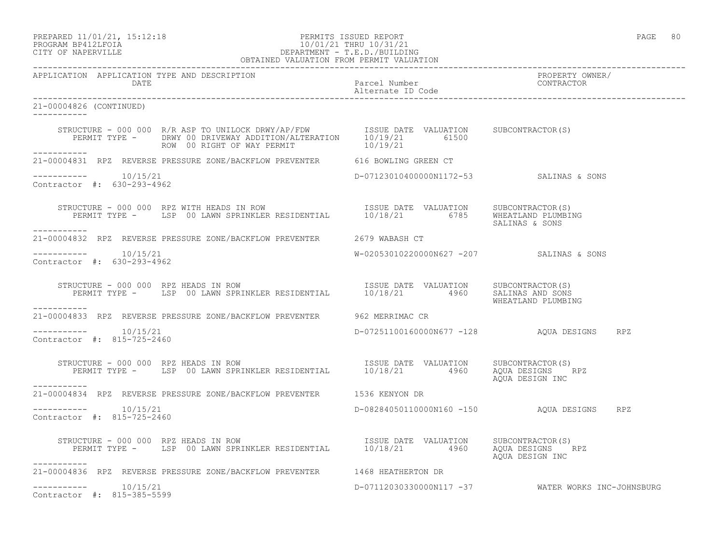PREPARED 11/01/21, 15:12:18 PERMITS ISSUED REPORT PAGE 80

# PROGRAM BP412LFOIA 10/01/21 THRU 10/31/21 CITY OF NAPERVILLE DEPARTMENT - T.E.D./BUILDING

|                                                      | OBTAINED VALUATION FROM PERMIT VALUATION                                                                                                                                                             |                                          |                                                    |
|------------------------------------------------------|------------------------------------------------------------------------------------------------------------------------------------------------------------------------------------------------------|------------------------------------------|----------------------------------------------------|
| APPLICATION APPLICATION TYPE AND DESCRIPTION<br>DATE |                                                                                                                                                                                                      | reduced Number<br>Alternate ID Code      | PROPERTY OWNER/<br>CONTRACTOR                      |
| 21-00004826 (CONTINUED)<br>------------              |                                                                                                                                                                                                      |                                          |                                                    |
|                                                      | STRUCTURE - 000 000 R/R ASP TO UNILOCK DRWY/AP/FDW ISSUE DATE VALUATION SUBCONTRACTOR(S)<br>PERMIT TYPE - DRWY 00 DRIVEWAY ADDITION/ALTERATION 10/19/21 61500<br>ROW 00 RIGHT OF WAY PERMIT 10/19/21 |                                          |                                                    |
| -----------                                          | 21-00004831 RPZ REVERSE PRESSURE ZONE/BACKFLOW PREVENTER 616 BOWLING GREEN CT                                                                                                                        |                                          |                                                    |
| Contractor #: 630-293-4962                           |                                                                                                                                                                                                      | D-07123010400000N1172-53 SALINAS & SONS  |                                                    |
| -----------                                          | STRUCTURE - 000 000 RPZ WITH HEADS IN ROW<br>PERMIT TYPE - LSP 00 LAWN SPRINKLER RESIDENTIAL 10/18/21 6785 WHEATLAND PLUMBING                                                                        |                                          | SALINAS & SONS                                     |
|                                                      | 21-00004832 RPZ REVERSE PRESSURE ZONE/BACKFLOW PREVENTER 2679 WABASH CT                                                                                                                              |                                          |                                                    |
| $--------- 10/15/21$<br>Contractor #: 630-293-4962   |                                                                                                                                                                                                      | W-02053010220000N627 -207 SALINAS & SONS |                                                    |
| -----------                                          | STRUCTURE - 000 000 RPZ HEADS IN ROW [ISSUE DATE VALUATION SUBCONTRACTOR(S)<br>PERMIT TYPE - LSP 00 LAWN SPRINKLER RESIDENTIAL 10/18/21 4960 SALINAS AND SONS                                        |                                          | WHEATLAND PLUMBING                                 |
|                                                      | 21-00004833 RPZ REVERSE PRESSURE ZONE/BACKFLOW PREVENTER 962 MERRIMAC CR                                                                                                                             |                                          |                                                    |
| $--------- 10/15/21$<br>Contractor #: 815-725-2460   |                                                                                                                                                                                                      |                                          | D-07251100160000N677 -128 AQUA DESIGNS RPZ         |
| STRUCTURE - 000 000 RPZ HEADS IN ROW                 | RUCTURE - 000 000 RPZ HEADS IN ROW<br>PERMIT TYPE - LSP 00 LAWN SPRINKLER RESIDENTIAL 10/18/21 4960 AQUA DESIGNS                                                                                     |                                          | AQUA DESIGN INC                                    |
|                                                      | 21-00004834 RPZ REVERSE PRESSURE ZONE/BACKFLOW PREVENTER 1536 KENYON DR                                                                                                                              |                                          |                                                    |
| $--------$ 10/15/21<br>Contractor #: 815-725-2460    |                                                                                                                                                                                                      |                                          | D-08284050110000N160 -150 AQUA DESIGNS RPZ         |
| . <u>.</u> .                                         | STRUCTURE - 000 000 RPZ HEADS IN ROW STRUCTURE - 000 000 RPZ HEADS IN ROW<br>PERMIT TYPE - LSP 00 LAWN SPRINKLER RESIDENTIAL 10/18/21 4960 AQUA DESIGNS RPZ                                          |                                          | AOUA DESIGN INC                                    |
|                                                      | 21-00004836 RPZ REVERSE PRESSURE ZONE/BACKFLOW PREVENTER 1468 HEATHERTON DR                                                                                                                          |                                          |                                                    |
| $--------- 10/15/21$<br>Contractor #: 815-385-5599   |                                                                                                                                                                                                      |                                          | D-07112030330000N117 -37 WATER WORKS INC-JOHNSBURG |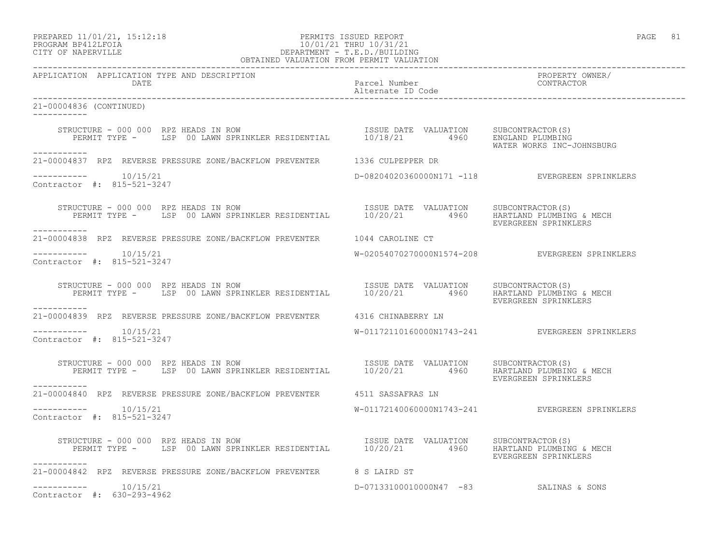## PREPARED 11/01/21, 15:12:18 PERMITS ISSUED REPORT PAGE 81 PROGRAM BP412LFOIA 10/01/21 THRU 10/31/21 CITY OF NAPERVILLE DEPARTMENT - T.E.D./BUILDING

| OBTAINED VALUATION FROM PERMIT VALUATION                                                                                                                                                                                                                                           |                                        |                                                |
|------------------------------------------------------------------------------------------------------------------------------------------------------------------------------------------------------------------------------------------------------------------------------------|----------------------------------------|------------------------------------------------|
| APPLICATION APPLICATION TYPE AND DESCRIPTION<br>D DESCRIPIION<br>Parcel Number<br>Alternate ID Code<br>DATE                                                                                                                                                                        |                                        | PROPERTY OWNER/<br>CONTRACTOR                  |
| 21-00004836 (CONTINUED)                                                                                                                                                                                                                                                            |                                        |                                                |
| STRUCTURE - 000 000 RPZ HEADS IN ROW<br>PERMIT TYPE - LSP 00 LAWN SPRINKLER RESIDENTIAL 10/18/21 4960 ENGLAND PLUMBING<br>WATER WORKS INC-JOHNSBURG                                                                                                                                |                                        |                                                |
| -----------<br>21-00004837 RPZ REVERSE PRESSURE ZONE/BACKFLOW PREVENTER 1336 CULPEPPER DR                                                                                                                                                                                          |                                        |                                                |
| -----------    10/15/21<br>Contractor #: 815-521-3247                                                                                                                                                                                                                              |                                        | D-08204020360000N171 -118 EVERGREEN SPRINKLERS |
| RUCTURE - 000 000 RPZ HEADS IN ROW<br>PERMIT TYPE - LSP 00 LAWN SPRINKLER RESIDENTIAL 10/20/21 4960 HARTLAND PLUMBING & MECH<br>STRUCTURE - 000 000 RPZ HEADS IN ROW<br>------------                                                                                               |                                        | EVERGREEN SPRINKLERS                           |
| 21-00004838 RPZ REVERSE PRESSURE ZONE/BACKFLOW PREVENTER 1044 CAROLINE CT                                                                                                                                                                                                          |                                        |                                                |
| $--------- 10/15/21$<br>Contractor #: 815-521-3247                                                                                                                                                                                                                                 |                                        | W-02054070270000N1574-208 EVERGREEN SPRINKLERS |
| STRUCTURE - 000 000 RPZ HEADS IN ROW<br>PERMIT TYPE - LSP 00 LAWN SPRINKLER RESIDENTIAL 10/20/21 4960 HARTLAND PLUMBING & MECH<br>------------                                                                                                                                     |                                        | EVERGREEN SPRINKLERS                           |
| 21-00004839 RPZ REVERSE PRESSURE ZONE/BACKFLOW PREVENTER 4316 CHINABERRY LN                                                                                                                                                                                                        |                                        |                                                |
| $--------- 10/15/21$<br>Contractor #: 815-521-3247                                                                                                                                                                                                                                 |                                        | W-01172110160000N1743-241 EVERGREEN SPRINKLERS |
| RUCTURE - 000 000 RPZ HEADS IN ROW                                ISSUE DATE VALUATION     SUBCONTRACTOR(S)<br>PERMIT TYPE -     LSP 00 LAWN SPRINKLER RESIDENTIAL        10/20/21         4960    HARTLAND PLUMBING & MECH<br>STRUCTURE - 000 000 RPZ HEADS IN ROW<br>___________ |                                        | EVERGREEN SPRINKLERS                           |
| 21-00004840 RPZ REVERSE PRESSURE ZONE/BACKFLOW PREVENTER 4511 SASSAFRAS LN                                                                                                                                                                                                         |                                        |                                                |
| $--------- 10/15/21$<br>Contractor #: 815-521-3247                                                                                                                                                                                                                                 |                                        | W-01172140060000N1743-241 EVERGREEN SPRINKLERS |
| STRUCTURE - 000 000 RPZ HEADS IN ROW STRUCTURE - 000 000 RPZ HEADS IN ROW<br>PERMIT TYPE - LSP 00 LAWN SPRINKLER RESIDENTIAL $10/20/21$ 4960 HARTLAND PLUMBING & MECH<br>___________                                                                                               |                                        | EVERGREEN SPRINKLERS                           |
| 21-00004842 RPZ REVERSE PRESSURE ZONE/BACKFLOW PREVENTER 8 S LAIRD ST                                                                                                                                                                                                              |                                        |                                                |
| $--------- 10/15/21$<br>Contractor #: 630-293-4962                                                                                                                                                                                                                                 | D-07133100010000N47 -83 SALINAS & SONS |                                                |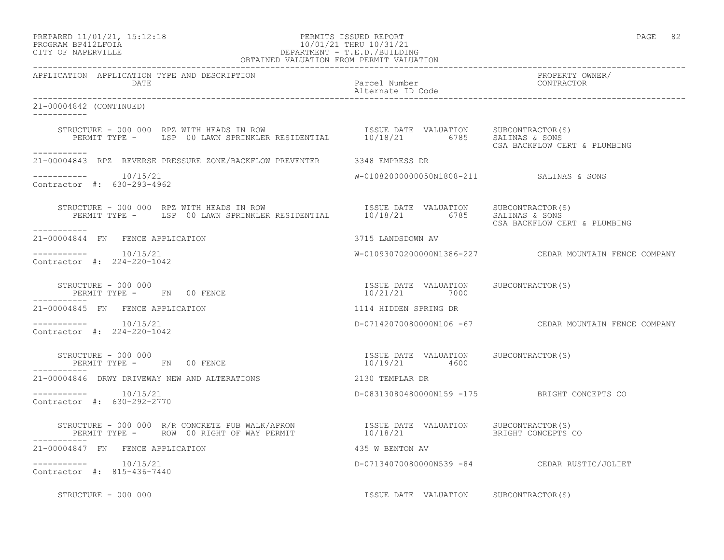### PREPARED 11/01/21, 15:12:18 PERMITS ISSUED REPORT PAGE 82 PROGRAM BP412LFOIA 10/01/21 THRU 10/31/21 CITY OF NAPERVILLE DEPARTMENT - T.E.D./BUILDING OBTAINED VALUATION FROM PERMIT VALUATION

------------------------------------------------------------------------------------------------------------------------------------

APPLICATION APPLICATION TYPE AND DESCRIPTION PROPERTY OWNER/ DATE Parcel Number CONTRACTOR Alternate ID Code ------------------------------------------------------------------------------------------------------------------------------------ 21-00004842 (CONTINUED) ----------- STRUCTURE - 000 000 RPZ WITH HEADS IN ROW ISSUE DATE VALUATION SUBCONTRACTOR(S) PERMIT TYPE - LSP 00 LAWN SPRINKLER RESIDENTIAL 10/18/21 6785 SALINAS & SONS CSA BACKFLOW CERT & PLUMBING ----------- 21-00004843 RPZ REVERSE PRESSURE ZONE/BACKFLOW PREVENTER 3348 EMPRESS DR  $--------- 10/15/21$ W-01082000000050N1808-211 SALINAS & SONS Contractor #: 630-293-4962 STRUCTURE - 000 000 RPZ WITH HEADS IN ROW ISSUE DATE VALUATION SUBCONTRACTOR(S) PERMIT TYPE - LSP 00 LAWN SPRINKLER RESIDENTIAL 10/18/21 6785 SALINAS & SONS CSA BACKFLOW CERT & PLUMBING ----------- 21-00004844 FN FENCE APPLICATION 3715 LANDSDOWN AV  $--------- 10/15/21$ W-01093070200000N1386-227 CEDAR MOUNTAIN FENCE COMPANY Contractor #: 224-220-1042 STRUCTURE - 000 000 ISSUE DATE VALUATION SUBCONTRACTOR(S) PERMIT TYPE - FN 00 FENCE 10/21/21 7000 ----------- 21-00004845 FN FENCE APPLICATION 1114 HIDDEN SPRING DR ----------- 10/15/21 D-07142070080000N106 -67 CEDAR MOUNTAIN FENCE COMPANY Contractor #: 224-220-1042 STRUCTURE - 000 000 ISSUE DATE VALUATION SUBCONTRACTOR(S) PERMIT TYPE - FN 00 FENCE ----------- 21-00004846 DRWY DRIVEWAY NEW AND ALTERATIONS 2130 TEMPLAR DR ----------- 10/15/21 D-08313080480000N159 -175 BRIGHT CONCEPTS CO Contractor #: 630-292-2770 STRUCTURE - 000 000 R/R CONCRETE PUB WALK/APRON ISSUE DATE VALUATION SUBCONTRACTOR(S) PERMIT TYPE - ROW 00 RIGHT OF WAY PERMIT 10/18/21 BRIGHT CONCEPTS CO ----------- 21-00004847 FN FENCE APPLICATION 435 W BENTON AV ----------- 10/15/21 D-07134070080000N539 -84 CEDAR RUSTIC/JOLIET Contractor #: 815-436-7440

STRUCTURE - 000 000 ISSUE DATE VALUATION SUBCONTRACTOR(S)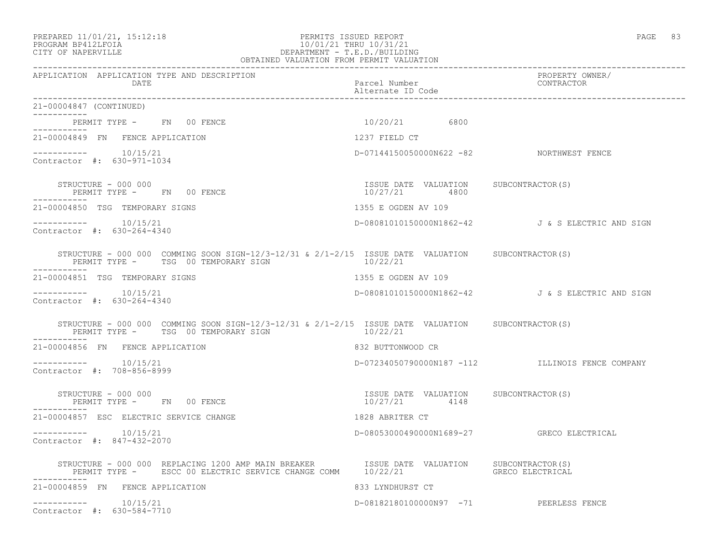### PREPARED 11/01/21, 15:12:18 PERMITS ISSUED REPORT PAGE 83 PROGRAM BP412LFOIA 10/01/21 THRU 10/31/21 CITY OF NAPERVILLE DEPARTMENT - T.E.D./BUILDING OBTAINED VALUATION FROM PERMIT VALUATION

------------------------------------------------------------------------------------------------------------------------------------ APPLICATION APPLICATION TYPE AND DESCRIPTION PROPERTY OWNER/ DATE **Parcel Number** Parcel Number Contractor Parcel Number Alternate ID Code ------------------------------------------------------------------------------------------------------------------------------------ 21-00004847 (CONTINUED) ----------- PERMIT TYPE - FN 00 FENCE 10/20/21 6800 ----------- 21-00004849 FN FENCE APPLICATION 1237 FIELD CT  $--------- 10/15/21$ D-07144150050000N622 -82 NORTHWEST FENCE Contractor #: 630-971-1034 STRUCTURE - 000 000 ISSUE DATE VALUATION SUBCONTRACTOR(S) PERMIT TYPE - FN 00 FENCE ----------- 21-00004850 TSG TEMPORARY SIGNS 1355 E OGDEN AV 109 ----------- 10/15/21 D-08081010150000N1862-42 J & S ELECTRIC AND SIGN Contractor #: 630-264-4340 STRUCTURE - 000 000 COMMING SOON SIGN-12/3-12/31 & 2/1-2/15 ISSUE DATE VALUATION SUBCONTRACTOR(S)<br>PERMIT TYPE - TSG 00 TEMPORARY SIGN 10/22/21 PERMIT TYPE - TSG 00 TEMPORARY SIGN ----------- 21-00004851 TSG TEMPORARY SIGNS 1355 E OGDEN AV 109 ----------- 10/15/21 D-08081010150000N1862-42 J & S ELECTRIC AND SIGN Contractor #: 630-264-4340 STRUCTURE - 000 000 COMMING SOON SIGN-12/3-12/31 &  $2/1-2/15$  ISSUE DATE VALUATION SUBCONTRACTOR(S)<br>PERMIT TYPE - TSG 00 TEMPORARY SIGN 10/22/21 PERMIT TYPE - TSG 00 TEMPORARY SIGN ----------- 21-00004856 FN FENCE APPLICATION 832 BUTTONWOOD CR ----------- 10/15/21 D-07234050790000N187 -112 ILLINOIS FENCE COMPANY Contractor #: 708-856-8999 STRUCTURE - 000 000 ISSUE DATE VALUATION SUBCONTRACTOR(S) PERMIT TYPE - FN 00 FENCE ----------- 21-00004857 ESC ELECTRIC SERVICE CHANGE 1828 ABRITER CT ----------- 10/15/21 D-08053000490000N1689-27 GRECO ELECTRICAL Contractor #: 847-432-2070 STRUCTURE - 000 000 REPLACING 1200 AMP MAIN BREAKER TISSUE DATE VALUATION SUBCONTRACTOR(S)<br>PERMIT TYPE - ESCC 00 ELECTRIC SERVICE CHANGE COMM 10/22/21 PERMIT TYPE - ESCC 00 ELECTRIC SERVICE CHANGE COMM 10/22/21 ----------- 21-00004859 FN FENCE APPLICATION 833 LYNDHURST CT ----------- 10/15/21 D-08182180100000N97 -71 PEERLESS FENCE Contractor #: 630-584-7710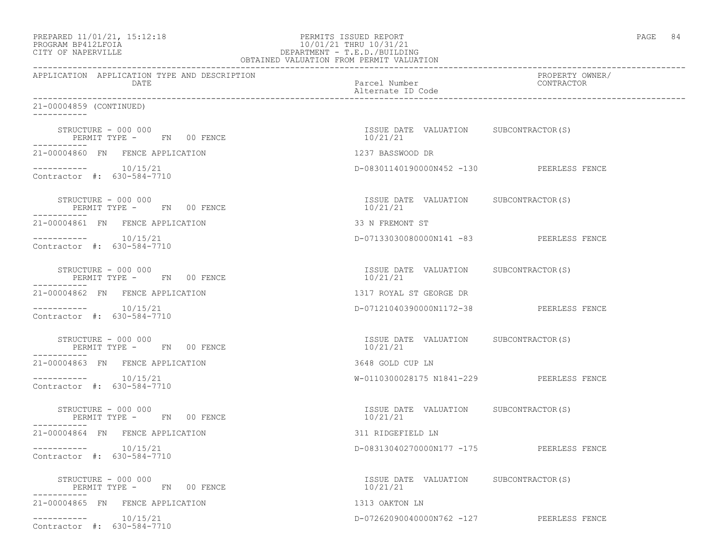| PREPARED 11/01/21, 15:12:18 |  |
|-----------------------------|--|
|                             |  |

# PREPARED 11/01/21, 15:12:18 PERMITS ISSUED REPORT<br>PROGRAM BP412LFOIA PAGE 84 PROGRAM BP412LFOIA 10/01/21 THRU 10/31/21 CITY OF NAPERVILLE (1999) 2012 10:00 DEPARTMENT - T.E.D./BUILDIN CITY OF NAPERVILLE DEPARTMENT - T.E.D./BUILDING

| OBTAINED VALUATION FROM PERMIT VALUATION                                                                                                              |                                                   |                               |
|-------------------------------------------------------------------------------------------------------------------------------------------------------|---------------------------------------------------|-------------------------------|
| APPLICATION APPLICATION TYPE AND DESCRIPTION<br>DATE                                                                                                  | Parcel Number<br>Alternate ID Code                | PROPERTY OWNER/<br>CONTRACTOR |
| 21-00004859 (CONTINUED)<br>------------                                                                                                               |                                                   |                               |
| STRUCTURE - 000 000<br>PERMIT TYPE - FN 00 FENCE                                                                                                      | ISSUE DATE VALUATION SUBCONTRACTOR(S)<br>10/21/21 |                               |
| 21-00004860 FN FENCE APPLICATION                                                                                                                      | 1237 BASSWOOD DR                                  |                               |
| $--------- 10/15/21$<br>Contractor #: 630-584-7710                                                                                                    | D-08301140190000N452 -130 PEERLESS FENCE          |                               |
| $\begin{tabular}{lllll} \multicolumn{2}{l}{{\bf STRUCTURE}} & = & 000 & 000 \\ & & & & & {\small\verb FN } & 00 & {\small\verb FENCE } \end{tabular}$ | ISSUE DATE VALUATION SUBCONTRACTOR(S)<br>10/21/21 |                               |
| 21-00004861 FN FENCE APPLICATION                                                                                                                      | 33 N FREMONT ST                                   |                               |
| $--------- 10/15/21$<br>Contractor #: 630-584-7710                                                                                                    | D-07133030080000N141 -83 PEERLESS FENCE           |                               |
| STRUCTURE - 000 000<br>PERMIT TYPE - FN 00 FENCE                                                                                                      | ISSUE DATE VALUATION SUBCONTRACTOR(S)<br>10/21/21 |                               |
| 21-00004862 FN FENCE APPLICATION                                                                                                                      | 1317 ROYAL ST GEORGE DR                           |                               |
| $--------$ 10/15/21<br>Contractor #: 630-584-7710                                                                                                     | D-07121040390000N1172-38 PEERLESS FENCE           |                               |
| STRUCTURE - 000 000<br>PERMIT TYPE - FN 00 FENCE                                                                                                      | ISSUE DATE VALUATION SUBCONTRACTOR(S)<br>10/21/21 |                               |
| 21-00004863 FN FENCE APPLICATION                                                                                                                      | 3648 GOLD CUP LN                                  |                               |
| $--------- 10/15/21$<br>Contractor #: 630-584-7710                                                                                                    | W-0110300028175 N1841-229 PEERLESS FENCE          |                               |
| STRUCTURE - 000 000<br>PERMIT TYPE - FN 00 FENCE<br>-----------                                                                                       | ISSUE DATE VALUATION SUBCONTRACTOR(S)<br>10/21/21 |                               |
| 21-00004864 FN FENCE APPLICATION                                                                                                                      | 311 RIDGEFIELD LN                                 |                               |
| $--------- 10/15/21$<br>Contractor #: 630-584-7710                                                                                                    | D-08313040270000N177 -175 PEERLESS FENCE          |                               |
| STRUCTURE - 000 000<br>PERMIT TYPE - FN 00 FENCE                                                                                                      | ISSUE DATE VALUATION SUBCONTRACTOR(S)<br>10/21/21 |                               |
| 21-00004865 FN FENCE APPLICATION                                                                                                                      | 1313 OAKTON LN                                    |                               |
| $--------- 10/15/21$<br>Contractor #: 630-584-7710                                                                                                    | D-07262090040000N762 -127 PEERLESS FENCE          |                               |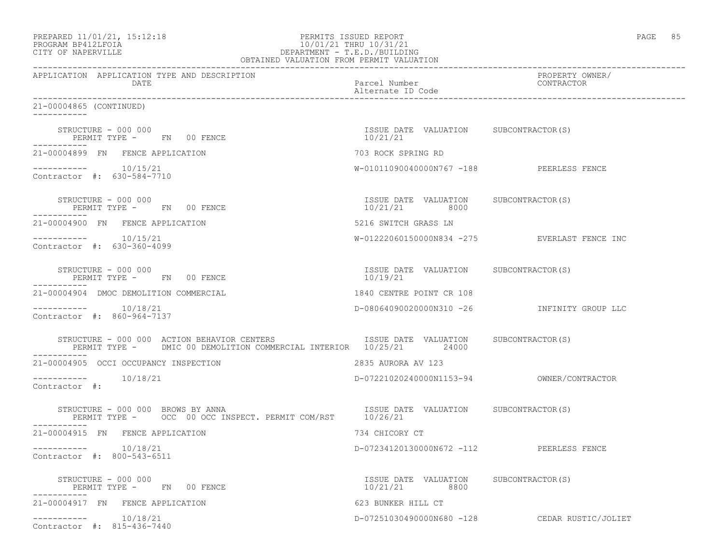| PREPARED 11/01/21, 15:12:18 |  |
|-----------------------------|--|
|                             |  |

# PREPARED 11/01/21, 15:12:18 PERMITS ISSUED REPORT<br>PROGRAM BP412LFOIA PAGE 85 PROGRAM BP412LFOIA 10/01/21 THRU 10/31/21 CITY OF NAPERVILLE CITY OF NAPERVILLE DEPARTMENT - T.E.D./BUILDING

| OBTAINED VALUATION FROM PERMIT VALUATION                                                                                                                                                                                                                    |                                                        |                                               |
|-------------------------------------------------------------------------------------------------------------------------------------------------------------------------------------------------------------------------------------------------------------|--------------------------------------------------------|-----------------------------------------------|
| APPLICATION APPLICATION TYPE AND DESCRIPTION<br>DATE                                                                                                                                                                                                        | Parcel Number<br>Alternate ID Code                     | PROPERTY OWNER/<br>CONTRACTOR                 |
| 21-00004865 (CONTINUED)<br>------------                                                                                                                                                                                                                     |                                                        |                                               |
| STRUCTURE - 000 000<br>PERMIT TYPE - FN 00 FENCE                                                                                                                                                                                                            | ISSUE DATE VALUATION SUBCONTRACTOR(S)<br>10/21/21      |                                               |
| 21-00004899 FN FENCE APPLICATION                                                                                                                                                                                                                            | 703 ROCK SPRING RD                                     |                                               |
| $--------$ 10/15/21<br>Contractor #: 630-584-7710                                                                                                                                                                                                           | W-01011090040000N767 -188 PEERLESS FENCE               |                                               |
| $\begin{tabular}{lllll} \multicolumn{2}{l}{{\bf STRUCTURE}} & - & 000 & 000 \\ \multicolumn{2}{l}{\bf \small STRUCTURE} & \multicolumn{2}{l}{\bf \small mVDF} & - & & \multicolumn{2}{l}{\bf \small FM} & 00 & \multicolumn{2}{l}{\bf FENCE} \end{tabular}$ | ISSUE DATE VALUATION SUBCONTRACTOR(S)<br>10/21/21 8000 |                                               |
| 21-00004900 FN FENCE APPLICATION                                                                                                                                                                                                                            | 5216 SWITCH GRASS LN                                   |                                               |
| $--------- 10/15/21$<br>Contractor #: 630-360-4099                                                                                                                                                                                                          |                                                        | W-01222060150000N834 -275 EVERLAST FENCE INC  |
| STRUCTURE - 000 000<br>PERMIT TYPE - FN 00 FENCE                                                                                                                                                                                                            | ISSUE DATE VALUATION SUBCONTRACTOR(S)<br>10/19/21      |                                               |
| 21-00004904 DMOC DEMOLITION COMMERCIAL                                                                                                                                                                                                                      | 1840 CENTRE POINT CR 108                               |                                               |
| Contractor #: 860-964-7137                                                                                                                                                                                                                                  |                                                        | D-08064090020000N310 -26 INFINITY GROUP LLC   |
| STRUCTURE - 000 000 ACTION BEHAVIOR CENTERS STRUCTURE ISSUE DATE VALUATION SUBCONTRACTOR(S)<br>PERMIT TYPE - DMIC 00 DEMOLITION COMMERCIAL INTERIOR 10/25/21 24000                                                                                          |                                                        |                                               |
| 21-00004905 OCCI OCCUPANCY INSPECTION                                                                                                                                                                                                                       | 2835 AURORA AV 123                                     |                                               |
| -----------    10/18/21<br>Contractor #:                                                                                                                                                                                                                    |                                                        |                                               |
| STRUCTURE - 000 000 BROWS BY ANNA<br>PERMIT TYPE - OCC 00 OCC INSPECT. PERMIT COM/RST 10/26/21<br>-----------                                                                                                                                               | ISSUE DATE VALUATION SUBCONTRACTOR(S)                  |                                               |
| 21-00004915 FN FENCE APPLICATION                                                                                                                                                                                                                            | 734 CHICORY CT                                         |                                               |
| -----------    10/18/21<br>Contractor #: 800-543-6511                                                                                                                                                                                                       | D-07234120130000N672 -112 PEERLESS FENCE               |                                               |
| STRUCTURE - 000 000<br>PERMIT TYPE - FN 00 FENCE                                                                                                                                                                                                            | ISSUE DATE VALUATION SUBCONTRACTOR(S)<br>10/21/21 8800 |                                               |
| 21-00004917 FN FENCE APPLICATION                                                                                                                                                                                                                            | 623 BUNKER HILL CT                                     |                                               |
| $--------- 10/18/21$<br>Contractor #: 815-436-7440                                                                                                                                                                                                          |                                                        | D-07251030490000N680 -128 CEDAR RUSTIC/JOLIET |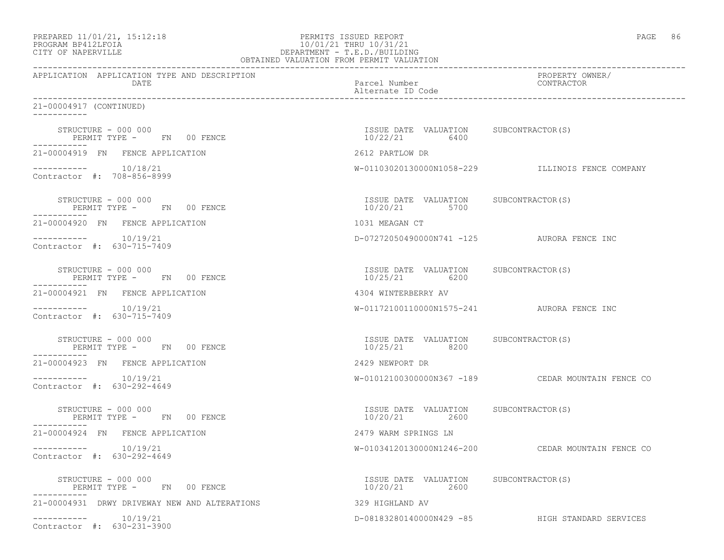| PREPARED 11/01/21, 15:12:18 |  |
|-----------------------------|--|
|                             |  |

# PREPARED 11/01/21, 15:12:18 PERMITS ISSUED REPORT PAGE 86 PROGRAM BP412LFOIA 10/01/21 THRU 10/31/21<br>CITY OF NAPERVILLE DEPARTMENT - T.E.D./BUILDIN CITY OF NAPERVILLE DEPARTMENT - T.E.D./BUILDING

| OBTAINED VALUATION FROM PERMIT VALUATION                                                                                                   |                                                        |                                                   |
|--------------------------------------------------------------------------------------------------------------------------------------------|--------------------------------------------------------|---------------------------------------------------|
| APPLICATION APPLICATION TYPE AND DESCRIPTION<br>DATE                                                                                       | Parcel Number<br>Alternate ID Code                     | PROPERTY OWNER/<br>CONTRACTOR                     |
| 21-00004917 (CONTINUED)<br>___________                                                                                                     |                                                        |                                                   |
| STRUCTURE - 000 000<br>PERMIT TYPE - FN 00 FENCE                                                                                           | ISSUE DATE VALUATION SUBCONTRACTOR(S)<br>10/22/21 6400 |                                                   |
| 21-00004919 FN FENCE APPLICATION                                                                                                           | 2612 PARTLOW DR                                        |                                                   |
| $--------- 10/18/21$<br>Contractor #: 708-856-8999                                                                                         |                                                        | W-01103020130000N1058-229 ILLINOIS FENCE COMPANY  |
| $\begin{array}{cccccc} \text{STRUCTURE} & - & 000 & 000 \\ \text{STRUCTURE} & \text{mydP} & - & \text{FN} & 00 & \text{FENCE} \end{array}$ | ISSUE DATE VALUATION SUBCONTRACTOR(S)<br>10/20/21 5700 |                                                   |
| 21-00004920 FN FENCE APPLICATION                                                                                                           | 1031 MEAGAN CT                                         |                                                   |
| $--------- 10/19/21$<br>Contractor #: 630-715-7409                                                                                         |                                                        | D-07272050490000N741 -125 AURORA FENCE INC        |
| STRUCTURE - 000 000<br>PERMIT TYPE - FN 00 FENCE                                                                                           | ISSUE DATE VALUATION SUBCONTRACTOR(S)<br>10/25/21 6200 |                                                   |
| 21-00004921 FN FENCE APPLICATION                                                                                                           | 4304 WINTERBERRY AV                                    |                                                   |
| $--------$ 10/19/21<br>Contractor #: 630-715-7409                                                                                          |                                                        | W-01172100110000N1575-241 AURORA FENCE INC        |
| STRUCTURE - 000 000<br>PERMIT TYPE - FN 00 FENCE                                                                                           | ISSUE DATE VALUATION SUBCONTRACTOR(S)<br>10/25/21 8200 |                                                   |
| 21-00004923 FN FENCE APPLICATION                                                                                                           | 2429 NEWPORT DR                                        |                                                   |
| $--------- 10/19/21$<br>Contractor #: 630-292-4649                                                                                         |                                                        | W-01012100300000N367 -189 CEDAR MOUNTAIN FENCE CO |
| STRUCTURE - 000 000<br>PERMIT TYPE - FN 00 FENCE<br>-----------                                                                            | ISSUE DATE VALUATION SUBCONTRACTOR(S)<br>10/20/21 2600 |                                                   |
| 21-00004924 FN FENCE APPLICATION                                                                                                           | 2479 WARM SPRINGS LN                                   |                                                   |
| Contractor #: 630-292-4649                                                                                                                 |                                                        | W-01034120130000N1246-200 CEDAR MOUNTAIN FENCE CO |
| STRUCTURE - 000 000<br>PERMIT TYPE - FN 00 FENCE                                                                                           | ISSUE DATE VALUATION SUBCONTRACTOR(S)<br>10/20/21 2600 |                                                   |
| 21-00004931 DRWY DRIVEWAY NEW AND ALTERATIONS                                                                                              | 329 HIGHLAND AV                                        |                                                   |
| $--------- 10/19/21$<br>Contractor #: 630-231-3900                                                                                         |                                                        | D-08183280140000N429 -85 HIGH STANDARD SERVICES   |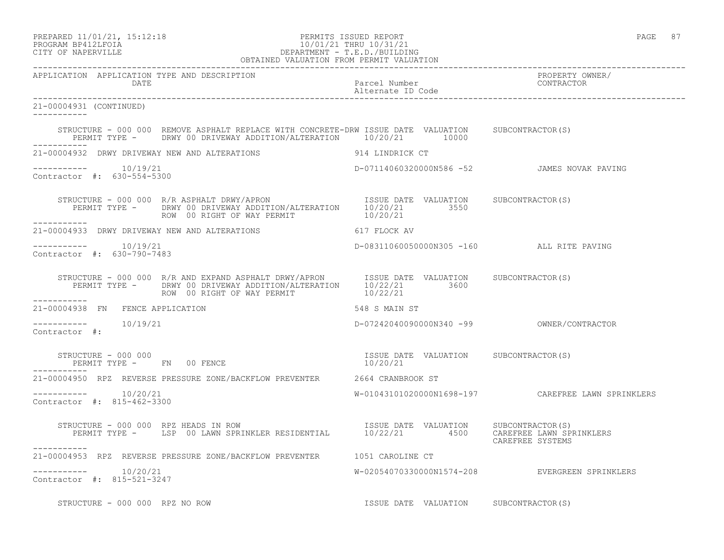PREPARED 11/01/21, 15:12:18 PERMITS ISSUED REPORT PAGE 87

# PROGRAM BP412LFOIA 10/01/21 THRU 10/31/21 CITY OF NAPERVILLE DEPARTMENT - T.E.D./BUILDING

|                                                                                                                                                                                | OBTAINED VALUATION FROM PERMIT VALUATION          |                                                    |
|--------------------------------------------------------------------------------------------------------------------------------------------------------------------------------|---------------------------------------------------|----------------------------------------------------|
| APPLICATION APPLICATION TYPE AND DESCRIPTION<br>DATE                                                                                                                           | Parcel Number<br>Alternate ID Code                | PROPERTY OWNER/<br>CONTRACTOR                      |
| 21-00004931 (CONTINUED)<br>------------                                                                                                                                        |                                                   |                                                    |
| STRUCTURE - 000 000 REMOVE ASPHALT REPLACE WITH CONCRETE-DRW ISSUE DATE VALUATION SUBCONTRACTOR(S)<br>PERMIT TYPE - DRWY 00 DRIVEWAY ADDITION/ALTERATION 10/20/21 10000        |                                                   |                                                    |
| -----------<br>21-00004932 DRWY DRIVEWAY NEW AND ALTERATIONS 914 LINDRICK CT                                                                                                   |                                                   |                                                    |
| Contractor #: 630-554-5300                                                                                                                                                     | D-07114060320000N586 -52 JAMES NOVAK PAVING       |                                                    |
| ___________                                                                                                                                                                    |                                                   |                                                    |
| 21-00004933 DRWY DRIVEWAY NEW AND ALTERATIONS                                                                                                                                  | 617 FLOCK AV                                      |                                                    |
| $--------- 10/19/21$<br>Contractor #: 630-790-7483                                                                                                                             | D-08311060050000N305 -160 ALL RITE PAVING         |                                                    |
| STRUCTURE - 000 000 R/R AND EXPAND ASPHALT DRWY/APRON ISSUE DATE VALUATION SUBCONTRACTOR(S)<br>PERMIT TYPE - DRWY 00 DRIVEWAY ADDITION/ALTERATION 10/22/21 3600<br>----------- |                                                   |                                                    |
| 21-00004938 FN FENCE APPLICATION                                                                                                                                               | 548 S MAIN ST                                     |                                                    |
| Contractor #:                                                                                                                                                                  |                                                   |                                                    |
| STRUCTURE - 000 000<br>PERMIT TYPE - FN 00 FENCE                                                                                                                               | ISSUE DATE VALUATION SUBCONTRACTOR(S)<br>10/20/21 |                                                    |
| 21-00004950 RPZ REVERSE PRESSURE ZONE/BACKFLOW PREVENTER 2664 CRANBROOK ST                                                                                                     |                                                   |                                                    |
| $--------- 10/20/21$<br>Contractor #: 815-462-3300                                                                                                                             |                                                   | W-01043101020000N1698-197 CAREFREE LAWN SPRINKLERS |
| STRUCTURE - 000 000 RPZ HEADS IN ROW                                                                                                                                           |                                                   | CAREFREE SYSTEMS                                   |
| 21-00004953 RPZ REVERSE PRESSURE ZONE/BACKFLOW PREVENTER 1051 CAROLINE CT                                                                                                      |                                                   |                                                    |
| Contractor #: 815-521-3247                                                                                                                                                     |                                                   | W-02054070330000N1574-208 EVERGREEN SPRINKLERS     |
| STRUCTURE - 000 000 RPZ NO ROW                                                                                                                                                 | ISSUE DATE VALUATION SUBCONTRACTOR(S)             |                                                    |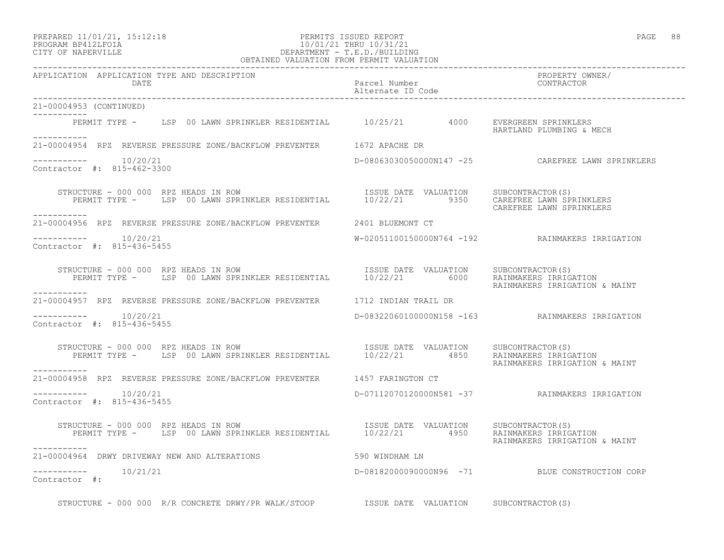#### PREPARED 11/01/21, 15:12:18 PERMITS ISSUED REPORT PAGE 88 PROGRAM BP412LFOIA 10/01/21 THRU 10/31/21 CITY OF NAPERVILLE DEPARTMENT - T.E.D./BUILDING DEPARTMENT - T.E.D./BUILDING<br>OBTAINED VALUATION FROM PERMIT VALUATION

| APPLICATION APPLICATION TYPE AND DESCRIPTION<br>DATE                                                                                                                                                                                                                       | Parcel Number<br>Alternate ID Code | PROPERTY OWNER/<br>CONTRACTOR                     |
|----------------------------------------------------------------------------------------------------------------------------------------------------------------------------------------------------------------------------------------------------------------------------|------------------------------------|---------------------------------------------------|
| 21-00004953 (CONTINUED)                                                                                                                                                                                                                                                    |                                    |                                                   |
| ___________<br>PERMIT TYPE - LSP 00 LAWN SPRINKLER RESIDENTIAL 10/25/21 4000 EVERGREEN SPRINKLERS<br>------------                                                                                                                                                          |                                    | HARTLAND PLUMBING & MECH                          |
| 21-00004954 RPZ REVERSE PRESSURE ZONE/BACKFLOW PREVENTER 1672 APACHE DR                                                                                                                                                                                                    |                                    |                                                   |
| $--------- 10/20/21$<br>Contractor #: 815-462-3300                                                                                                                                                                                                                         |                                    | D-08063030050000N147 -25 CAREFREE LAWN SPRINKLERS |
| TRUCTURE - 000 000 RPZ HEADS IN ROW NEST DENTIAL TESUE DATE VALUATION SUBCONTRACTOR(S)<br>PERMIT TYPE - LSP 00 LAWN SPRINKLER RESIDENTIAL 10/22/21 9350 CAREFREE LAWN SPRINKLERS<br>STRUCTURE - 000 000 RPZ HEADS IN ROW<br>____________                                   |                                    | CAREFREE LAWN SPRINKLERS                          |
| 21-00004956 RPZ REVERSE PRESSURE ZONE/BACKFLOW PREVENTER 2401 BLUEMONT CT                                                                                                                                                                                                  |                                    |                                                   |
| $--------- 10/20/21$<br>Contractor #: 815-436-5455                                                                                                                                                                                                                         |                                    | W-02051100150000N764 -192 RAINMAKERS IRRIGATION   |
| STRUCTURE - 000 000 RPZ HEADS IN ROW<br>PERMIT TYPE - LSP 00 LAWN SPRINKLER RESIDENTIAL 10/22/21 6000 RAINMAKERS IRRIGATION<br>----------                                                                                                                                  |                                    | RAINMAKERS IRRIGATION & MAINT                     |
| 21-00004957 RPZ REVERSE PRESSURE ZONE/BACKFLOW PREVENTER 1712 INDIAN TRAIL DR                                                                                                                                                                                              |                                    |                                                   |
| $--------- 10/20/21$<br>Contractor #: 815-436-5455                                                                                                                                                                                                                         |                                    | D-08322060100000N158 -163 RAINMAKERS IRRIGATION   |
| STRUCTURE - 000 000 RPZ HEADS IN ROW<br>PERMIT TYPE - LSP 00 LAWN SPRINKLER RESIDENTIAL 10/22/21 4850 RAINMAKERS IRRIGATION                                                                                                                                                |                                    | RAINMAKERS IRRIGATION & MAINT                     |
| ___________<br>21-00004958 RPZ REVERSE PRESSURE ZONE/BACKFLOW PREVENTER 1457 FARINGTON CT                                                                                                                                                                                  |                                    |                                                   |
| Contractor #: 815-436-5455                                                                                                                                                                                                                                                 |                                    | D-07112070120000N581 -37 RAINMAKERS IRRIGATION    |
| RUCTURE - 000 000 RPZ HEADS IN ROW                             ISSUE DATE VALUATION     SUBCONTRACTOR(S)<br>PERMIT TYPE -     LSP 00 LAWN SPRINKLER RESIDENTIAL       10/22/21       4950     RAINMAKERS IRRIGATION<br>STRUCTURE - 000 000 RPZ HEADS IN ROW<br>----------- |                                    | RAINMAKERS IRRIGATION & MAINT                     |
| 21-00004964 DRWY DRIVEWAY NEW AND ALTERATIONS 590 WINDHAM LN                                                                                                                                                                                                               |                                    |                                                   |
| $--------- 10/21/21$<br>Contractor #:                                                                                                                                                                                                                                      |                                    | D-08182000090000N96 -71 BLUE CONSTRUCTION CORP    |
| STRUCTURE - 000 000 R/R CONCRETE DRWY/PR WALK/STOOP 5 1SSUE DATE VALUATION SUBCONTRACTOR(S)                                                                                                                                                                                |                                    |                                                   |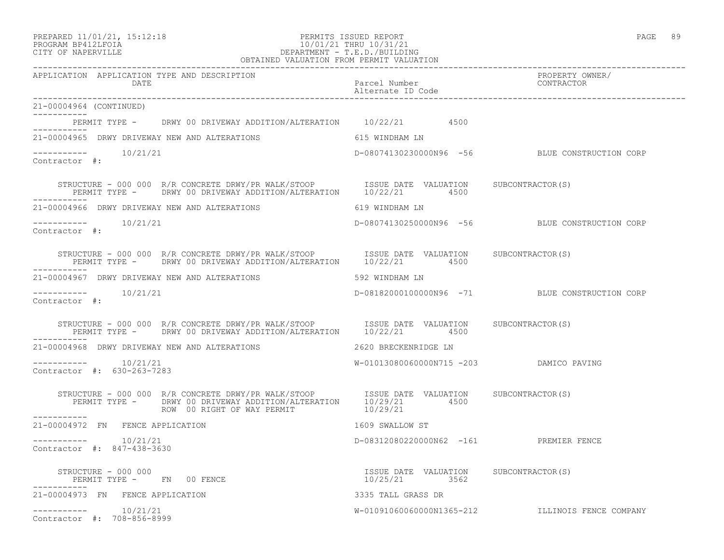PREPARED 11/01/21, 15:12:18 PERMITS ISSUED REPORT PAGE 89

## PROGRAM BP412LFOIA 10/01/21 THRU 10/31/21 CITY OF NAPERVILLE DEPARTMENT - T.E.D./BUILDING OBTAINED VALUATION FROM PERMIT VALUATION

| APPLICATION APPLICATION TYPE AND DESCRIPTION<br>DATE                                                                                                                                                          | Parcel Number<br>Alternate ID Code                     | PROPERTY OWNER/<br>CONTRACTOR                    |
|---------------------------------------------------------------------------------------------------------------------------------------------------------------------------------------------------------------|--------------------------------------------------------|--------------------------------------------------|
| 21-00004964 (CONTINUED)<br>-----------                                                                                                                                                                        |                                                        |                                                  |
| PERMIT TYPE - DRWY 00 DRIVEWAY ADDITION/ALTERATION 10/22/21 4500                                                                                                                                              |                                                        |                                                  |
| 21-00004965 DRWY DRIVEWAY NEW AND ALTERATIONS 615 WINDHAM LN                                                                                                                                                  |                                                        |                                                  |
| $--------- 10/21/21$<br>Contractor #:                                                                                                                                                                         |                                                        | D-08074130230000N96 -56 BLUE CONSTRUCTION CORP   |
| STRUCTURE - 000 000 R/R CONCRETE DRWY/PR WALK/STOOP ISSUE DATE VALUATION SUBCONTRACTOR(S)<br>PERMIT TYPE - DRWY 00 DRIVEWAY ADDITION/ALTERATION 10/22/21 4500                                                 |                                                        |                                                  |
| 21-00004966 DRWY DRIVEWAY NEW AND ALTERATIONS                                                                                                                                                                 | 619 WINDHAM LN                                         |                                                  |
| -----------    10/21/21<br>Contractor #:                                                                                                                                                                      |                                                        | D-08074130250000N96 -56 BLUE CONSTRUCTION CORP   |
| STRUCTURE - 000 000 R/R CONCRETE DRWY/PR WALK/STOOP 1SSUE DATE VALUATION SUBCONTRACTOR(S)<br>PERMIT TYPE - DRWY 00 DRIVEWAY ADDITION/ALTERATION 10/22/21 4500                                                 |                                                        |                                                  |
| 21-00004967 DRWY DRIVEWAY NEW AND ALTERATIONS                                                                                                                                                                 | 592 WINDHAM LN                                         |                                                  |
| $--------- 10/21/21$<br>Contractor #:                                                                                                                                                                         |                                                        | D-08182000100000N96 -71 BLUE CONSTRUCTION CORP   |
| STRUCTURE - 000 000 R/R CONCRETE DRWY/PR WALK/STOOP [ISSUE DATE VALUATION SUBCONTRACTOR(S)<br>PERMIT TYPE - DRWY 00 DRIVEWAY ADDITION/ALTERATION 10/22/21 4500                                                |                                                        |                                                  |
|                                                                                                                                                                                                               |                                                        |                                                  |
| $--------- 10/21/21$<br>Contractor #: 630-263-7283                                                                                                                                                            | W-01013080060000N715 -203 DAMICO PAVING                |                                                  |
| STRUCTURE - 000 000 R/R CONCRETE DRWY/PR WALK/STOOP ISSUE DATE VALUATION SUBCONTRACTOR(S)<br>PERMIT TYPE - DRWY 00 DRIVEWAY ADDITION/ALTERATION 10/29/21 4500<br>ROW 00 RIGHT OF WAY PERMIT THE MONO 10/29/21 |                                                        |                                                  |
| ___________<br>21-00004972 FN FENCE APPLICATION                                                                                                                                                               | 1609 SWALLOW ST                                        |                                                  |
| $--------- 10/21/21$<br>Contractor #: 847-438-3630                                                                                                                                                            | D-08312080220000N62 -161 PREMIER FENCE                 |                                                  |
| $\begin{array}{ccc} \text{STRUCTURE} & - & 000 & 000 \\ \text{STRUCTURE} & - & 000 & 000 \end{array}$<br>PERMIT TYPE - FN 00 FENCE                                                                            | ISSUE DATE VALUATION SUBCONTRACTOR(S)<br>10/25/21 3562 |                                                  |
| 21-00004973 FN FENCE APPLICATION                                                                                                                                                                              | 3335 TALL GRASS DR                                     |                                                  |
| $--------- 10/21/21$<br>Contractor #: 708-856-8999                                                                                                                                                            |                                                        | W-01091060060000N1365-212 ILLINOIS FENCE COMPANY |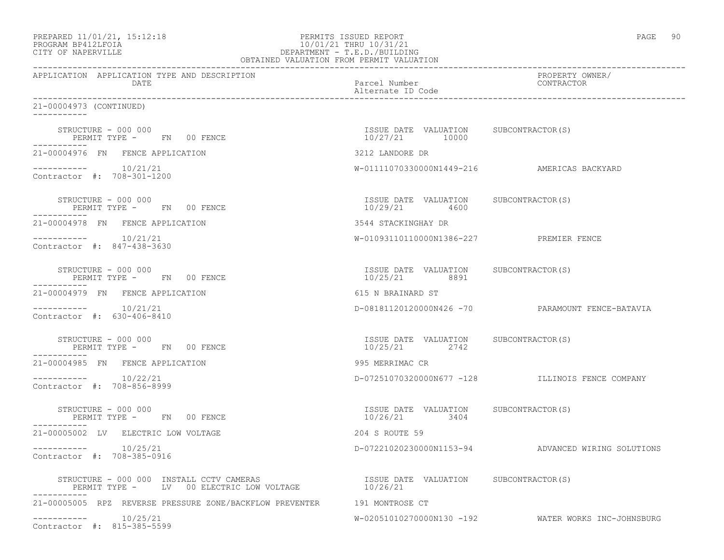| PREPARED 11/01/21, 15:12:18 |  |
|-----------------------------|--|
|                             |  |

### PREPARED 11/01/21, 15:12:18 PERMITS ISSUED REPORT PROGRAM BP412LFOIA PAGE 90 PROGRAM BP412LFOIA 10/01/21 THRU 10/31/21 CITY OF NAPERVILLE CITY OF NAPERVILLE DEPARTMENT - T.E.D./BUILDING OBTAINED VALUATION FROM PERMIT VALUATION

| APPLICATION APPLICATION TYPE AND DESCRIPTION<br>DATE                                                                                                                                     | Parcel Number<br>Alternate ID Code                      | PROPERTY OWNER/<br>CONTRACTOR                       |
|------------------------------------------------------------------------------------------------------------------------------------------------------------------------------------------|---------------------------------------------------------|-----------------------------------------------------|
| 21-00004973 (CONTINUED)                                                                                                                                                                  |                                                         |                                                     |
| STRUCTURE - 000 000<br>PERMIT TYPE - FN 00 FENCE                                                                                                                                         | ISSUE DATE VALUATION SUBCONTRACTOR(S)<br>10/27/21 10000 |                                                     |
| 21-00004976 FN FENCE APPLICATION                                                                                                                                                         | 3212 LANDORE DR                                         |                                                     |
| $--------- 10/21/21$<br>Contractor #: 708-301-1200                                                                                                                                       |                                                         | W-01111070330000N1449-216 AMERICAS BACKYARD         |
| STRUCTURE - 000 000<br>PERMIT TYPE - FN 00 FENCE                                                                                                                                         | ISSUE DATE VALUATION SUBCONTRACTOR(S)<br>10/29/21 4600  |                                                     |
| 21-00004978 FN FENCE APPLICATION                                                                                                                                                         | 3544 STACKINGHAY DR                                     |                                                     |
| $--------$ 10/21/21<br>Contractor #: 847-438-3630                                                                                                                                        | W-01093110110000N1386-227 PREMIER FENCE                 |                                                     |
| STRUCTURE - 000 000<br>PERMIT TYPE - FN 00 FENCE                                                                                                                                         | ISSUE DATE VALUATION SUBCONTRACTOR(S)<br>10/25/21 8891  |                                                     |
| 21-00004979 FN FENCE APPLICATION                                                                                                                                                         | 615 N BRAINARD ST                                       |                                                     |
| $--------$ 10/21/21<br>Contractor #: 630-406-8410                                                                                                                                        |                                                         | D-08181120120000N426 -70 PARAMOUNT FENCE-BATAVIA    |
| STRUCTURE - 000 000<br>PERMIT TYPE - FN 00 FENCE<br>-----------                                                                                                                          | ISSUE DATE VALUATION SUBCONTRACTOR (S)<br>10/25/21 2742 |                                                     |
| 21-00004985 FN FENCE APPLICATION                                                                                                                                                         | 995 MERRIMAC CR                                         |                                                     |
| $--------- 10/22/21$<br>Contractor #: 708-856-8999                                                                                                                                       |                                                         | D-07251070320000N677 -128 ILLINOIS FENCE COMPANY    |
| STRUCTURE - 000 000<br>PERMIT TYPE - FN 00 FENCE<br>-----------                                                                                                                          | ISSUE DATE VALUATION SUBCONTRACTOR (S)<br>10/26/21 3404 |                                                     |
| 21-00005002 LV ELECTRIC LOW VOLTAGE                                                                                                                                                      | 204 S ROUTE 59                                          |                                                     |
| $--------- 10/25/21$<br>Contractor #: 708-385-0916                                                                                                                                       |                                                         | D-07221020230000N1153-94 ADVANCED WIRING SOLUTIONS  |
| STRUCTURE - 000 000 INSTALL CCTV CAMERAS                           ISSUE DATE VALUATION     SUBCONTRACTOR(S)<br>PERMIT TYPE -     LV  00 ELECTRIC LOW VOLTAGE                   10/26/21 |                                                         |                                                     |
| 21-00005005 RPZ REVERSE PRESSURE ZONE/BACKFLOW PREVENTER 191 MONTROSE CT                                                                                                                 |                                                         |                                                     |
| $--------- 10/25/21$<br>Contractor #: 815-385-5599                                                                                                                                       |                                                         | W-02051010270000N130 -192 WATER WORKS INC-JOHNSBURG |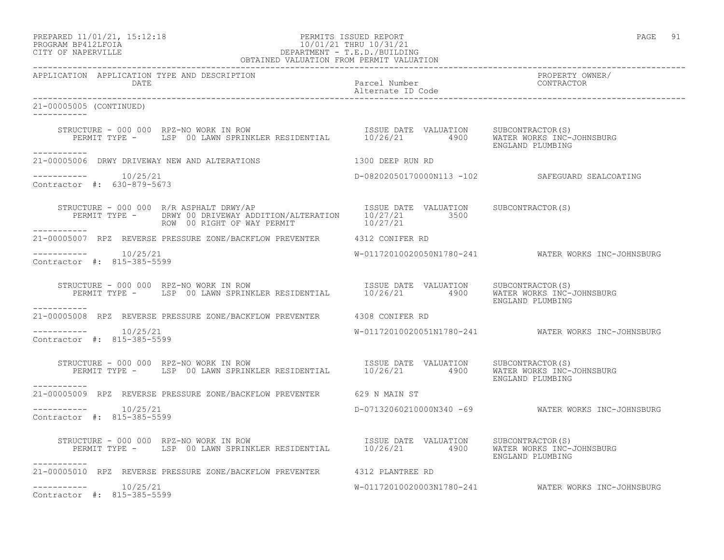# PREPARED 11/01/21, 15:12:18 PERMITS ISSUED REPORT PAGE 91 PROGRAM BP412LFOIA 10/01/21 THRU 10/31/21 CITY OF NAPERVILLE DEPARTMENT - T.E.D./BUILDING

| OBTAINED VALUATION FROM PERMIT VALUATION                                                                                                                                                 |                                    |                                                     |
|------------------------------------------------------------------------------------------------------------------------------------------------------------------------------------------|------------------------------------|-----------------------------------------------------|
| APPLICATION APPLICATION TYPE AND DESCRIPTION<br>DATE                                                                                                                                     | Parcel Number<br>Alternate ID Code | PROPERTY OWNER/<br>CONTRACTOR                       |
| 21-00005005 (CONTINUED)                                                                                                                                                                  |                                    |                                                     |
| STRUCTURE - 000 000 RPZ-NO WORK IN ROW ISSUE DATE VALUATION SUBCONTRACTOR(S)<br>PERMIT TYPE - LSP 00 LAWN SPRINKLER RESIDENTIAL 10/26/21 4900 WATER WORKS INC-JOHNSBURG                  |                                    |                                                     |
| -----------<br>21-00005006 DRWY DRIVEWAY NEW AND ALTERATIONS                                                                                                                             | 1300 DEEP RUN RD                   |                                                     |
| Contractor #: 630-879-5673                                                                                                                                                               |                                    | D-08202050170000N113 -102 SAFEGUARD SEALCOATING     |
| STRUCTURE - 000 000 R/R ASPHALT DRWY/AP<br>PERMIT TYPE - DRWY 00 DRIVEWAY ADDITION/ALTERATION 10/27/21 3500<br>ROW 00 RIGHT OF WAY PERMIT 10/27/21 10/27/21                              |                                    |                                                     |
| 21-00005007 RPZ REVERSE PRESSURE ZONE/BACKFLOW PREVENTER 4312 CONIFER RD                                                                                                                 |                                    |                                                     |
| $--------- 10/25/21$<br>Contractor #: 815-385-5599                                                                                                                                       |                                    | W-01172010020050N1780-241 WATER WORKS INC-JOHNSBURG |
| STRUCTURE - 000 000 RPZ-NO WORK IN ROW<br>PERMIT TYPE - LSP 00 LAWN SPRINKLER RESIDENTIAL 10/26/21 4900 WATER MORKS INC-JOHNSBURG<br>-----------                                         |                                    | ENGLAND PLUMBING                                    |
| 21-00005008 RPZ REVERSE PRESSURE ZONE/BACKFLOW PREVENTER 4308 CONIFER RD                                                                                                                 |                                    |                                                     |
| $--------- 10/25/21$<br>Contractor #: 815-385-5599                                                                                                                                       |                                    |                                                     |
| STRUCTURE - 000 000 RPZ-NO WORK IN ROW [ISSUE DATE VALUATION SUBCONTRACTOR(S)<br>PERMIT TYPE - LSP 00 LAWN SPRINKLER RESIDENTIAL 10/26/21 4900 WATER WORKS INC-JOHNSBURG<br>-----------  |                                    | ENGLAND PLUMBING                                    |
| 21-00005009 RPZ REVERSE PRESSURE ZONE/BACKFLOW PREVENTER 629 N MAIN ST                                                                                                                   |                                    |                                                     |
| Contractor #: 815-385-5599                                                                                                                                                               |                                    | D-07132060210000N340 -69 WATER WORKS INC-JOHNSBURG  |
| NUCTURE - 000 000 RPZ-NO WORK IN ROW<br>PERMIT TYPE - LSP 00 LAWN SPRINKLER RESIDENTIAL 10/26/21 4900 WATER NORKS INC-JOHNSBURG<br>STRUCTURE - 000 000 RPZ-NO WORK IN ROW<br>----------- |                                    | ENGLAND PLUMBING                                    |
| 21-00005010 RPZ REVERSE PRESSURE ZONE/BACKFLOW PREVENTER 4312 PLANTREE RD                                                                                                                |                                    |                                                     |
| Contractor #: 815-385-5599                                                                                                                                                               |                                    | W-01172010020003N1780-241 WATER WORKS INC-JOHNSBURG |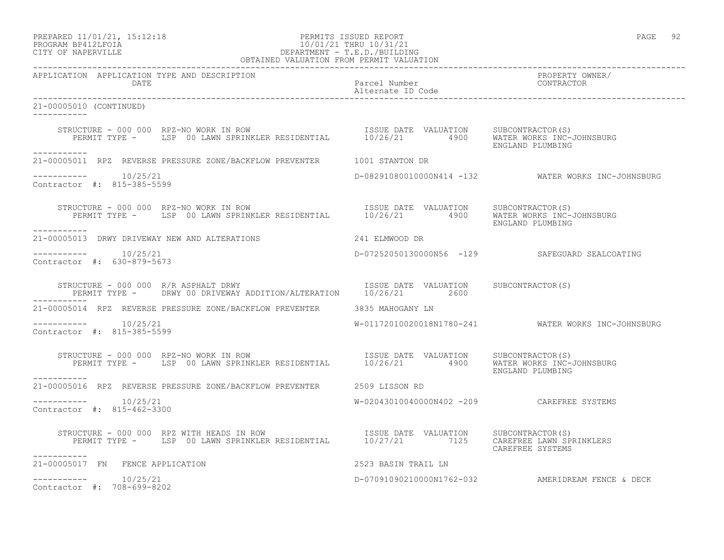# PREPARED 11/01/21, 15:12:18 PERMITS ISSUED REPORT PAGE 92 PROGRAM BP412LFOIA 10/01/21 THRU 10/31/21 CITY OF NAPERVILLE DEPARTMENT - T.E.D./BUILDING

| OBTAINED VALUATION FROM PERMIT VALUATION                                                                                                                                                 |                                            |                                                     |
|------------------------------------------------------------------------------------------------------------------------------------------------------------------------------------------|--------------------------------------------|-----------------------------------------------------|
| APPLICATION APPLICATION TYPE AND DESCRIPTION                                                                                                                                             |                                            | PROPERTY OWNER/<br>CONTRACTOR                       |
| 21-00005010 (CONTINUED)<br>------------                                                                                                                                                  |                                            |                                                     |
| STRUCTURE - 000 000 RPZ-NO WORK IN ROW [ISSUE DATE VALUATION SUBCONTRACTOR(S)<br>PERMIT TYPE - LSP 00 LAWN SPRINKLER RESIDENTIAL 10/26/21 4900 WATER WORKS INC-JOHNSBURG                 |                                            | ENGLAND PLUMBING                                    |
| -----------<br>21-00005011 RPZ REVERSE PRESSURE ZONE/BACKFLOW PREVENTER 1001 STANTON DR                                                                                                  |                                            |                                                     |
| $--------- 10/25/21$<br>Contractor #: 815-385-5599                                                                                                                                       |                                            | D-08291080010000N414 -132 WATER WORKS INC-JOHNSBURG |
| STRUCTURE - 000 000 RPZ-NO WORK IN ROW<br>PERMIT TYPE - LSP 00 LAWN SPRINKLER RESIDENTIAL 10/26/21 4900 WATER WORKS INC-JOHNSBURG<br>___________                                         |                                            | ENGLAND PLUMBING                                    |
| 21-00005013 DRWY DRIVEWAY NEW AND ALTERATIONS 241 ELMWOOD DR                                                                                                                             |                                            |                                                     |
| -----------    10/25/21<br>Contractor $\#: 630 - 879 - 5673$                                                                                                                             |                                            | D-07252050130000N56 -129 SAFEGUARD SEALCOATING      |
| RUCTURE - 000 000 R/R ASPHALT DRWY<br>PERMIT TYPE - DRWY 00 DRIVEWAY ADDITION/ALTERATION 10/26/21 2600<br>STRUCTURE - 000 000 R/R ASPHALT DRWY                                           |                                            |                                                     |
| 21-00005014 RPZ REVERSE PRESSURE ZONE/BACKFLOW PREVENTER 3835 MAHOGANY LN                                                                                                                |                                            |                                                     |
| -----------    10/25/21<br>Contractor #: 815-385-5599                                                                                                                                    |                                            | W-01172010020018N1780-241 WATER WORKS INC-JOHNSBURG |
| RUCTURE - 000 000 RPZ-NO WORK IN ROW<br>PERMIT TYPE - LSP 00 LAWN SPRINKLER RESIDENTIAL 10/26/21 4900 WATER WORKS INC-JOHNSBURG<br>STRUCTURE - 000 000 RPZ-NO WORK IN ROW                |                                            | ENGLAND PLUMBING                                    |
| 21-00005016 RPZ REVERSE PRESSURE ZONE/BACKFLOW PREVENTER 2509 LISSON RD                                                                                                                  |                                            |                                                     |
| $--------$ 10/25/21<br>Contractor #: 815-462-3300                                                                                                                                        | W-02043010040000N402 -209 CAREFREE SYSTEMS |                                                     |
| STRUCTURE - 000 000 RPZ WITH HEADS IN ROW TSSUE DATE VALUATION SUBCONTRACTOR(S)<br>PERMIT TYPE - LSP 00 LAWN SPRINKLER RESIDENTIAL 10/27/21 7125 CAREFREE LAWN SPRINKLERS<br>----------- |                                            | CAREFREE SYSTEMS                                    |
| 21-00005017 FN FENCE APPLICATION                                                                                                                                                         | 2523 BASIN TRAIL LN                        |                                                     |
| $--------$ 10/25/21<br>Contractor #: 708-699-8202                                                                                                                                        |                                            | D-07091090210000N1762-032 AMERIDREAM FENCE & DECK   |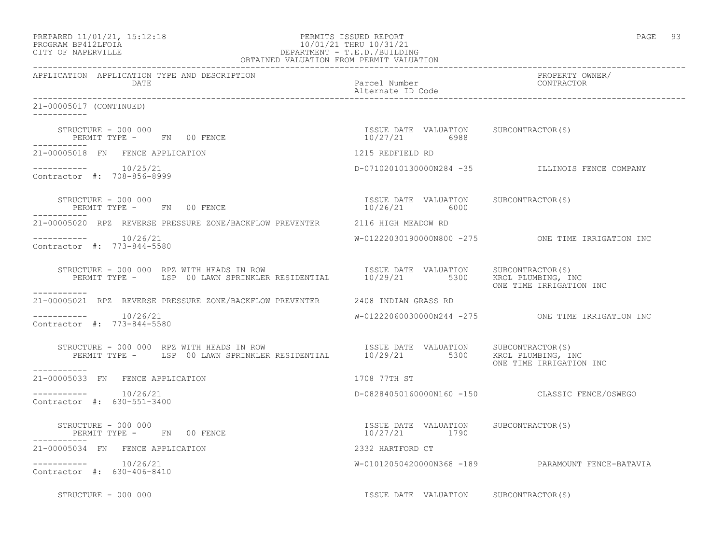| PREPARED 11/01/21, 15:12:18<br>PROGRAM BP412LFOIA 10/01/21 THRU 10/31/21<br>CITY OF NAPERVILLE DEPARTMENT - T.E.D./BUILDING<br>OBTAINED VALUATION FROM PERMIT VALUATION                        |                                                        | PAGE 93                                             |
|------------------------------------------------------------------------------------------------------------------------------------------------------------------------------------------------|--------------------------------------------------------|-----------------------------------------------------|
| APPLICATION APPLICATION TYPE AND DESCRIPTION<br>DATE                                                                                                                                           | Parcel Number<br>Alternate ID Code                     | PROPERTY OWNER/<br>PROPERII OW<br>CONTRACTOR        |
| 21-00005017 (CONTINUED)<br>------------                                                                                                                                                        |                                                        |                                                     |
| ------------                                                                                                                                                                                   | ISSUE DATE VALUATION SUBCONTRACTOR(S)                  |                                                     |
| 21-00005018 FN FENCE APPLICATION                                                                                                                                                               | 1215 REDFIELD RD                                       |                                                     |
| $--------- 10/25/21$<br>Contractor #: 708-856-8999                                                                                                                                             | D-07102010130000N284 -35 JILLINOIS FENCE COMPANY       |                                                     |
| STRUCTURE - 000 000<br>PERMIT TYPE - FN 00 FENCE                                                                                                                                               | ISSUE DATE VALUATION SUBCONTRACTOR(S)<br>10/26/21 6000 |                                                     |
| 21-00005020 RPZ REVERSE PRESSURE ZONE/BACKFLOW PREVENTER 2116 HIGH MEADOW RD                                                                                                                   |                                                        |                                                     |
| Contractor #: 773-844-5580                                                                                                                                                                     |                                                        | $W-01222030190000N800 -275$ ONE TIME IRRIGATION INC |
| STRUCTURE - 000 000 RPZ WITH HEADS IN ROW<br>PERMIT TYPE - LSP 00 LAWN SPRINKLER RESIDENTIAL 10/29/21 5300 KROL TIVE INC<br>-----------                                                        |                                                        | ONE TIME IRRIGATION INC                             |
| 21-00005021 RPZ REVERSE PRESSURE ZONE/BACKFLOW PREVENTER 2408 INDIAN GRASS RD                                                                                                                  |                                                        |                                                     |
| $--------- 10/26/21$<br>Contractor #: 773-844-5580                                                                                                                                             |                                                        | W-01222060030000N244 -275 ONE TIME IRRIGATION INC   |
| STRUCTURE - 000 000 RPZ WITH HEADS IN ROW TSSUE DATE VALUATION SUBCONTRACTOR(S)<br>PERMIT TYPE - LSP 00 LAWN SPRINKLER RESIDENTIAL 10/29/21 5300 KROL PLUMBING, INC<br>------------            |                                                        | ONE TIME IRRIGATION INC                             |
| 21-00005033 FN FENCE APPLICATION                                                                                                                                                               | 1708 77TH ST                                           |                                                     |
| $--------$ 10/26/21<br>Contractor #: 630-551-3400                                                                                                                                              |                                                        | D-08284050160000N160 -150 CLASSIC FENCE/OSWEGO      |
| $\begin{array}{lll} \text{STRUCTURE} & - & 000 & 000 \\ \text{STRUCTURE} & - & 000 & 000 \\ \text{STRUCR} & \text{SUSR} & \text{SUSR} \end{array}$<br>PERMIT TYPE - FN 00 FENCE<br>___________ | ISSUE DATE VALUATION SUBCONTRACTOR(S)<br>10/27/21 1790 |                                                     |
| 21-00005034 FN FENCE APPLICATION                                                                                                                                                               | 2332 HARTFORD CT                                       |                                                     |
| -----------    10/26/21<br>Contractor #: 630-406-8410                                                                                                                                          |                                                        | W-01012050420000N368 -189 PARAMOUNT FENCE-BATAVIA   |

STRUCTURE - 000 000 **ISSUE DATE VALUATION** SUBCONTRACTOR(S)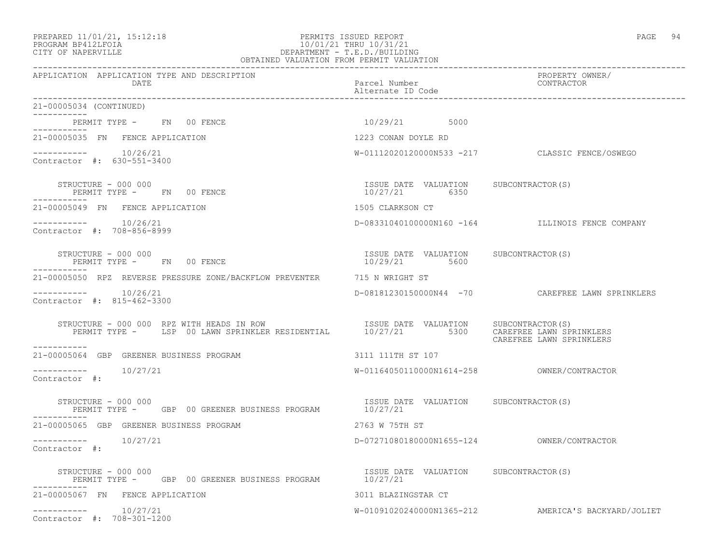### PREPARED 11/01/21, 15:12:18 PERMITS ISSUED REPORT PAGE 94 PROGRAM BP412LFOIA 10/01/21 THRU 10/31/21 CITY OF NAPERVILLE DEPARTMENT - T.E.D./BUILDING OBTAINED VALUATION FROM PERMIT VALUATION

| APPLICATION APPLICATION TYPE AND DESCRIPTION<br>DATE                                                                                                                                                                                                                                                                                                                      | Parcel Number<br>Alternate ID Code                     | PROPERTY OWNER/<br>CONTRACTOR                       |
|---------------------------------------------------------------------------------------------------------------------------------------------------------------------------------------------------------------------------------------------------------------------------------------------------------------------------------------------------------------------------|--------------------------------------------------------|-----------------------------------------------------|
| 21-00005034 (CONTINUED)                                                                                                                                                                                                                                                                                                                                                   |                                                        |                                                     |
| PERMIT TYPE - FN 00 FENCE                                                                                                                                                                                                                                                                                                                                                 | 10/29/21 5000                                          |                                                     |
| 21-00005035 FN FENCE APPLICATION                                                                                                                                                                                                                                                                                                                                          | 1223 CONAN DOYLE RD                                    |                                                     |
| $--------- 10/26/21$<br>Contractor #: 630-551-3400                                                                                                                                                                                                                                                                                                                        |                                                        | W-01112020120000N533 -217 CLASSIC FENCE/OSWEGO      |
| STRUCTURE - 000 000<br>PERMIT TYPE - FN 00 FENCE                                                                                                                                                                                                                                                                                                                          | ISSUE DATE VALUATION SUBCONTRACTOR(S)<br>10/27/21 6350 |                                                     |
| 21-00005049 FN FENCE APPLICATION                                                                                                                                                                                                                                                                                                                                          | 1505 CLARKSON CT                                       |                                                     |
| Contractor #: 708-856-8999                                                                                                                                                                                                                                                                                                                                                |                                                        | D-08331040100000N160 -164 ILLINOIS FENCE COMPANY    |
| STRUCTURE - 000 000<br>PERMIT TYPE - FN 00 FENCE                                                                                                                                                                                                                                                                                                                          | ISSUE DATE VALUATION SUBCONTRACTOR(S)<br>10/29/21 5600 |                                                     |
| 21-00005050 RPZ REVERSE PRESSURE ZONE/BACKFLOW PREVENTER 715 N WRIGHT ST                                                                                                                                                                                                                                                                                                  |                                                        |                                                     |
| $--------- 10/26/21$<br>Contractor #: 815-462-3300                                                                                                                                                                                                                                                                                                                        |                                                        | D-08181230150000N44 -70 CAREFREE LAWN SPRINKLERS    |
| STRUCTURE - 000 000 RPZ WITH HEADS IN ROW                           ISSUE DATE VALUATION     SUBCONTRACTOR(S)<br>PERMIT TYPE -      LSP 00 LAWN SPRINKLER RESIDENTIAL        10/27/21          5300    CAREFREE LAWN SPRINKLERS<br>-----------                                                                                                                            |                                                        | CAREFREE LAWN SPRINKLERS                            |
| 21-00005064 GBP GREENER BUSINESS PROGRAM                                                                                                                                                                                                                                                                                                                                  | 3111 111TH ST 107                                      |                                                     |
| $--------- 10/27/21$<br>Contractor #:                                                                                                                                                                                                                                                                                                                                     |                                                        |                                                     |
| $\begin{array}{cccc} \texttt{STRUCTURE} - 000~000 & \texttt{GBP} & 00~\texttt{GREBNER BUSINESS} & \texttt{PROGRAM} & 10/27/21 & \texttt{VALUATION} & \texttt{SUBCONTRACTOR(S)} \\ \texttt{PERMIT TYPE -} & \texttt{GBP} & 00~\texttt{GREBNER BUSINESS} & \texttt{PROGRAM} & 10/27/21 & \texttt{SUE} & \texttt{NEDM} & \texttt{SUE} \\ \end{array}$<br>STRUCTURE - 000 000 |                                                        |                                                     |
| 21-00005065 GBP GREENER BUSINESS PROGRAM                                                                                                                                                                                                                                                                                                                                  | 2763 W 75TH ST                                         |                                                     |
| $--------- 10/27/21$<br>Contractor #:                                                                                                                                                                                                                                                                                                                                     |                                                        |                                                     |
| STRUCTURE - 000 000<br>PERMIT TYPE - GBP 00 GREENER BUSINESS PROGRAM                                                                                                                                                                                                                                                                                                      | ISSUE DATE VALUATION SUBCONTRACTOR(S)<br>10/27/21      |                                                     |
| 21-00005067 FN FENCE APPLICATION                                                                                                                                                                                                                                                                                                                                          | 3011 BLAZINGSTAR CT                                    |                                                     |
| $--------- 10/27/21$<br>Contractor #: 708-301-1200                                                                                                                                                                                                                                                                                                                        |                                                        | W-01091020240000N1365-212 AMERICA'S BACKYARD/JOLIET |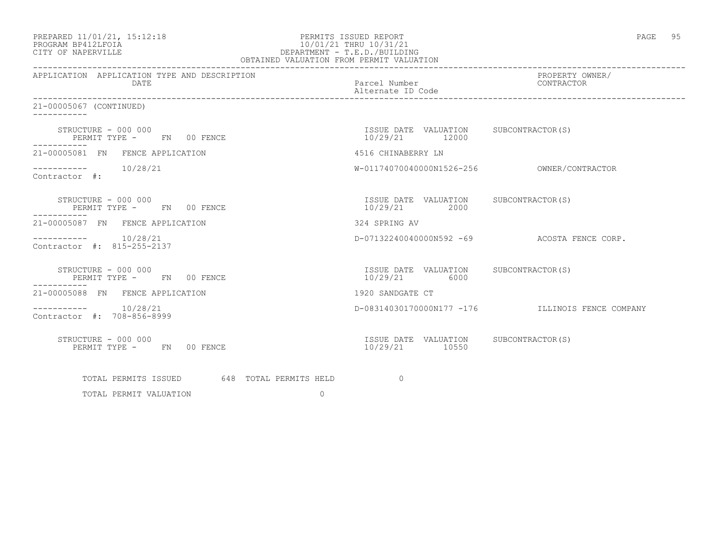| PREPARED 11/01/21, 15:12:18 |  |
|-----------------------------|--|
| PROCRAM RP412LFOIA          |  |

### PERMITS ISSUED REPORT **PERMITS** ISSUED REPORT PROGRAM BP412LFOIA 10/01/21 THRU 10/31/21<br>CITY OF NAPERVILLE DEPARTMENT - T.E.D./BUILDIN CITY OF NAPERVILLE DEPARTMENT - T.E.D./BUILDING OBTAINED VALUATION FROM PERMIT VALUATION

------------------------------------------------------------------------------------------------------------------------------------

| APPLICATION APPLICATION TYPE AND DESCRIPTION<br>DATE | Parcel Number<br>Alternate ID Code                         | PROPERTY OWNER/<br>CONTRACTOR                    |
|------------------------------------------------------|------------------------------------------------------------|--------------------------------------------------|
| 21-00005067 (CONTINUED)                              |                                                            |                                                  |
| STRUCTURE - 000 000<br>PERMIT TYPE - FN 00 FENCE     | ISSUE DATE VALUATION SUBCONTRACTOR(S)<br>10/29/21<br>12000 |                                                  |
| 21-00005081 FN FENCE APPLICATION                     | 4516 CHINABERRY LN                                         |                                                  |
| $--------- 10/28/21$<br>Contractor #:                |                                                            |                                                  |
| STRUCTURE - 000 000<br>PERMIT TYPE - FN 00 FENCE     | ISSUE DATE VALUATION SUBCONTRACTOR(S)<br>10/29/21<br>2000  |                                                  |
| 21-00005087 FN FENCE APPLICATION                     | 324 SPRING AV                                              |                                                  |
| $--------- 10/28/21$<br>Contractor #: 815-255-2137   |                                                            | D-07132240040000N592 -69 ACOSTA FENCE CORP.      |
| STRUCTURE - 000 000<br>PERMIT TYPE - FN 00 FENCE     | ISSUE DATE VALUATION SUBCONTRACTOR(S)<br>10/29/21<br>6000  |                                                  |
| 21-00005088 FN FENCE APPLICATION                     | 1920 SANDGATE CT                                           |                                                  |
| $--------- 10/28/21$<br>Contractor #: 708-856-8999   |                                                            | D-08314030170000N177 -176 ILLINOIS FENCE COMPANY |
| STRUCTURE - 000 000<br>PERMIT TYPE - FN 00 FENCE     | ISSUE DATE VALUATION SUBCONTRACTOR(S)<br>10/29/21 10550    |                                                  |
| TOTAL PERMITS ISSUED 648 TOTAL PERMITS HELD          | $\Omega$                                                   |                                                  |
| $\Omega$<br>TOTAL PERMIT VALUATION                   |                                                            |                                                  |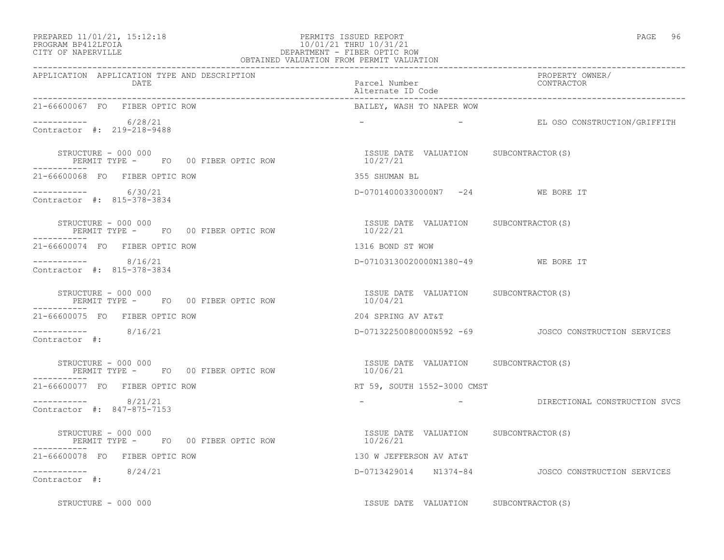### PREPARED 11/01/21, 15:12:18 PERMITS ISSUED REPORT PAGE 96 PROGRAM BP412LFOIA 10/01/21 THRU 10/31/21 CITY OF NAPERVILLE DEPARTMENT - FIBER OPTIC ROW OBTAINED VALUATION FROM PERMIT VALUATION

------------------------------------------------------------------------------------------------------------------------------------ APPLICATION APPLICATION TYPE AND DESCRIPTION<br>DATE DATE DATE DATE

| DATE                                                                                                                                                                                                                                                                                                                                     | Parcel Number<br>Alternate ID Code                 | CONTRACTOR                                              |
|------------------------------------------------------------------------------------------------------------------------------------------------------------------------------------------------------------------------------------------------------------------------------------------------------------------------------------------|----------------------------------------------------|---------------------------------------------------------|
| 21-66600067 FO FIBER OPTIC ROW                                                                                                                                                                                                                                                                                                           | BAILEY, WASH TO NAPER WOW                          |                                                         |
| $--------- 6/28/21$<br>Contractor #: 219-218-9488                                                                                                                                                                                                                                                                                        |                                                    |                                                         |
| PERMIT TYPE - FO 00 FIBER OPTIC ROW<br>STRUCTURE - 000 000<br>-----------                                                                                                                                                                                                                                                                | ISSUE DATE VALUATION SUBCONTRACTOR (S)<br>10/27/21 |                                                         |
| 21-66600068 FO FIBER OPTIC ROW                                                                                                                                                                                                                                                                                                           | 355 SHUMAN BL                                      |                                                         |
| $--------- 6/30/21$<br>Contractor #: 815-378-3834                                                                                                                                                                                                                                                                                        | D-07014000330000N7 -24 WE BORE IT                  |                                                         |
| $\begin{array}{cccccc} \texttt{STRUCTURE} & - & 000 & 000 & & & & & \\ \texttt{PERMIT TYPE} & - & \texttt{FO} & 00 & \texttt{FIBER OPTIC ROW} & & & & & \\ \end{array} \qquad \begin{array}{cccccc} \texttt{ISSUE} & \texttt{DATE} & \texttt{VALUATION} & \texttt{SUBCONTRACTOR(S)} \\ & 10/22/21 & & & & \\ \end{array}$<br>----------- |                                                    |                                                         |
| 21-66600074 FO FIBER OPTIC ROW                                                                                                                                                                                                                                                                                                           | 1316 BOND ST WOW                                   |                                                         |
| $--------- 8/16/21$<br>Contractor #: 815-378-3834                                                                                                                                                                                                                                                                                        | D-07103130020000N1380-49 WE BORE IT                |                                                         |
| SIKUCTUKE - 000 000<br>PERMIT TYPE -    FO  00 FIBER OPTIC ROW                         10/04/21<br>-------<br>STRUCTURE - 000 000                                                                                                                                                                                                        |                                                    |                                                         |
| 21-66600075 FO FIBER OPTIC ROW                                                                                                                                                                                                                                                                                                           | 204 SPRING AV AT&T                                 |                                                         |
| $--------- 8/16/21$<br>Contractor #:                                                                                                                                                                                                                                                                                                     |                                                    | D-07132250080000N592 -69    JOSCO CONSTRUCTION SERVICES |
| STRUCTURE - 000 000<br>PERMIT TYPE - FO 00 FIBER OPTIC ROW                                                                                                                                                                                                                                                                               | ISSUE DATE VALUATION SUBCONTRACTOR(S)<br>10/06/21  |                                                         |
| 21-66600077 FO FIBER OPTIC ROW                                                                                                                                                                                                                                                                                                           | RT 59, SOUTH 1552-3000 CMST                        |                                                         |
| $--------- 8/21/21$<br>Contractor #: 847-875-7153                                                                                                                                                                                                                                                                                        |                                                    | - DIRECTIONAL CONSTRUCTION SVCS                         |
| -----------                                                                                                                                                                                                                                                                                                                              | ISSUE DATE VALUATION SUBCONTRACTOR(S)              |                                                         |
| 21-66600078 FO FIBER OPTIC ROW                                                                                                                                                                                                                                                                                                           | 130 W JEFFERSON AV AT&T                            |                                                         |
| $--------- 8/24/21$<br>Contractor #:                                                                                                                                                                                                                                                                                                     |                                                    | D-0713429014 N1374-84 JOSCO CONSTRUCTION SERVICES       |

STRUCTURE - 000 000 **ISSUE DATE VALUATION** SUBCONTRACTOR(S)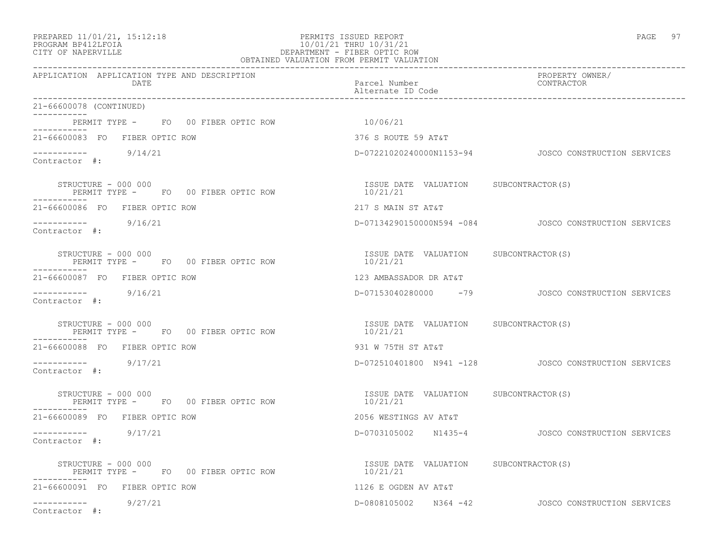### PREPARED 11/01/21, 15:12:18 PERMITS ISSUED REPORT PAGE 97 PROGRAM BP412LFOIA 10/01/21 THRU 10/31/21 CITY OF NAPERVILLE DEPARTMENT - FIBER OPTIC ROW OBTAINED VALUATION FROM PERMIT VALUATION

| APPLICATION APPLICATION TYPE AND DESCRIPTION<br>DATE                               | Parcel Number<br>Alternate ID Code                                | PROPERTY OWNER/<br>CONTRACTOR                          |
|------------------------------------------------------------------------------------|-------------------------------------------------------------------|--------------------------------------------------------|
| 21-66600078 (CONTINUED)                                                            |                                                                   |                                                        |
| PERMIT TYPE - FO 00 FIBER OPTIC ROW<br>---------                                   | 10/06/21                                                          |                                                        |
| 21-66600083 FO FIBER OPTIC ROW                                                     | 376 S ROUTE 59 AT&T                                               |                                                        |
| $--------- 9/14/21$<br>Contractor #:                                               |                                                                   | D-07221020240000N1153-94   JOSCO CONSTRUCTION SERVICES |
| STRUCTURE - 000 000<br>PERMIT TYPE - FO 00 FIBER OPTIC ROW<br>$-- - - - - - - - -$ | ISSUE DATE VALUATION SUBCONTRACTOR(S)<br>$\frac{15564}{10/21/21}$ |                                                        |
| 21-66600086 FO FIBER OPTIC ROW                                                     | 217 S MAIN ST AT&T                                                |                                                        |
| $--------- 9/16/21$<br>Contractor #:                                               |                                                                   | D-07134290150000N594 -084 JOSCO CONSTRUCTION SERVICES  |
| STRUCTURE - 000 000<br>PERMIT TYPE - FO 00 FIBER OPTIC ROW                         | ISSUE DATE VALUATION SUBCONTRACTOR(S)<br>10/21/21                 |                                                        |
| 21-66600087 FO FIBER OPTIC ROW                                                     | 123 AMBASSADOR DR AT&T                                            |                                                        |
| $--------$ 9/16/21<br>Contractor #:                                                |                                                                   | D-07153040280000 -79 JOSCO CONSTRUCTION SERVICES       |
| STRUCTURE - 000 000<br>PERMIT TYPE - FO 00 FIBER OPTIC ROW<br>-----------          | ISSUE DATE VALUATION SUBCONTRACTOR(S)<br>10/21/21                 |                                                        |
| 21-66600088 FO FIBER OPTIC ROW                                                     | 931 W 75TH ST AT&T                                                |                                                        |
| $--------- 9/17/21$<br>Contractor #:                                               |                                                                   | D-072510401800 N941 -128 JOSCO CONSTRUCTION SERVICES   |
| STRUCTURE - 000 000<br>PERMIT TYPE - FO 00 FIBER OPTIC ROW                         | ISSUE DATE VALUATION SUBCONTRACTOR(S)<br>10/21/21                 |                                                        |
| 21-66600089 FO FIBER OPTIC ROW                                                     | 2056 WESTINGS AV AT&T                                             |                                                        |
| $--------- 9/17/21$<br>Contractor #:                                               |                                                                   | D-0703105002 N1435-4 JOSCO CONSTRUCTION SERVICES       |
| STRUCTURE - 000 000<br>PERMIT TYPE - FO 00 FIBER OPTIC ROW                         | ISSUE DATE VALUATION SUBCONTRACTOR(S)<br>10/21/21                 |                                                        |
| 21-66600091 FO FIBER OPTIC ROW                                                     | 1126 E OGDEN AV AT&T                                              |                                                        |
| $--------- 9/27/21$<br>Contractor #:                                               |                                                                   | D-0808105002 N364 -42 JOSCO CONSTRUCTION SERVICES      |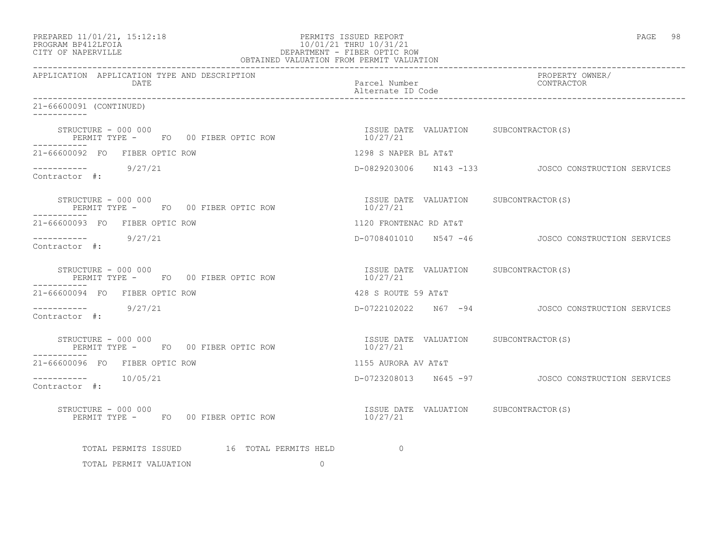| PREPARED 11/01/21, 15:12:18 |  |
|-----------------------------|--|
| גד∩ה זר≀וחם, מגם״∩חם        |  |

### PREPARED 11/01/21, 15:12:18 PERMITS ISSUED REPORT PAGE 98 PROGRAM BP412LFOIA 10/01/21 THRU 10/31/21 DEPARTMENT - FIBER OPTIC ROW OBTAINED VALUATION FROM PERMIT VALUATION

------------------------------------------------------------------------------------------------------------------------------------ APPLICATION APPLICATION TYPE AND DESCRIPTION PROPERTY OWNER/ DATE Parcel Number Contractor Contractor Contractor Parcel Number Alternate ID Code ------------------------------------------------------------------------------------------------------------------------------------ 21-66600091 (CONTINUED) ----------- STRUCTURE - 000 000<br>
PERMIT TYPE - FO 00 FIBER OPTIC ROW 10/27/21 PERMIT TYPE - FO 00 FIBER OPTIC ROW ----------- 21-66600092 FO FIBER OPTIC ROW 1298 S NAPER BL AT&T ----------- 9/27/21 D-0829203006 N143 -133 JOSCO CONSTRUCTION SERVICES Contractor #: STRUCTURE – 000 000<br>PERMIT TYPE – FO 00 FIBER OPTIC ROW 10/27/21 PERMIT TYPE - FO 00 FIBER OPTIC ROW ----------- 21-66600093 FO FIBER OPTIC ROW 1120 FRONTENAC RD AT&T ----------- 9/27/21 D-0708401010 N547 -46 JOSCO CONSTRUCTION SERVICES Contractor #: STRUCTURE - 000 000<br>
PERMIT TYPE - FO 00 FIBER OPTIC ROW 10/27/21 PERMIT TYPE - FO 00 FIBER OPTIC ROW 21-66600094 FO FIBER OPTIC ROW 428 S ROUTE 59 AT&T ----------- 9/27/21 D-0722102022 N67 -94 JOSCO CONSTRUCTION SERVICES Contractor #: STRUCTURE - 000 000<br>
PERMIT TYPE - FO 00 FIBER OPTIC ROW 10/27/21 PERMIT TYPE - FO 00 FIBER OPTIC ROW ----------- 21-66600096 FO FIBER OPTIC ROW 1155 AURORA AV AT&T ----------- 10/05/21 D-0723208013 N645 -97 JOSCO CONSTRUCTION SERVICES Contractor #: STRUCTURE - 000 000<br>
PERMIT TYPE - FO 00 FIBER OPTIC ROW 10/27/21 PERMIT TYPE - FO 00 FIBER OPTIC ROW TOTAL PERMITS ISSUED 16 TOTAL PERMITS HELD 0

TOTAL PERMIT VALUATION 0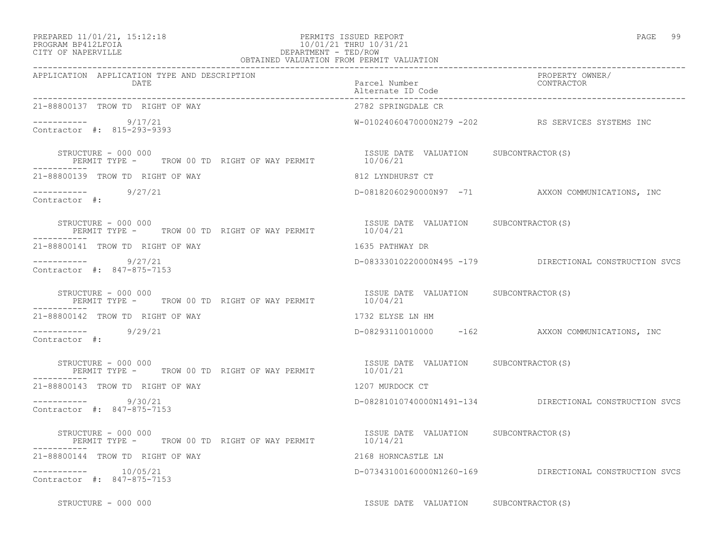| PREPARED 11/01/21, 15:12:18     |  |
|---------------------------------|--|
| -- - -- - - - - - - - - - - - - |  |

## PREPARED 11/01/21, 15:12:18 PERMITS ISSUED REPORT<br>PROGRAM BP412LFOIA PAGE 99 PROGRAM BP412LFOIA 10/01/21 THRU 10/31/21 CITY OF NAPERVILLE DEPARTMENT - TED/ROW

| OBTAINED VALUATION FROM PERMIT VALUATION                                                                                                       |                                                   |                                                         |
|------------------------------------------------------------------------------------------------------------------------------------------------|---------------------------------------------------|---------------------------------------------------------|
| APPLICATION APPLICATION TYPE AND DESCRIPTION<br>DATE                                                                                           | Parcel Number<br>Alternate ID Code                | PROPERTY OWNER/<br>CONTRACTOR                           |
| 21-88800137 TROW TD RIGHT OF WAY                                                                                                               | 2782 SPRINGDALE CR                                |                                                         |
| ----------- 9/17/21<br>Contractor #: 815-293-9393                                                                                              |                                                   | W-01024060470000N279 -202 RS SERVICES SYSTEMS INC       |
| STRUCTURE - 000 000<br>ENUCTURE - UUU UUU<br>PERMIT TYPE -       TROW 00 TD  RIGHT OF WAY PERMIT                       10/06/21<br>----------- | ISSUE DATE VALUATION SUBCONTRACTOR(S)             |                                                         |
| 21-88800139 TROW TD RIGHT OF WAY                                                                                                               | 812 LYNDHURST CT                                  |                                                         |
| $--------- 9/27/21$<br>Contractor #:                                                                                                           |                                                   | D-08182060290000N97 -71 AXXON COMMUNICATIONS, INC       |
| STRUCTURE - 000 000<br>PERMIT TYPE - TROW 00 TD RIGHT OF WAY PERMIT 10/04/21<br>-----------                                                    | ISSUE DATE VALUATION SUBCONTRACTOR(S)             |                                                         |
| 21-88800141 TROW TD RIGHT OF WAY                                                                                                               | 1635 PATHWAY DR                                   |                                                         |
| $--------- 9/27/21$<br>Contractor #: 847-875-7153                                                                                              |                                                   | D-08333010220000N495 -179 DIRECTIONAL CONSTRUCTION SVCS |
| STRUCTURE - 000 000<br>PERMIT TYPE -     TROW 00 TD RIGHT OF WAY PERMIT                                                                        | ISSUE DATE VALUATION SUBCONTRACTOR(S)<br>10/04/21 |                                                         |
| 21-88800142 TROW TD RIGHT OF WAY                                                                                                               | 1732 ELYSE LN HM                                  |                                                         |
| $--------$ 9/29/21<br>Contractor #:                                                                                                            |                                                   | D-08293110010000 -162 AXXON COMMUNICATIONS, INC         |
| STRUCTURE - 000 000<br>PERMIT TYPE - TROW 00 TD RIGHT OF WAY PERMIT 10/01/21                                                                   | ISSUE DATE VALUATION SUBCONTRACTOR(S)             |                                                         |
| 21-88800143 TROW TD RIGHT OF WAY                                                                                                               | 1207 MURDOCK CT                                   |                                                         |
| $--------$ 9/30/21<br>Contractor #: 847-875-7153                                                                                               |                                                   | D-08281010740000N1491-134 DIRECTIONAL CONSTRUCTION SVCS |
| STRUCTURE - 000 000<br>PERMIT TYPE - TROW 00 TD RIGHT OF WAY PERMIT 10/14/21                                                                   | ISSUE DATE VALUATION SUBCONTRACTOR(S)             |                                                         |
| 21-88800144 TROW TD RIGHT OF WAY                                                                                                               | 2168 HORNCASTLE LN                                |                                                         |
| Contractor #: 847-875-7153                                                                                                                     |                                                   | D-07343100160000N1260-169 DIRECTIONAL CONSTRUCTION SVCS |
| STRUCTURE - 000 000                                                                                                                            | ISSUE DATE VALUATION SUBCONTRACTOR(S)             |                                                         |